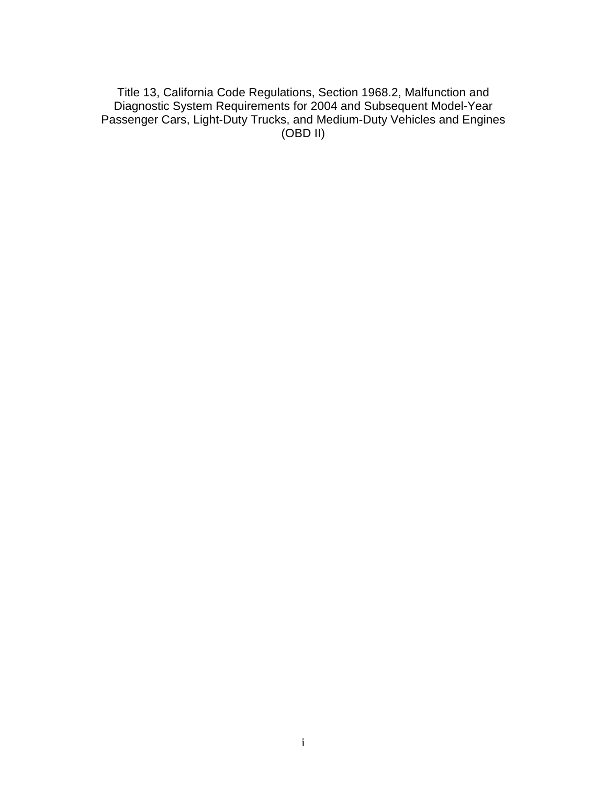Title 13, California Code Regulations, Section 1968.2, Malfunction and Diagnostic System Requirements for 2004 and Subsequent Model-Year Passenger Cars, Light-Duty Trucks, and Medium-Duty Vehicles and Engines (OBD II)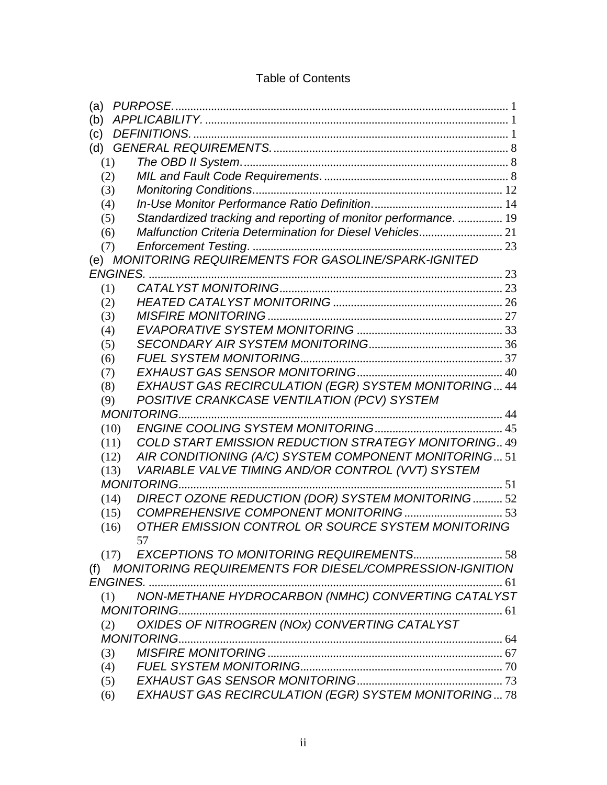| (a)  |                                                                 |    |
|------|-----------------------------------------------------------------|----|
| (b)  |                                                                 |    |
| (c)  |                                                                 |    |
| (d)  |                                                                 |    |
| (1)  |                                                                 |    |
| (2)  |                                                                 |    |
| (3)  |                                                                 |    |
| (4)  |                                                                 |    |
| (5)  | Standardized tracking and reporting of monitor performance.  19 |    |
| (6)  | Malfunction Criteria Determination for Diesel Vehicles 21       |    |
| (7)  |                                                                 |    |
|      | (e) MONITORING REQUIREMENTS FOR GASOLINE/SPARK-IGNITED          |    |
|      | <b>ENGINES.</b>                                                 |    |
| (1)  |                                                                 |    |
| (2)  |                                                                 |    |
| (3)  |                                                                 |    |
| (4)  |                                                                 |    |
| (5)  |                                                                 |    |
| (6)  |                                                                 |    |
| (7)  |                                                                 |    |
| (8)  | EXHAUST GAS RECIRCULATION (EGR) SYSTEM MONITORING 44            |    |
| (9)  | POSITIVE CRANKCASE VENTILATION (PCV) SYSTEM                     |    |
|      | <b>MONITORING</b>                                               |    |
| (10) |                                                                 |    |
| (11) | COLD START EMISSION REDUCTION STRATEGY MONITORING 49            |    |
| (12) | AIR CONDITIONING (A/C) SYSTEM COMPONENT MONITORING 51           |    |
| (13) | VARIABLE VALVE TIMING AND/OR CONTROL (VVT) SYSTEM               |    |
|      | <b>MONITORING</b>                                               | 51 |
| (14) | DIRECT OZONE REDUCTION (DOR) SYSTEM MONITORING 52               |    |
| (15) |                                                                 |    |
| (16) | OTHER EMISSION CONTROL OR SOURCE SYSTEM MONITORING              |    |
|      | 57                                                              |    |
| (17) |                                                                 |    |
| (f)  | MONITORING REQUIREMENTS FOR DIESEL/COMPRESSION-IGNITION         |    |
|      |                                                                 |    |
| (1)  | NON-METHANE HYDROCARBON (NMHC) CONVERTING CATALYST              |    |
|      | MONITORING                                                      |    |
| (2)  | OXIDES OF NITROGREN (NOx) CONVERTING CATALYST                   |    |
|      |                                                                 |    |
| (3)  |                                                                 |    |
| (4)  |                                                                 |    |
| (5)  |                                                                 |    |
| (6)  | EXHAUST GAS RECIRCULATION (EGR) SYSTEM MONITORING78             |    |

# Table of Contents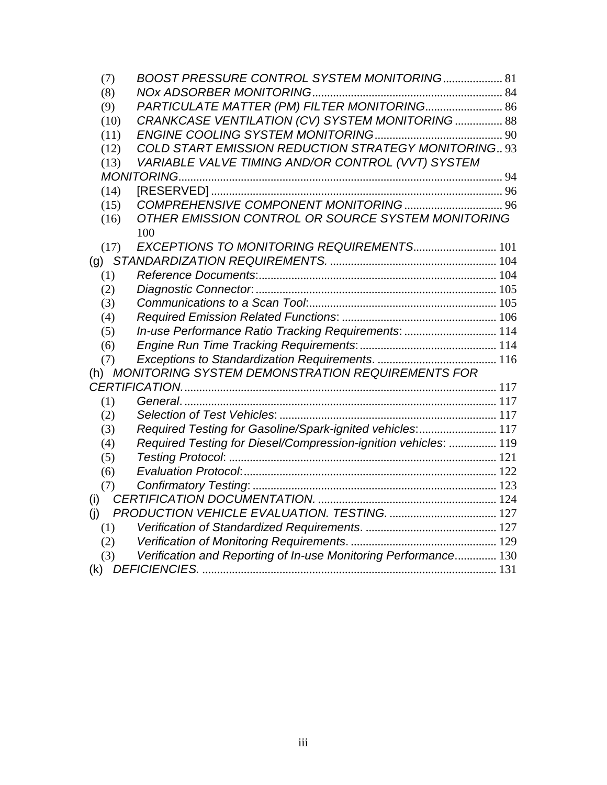| (7)  | BOOST PRESSURE CONTROL SYSTEM MONITORING 81                     |  |
|------|-----------------------------------------------------------------|--|
| (8)  |                                                                 |  |
| (9)  | PARTICULATE MATTER (PM) FILTER MONITORING 86                    |  |
| (10) | CRANKCASE VENTILATION (CV) SYSTEM MONITORING 88                 |  |
| (11) |                                                                 |  |
|      | COLD START EMISSION REDUCTION STRATEGY MONITORING., 93<br>(12)  |  |
|      | VARIABLE VALVE TIMING AND/OR CONTROL (VVT) SYSTEM<br>(13)       |  |
|      |                                                                 |  |
|      | (14)                                                            |  |
|      | (15)                                                            |  |
|      | OTHER EMISSION CONTROL OR SOURCE SYSTEM MONITORING<br>(16)      |  |
|      | 100                                                             |  |
|      | EXCEPTIONS TO MONITORING REQUIREMENTS 101<br>(17)               |  |
|      |                                                                 |  |
| (1)  |                                                                 |  |
| (2)  |                                                                 |  |
| (3)  |                                                                 |  |
| (4)  |                                                                 |  |
| (5)  | In-use Performance Ratio Tracking Requirements:  114            |  |
| (6)  |                                                                 |  |
| (7)  |                                                                 |  |
|      | (h) MONITORING SYSTEM DEMONSTRATION REQUIREMENTS FOR            |  |
|      |                                                                 |  |
| (1)  |                                                                 |  |
| (2)  |                                                                 |  |
| (3)  | Required Testing for Gasoline/Spark-ignited vehicles:  117      |  |
| (4)  | Required Testing for Diesel/Compression-ignition vehicles:  119 |  |
| (5)  |                                                                 |  |
| (6)  |                                                                 |  |
| (7)  |                                                                 |  |
| (i)  |                                                                 |  |
| (i)  |                                                                 |  |
| (1)  |                                                                 |  |
| (2)  |                                                                 |  |
| (3)  | Verification and Reporting of In-use Monitoring Performance 130 |  |
| (k)  |                                                                 |  |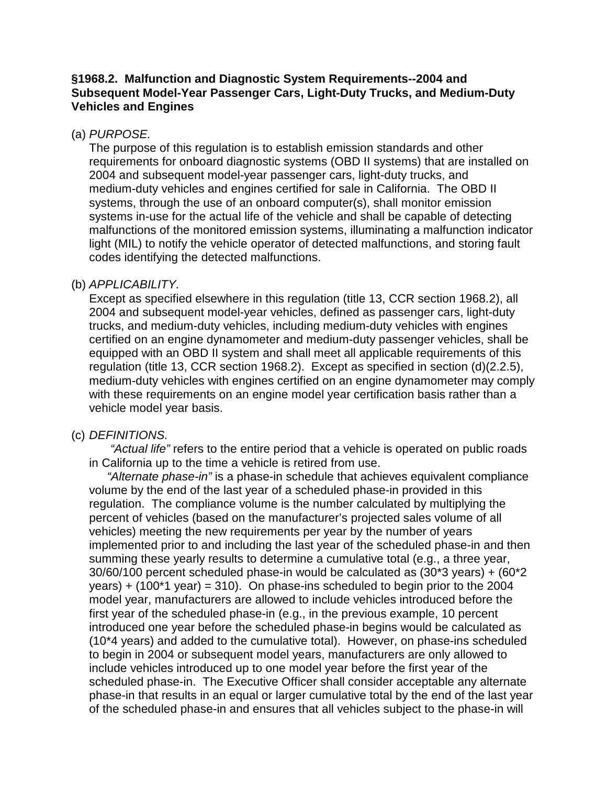### **§1968.2. Malfunction and Diagnostic System Requirements--2004 and Subsequent Model-Year Passenger Cars, Light-Duty Trucks, and Medium-Duty Vehicles and Engines**

#### (a) PURPOSE.

The purpose of this regulation is to establish emission standards and other requirements for onboard diagnostic systems (OBD II systems) that are installed on 2004 and subsequent model-year passenger cars, light-duty trucks, and medium-duty vehicles and engines certified for sale in California. The OBD II systems, through the use of an onboard computer(s), shall monitor emission systems in-use for the actual life of the vehicle and shall be capable of detecting malfunctions of the monitored emission systems, illuminating a malfunction indicator light (MIL) to notify the vehicle operator of detected malfunctions, and storing fault codes identifying the detected malfunctions.

#### (b) APPLICABILITY.

Except as specified elsewhere in this regulation (title 13, CCR section 1968.2), all 2004 and subsequent model-year vehicles, defined as passenger cars, light-duty trucks, and medium-duty vehicles, including medium-duty vehicles with engines certified on an engine dynamometer and medium-duty passenger vehicles, shall be equipped with an OBD II system and shall meet all applicable requirements of this regulation (title 13, CCR section 1968.2). Except as specified in section (d)(2.2.5), medium-duty vehicles with engines certified on an engine dynamometer may comply with these requirements on an engine model year certification basis rather than a vehicle model year basis.

#### (c) DEFINITIONS.

 "Actual life" refers to the entire period that a vehicle is operated on public roads in California up to the time a vehicle is retired from use.

"Alternate phase-in" is a phase-in schedule that achieves equivalent compliance volume by the end of the last year of a scheduled phase-in provided in this regulation. The compliance volume is the number calculated by multiplying the percent of vehicles (based on the manufacturer's projected sales volume of all vehicles) meeting the new requirements per year by the number of years implemented prior to and including the last year of the scheduled phase-in and then summing these yearly results to determine a cumulative total (e.g., a three year, 30/60/100 percent scheduled phase-in would be calculated as (30\*3 years) + (60\*2 years)  $+$  (100<sup>\*</sup>1 year) = 310). On phase-ins scheduled to begin prior to the 2004 model year, manufacturers are allowed to include vehicles introduced before the first year of the scheduled phase-in (e.g., in the previous example, 10 percent introduced one year before the scheduled phase-in begins would be calculated as (10\*4 years) and added to the cumulative total). However, on phase-ins scheduled to begin in 2004 or subsequent model years, manufacturers are only allowed to include vehicles introduced up to one model year before the first year of the scheduled phase-in. The Executive Officer shall consider acceptable any alternate phase-in that results in an equal or larger cumulative total by the end of the last year of the scheduled phase-in and ensures that all vehicles subject to the phase-in will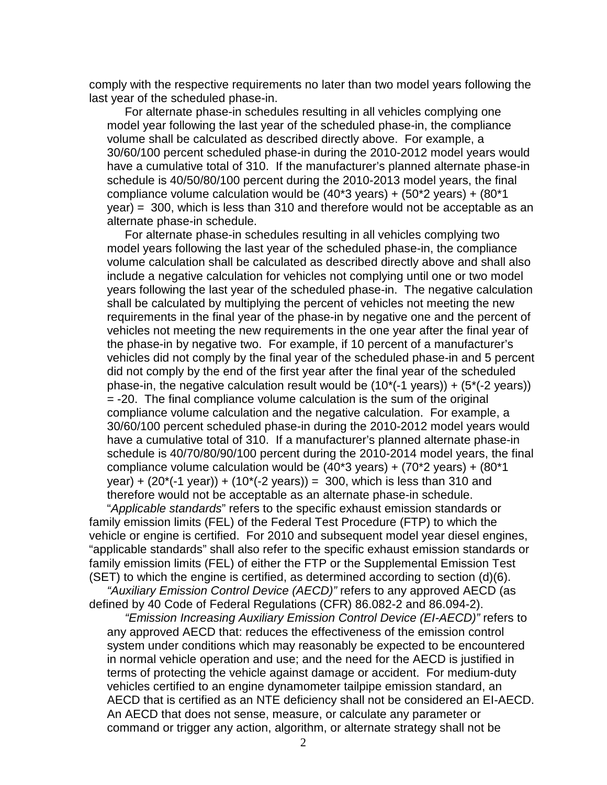comply with the respective requirements no later than two model years following the last year of the scheduled phase-in.

For alternate phase-in schedules resulting in all vehicles complying one model year following the last year of the scheduled phase-in, the compliance volume shall be calculated as described directly above. For example, a 30/60/100 percent scheduled phase-in during the 2010-2012 model years would have a cumulative total of 310. If the manufacturer's planned alternate phase-in schedule is 40/50/80/100 percent during the 2010-2013 model years, the final compliance volume calculation would be  $(40*3 \text{ years}) + (50*2 \text{ years}) + (80*1 \text{ years})$ year) = 300, which is less than 310 and therefore would not be acceptable as an alternate phase-in schedule.

For alternate phase-in schedules resulting in all vehicles complying two model years following the last year of the scheduled phase-in, the compliance volume calculation shall be calculated as described directly above and shall also include a negative calculation for vehicles not complying until one or two model years following the last year of the scheduled phase-in. The negative calculation shall be calculated by multiplying the percent of vehicles not meeting the new requirements in the final year of the phase-in by negative one and the percent of vehicles not meeting the new requirements in the one year after the final year of the phase-in by negative two. For example, if 10 percent of a manufacturer's vehicles did not comply by the final year of the scheduled phase-in and 5 percent did not comply by the end of the first year after the final year of the scheduled phase-in, the negative calculation result would be  $(10^*(-1 \text{ years})) + (5^*(-2 \text{ years}))$ = -20. The final compliance volume calculation is the sum of the original compliance volume calculation and the negative calculation. For example, a 30/60/100 percent scheduled phase-in during the 2010-2012 model years would have a cumulative total of 310. If a manufacturer's planned alternate phase-in schedule is 40/70/80/90/100 percent during the 2010-2014 model years, the final compliance volume calculation would be  $(40*3 \text{ years}) + (70*2 \text{ years}) + (80*1 \text{ years})$ year) +  $(20*(-1 \text{ year})) + (10*(-2 \text{ years})) = 300$ , which is less than 310 and therefore would not be acceptable as an alternate phase-in schedule.

"Applicable standards" refers to the specific exhaust emission standards or family emission limits (FEL) of the Federal Test Procedure (FTP) to which the vehicle or engine is certified. For 2010 and subsequent model year diesel engines, "applicable standards" shall also refer to the specific exhaust emission standards or family emission limits (FEL) of either the FTP or the Supplemental Emission Test (SET) to which the engine is certified, as determined according to section (d)(6).

"Auxiliary Emission Control Device (AECD)" refers to any approved AECD (as defined by 40 Code of Federal Regulations (CFR) 86.082-2 and 86.094-2).

"Emission Increasing Auxiliary Emission Control Device (EI-AECD)" refers to any approved AECD that: reduces the effectiveness of the emission control system under conditions which may reasonably be expected to be encountered in normal vehicle operation and use; and the need for the AECD is justified in terms of protecting the vehicle against damage or accident. For medium-duty vehicles certified to an engine dynamometer tailpipe emission standard, an AECD that is certified as an NTE deficiency shall not be considered an EI-AECD. An AECD that does not sense, measure, or calculate any parameter or command or trigger any action, algorithm, or alternate strategy shall not be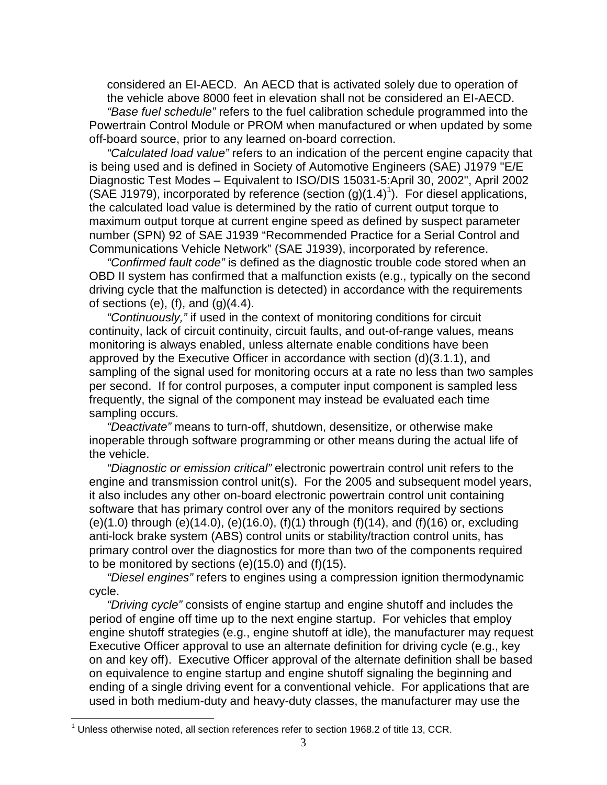considered an EI-AECD. An AECD that is activated solely due to operation of the vehicle above 8000 feet in elevation shall not be considered an EI-AECD. "Base fuel schedule" refers to the fuel calibration schedule programmed into the Powertrain Control Module or PROM when manufactured or when updated by some off-board source, prior to any learned on-board correction.

"Calculated load value" refers to an indication of the percent engine capacity that is being used and is defined in Society of Automotive Engineers (SAE) J1979 "E/E Diagnostic Test Modes – Equivalent to ISO/DIS 15031-5:April 30, 2002", April 2002 (SAE J1979), incorporated by reference (section  $(g)(1.4)^{1}$ ). For diesel applications, the calculated load value is determined by the ratio of current output torque to maximum output torque at current engine speed as defined by suspect parameter number (SPN) 92 of SAE J1939 "Recommended Practice for a Serial Control and Communications Vehicle Network" (SAE J1939), incorporated by reference.

"Confirmed fault code" is defined as the diagnostic trouble code stored when an OBD II system has confirmed that a malfunction exists (e.g., typically on the second driving cycle that the malfunction is detected) in accordance with the requirements of sections (e), (f), and  $(g)(4.4)$ .

"Continuously," if used in the context of monitoring conditions for circuit continuity, lack of circuit continuity, circuit faults, and out-of-range values, means monitoring is always enabled, unless alternate enable conditions have been approved by the Executive Officer in accordance with section (d)(3.1.1), and sampling of the signal used for monitoring occurs at a rate no less than two samples per second. If for control purposes, a computer input component is sampled less frequently, the signal of the component may instead be evaluated each time sampling occurs.

"Deactivate" means to turn-off, shutdown, desensitize, or otherwise make inoperable through software programming or other means during the actual life of the vehicle.

"Diagnostic or emission critical" electronic powertrain control unit refers to the engine and transmission control unit(s). For the 2005 and subsequent model years, it also includes any other on-board electronic powertrain control unit containing software that has primary control over any of the monitors required by sections (e)(1.0) through (e)(14.0), (e)(16.0), (f)(1) through (f)(14), and (f)(16) or, excluding anti-lock brake system (ABS) control units or stability/traction control units, has primary control over the diagnostics for more than two of the components required to be monitored by sections (e)(15.0) and (f)(15).

"Diesel engines" refers to engines using a compression ignition thermodynamic cycle.

"Driving cycle" consists of engine startup and engine shutoff and includes the period of engine off time up to the next engine startup. For vehicles that employ engine shutoff strategies (e.g., engine shutoff at idle), the manufacturer may request Executive Officer approval to use an alternate definition for driving cycle (e.g., key on and key off). Executive Officer approval of the alternate definition shall be based on equivalence to engine startup and engine shutoff signaling the beginning and ending of a single driving event for a conventional vehicle. For applications that are used in both medium-duty and heavy-duty classes, the manufacturer may use the

 $\overline{a}$ 

 $1$  Unless otherwise noted, all section references refer to section 1968.2 of title 13, CCR.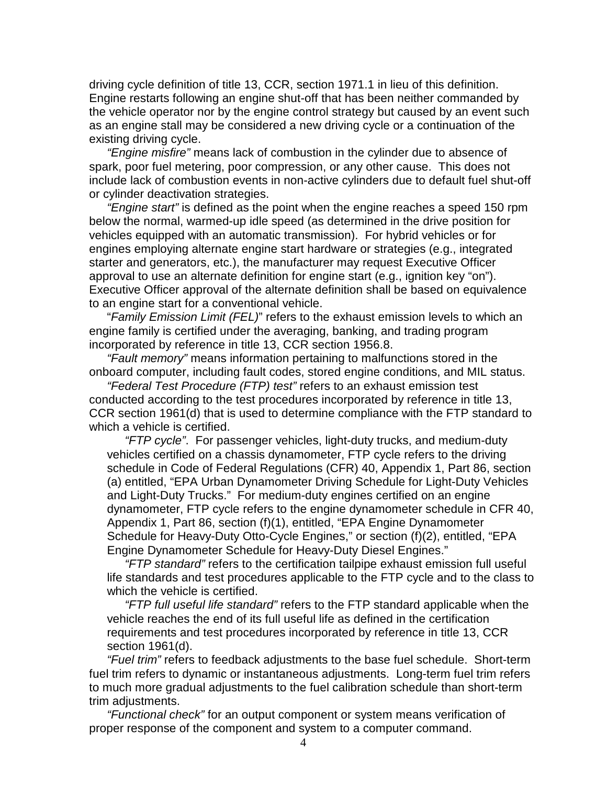driving cycle definition of title 13, CCR, section 1971.1 in lieu of this definition. Engine restarts following an engine shut-off that has been neither commanded by the vehicle operator nor by the engine control strategy but caused by an event such as an engine stall may be considered a new driving cycle or a continuation of the existing driving cycle.

"Engine misfire" means lack of combustion in the cylinder due to absence of spark, poor fuel metering, poor compression, or any other cause. This does not include lack of combustion events in non-active cylinders due to default fuel shut-off or cylinder deactivation strategies.

"Engine start" is defined as the point when the engine reaches a speed 150 rpm below the normal, warmed-up idle speed (as determined in the drive position for vehicles equipped with an automatic transmission). For hybrid vehicles or for engines employing alternate engine start hardware or strategies (e.g., integrated starter and generators, etc.), the manufacturer may request Executive Officer approval to use an alternate definition for engine start (e.g., ignition key "on"). Executive Officer approval of the alternate definition shall be based on equivalence to an engine start for a conventional vehicle.

"Family Emission Limit (FEL)" refers to the exhaust emission levels to which an engine family is certified under the averaging, banking, and trading program incorporated by reference in title 13, CCR section 1956.8.

"Fault memory" means information pertaining to malfunctions stored in the onboard computer, including fault codes, stored engine conditions, and MIL status.

"Federal Test Procedure (FTP) test" refers to an exhaust emission test conducted according to the test procedures incorporated by reference in title 13, CCR section 1961(d) that is used to determine compliance with the FTP standard to which a vehicle is certified.

"FTP cycle". For passenger vehicles, light-duty trucks, and medium-duty vehicles certified on a chassis dynamometer, FTP cycle refers to the driving schedule in Code of Federal Regulations (CFR) 40, Appendix 1, Part 86, section (a) entitled, "EPA Urban Dynamometer Driving Schedule for Light-Duty Vehicles and Light-Duty Trucks." For medium-duty engines certified on an engine dynamometer, FTP cycle refers to the engine dynamometer schedule in CFR 40, Appendix 1, Part 86, section (f)(1), entitled, "EPA Engine Dynamometer Schedule for Heavy-Duty Otto-Cycle Engines," or section (f)(2), entitled, "EPA Engine Dynamometer Schedule for Heavy-Duty Diesel Engines."

"FTP standard" refers to the certification tailpipe exhaust emission full useful life standards and test procedures applicable to the FTP cycle and to the class to which the vehicle is certified.

"FTP full useful life standard" refers to the FTP standard applicable when the vehicle reaches the end of its full useful life as defined in the certification requirements and test procedures incorporated by reference in title 13, CCR section 1961(d).

"Fuel trim" refers to feedback adjustments to the base fuel schedule. Short-term fuel trim refers to dynamic or instantaneous adjustments. Long-term fuel trim refers to much more gradual adjustments to the fuel calibration schedule than short-term trim adjustments.

"Functional check" for an output component or system means verification of proper response of the component and system to a computer command.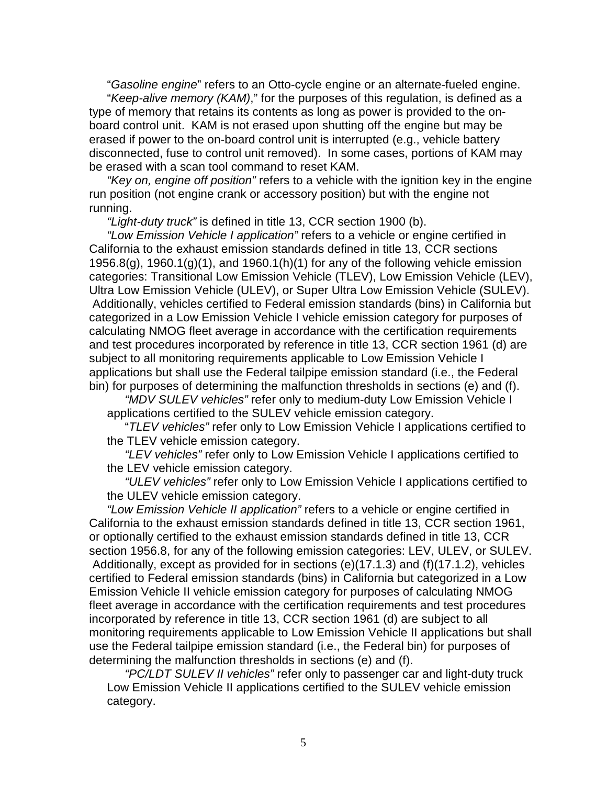"Gasoline engine" refers to an Otto-cycle engine or an alternate-fueled engine.

"Keep-alive memory (KAM)," for the purposes of this regulation, is defined as a type of memory that retains its contents as long as power is provided to the onboard control unit. KAM is not erased upon shutting off the engine but may be erased if power to the on-board control unit is interrupted (e.g., vehicle battery disconnected, fuse to control unit removed). In some cases, portions of KAM may be erased with a scan tool command to reset KAM.

"Key on, engine off position" refers to a vehicle with the ignition key in the engine run position (not engine crank or accessory position) but with the engine not running.

"Light-duty truck" is defined in title 13, CCR section 1900 (b).

"Low Emission Vehicle I application" refers to a vehicle or engine certified in California to the exhaust emission standards defined in title 13, CCR sections 1956.8(g), 1960.1(g)(1), and 1960.1(h)(1) for any of the following vehicle emission categories: Transitional Low Emission Vehicle (TLEV), Low Emission Vehicle (LEV), Ultra Low Emission Vehicle (ULEV), or Super Ultra Low Emission Vehicle (SULEV). Additionally, vehicles certified to Federal emission standards (bins) in California but categorized in a Low Emission Vehicle I vehicle emission category for purposes of calculating NMOG fleet average in accordance with the certification requirements and test procedures incorporated by reference in title 13, CCR section 1961 (d) are subject to all monitoring requirements applicable to Low Emission Vehicle I applications but shall use the Federal tailpipe emission standard (i.e., the Federal bin) for purposes of determining the malfunction thresholds in sections (e) and (f).

"MDV SULEV vehicles" refer only to medium-duty Low Emission Vehicle I applications certified to the SULEV vehicle emission category.

"TLEV vehicles" refer only to Low Emission Vehicle I applications certified to the TLEV vehicle emission category.

"LEV vehicles" refer only to Low Emission Vehicle I applications certified to the LEV vehicle emission category.

"ULEV vehicles" refer only to Low Emission Vehicle I applications certified to the ULEV vehicle emission category.

"Low Emission Vehicle II application" refers to a vehicle or engine certified in California to the exhaust emission standards defined in title 13, CCR section 1961, or optionally certified to the exhaust emission standards defined in title 13, CCR section 1956.8, for any of the following emission categories: LEV, ULEV, or SULEV. Additionally, except as provided for in sections (e)(17.1.3) and (f)(17.1.2), vehicles certified to Federal emission standards (bins) in California but categorized in a Low Emission Vehicle II vehicle emission category for purposes of calculating NMOG fleet average in accordance with the certification requirements and test procedures incorporated by reference in title 13, CCR section 1961 (d) are subject to all monitoring requirements applicable to Low Emission Vehicle II applications but shall use the Federal tailpipe emission standard (i.e., the Federal bin) for purposes of determining the malfunction thresholds in sections (e) and (f).

"PC/LDT SULEV II vehicles" refer only to passenger car and light-duty truck Low Emission Vehicle II applications certified to the SULEV vehicle emission category.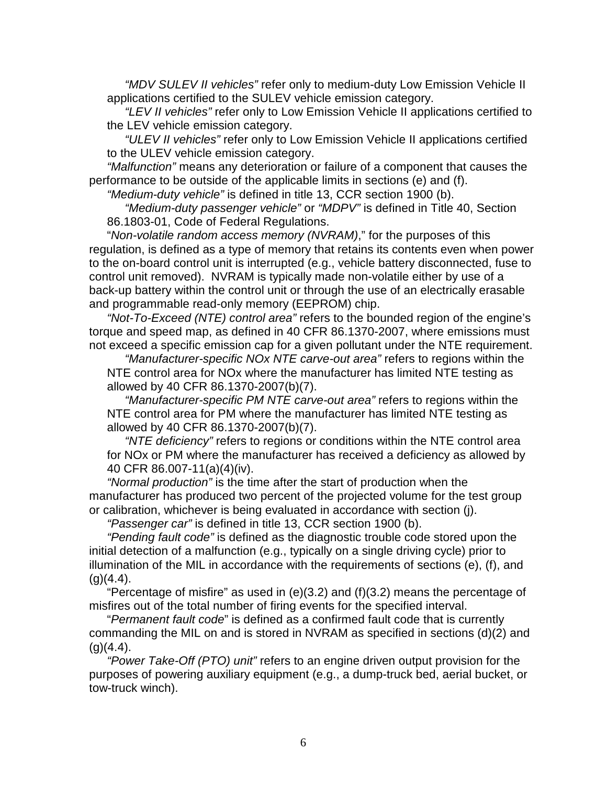"MDV SULEV II vehicles" refer only to medium-duty Low Emission Vehicle II applications certified to the SULEV vehicle emission category.

"LEV II vehicles" refer only to Low Emission Vehicle II applications certified to the LEV vehicle emission category.

"ULEV II vehicles" refer only to Low Emission Vehicle II applications certified to the ULEV vehicle emission category.

"Malfunction" means any deterioration or failure of a component that causes the performance to be outside of the applicable limits in sections (e) and (f).

"Medium-duty vehicle" is defined in title 13, CCR section 1900 (b).

"Medium-duty passenger vehicle" or "MDPV" is defined in Title 40, Section 86.1803-01, Code of Federal Regulations.

"Non-volatile random access memory (NVRAM)," for the purposes of this regulation, is defined as a type of memory that retains its contents even when power to the on-board control unit is interrupted (e.g., vehicle battery disconnected, fuse to control unit removed). NVRAM is typically made non-volatile either by use of a back-up battery within the control unit or through the use of an electrically erasable and programmable read-only memory (EEPROM) chip.

"Not-To-Exceed (NTE) control area" refers to the bounded region of the engine's torque and speed map, as defined in 40 CFR 86.1370-2007, where emissions must not exceed a specific emission cap for a given pollutant under the NTE requirement.

"Manufacturer-specific NOx NTE carve-out area" refers to regions within the NTE control area for NOx where the manufacturer has limited NTE testing as allowed by 40 CFR 86.1370-2007(b)(7).

"Manufacturer-specific PM NTE carve-out area" refers to regions within the NTE control area for PM where the manufacturer has limited NTE testing as allowed by 40 CFR 86.1370-2007(b)(7).

"NTE deficiency" refers to regions or conditions within the NTE control area for NOx or PM where the manufacturer has received a deficiency as allowed by 40 CFR 86.007-11(a)(4)(iv).

"Normal production" is the time after the start of production when the manufacturer has produced two percent of the projected volume for the test group or calibration, whichever is being evaluated in accordance with section (j).

"Passenger car" is defined in title 13, CCR section 1900 (b).

"Pending fault code" is defined as the diagnostic trouble code stored upon the initial detection of a malfunction (e.g., typically on a single driving cycle) prior to illumination of the MIL in accordance with the requirements of sections (e), (f), and  $(a)(4.4)$ .

"Percentage of misfire" as used in (e)(3.2) and (f)(3.2) means the percentage of misfires out of the total number of firing events for the specified interval.

"Permanent fault code" is defined as a confirmed fault code that is currently commanding the MIL on and is stored in NVRAM as specified in sections (d)(2) and  $(q)(4.4)$ .

"Power Take-Off (PTO) unit" refers to an engine driven output provision for the purposes of powering auxiliary equipment (e.g., a dump-truck bed, aerial bucket, or tow-truck winch).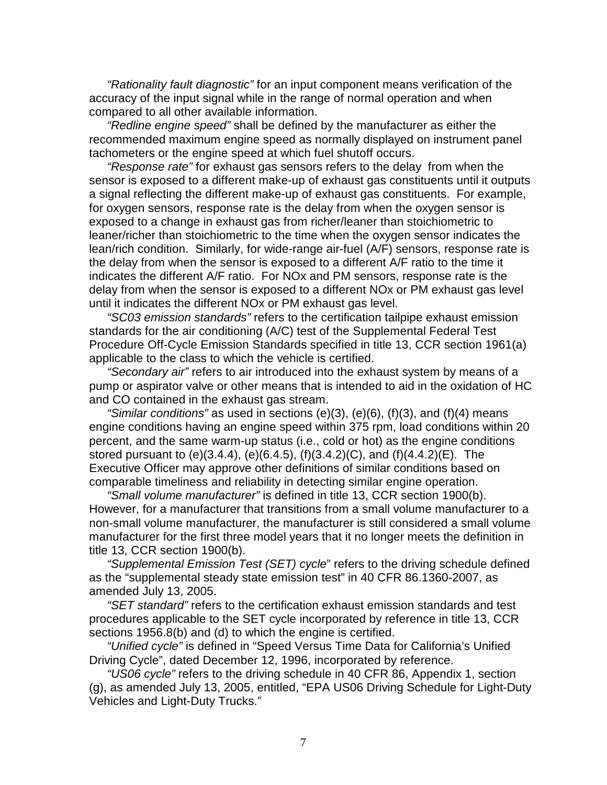"Rationality fault diagnostic" for an input component means verification of the accuracy of the input signal while in the range of normal operation and when compared to all other available information.

"Redline engine speed" shall be defined by the manufacturer as either the recommended maximum engine speed as normally displayed on instrument panel tachometers or the engine speed at which fuel shutoff occurs.

"Response rate" for exhaust gas sensors refers to the delay from when the sensor is exposed to a different make-up of exhaust gas constituents until it outputs a signal reflecting the different make-up of exhaust gas constituents. For example, for oxygen sensors, response rate is the delay from when the oxygen sensor is exposed to a change in exhaust gas from richer/leaner than stoichiometric to leaner/richer than stoichiometric to the time when the oxygen sensor indicates the lean/rich condition. Similarly, for wide-range air-fuel (A/F) sensors, response rate is the delay from when the sensor is exposed to a different A/F ratio to the time it indicates the different A/F ratio. For NOx and PM sensors, response rate is the delay from when the sensor is exposed to a different NOx or PM exhaust gas level until it indicates the different NOx or PM exhaust gas level.

"SC03 emission standards" refers to the certification tailpipe exhaust emission standards for the air conditioning (A/C) test of the Supplemental Federal Test Procedure Off-Cycle Emission Standards specified in title 13, CCR section 1961(a) applicable to the class to which the vehicle is certified.

"Secondary air" refers to air introduced into the exhaust system by means of a pump or aspirator valve or other means that is intended to aid in the oxidation of HC and CO contained in the exhaust gas stream.

"Similar conditions" as used in sections  $(e)(3)$ ,  $(e)(6)$ ,  $(f)(3)$ , and  $(f)(4)$  means engine conditions having an engine speed within 375 rpm, load conditions within 20 percent, and the same warm-up status (i.e., cold or hot) as the engine conditions stored pursuant to (e)(3.4.4), (e)(6.4.5), (f)(3.4.2)(C), and (f)(4.4.2)(E). The Executive Officer may approve other definitions of similar conditions based on comparable timeliness and reliability in detecting similar engine operation.

"Small volume manufacturer" is defined in title 13, CCR section 1900(b). However, for a manufacturer that transitions from a small volume manufacturer to a non-small volume manufacturer, the manufacturer is still considered a small volume manufacturer for the first three model years that it no longer meets the definition in title 13, CCR section 1900(b).

"Supplemental Emission Test (SET) cycle" refers to the driving schedule defined as the "supplemental steady state emission test" in 40 CFR 86.1360-2007, as amended July 13, 2005.

"SET standard" refers to the certification exhaust emission standards and test procedures applicable to the SET cycle incorporated by reference in title 13, CCR sections 1956.8(b) and (d) to which the engine is certified.

"Unified cycle" is defined in "Speed Versus Time Data for California's Unified Driving Cycle", dated December 12, 1996, incorporated by reference.

"US06 cycle" refers to the driving schedule in 40 CFR 86, Appendix 1, section (g), as amended July 13, 2005, entitled, "EPA US06 Driving Schedule for Light-Duty Vehicles and Light-Duty Trucks."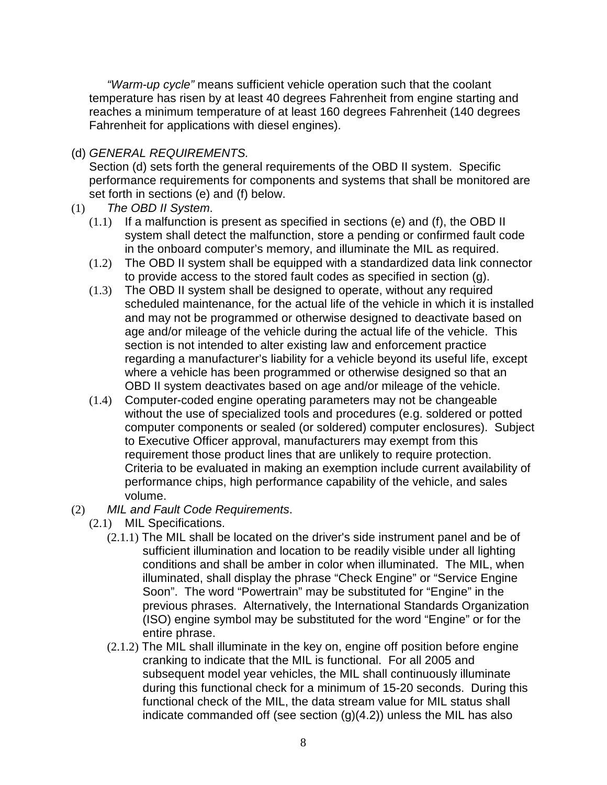"Warm-up cycle" means sufficient vehicle operation such that the coolant temperature has risen by at least 40 degrees Fahrenheit from engine starting and reaches a minimum temperature of at least 160 degrees Fahrenheit (140 degrees Fahrenheit for applications with diesel engines).

## (d) GENERAL REQUIREMENTS.

Section (d) sets forth the general requirements of the OBD II system. Specific performance requirements for components and systems that shall be monitored are set forth in sections (e) and (f) below.

- (1) The OBD II System.
	- $(1.1)$  If a malfunction is present as specified in sections (e) and (f), the OBD II system shall detect the malfunction, store a pending or confirmed fault code in the onboard computer's memory, and illuminate the MIL as required.
	- (1.2) The OBD II system shall be equipped with a standardized data link connector to provide access to the stored fault codes as specified in section (g).
	- (1.3) The OBD II system shall be designed to operate, without any required scheduled maintenance, for the actual life of the vehicle in which it is installed and may not be programmed or otherwise designed to deactivate based on age and/or mileage of the vehicle during the actual life of the vehicle. This section is not intended to alter existing law and enforcement practice regarding a manufacturer's liability for a vehicle beyond its useful life, except where a vehicle has been programmed or otherwise designed so that an OBD II system deactivates based on age and/or mileage of the vehicle.
	- (1.4) Computer-coded engine operating parameters may not be changeable without the use of specialized tools and procedures (e.g. soldered or potted computer components or sealed (or soldered) computer enclosures). Subject to Executive Officer approval, manufacturers may exempt from this requirement those product lines that are unlikely to require protection. Criteria to be evaluated in making an exemption include current availability of performance chips, high performance capability of the vehicle, and sales volume.
- (2) MIL and Fault Code Requirements.
	- (2.1) MIL Specifications.
		- (2.1.1) The MIL shall be located on the driver's side instrument panel and be of sufficient illumination and location to be readily visible under all lighting conditions and shall be amber in color when illuminated. The MIL, when illuminated, shall display the phrase "Check Engine" or "Service Engine Soon". The word "Powertrain" may be substituted for "Engine" in the previous phrases. Alternatively, the International Standards Organization (ISO) engine symbol may be substituted for the word "Engine" or for the entire phrase.
		- (2.1.2) The MIL shall illuminate in the key on, engine off position before engine cranking to indicate that the MIL is functional. For all 2005 and subsequent model year vehicles, the MIL shall continuously illuminate during this functional check for a minimum of 15-20 seconds. During this functional check of the MIL, the data stream value for MIL status shall indicate commanded off (see section  $(g)(4.2)$ ) unless the MIL has also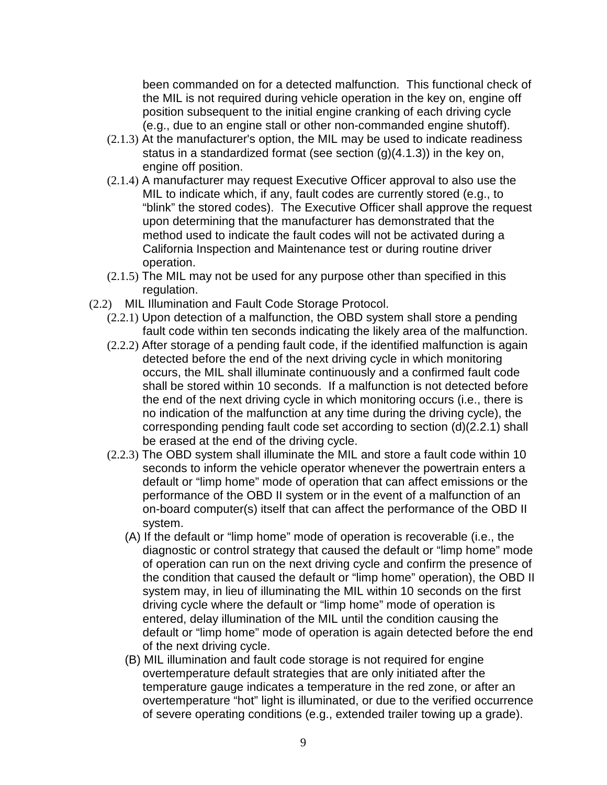been commanded on for a detected malfunction. This functional check of the MIL is not required during vehicle operation in the key on, engine off position subsequent to the initial engine cranking of each driving cycle (e.g., due to an engine stall or other non-commanded engine shutoff).

- (2.1.3) At the manufacturer's option, the MIL may be used to indicate readiness status in a standardized format (see section (g)(4.1.3)) in the key on, engine off position.
- (2.1.4) A manufacturer may request Executive Officer approval to also use the MIL to indicate which, if any, fault codes are currently stored (e.g., to "blink" the stored codes). The Executive Officer shall approve the request upon determining that the manufacturer has demonstrated that the method used to indicate the fault codes will not be activated during a California Inspection and Maintenance test or during routine driver operation.
- (2.1.5) The MIL may not be used for any purpose other than specified in this regulation.
- (2.2) MIL Illumination and Fault Code Storage Protocol.
	- (2.2.1) Upon detection of a malfunction, the OBD system shall store a pending fault code within ten seconds indicating the likely area of the malfunction.
	- (2.2.2) After storage of a pending fault code, if the identified malfunction is again detected before the end of the next driving cycle in which monitoring occurs, the MIL shall illuminate continuously and a confirmed fault code shall be stored within 10 seconds. If a malfunction is not detected before the end of the next driving cycle in which monitoring occurs (i.e., there is no indication of the malfunction at any time during the driving cycle), the corresponding pending fault code set according to section (d)(2.2.1) shall be erased at the end of the driving cycle.
	- (2.2.3) The OBD system shall illuminate the MIL and store a fault code within 10 seconds to inform the vehicle operator whenever the powertrain enters a default or "limp home" mode of operation that can affect emissions or the performance of the OBD II system or in the event of a malfunction of an on-board computer(s) itself that can affect the performance of the OBD II system.
		- (A) If the default or "limp home" mode of operation is recoverable (i.e., the diagnostic or control strategy that caused the default or "limp home" mode of operation can run on the next driving cycle and confirm the presence of the condition that caused the default or "limp home" operation), the OBD II system may, in lieu of illuminating the MIL within 10 seconds on the first driving cycle where the default or "limp home" mode of operation is entered, delay illumination of the MIL until the condition causing the default or "limp home" mode of operation is again detected before the end of the next driving cycle.
		- (B) MIL illumination and fault code storage is not required for engine overtemperature default strategies that are only initiated after the temperature gauge indicates a temperature in the red zone, or after an overtemperature "hot" light is illuminated, or due to the verified occurrence of severe operating conditions (e.g., extended trailer towing up a grade).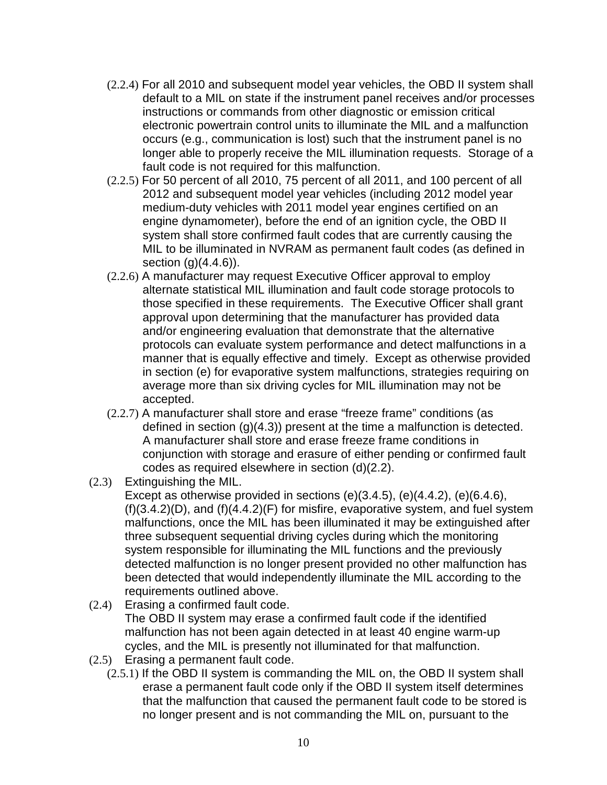- (2.2.4) For all 2010 and subsequent model year vehicles, the OBD II system shall default to a MIL on state if the instrument panel receives and/or processes instructions or commands from other diagnostic or emission critical electronic powertrain control units to illuminate the MIL and a malfunction occurs (e.g., communication is lost) such that the instrument panel is no longer able to properly receive the MIL illumination requests. Storage of a fault code is not required for this malfunction.
- (2.2.5) For 50 percent of all 2010, 75 percent of all 2011, and 100 percent of all 2012 and subsequent model year vehicles (including 2012 model year medium-duty vehicles with 2011 model year engines certified on an engine dynamometer), before the end of an ignition cycle, the OBD II system shall store confirmed fault codes that are currently causing the MIL to be illuminated in NVRAM as permanent fault codes (as defined in section  $(g)(4.4.6)$ .
- (2.2.6) A manufacturer may request Executive Officer approval to employ alternate statistical MIL illumination and fault code storage protocols to those specified in these requirements. The Executive Officer shall grant approval upon determining that the manufacturer has provided data and/or engineering evaluation that demonstrate that the alternative protocols can evaluate system performance and detect malfunctions in a manner that is equally effective and timely. Except as otherwise provided in section (e) for evaporative system malfunctions, strategies requiring on average more than six driving cycles for MIL illumination may not be accepted.
- (2.2.7) A manufacturer shall store and erase "freeze frame" conditions (as defined in section (g)(4.3)) present at the time a malfunction is detected. A manufacturer shall store and erase freeze frame conditions in conjunction with storage and erasure of either pending or confirmed fault codes as required elsewhere in section (d)(2.2).
- (2.3) Extinguishing the MIL.

Except as otherwise provided in sections  $(e)(3.4.5)$ ,  $(e)(4.4.2)$ ,  $(e)(6.4.6)$ , (f)(3.4.2)(D), and (f)(4.4.2)(F) for misfire, evaporative system, and fuel system malfunctions, once the MIL has been illuminated it may be extinguished after three subsequent sequential driving cycles during which the monitoring system responsible for illuminating the MIL functions and the previously detected malfunction is no longer present provided no other malfunction has been detected that would independently illuminate the MIL according to the requirements outlined above.

- (2.4) Erasing a confirmed fault code. The OBD II system may erase a confirmed fault code if the identified malfunction has not been again detected in at least 40 engine warm-up cycles, and the MIL is presently not illuminated for that malfunction.
- (2.5) Erasing a permanent fault code.
	- (2.5.1) If the OBD II system is commanding the MIL on, the OBD II system shall erase a permanent fault code only if the OBD II system itself determines that the malfunction that caused the permanent fault code to be stored is no longer present and is not commanding the MIL on, pursuant to the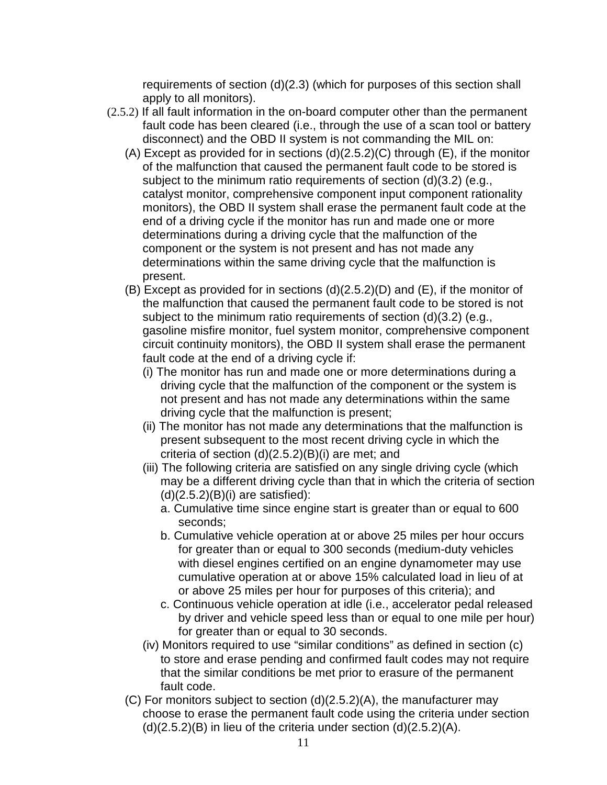requirements of section (d)(2.3) (which for purposes of this section shall apply to all monitors).

- (2.5.2) If all fault information in the on-board computer other than the permanent fault code has been cleared (i.e., through the use of a scan tool or battery disconnect) and the OBD II system is not commanding the MIL on:
	- (A) Except as provided for in sections (d)(2.5.2)(C) through (E), if the monitor of the malfunction that caused the permanent fault code to be stored is subject to the minimum ratio requirements of section (d)(3.2) (e.g., catalyst monitor, comprehensive component input component rationality monitors), the OBD II system shall erase the permanent fault code at the end of a driving cycle if the monitor has run and made one or more determinations during a driving cycle that the malfunction of the component or the system is not present and has not made any determinations within the same driving cycle that the malfunction is present.
	- (B) Except as provided for in sections (d)(2.5.2)(D) and (E), if the monitor of the malfunction that caused the permanent fault code to be stored is not subject to the minimum ratio requirements of section (d)(3.2) (e.g., gasoline misfire monitor, fuel system monitor, comprehensive component circuit continuity monitors), the OBD II system shall erase the permanent fault code at the end of a driving cycle if:
		- (i) The monitor has run and made one or more determinations during a driving cycle that the malfunction of the component or the system is not present and has not made any determinations within the same driving cycle that the malfunction is present;
		- (ii) The monitor has not made any determinations that the malfunction is present subsequent to the most recent driving cycle in which the criteria of section (d)(2.5.2)(B)(i) are met; and
		- (iii) The following criteria are satisfied on any single driving cycle (which may be a different driving cycle than that in which the criteria of section  $(d)(2.5.2)(B)(i)$  are satisfied):
			- a. Cumulative time since engine start is greater than or equal to 600 seconds;
			- b. Cumulative vehicle operation at or above 25 miles per hour occurs for greater than or equal to 300 seconds (medium-duty vehicles with diesel engines certified on an engine dynamometer may use cumulative operation at or above 15% calculated load in lieu of at or above 25 miles per hour for purposes of this criteria); and
			- c. Continuous vehicle operation at idle (i.e., accelerator pedal released by driver and vehicle speed less than or equal to one mile per hour) for greater than or equal to 30 seconds.
		- (iv) Monitors required to use "similar conditions" as defined in section (c) to store and erase pending and confirmed fault codes may not require that the similar conditions be met prior to erasure of the permanent fault code.
	- (C) For monitors subject to section (d)(2.5.2)(A), the manufacturer may choose to erase the permanent fault code using the criteria under section  $(d)(2.5.2)(B)$  in lieu of the criteria under section  $(d)(2.5.2)(A)$ .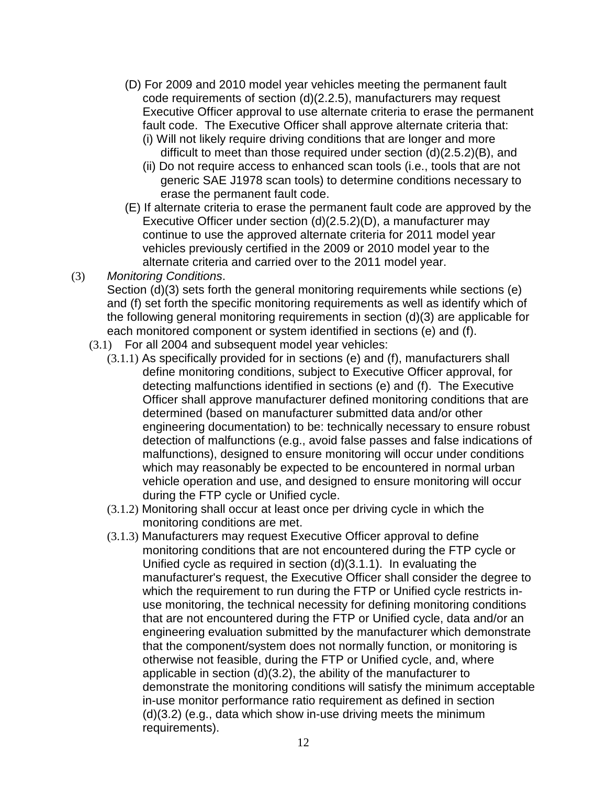- (D) For 2009 and 2010 model year vehicles meeting the permanent fault code requirements of section (d)(2.2.5), manufacturers may request Executive Officer approval to use alternate criteria to erase the permanent fault code. The Executive Officer shall approve alternate criteria that:
	- (i) Will not likely require driving conditions that are longer and more difficult to meet than those required under section (d)(2.5.2)(B), and
	- (ii) Do not require access to enhanced scan tools (i.e., tools that are not generic SAE J1978 scan tools) to determine conditions necessary to erase the permanent fault code.
- (E) If alternate criteria to erase the permanent fault code are approved by the Executive Officer under section (d)(2.5.2)(D), a manufacturer may continue to use the approved alternate criteria for 2011 model year vehicles previously certified in the 2009 or 2010 model year to the alternate criteria and carried over to the 2011 model year.
- (3) Monitoring Conditions. Section (d)(3) sets forth the general monitoring requirements while sections (e) and (f) set forth the specific monitoring requirements as well as identify which of the following general monitoring requirements in section (d)(3) are applicable for each monitored component or system identified in sections (e) and (f).
	- (3.1) For all 2004 and subsequent model year vehicles:
		- (3.1.1) As specifically provided for in sections (e) and (f), manufacturers shall define monitoring conditions, subject to Executive Officer approval, for detecting malfunctions identified in sections (e) and (f). The Executive Officer shall approve manufacturer defined monitoring conditions that are determined (based on manufacturer submitted data and/or other engineering documentation) to be: technically necessary to ensure robust detection of malfunctions (e.g., avoid false passes and false indications of malfunctions), designed to ensure monitoring will occur under conditions which may reasonably be expected to be encountered in normal urban vehicle operation and use, and designed to ensure monitoring will occur during the FTP cycle or Unified cycle.
		- (3.1.2) Monitoring shall occur at least once per driving cycle in which the monitoring conditions are met.
		- (3.1.3) Manufacturers may request Executive Officer approval to define monitoring conditions that are not encountered during the FTP cycle or Unified cycle as required in section (d)(3.1.1). In evaluating the manufacturer's request, the Executive Officer shall consider the degree to which the requirement to run during the FTP or Unified cycle restricts inuse monitoring, the technical necessity for defining monitoring conditions that are not encountered during the FTP or Unified cycle, data and/or an engineering evaluation submitted by the manufacturer which demonstrate that the component/system does not normally function, or monitoring is otherwise not feasible, during the FTP or Unified cycle, and, where applicable in section (d)(3.2), the ability of the manufacturer to demonstrate the monitoring conditions will satisfy the minimum acceptable in-use monitor performance ratio requirement as defined in section (d)(3.2) (e.g., data which show in-use driving meets the minimum requirements).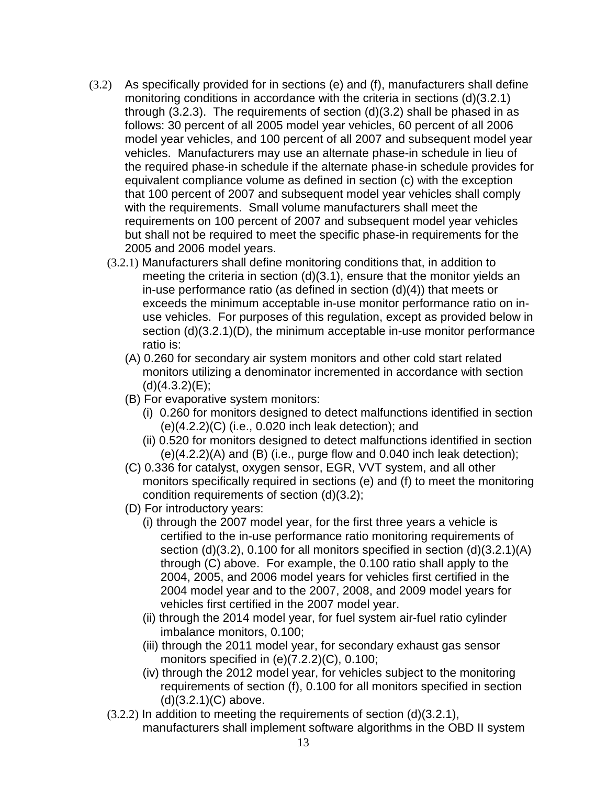- (3.2) As specifically provided for in sections (e) and (f), manufacturers shall define monitoring conditions in accordance with the criteria in sections (d)(3.2.1) through (3.2.3). The requirements of section (d)(3.2) shall be phased in as follows: 30 percent of all 2005 model year vehicles, 60 percent of all 2006 model year vehicles, and 100 percent of all 2007 and subsequent model year vehicles. Manufacturers may use an alternate phase-in schedule in lieu of the required phase-in schedule if the alternate phase-in schedule provides for equivalent compliance volume as defined in section (c) with the exception that 100 percent of 2007 and subsequent model year vehicles shall comply with the requirements. Small volume manufacturers shall meet the requirements on 100 percent of 2007 and subsequent model year vehicles but shall not be required to meet the specific phase-in requirements for the 2005 and 2006 model years.
	- (3.2.1) Manufacturers shall define monitoring conditions that, in addition to meeting the criteria in section  $(d)(3.1)$ , ensure that the monitor yields an in-use performance ratio (as defined in section (d)(4)) that meets or exceeds the minimum acceptable in-use monitor performance ratio on inuse vehicles. For purposes of this regulation, except as provided below in section (d)(3.2.1)(D), the minimum acceptable in-use monitor performance ratio is:
		- (A) 0.260 for secondary air system monitors and other cold start related monitors utilizing a denominator incremented in accordance with section  $(d)(4.3.2)(E);$
		- (B) For evaporative system monitors:
			- (i) 0.260 for monitors designed to detect malfunctions identified in section (e)(4.2.2)(C) (i.e., 0.020 inch leak detection); and
			- (ii) 0.520 for monitors designed to detect malfunctions identified in section  $(e)(4.2.2)(A)$  and  $(B)$  (i.e., purge flow and 0.040 inch leak detection);
		- (C) 0.336 for catalyst, oxygen sensor, EGR, VVT system, and all other monitors specifically required in sections (e) and (f) to meet the monitoring condition requirements of section (d)(3.2);
		- (D) For introductory years:
			- (i) through the 2007 model year, for the first three years a vehicle is certified to the in-use performance ratio monitoring requirements of section (d)(3.2), 0.100 for all monitors specified in section (d)(3.2.1)(A) through (C) above. For example, the 0.100 ratio shall apply to the 2004, 2005, and 2006 model years for vehicles first certified in the 2004 model year and to the 2007, 2008, and 2009 model years for vehicles first certified in the 2007 model year.
			- (ii) through the 2014 model year, for fuel system air-fuel ratio cylinder imbalance monitors, 0.100;
			- (iii) through the 2011 model year, for secondary exhaust gas sensor monitors specified in (e)(7.2.2)(C), 0.100;
			- (iv) through the 2012 model year, for vehicles subject to the monitoring requirements of section (f), 0.100 for all monitors specified in section (d)(3.2.1)(C) above.
	- $(3.2.2)$  In addition to meeting the requirements of section  $(d)(3.2.1)$ , manufacturers shall implement software algorithms in the OBD II system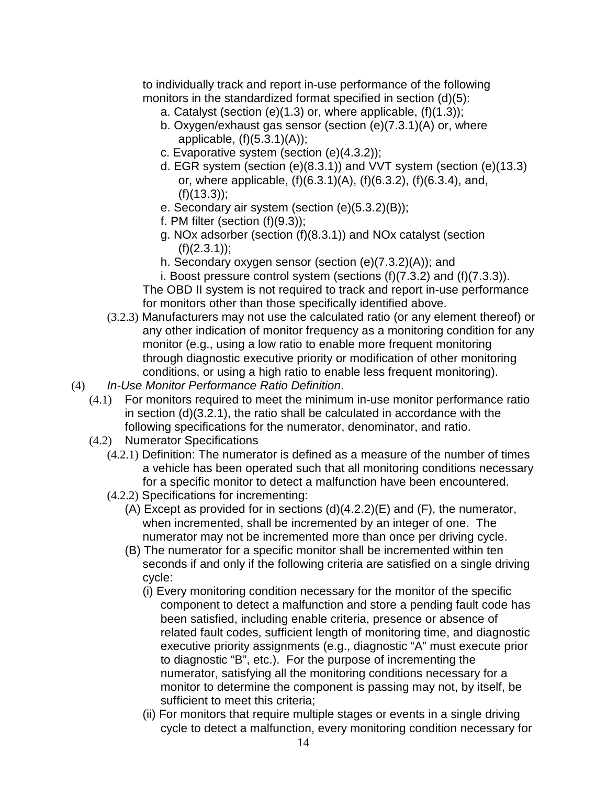to individually track and report in-use performance of the following monitors in the standardized format specified in section (d)(5):

- a. Catalyst (section (e)(1.3) or, where applicable, (f)(1.3));
- b. Oxygen/exhaust gas sensor (section (e)(7.3.1)(A) or, where applicable,  $(f)(5.3.1)(A)$ ;
- c. Evaporative system (section (e)(4.3.2));
- d. EGR system (section (e)(8.3.1)) and VVT system (section (e)(13.3) or, where applicable, (f)(6.3.1)(A), (f)(6.3.2), (f)(6.3.4), and,  $(f)(13.3)$ ;
- e. Secondary air system (section (e)(5.3.2)(B));
- f. PM filter (section  $(f)(9.3)$ );
- g. NOx adsorber (section (f)(8.3.1)) and NOx catalyst (section  $(f)(2.3.1)$ ;
- h. Secondary oxygen sensor (section (e)(7.3.2)(A)); and
- i. Boost pressure control system (sections  $(f)(7.3.2)$  and  $(f)(7.3.3)$ ).

The OBD II system is not required to track and report in-use performance for monitors other than those specifically identified above.

- (3.2.3) Manufacturers may not use the calculated ratio (or any element thereof) or any other indication of monitor frequency as a monitoring condition for any monitor (e.g., using a low ratio to enable more frequent monitoring through diagnostic executive priority or modification of other monitoring conditions, or using a high ratio to enable less frequent monitoring).
- (4) In-Use Monitor Performance Ratio Definition.
	- (4.1) For monitors required to meet the minimum in-use monitor performance ratio in section (d)(3.2.1), the ratio shall be calculated in accordance with the following specifications for the numerator, denominator, and ratio.
	- (4.2) Numerator Specifications
		- (4.2.1) Definition: The numerator is defined as a measure of the number of times a vehicle has been operated such that all monitoring conditions necessary for a specific monitor to detect a malfunction have been encountered.
		- (4.2.2) Specifications for incrementing:
			- (A) Except as provided for in sections  $(d)(4.2.2)(E)$  and  $(F)$ , the numerator, when incremented, shall be incremented by an integer of one. The numerator may not be incremented more than once per driving cycle.
			- (B) The numerator for a specific monitor shall be incremented within ten seconds if and only if the following criteria are satisfied on a single driving cycle:
				- (i) Every monitoring condition necessary for the monitor of the specific component to detect a malfunction and store a pending fault code has been satisfied, including enable criteria, presence or absence of related fault codes, sufficient length of monitoring time, and diagnostic executive priority assignments (e.g., diagnostic "A" must execute prior to diagnostic "B", etc.). For the purpose of incrementing the numerator, satisfying all the monitoring conditions necessary for a monitor to determine the component is passing may not, by itself, be sufficient to meet this criteria;
				- (ii) For monitors that require multiple stages or events in a single driving cycle to detect a malfunction, every monitoring condition necessary for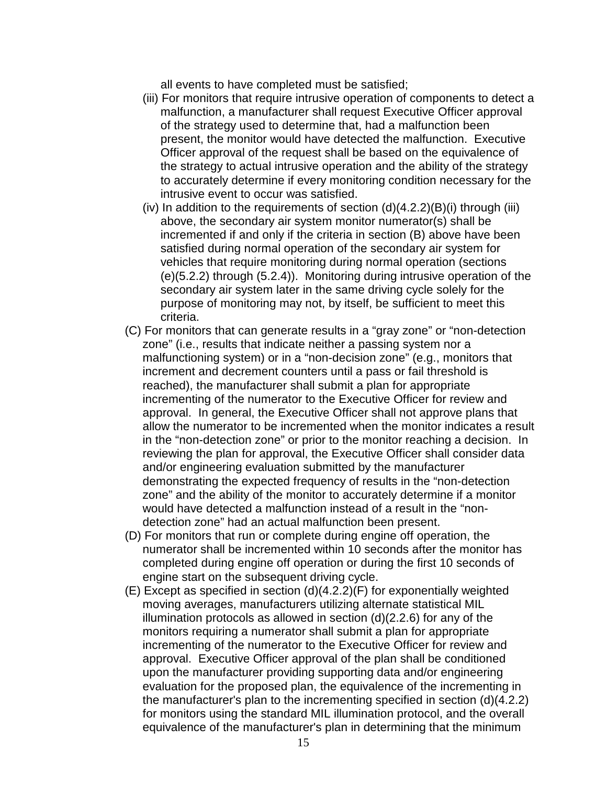all events to have completed must be satisfied;

- (iii) For monitors that require intrusive operation of components to detect a malfunction, a manufacturer shall request Executive Officer approval of the strategy used to determine that, had a malfunction been present, the monitor would have detected the malfunction. Executive Officer approval of the request shall be based on the equivalence of the strategy to actual intrusive operation and the ability of the strategy to accurately determine if every monitoring condition necessary for the intrusive event to occur was satisfied.
- (iv) In addition to the requirements of section  $(d)(4.2.2)(B)(i)$  through (iii) above, the secondary air system monitor numerator(s) shall be incremented if and only if the criteria in section (B) above have been satisfied during normal operation of the secondary air system for vehicles that require monitoring during normal operation (sections (e)(5.2.2) through (5.2.4)). Monitoring during intrusive operation of the secondary air system later in the same driving cycle solely for the purpose of monitoring may not, by itself, be sufficient to meet this criteria.
- (C) For monitors that can generate results in a "gray zone" or "non-detection zone" (i.e., results that indicate neither a passing system nor a malfunctioning system) or in a "non-decision zone" (e.g., monitors that increment and decrement counters until a pass or fail threshold is reached), the manufacturer shall submit a plan for appropriate incrementing of the numerator to the Executive Officer for review and approval. In general, the Executive Officer shall not approve plans that allow the numerator to be incremented when the monitor indicates a result in the "non-detection zone" or prior to the monitor reaching a decision. In reviewing the plan for approval, the Executive Officer shall consider data and/or engineering evaluation submitted by the manufacturer demonstrating the expected frequency of results in the "non-detection zone" and the ability of the monitor to accurately determine if a monitor would have detected a malfunction instead of a result in the "nondetection zone" had an actual malfunction been present.
- (D) For monitors that run or complete during engine off operation, the numerator shall be incremented within 10 seconds after the monitor has completed during engine off operation or during the first 10 seconds of engine start on the subsequent driving cycle.
- (E) Except as specified in section (d)(4.2.2)(F) for exponentially weighted moving averages, manufacturers utilizing alternate statistical MIL illumination protocols as allowed in section (d)(2.2.6) for any of the monitors requiring a numerator shall submit a plan for appropriate incrementing of the numerator to the Executive Officer for review and approval. Executive Officer approval of the plan shall be conditioned upon the manufacturer providing supporting data and/or engineering evaluation for the proposed plan, the equivalence of the incrementing in the manufacturer's plan to the incrementing specified in section (d)(4.2.2) for monitors using the standard MIL illumination protocol, and the overall equivalence of the manufacturer's plan in determining that the minimum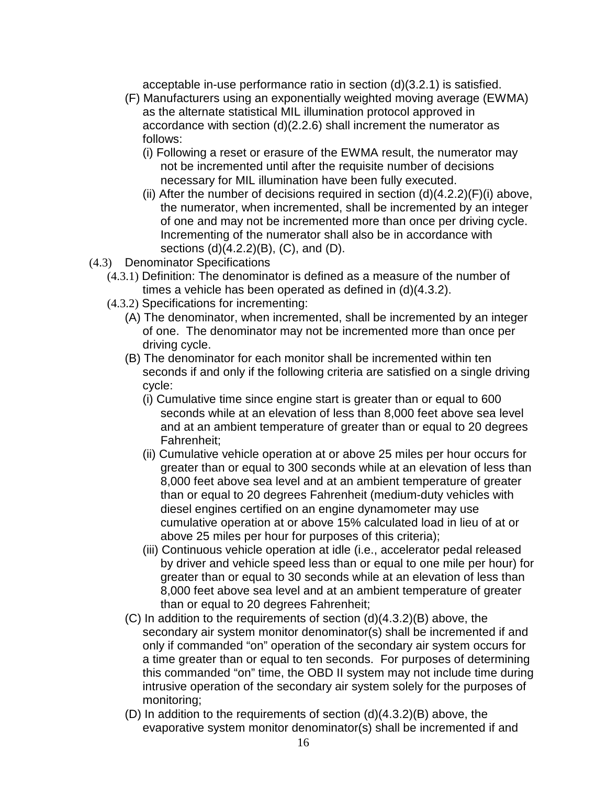acceptable in-use performance ratio in section (d)(3.2.1) is satisfied.

- (F) Manufacturers using an exponentially weighted moving average (EWMA) as the alternate statistical MIL illumination protocol approved in accordance with section (d)(2.2.6) shall increment the numerator as follows:
	- (i) Following a reset or erasure of the EWMA result, the numerator may not be incremented until after the requisite number of decisions necessary for MIL illumination have been fully executed.
	- (ii) After the number of decisions required in section  $(d)(4.2.2)(F)(i)$  above, the numerator, when incremented, shall be incremented by an integer of one and may not be incremented more than once per driving cycle. Incrementing of the numerator shall also be in accordance with sections (d)(4.2.2)(B), (C), and (D).
- (4.3) Denominator Specifications
	- (4.3.1) Definition: The denominator is defined as a measure of the number of times a vehicle has been operated as defined in (d)(4.3.2).
	- (4.3.2) Specifications for incrementing:
		- (A) The denominator, when incremented, shall be incremented by an integer of one. The denominator may not be incremented more than once per driving cycle.
		- (B) The denominator for each monitor shall be incremented within ten seconds if and only if the following criteria are satisfied on a single driving cycle:
			- (i) Cumulative time since engine start is greater than or equal to 600 seconds while at an elevation of less than 8,000 feet above sea level and at an ambient temperature of greater than or equal to 20 degrees Fahrenheit;
			- (ii) Cumulative vehicle operation at or above 25 miles per hour occurs for greater than or equal to 300 seconds while at an elevation of less than 8,000 feet above sea level and at an ambient temperature of greater than or equal to 20 degrees Fahrenheit (medium-duty vehicles with diesel engines certified on an engine dynamometer may use cumulative operation at or above 15% calculated load in lieu of at or above 25 miles per hour for purposes of this criteria);
			- (iii) Continuous vehicle operation at idle (i.e., accelerator pedal released by driver and vehicle speed less than or equal to one mile per hour) for greater than or equal to 30 seconds while at an elevation of less than 8,000 feet above sea level and at an ambient temperature of greater than or equal to 20 degrees Fahrenheit;
		- (C) In addition to the requirements of section (d)(4.3.2)(B) above, the secondary air system monitor denominator(s) shall be incremented if and only if commanded "on" operation of the secondary air system occurs for a time greater than or equal to ten seconds. For purposes of determining this commanded "on" time, the OBD II system may not include time during intrusive operation of the secondary air system solely for the purposes of monitoring;
		- (D) In addition to the requirements of section (d)(4.3.2)(B) above, the evaporative system monitor denominator(s) shall be incremented if and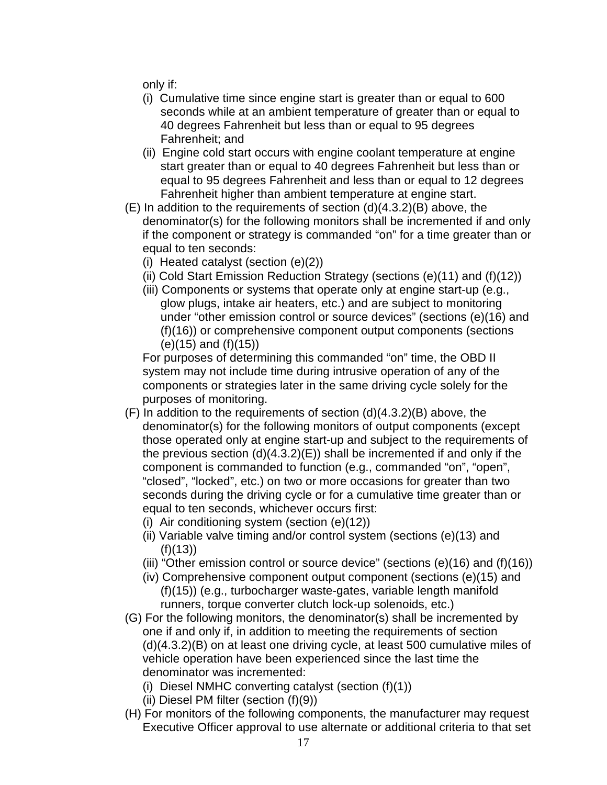only if:

- (i) Cumulative time since engine start is greater than or equal to 600 seconds while at an ambient temperature of greater than or equal to 40 degrees Fahrenheit but less than or equal to 95 degrees Fahrenheit; and
- (ii) Engine cold start occurs with engine coolant temperature at engine start greater than or equal to 40 degrees Fahrenheit but less than or equal to 95 degrees Fahrenheit and less than or equal to 12 degrees Fahrenheit higher than ambient temperature at engine start.
- $(E)$  In addition to the requirements of section  $(d)(4.3.2)(B)$  above, the denominator(s) for the following monitors shall be incremented if and only if the component or strategy is commanded "on" for a time greater than or equal to ten seconds:
	- (i) Heated catalyst (section (e)(2))
	- (ii) Cold Start Emission Reduction Strategy (sections (e)(11) and (f)(12))
	- (iii) Components or systems that operate only at engine start-up (e.g., glow plugs, intake air heaters, etc.) and are subject to monitoring under "other emission control or source devices" (sections (e)(16) and (f)(16)) or comprehensive component output components (sections (e)(15) and (f)(15))

For purposes of determining this commanded "on" time, the OBD II system may not include time during intrusive operation of any of the components or strategies later in the same driving cycle solely for the purposes of monitoring.

- (F) In addition to the requirements of section (d)(4.3.2)(B) above, the denominator(s) for the following monitors of output components (except those operated only at engine start-up and subject to the requirements of the previous section  $(d)(4.3.2)(E)$  shall be incremented if and only if the component is commanded to function (e.g., commanded "on", "open", "closed", "locked", etc.) on two or more occasions for greater than two seconds during the driving cycle or for a cumulative time greater than or equal to ten seconds, whichever occurs first:
	- (i) Air conditioning system (section (e)(12))
	- (ii) Variable valve timing and/or control system (sections (e)(13) and (f)(13))
	- (iii) "Other emission control or source device" (sections  $(e)(16)$  and  $(f)(16)$ )
	- (iv) Comprehensive component output component (sections (e)(15) and (f)(15)) (e.g., turbocharger waste-gates, variable length manifold runners, torque converter clutch lock-up solenoids, etc.)
- (G) For the following monitors, the denominator(s) shall be incremented by one if and only if, in addition to meeting the requirements of section (d)(4.3.2)(B) on at least one driving cycle, at least 500 cumulative miles of vehicle operation have been experienced since the last time the denominator was incremented:
	- (i) Diesel NMHC converting catalyst (section (f)(1))
	- (ii) Diesel PM filter (section (f)(9))
- (H) For monitors of the following components, the manufacturer may request Executive Officer approval to use alternate or additional criteria to that set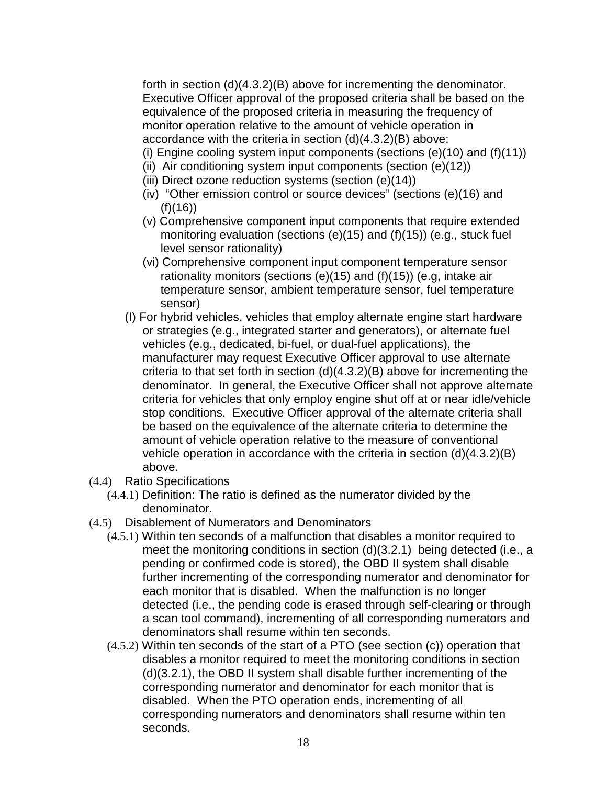forth in section (d)(4.3.2)(B) above for incrementing the denominator. Executive Officer approval of the proposed criteria shall be based on the equivalence of the proposed criteria in measuring the frequency of monitor operation relative to the amount of vehicle operation in accordance with the criteria in section (d)(4.3.2)(B) above:

(i) Engine cooling system input components (sections  $(e)(10)$  and  $(f)(11)$ )

- (ii) Air conditioning system input components (section (e)(12))
- (iii) Direct ozone reduction systems (section (e)(14))
- (iv) "Other emission control or source devices" (sections (e)(16) and  $(f)(16)$
- (v) Comprehensive component input components that require extended monitoring evaluation (sections (e)(15) and (f)(15)) (e.g., stuck fuel level sensor rationality)
- (vi) Comprehensive component input component temperature sensor rationality monitors (sections (e)(15) and (f)(15)) (e.g, intake air temperature sensor, ambient temperature sensor, fuel temperature sensor)
- (I) For hybrid vehicles, vehicles that employ alternate engine start hardware or strategies (e.g., integrated starter and generators), or alternate fuel vehicles (e.g., dedicated, bi-fuel, or dual-fuel applications), the manufacturer may request Executive Officer approval to use alternate criteria to that set forth in section (d)(4.3.2)(B) above for incrementing the denominator. In general, the Executive Officer shall not approve alternate criteria for vehicles that only employ engine shut off at or near idle/vehicle stop conditions. Executive Officer approval of the alternate criteria shall be based on the equivalence of the alternate criteria to determine the amount of vehicle operation relative to the measure of conventional vehicle operation in accordance with the criteria in section (d)(4.3.2)(B) above.
- (4.4) Ratio Specifications
	- (4.4.1) Definition: The ratio is defined as the numerator divided by the denominator.
- (4.5) Disablement of Numerators and Denominators
	- (4.5.1) Within ten seconds of a malfunction that disables a monitor required to meet the monitoring conditions in section (d)(3.2.1) being detected (i.e., a pending or confirmed code is stored), the OBD II system shall disable further incrementing of the corresponding numerator and denominator for each monitor that is disabled. When the malfunction is no longer detected (i.e., the pending code is erased through self-clearing or through a scan tool command), incrementing of all corresponding numerators and denominators shall resume within ten seconds.
	- (4.5.2) Within ten seconds of the start of a PTO (see section (c)) operation that disables a monitor required to meet the monitoring conditions in section (d)(3.2.1), the OBD II system shall disable further incrementing of the corresponding numerator and denominator for each monitor that is disabled. When the PTO operation ends, incrementing of all corresponding numerators and denominators shall resume within ten seconds.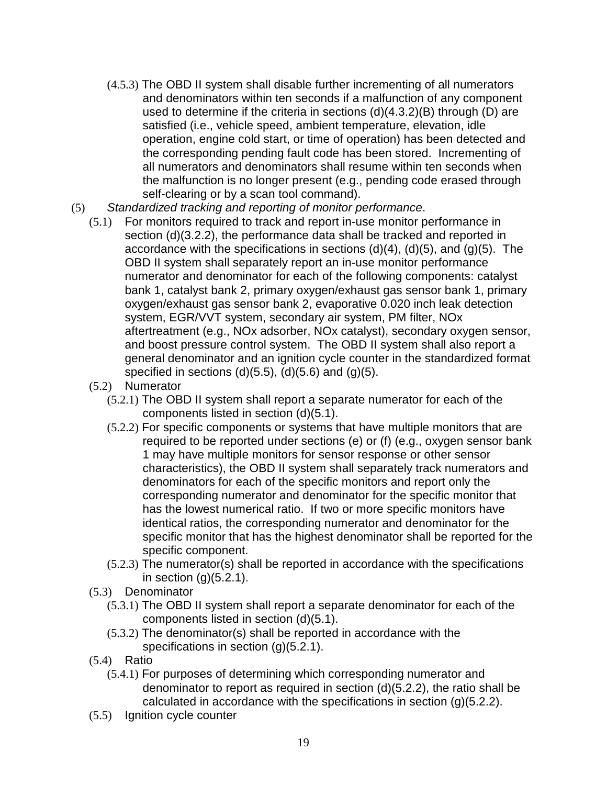- (4.5.3) The OBD II system shall disable further incrementing of all numerators and denominators within ten seconds if a malfunction of any component used to determine if the criteria in sections (d)(4.3.2)(B) through (D) are satisfied (i.e., vehicle speed, ambient temperature, elevation, idle operation, engine cold start, or time of operation) has been detected and the corresponding pending fault code has been stored. Incrementing of all numerators and denominators shall resume within ten seconds when the malfunction is no longer present (e.g., pending code erased through self-clearing or by a scan tool command).
- (5) Standardized tracking and reporting of monitor performance.
	- (5.1) For monitors required to track and report in-use monitor performance in section (d)(3.2.2), the performance data shall be tracked and reported in accordance with the specifications in sections  $(d)(4)$ ,  $(d)(5)$ , and  $(g)(5)$ . The OBD II system shall separately report an in-use monitor performance numerator and denominator for each of the following components: catalyst bank 1, catalyst bank 2, primary oxygen/exhaust gas sensor bank 1, primary oxygen/exhaust gas sensor bank 2, evaporative 0.020 inch leak detection system, EGR/VVT system, secondary air system, PM filter, NOx aftertreatment (e.g., NOx adsorber, NOx catalyst), secondary oxygen sensor, and boost pressure control system. The OBD II system shall also report a general denominator and an ignition cycle counter in the standardized format specified in sections  $(d)(5.5)$ ,  $(d)(5.6)$  and  $(g)(5)$ .
	- (5.2) Numerator
		- (5.2.1) The OBD II system shall report a separate numerator for each of the components listed in section (d)(5.1).
		- (5.2.2) For specific components or systems that have multiple monitors that are required to be reported under sections (e) or (f) (e.g., oxygen sensor bank 1 may have multiple monitors for sensor response or other sensor characteristics), the OBD II system shall separately track numerators and denominators for each of the specific monitors and report only the corresponding numerator and denominator for the specific monitor that has the lowest numerical ratio. If two or more specific monitors have identical ratios, the corresponding numerator and denominator for the specific monitor that has the highest denominator shall be reported for the specific component.
		- (5.2.3) The numerator(s) shall be reported in accordance with the specifications in section  $(g)(5.2.1)$ .
	- (5.3) Denominator
		- (5.3.1) The OBD II system shall report a separate denominator for each of the components listed in section (d)(5.1).
		- (5.3.2) The denominator(s) shall be reported in accordance with the specifications in section (g)(5.2.1).
	- (5.4) Ratio
		- (5.4.1) For purposes of determining which corresponding numerator and denominator to report as required in section (d)(5.2.2), the ratio shall be calculated in accordance with the specifications in section (g)(5.2.2).
	- (5.5) Ignition cycle counter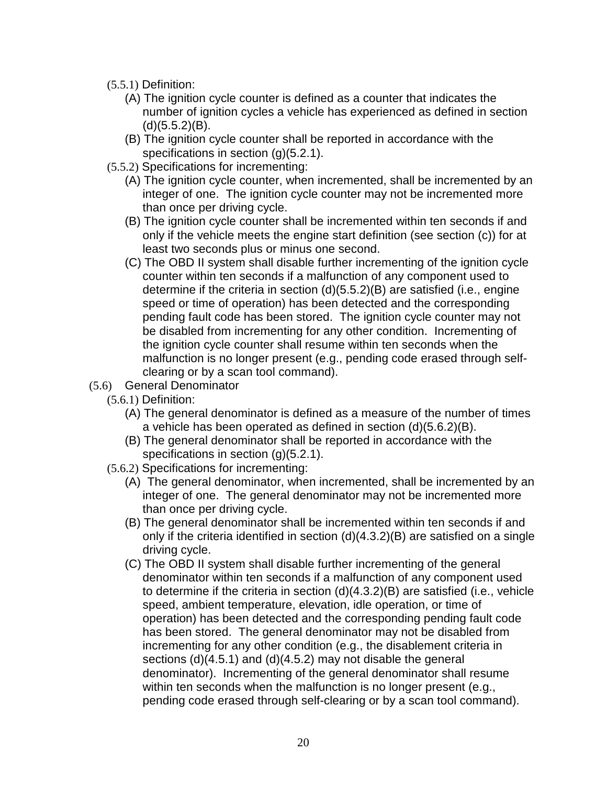- (5.5.1) Definition:
	- (A) The ignition cycle counter is defined as a counter that indicates the number of ignition cycles a vehicle has experienced as defined in section  $(d)(5.5.2)(B)$ .
	- (B) The ignition cycle counter shall be reported in accordance with the specifications in section (g)(5.2.1).
- (5.5.2) Specifications for incrementing:
	- (A) The ignition cycle counter, when incremented, shall be incremented by an integer of one. The ignition cycle counter may not be incremented more than once per driving cycle.
	- (B) The ignition cycle counter shall be incremented within ten seconds if and only if the vehicle meets the engine start definition (see section (c)) for at least two seconds plus or minus one second.
	- (C) The OBD II system shall disable further incrementing of the ignition cycle counter within ten seconds if a malfunction of any component used to determine if the criteria in section (d)(5.5.2)(B) are satisfied (i.e., engine speed or time of operation) has been detected and the corresponding pending fault code has been stored. The ignition cycle counter may not be disabled from incrementing for any other condition. Incrementing of the ignition cycle counter shall resume within ten seconds when the malfunction is no longer present (e.g., pending code erased through selfclearing or by a scan tool command).
- (5.6) General Denominator
	- (5.6.1) Definition:
		- (A) The general denominator is defined as a measure of the number of times a vehicle has been operated as defined in section (d)(5.6.2)(B).
		- (B) The general denominator shall be reported in accordance with the specifications in section (g)(5.2.1).
	- (5.6.2) Specifications for incrementing:
		- (A) The general denominator, when incremented, shall be incremented by an integer of one. The general denominator may not be incremented more than once per driving cycle.
		- (B) The general denominator shall be incremented within ten seconds if and only if the criteria identified in section (d)(4.3.2)(B) are satisfied on a single driving cycle.
		- (C) The OBD II system shall disable further incrementing of the general denominator within ten seconds if a malfunction of any component used to determine if the criteria in section (d)(4.3.2)(B) are satisfied (i.e., vehicle speed, ambient temperature, elevation, idle operation, or time of operation) has been detected and the corresponding pending fault code has been stored. The general denominator may not be disabled from incrementing for any other condition (e.g., the disablement criteria in sections (d)(4.5.1) and (d)(4.5.2) may not disable the general denominator). Incrementing of the general denominator shall resume within ten seconds when the malfunction is no longer present (e.g., pending code erased through self-clearing or by a scan tool command).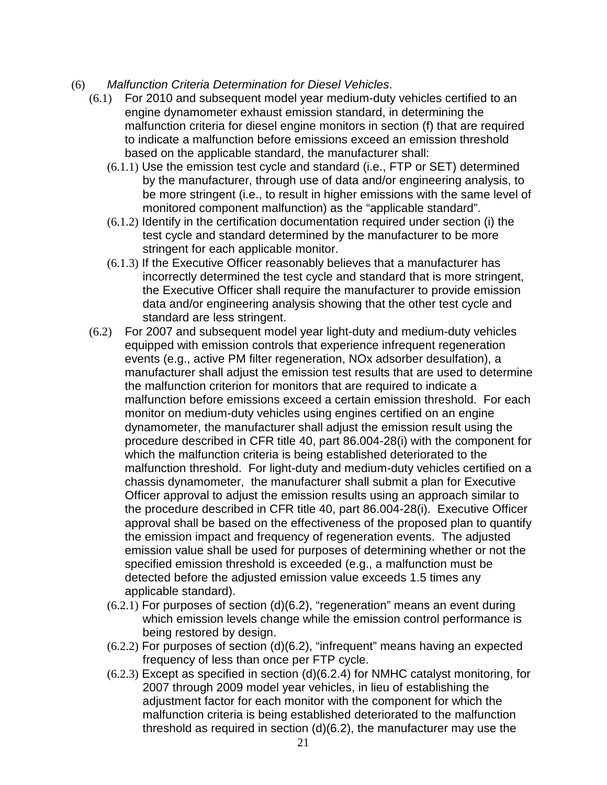- (6) Malfunction Criteria Determination for Diesel Vehicles.
	- (6.1) For 2010 and subsequent model year medium-duty vehicles certified to an engine dynamometer exhaust emission standard, in determining the malfunction criteria for diesel engine monitors in section (f) that are required to indicate a malfunction before emissions exceed an emission threshold based on the applicable standard, the manufacturer shall:
		- (6.1.1) Use the emission test cycle and standard (i.e., FTP or SET) determined by the manufacturer, through use of data and/or engineering analysis, to be more stringent (i.e., to result in higher emissions with the same level of monitored component malfunction) as the "applicable standard".
		- (6.1.2) Identify in the certification documentation required under section (i) the test cycle and standard determined by the manufacturer to be more stringent for each applicable monitor.
		- (6.1.3) If the Executive Officer reasonably believes that a manufacturer has incorrectly determined the test cycle and standard that is more stringent, the Executive Officer shall require the manufacturer to provide emission data and/or engineering analysis showing that the other test cycle and standard are less stringent.
	- (6.2) For 2007 and subsequent model year light-duty and medium-duty vehicles equipped with emission controls that experience infrequent regeneration events (e.g., active PM filter regeneration, NOx adsorber desulfation), a manufacturer shall adjust the emission test results that are used to determine the malfunction criterion for monitors that are required to indicate a malfunction before emissions exceed a certain emission threshold. For each monitor on medium-duty vehicles using engines certified on an engine dynamometer, the manufacturer shall adjust the emission result using the procedure described in CFR title 40, part 86.004-28(i) with the component for which the malfunction criteria is being established deteriorated to the malfunction threshold. For light-duty and medium-duty vehicles certified on a chassis dynamometer, the manufacturer shall submit a plan for Executive Officer approval to adjust the emission results using an approach similar to the procedure described in CFR title 40, part 86.004-28(i). Executive Officer approval shall be based on the effectiveness of the proposed plan to quantify the emission impact and frequency of regeneration events. The adjusted emission value shall be used for purposes of determining whether or not the specified emission threshold is exceeded (e.g., a malfunction must be detected before the adjusted emission value exceeds 1.5 times any applicable standard).
		- (6.2.1) For purposes of section (d)(6.2), "regeneration" means an event during which emission levels change while the emission control performance is being restored by design.
		- (6.2.2) For purposes of section (d)(6.2), "infrequent" means having an expected frequency of less than once per FTP cycle.
		- (6.2.3) Except as specified in section (d)(6.2.4) for NMHC catalyst monitoring, for 2007 through 2009 model year vehicles, in lieu of establishing the adjustment factor for each monitor with the component for which the malfunction criteria is being established deteriorated to the malfunction threshold as required in section (d)(6.2), the manufacturer may use the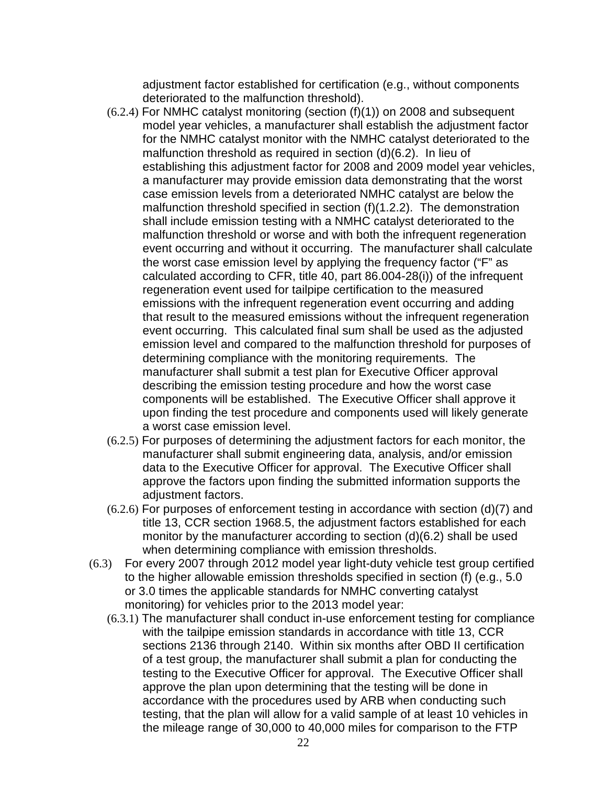adjustment factor established for certification (e.g., without components deteriorated to the malfunction threshold).

- $(6.2.4)$  For NMHC catalyst monitoring (section  $(f)(1)$ ) on 2008 and subsequent model year vehicles, a manufacturer shall establish the adjustment factor for the NMHC catalyst monitor with the NMHC catalyst deteriorated to the malfunction threshold as required in section (d)(6.2). In lieu of establishing this adjustment factor for 2008 and 2009 model year vehicles, a manufacturer may provide emission data demonstrating that the worst case emission levels from a deteriorated NMHC catalyst are below the malfunction threshold specified in section (f)(1.2.2). The demonstration shall include emission testing with a NMHC catalyst deteriorated to the malfunction threshold or worse and with both the infrequent regeneration event occurring and without it occurring. The manufacturer shall calculate the worst case emission level by applying the frequency factor ("F" as calculated according to CFR, title 40, part 86.004-28(i)) of the infrequent regeneration event used for tailpipe certification to the measured emissions with the infrequent regeneration event occurring and adding that result to the measured emissions without the infrequent regeneration event occurring. This calculated final sum shall be used as the adjusted emission level and compared to the malfunction threshold for purposes of determining compliance with the monitoring requirements. The manufacturer shall submit a test plan for Executive Officer approval describing the emission testing procedure and how the worst case components will be established. The Executive Officer shall approve it upon finding the test procedure and components used will likely generate a worst case emission level.
- (6.2.5) For purposes of determining the adjustment factors for each monitor, the manufacturer shall submit engineering data, analysis, and/or emission data to the Executive Officer for approval. The Executive Officer shall approve the factors upon finding the submitted information supports the adjustment factors.
- (6.2.6) For purposes of enforcement testing in accordance with section (d)(7) and title 13, CCR section 1968.5, the adjustment factors established for each monitor by the manufacturer according to section (d)(6.2) shall be used when determining compliance with emission thresholds.
- (6.3) For every 2007 through 2012 model year light-duty vehicle test group certified to the higher allowable emission thresholds specified in section (f) (e.g., 5.0 or 3.0 times the applicable standards for NMHC converting catalyst monitoring) for vehicles prior to the 2013 model year:
	- (6.3.1) The manufacturer shall conduct in-use enforcement testing for compliance with the tailpipe emission standards in accordance with title 13, CCR sections 2136 through 2140. Within six months after OBD II certification of a test group, the manufacturer shall submit a plan for conducting the testing to the Executive Officer for approval. The Executive Officer shall approve the plan upon determining that the testing will be done in accordance with the procedures used by ARB when conducting such testing, that the plan will allow for a valid sample of at least 10 vehicles in the mileage range of 30,000 to 40,000 miles for comparison to the FTP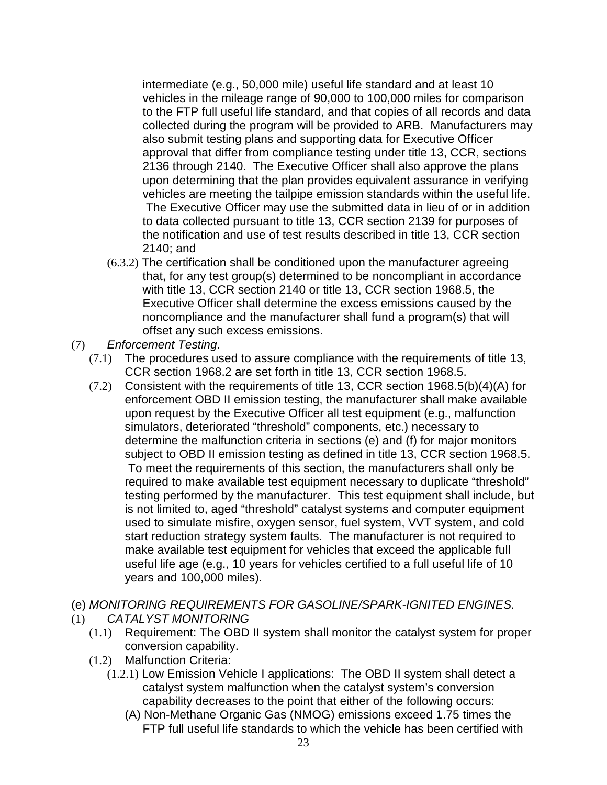intermediate (e.g., 50,000 mile) useful life standard and at least 10 vehicles in the mileage range of 90,000 to 100,000 miles for comparison to the FTP full useful life standard, and that copies of all records and data collected during the program will be provided to ARB. Manufacturers may also submit testing plans and supporting data for Executive Officer approval that differ from compliance testing under title 13, CCR, sections 2136 through 2140. The Executive Officer shall also approve the plans upon determining that the plan provides equivalent assurance in verifying vehicles are meeting the tailpipe emission standards within the useful life. The Executive Officer may use the submitted data in lieu of or in addition to data collected pursuant to title 13, CCR section 2139 for purposes of the notification and use of test results described in title 13, CCR section 2140; and

- (6.3.2) The certification shall be conditioned upon the manufacturer agreeing that, for any test group(s) determined to be noncompliant in accordance with title 13, CCR section 2140 or title 13, CCR section 1968.5, the Executive Officer shall determine the excess emissions caused by the noncompliance and the manufacturer shall fund a program(s) that will offset any such excess emissions.
- (7) Enforcement Testing.
	- (7.1) The procedures used to assure compliance with the requirements of title 13, CCR section 1968.2 are set forth in title 13, CCR section 1968.5.
	- (7.2) Consistent with the requirements of title 13, CCR section 1968.5(b)(4)(A) for enforcement OBD II emission testing, the manufacturer shall make available upon request by the Executive Officer all test equipment (e.g., malfunction simulators, deteriorated "threshold" components, etc.) necessary to determine the malfunction criteria in sections (e) and (f) for major monitors subject to OBD II emission testing as defined in title 13, CCR section 1968.5. To meet the requirements of this section, the manufacturers shall only be required to make available test equipment necessary to duplicate "threshold" testing performed by the manufacturer. This test equipment shall include, but is not limited to, aged "threshold" catalyst systems and computer equipment used to simulate misfire, oxygen sensor, fuel system, VVT system, and cold start reduction strategy system faults. The manufacturer is not required to make available test equipment for vehicles that exceed the applicable full useful life age (e.g., 10 years for vehicles certified to a full useful life of 10 years and 100,000 miles).
- (e) MONITORING REQUIREMENTS FOR GASOLINE/SPARK-IGNITED ENGINES.
- (1) CATALYST MONITORING
	- (1.1) Requirement: The OBD II system shall monitor the catalyst system for proper conversion capability.
	- (1.2) Malfunction Criteria:
		- (1.2.1) Low Emission Vehicle I applications: The OBD II system shall detect a catalyst system malfunction when the catalyst system's conversion capability decreases to the point that either of the following occurs:
			- (A) Non-Methane Organic Gas (NMOG) emissions exceed 1.75 times the FTP full useful life standards to which the vehicle has been certified with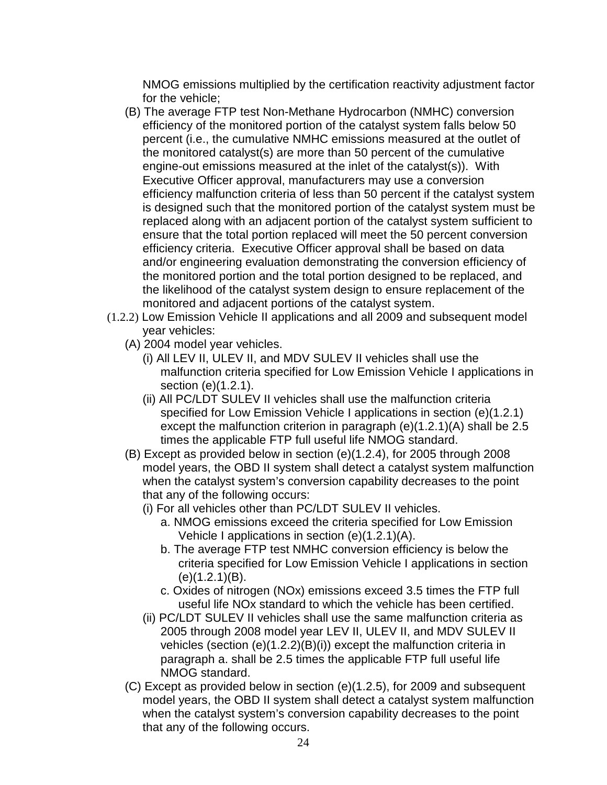NMOG emissions multiplied by the certification reactivity adjustment factor for the vehicle;

- (B) The average FTP test Non-Methane Hydrocarbon (NMHC) conversion efficiency of the monitored portion of the catalyst system falls below 50 percent (i.e., the cumulative NMHC emissions measured at the outlet of the monitored catalyst(s) are more than 50 percent of the cumulative engine-out emissions measured at the inlet of the catalyst(s)). With Executive Officer approval, manufacturers may use a conversion efficiency malfunction criteria of less than 50 percent if the catalyst system is designed such that the monitored portion of the catalyst system must be replaced along with an adjacent portion of the catalyst system sufficient to ensure that the total portion replaced will meet the 50 percent conversion efficiency criteria. Executive Officer approval shall be based on data and/or engineering evaluation demonstrating the conversion efficiency of the monitored portion and the total portion designed to be replaced, and the likelihood of the catalyst system design to ensure replacement of the monitored and adjacent portions of the catalyst system.
- (1.2.2) Low Emission Vehicle II applications and all 2009 and subsequent model year vehicles:
	- (A) 2004 model year vehicles.
		- (i) All LEV II, ULEV II, and MDV SULEV II vehicles shall use the malfunction criteria specified for Low Emission Vehicle I applications in section (e)(1.2.1).
		- (ii) All PC/LDT SULEV II vehicles shall use the malfunction criteria specified for Low Emission Vehicle I applications in section (e)(1.2.1) except the malfunction criterion in paragraph (e)(1.2.1)(A) shall be 2.5 times the applicable FTP full useful life NMOG standard.
	- (B) Except as provided below in section (e)(1.2.4), for 2005 through 2008 model years, the OBD II system shall detect a catalyst system malfunction when the catalyst system's conversion capability decreases to the point that any of the following occurs:
		- (i) For all vehicles other than PC/LDT SULEV II vehicles.
			- a. NMOG emissions exceed the criteria specified for Low Emission Vehicle I applications in section (e)(1.2.1)(A).
			- b. The average FTP test NMHC conversion efficiency is below the criteria specified for Low Emission Vehicle I applications in section (e)(1.2.1)(B).
			- c. Oxides of nitrogen (NOx) emissions exceed 3.5 times the FTP full useful life NOx standard to which the vehicle has been certified.
		- (ii) PC/LDT SULEV II vehicles shall use the same malfunction criteria as 2005 through 2008 model year LEV II, ULEV II, and MDV SULEV II vehicles (section (e)(1.2.2)(B)(i)) except the malfunction criteria in paragraph a. shall be 2.5 times the applicable FTP full useful life NMOG standard.
	- (C) Except as provided below in section (e)(1.2.5), for 2009 and subsequent model years, the OBD II system shall detect a catalyst system malfunction when the catalyst system's conversion capability decreases to the point that any of the following occurs.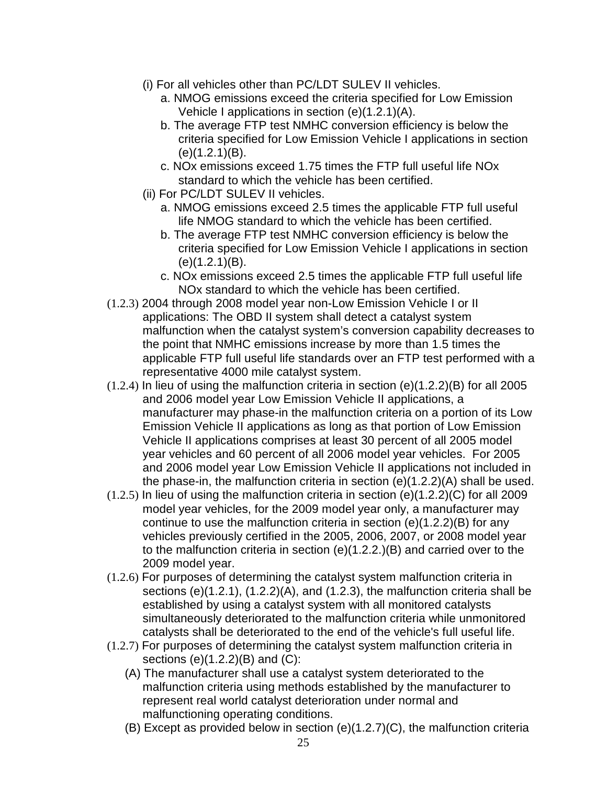- (i) For all vehicles other than PC/LDT SULEV II vehicles.
	- a. NMOG emissions exceed the criteria specified for Low Emission Vehicle I applications in section (e)(1.2.1)(A).
	- b. The average FTP test NMHC conversion efficiency is below the criteria specified for Low Emission Vehicle I applications in section (e)(1.2.1)(B).
	- c. NOx emissions exceed 1.75 times the FTP full useful life NOx standard to which the vehicle has been certified.
- (ii) For PC/LDT SULEV II vehicles.
	- a. NMOG emissions exceed 2.5 times the applicable FTP full useful life NMOG standard to which the vehicle has been certified.
	- b. The average FTP test NMHC conversion efficiency is below the criteria specified for Low Emission Vehicle I applications in section (e)(1.2.1)(B).
	- c. NOx emissions exceed 2.5 times the applicable FTP full useful life NOx standard to which the vehicle has been certified.
- (1.2.3) 2004 through 2008 model year non-Low Emission Vehicle I or II applications: The OBD II system shall detect a catalyst system malfunction when the catalyst system's conversion capability decreases to the point that NMHC emissions increase by more than 1.5 times the applicable FTP full useful life standards over an FTP test performed with a representative 4000 mile catalyst system.
- $(1.2.4)$  In lieu of using the malfunction criteria in section  $(e)(1.2.2)(B)$  for all 2005 and 2006 model year Low Emission Vehicle II applications, a manufacturer may phase-in the malfunction criteria on a portion of its Low Emission Vehicle II applications as long as that portion of Low Emission Vehicle II applications comprises at least 30 percent of all 2005 model year vehicles and 60 percent of all 2006 model year vehicles. For 2005 and 2006 model year Low Emission Vehicle II applications not included in the phase-in, the malfunction criteria in section (e)(1.2.2)(A) shall be used.
- (1.2.5) In lieu of using the malfunction criteria in section (e)(1.2.2)(C) for all 2009 model year vehicles, for the 2009 model year only, a manufacturer may continue to use the malfunction criteria in section (e)(1.2.2)(B) for any vehicles previously certified in the 2005, 2006, 2007, or 2008 model year to the malfunction criteria in section (e)(1.2.2.)(B) and carried over to the 2009 model year.
- (1.2.6) For purposes of determining the catalyst system malfunction criteria in sections (e)(1.2.1), (1.2.2)(A), and (1.2.3), the malfunction criteria shall be established by using a catalyst system with all monitored catalysts simultaneously deteriorated to the malfunction criteria while unmonitored catalysts shall be deteriorated to the end of the vehicle's full useful life.
- (1.2.7) For purposes of determining the catalyst system malfunction criteria in sections (e)(1.2.2)(B) and (C):
	- (A) The manufacturer shall use a catalyst system deteriorated to the malfunction criteria using methods established by the manufacturer to represent real world catalyst deterioration under normal and malfunctioning operating conditions.
	- (B) Except as provided below in section (e)(1.2.7)(C), the malfunction criteria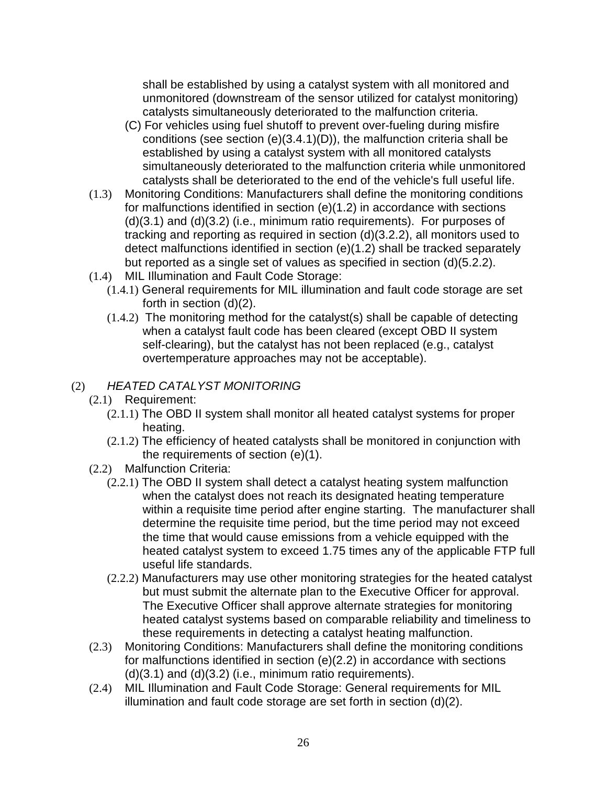shall be established by using a catalyst system with all monitored and unmonitored (downstream of the sensor utilized for catalyst monitoring) catalysts simultaneously deteriorated to the malfunction criteria.

- (C) For vehicles using fuel shutoff to prevent over-fueling during misfire conditions (see section (e)(3.4.1)(D)), the malfunction criteria shall be established by using a catalyst system with all monitored catalysts simultaneously deteriorated to the malfunction criteria while unmonitored catalysts shall be deteriorated to the end of the vehicle's full useful life.
- (1.3) Monitoring Conditions: Manufacturers shall define the monitoring conditions for malfunctions identified in section (e)(1.2) in accordance with sections (d)(3.1) and (d)(3.2) (i.e., minimum ratio requirements). For purposes of tracking and reporting as required in section (d)(3.2.2), all monitors used to detect malfunctions identified in section (e)(1.2) shall be tracked separately but reported as a single set of values as specified in section (d)(5.2.2).
- (1.4) MIL Illumination and Fault Code Storage:
	- (1.4.1) General requirements for MIL illumination and fault code storage are set forth in section (d)(2).
	- (1.4.2) The monitoring method for the catalyst(s) shall be capable of detecting when a catalyst fault code has been cleared (except OBD II system self-clearing), but the catalyst has not been replaced (e.g., catalyst overtemperature approaches may not be acceptable).

# (2) HEATED CATALYST MONITORING

- (2.1) Requirement:
	- (2.1.1) The OBD II system shall monitor all heated catalyst systems for proper heating.
	- (2.1.2) The efficiency of heated catalysts shall be monitored in conjunction with the requirements of section (e)(1).
- (2.2) Malfunction Criteria:
	- (2.2.1) The OBD II system shall detect a catalyst heating system malfunction when the catalyst does not reach its designated heating temperature within a requisite time period after engine starting. The manufacturer shall determine the requisite time period, but the time period may not exceed the time that would cause emissions from a vehicle equipped with the heated catalyst system to exceed 1.75 times any of the applicable FTP full useful life standards.
	- (2.2.2) Manufacturers may use other monitoring strategies for the heated catalyst but must submit the alternate plan to the Executive Officer for approval. The Executive Officer shall approve alternate strategies for monitoring heated catalyst systems based on comparable reliability and timeliness to these requirements in detecting a catalyst heating malfunction.
- (2.3) Monitoring Conditions: Manufacturers shall define the monitoring conditions for malfunctions identified in section (e)(2.2) in accordance with sections  $(d)(3.1)$  and  $(d)(3.2)$  (i.e., minimum ratio requirements).
- (2.4) MIL Illumination and Fault Code Storage: General requirements for MIL illumination and fault code storage are set forth in section (d)(2).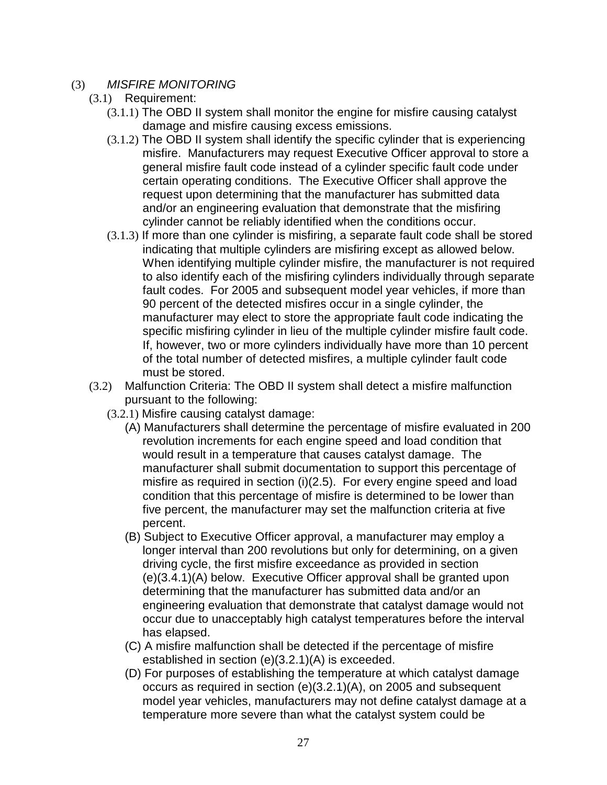### (3) MISFIRE MONITORING

- (3.1) Requirement:
	- (3.1.1) The OBD II system shall monitor the engine for misfire causing catalyst damage and misfire causing excess emissions.
	- (3.1.2) The OBD II system shall identify the specific cylinder that is experiencing misfire. Manufacturers may request Executive Officer approval to store a general misfire fault code instead of a cylinder specific fault code under certain operating conditions. The Executive Officer shall approve the request upon determining that the manufacturer has submitted data and/or an engineering evaluation that demonstrate that the misfiring cylinder cannot be reliably identified when the conditions occur.
	- (3.1.3) If more than one cylinder is misfiring, a separate fault code shall be stored indicating that multiple cylinders are misfiring except as allowed below. When identifying multiple cylinder misfire, the manufacturer is not required to also identify each of the misfiring cylinders individually through separate fault codes. For 2005 and subsequent model year vehicles, if more than 90 percent of the detected misfires occur in a single cylinder, the manufacturer may elect to store the appropriate fault code indicating the specific misfiring cylinder in lieu of the multiple cylinder misfire fault code. If, however, two or more cylinders individually have more than 10 percent of the total number of detected misfires, a multiple cylinder fault code must be stored.
- (3.2) Malfunction Criteria: The OBD II system shall detect a misfire malfunction pursuant to the following:
	- (3.2.1) Misfire causing catalyst damage:
		- (A) Manufacturers shall determine the percentage of misfire evaluated in 200 revolution increments for each engine speed and load condition that would result in a temperature that causes catalyst damage.The manufacturer shall submit documentation to support this percentage of misfire as required in section (i)(2.5). For every engine speed and load condition that this percentage of misfire is determined to be lower than five percent, the manufacturer may set the malfunction criteria at five percent.
		- (B) Subject to Executive Officer approval, a manufacturer may employ a longer interval than 200 revolutions but only for determining, on a given driving cycle, the first misfire exceedance as provided in section (e)(3.4.1)(A) below. Executive Officer approval shall be granted upon determining that the manufacturer has submitted data and/or an engineering evaluation that demonstrate that catalyst damage would not occur due to unacceptably high catalyst temperatures before the interval has elapsed.
		- (C) A misfire malfunction shall be detected if the percentage of misfire established in section (e)(3.2.1)(A) is exceeded.
		- (D) For purposes of establishing the temperature at which catalyst damage occurs as required in section (e)(3.2.1)(A), on 2005 and subsequent model year vehicles, manufacturers may not define catalyst damage at a temperature more severe than what the catalyst system could be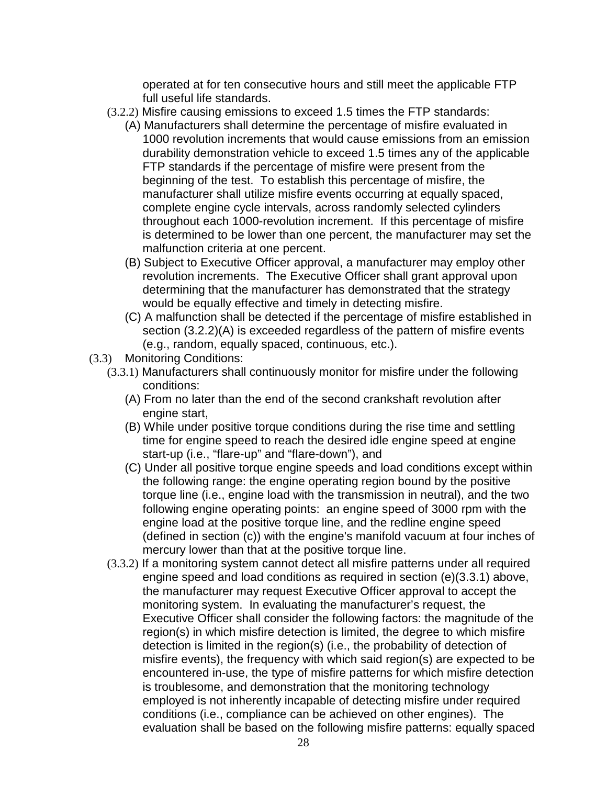operated at for ten consecutive hours and still meet the applicable FTP full useful life standards.

- (3.2.2) Misfire causing emissions to exceed 1.5 times the FTP standards:
	- (A) Manufacturers shall determine the percentage of misfire evaluated in 1000 revolution increments that would cause emissions from an emission durability demonstration vehicle to exceed 1.5 times any of the applicable FTP standards if the percentage of misfire were present from the beginning of the test. To establish this percentage of misfire, the manufacturer shall utilize misfire events occurring at equally spaced, complete engine cycle intervals, across randomly selected cylinders throughout each 1000-revolution increment. If this percentage of misfire is determined to be lower than one percent, the manufacturer may set the malfunction criteria at one percent.
	- (B) Subject to Executive Officer approval, a manufacturer may employ other revolution increments. The Executive Officer shall grant approval upon determining that the manufacturer has demonstrated that the strategy would be equally effective and timely in detecting misfire.
	- (C) A malfunction shall be detected if the percentage of misfire established in section (3.2.2)(A) is exceeded regardless of the pattern of misfire events (e.g., random, equally spaced, continuous, etc.).
- (3.3) Monitoring Conditions:
	- (3.3.1) Manufacturers shall continuously monitor for misfire under the following conditions:
		- (A) From no later than the end of the second crankshaft revolution after engine start,
		- (B) While under positive torque conditions during the rise time and settling time for engine speed to reach the desired idle engine speed at engine start-up (i.e., "flare-up" and "flare-down"), and
		- (C) Under all positive torque engine speeds and load conditions except within the following range: the engine operating region bound by the positive torque line (i.e., engine load with the transmission in neutral), and the two following engine operating points: an engine speed of 3000 rpm with the engine load at the positive torque line, and the redline engine speed (defined in section (c)) with the engine's manifold vacuum at four inches of mercury lower than that at the positive torque line.
	- (3.3.2) If a monitoring system cannot detect all misfire patterns under all required engine speed and load conditions as required in section (e)(3.3.1) above, the manufacturer may request Executive Officer approval to accept the monitoring system. In evaluating the manufacturer's request, the Executive Officer shall consider the following factors: the magnitude of the region(s) in which misfire detection is limited, the degree to which misfire detection is limited in the region(s) (i.e., the probability of detection of misfire events), the frequency with which said region(s) are expected to be encountered in-use, the type of misfire patterns for which misfire detection is troublesome, and demonstration that the monitoring technology employed is not inherently incapable of detecting misfire under required conditions (i.e., compliance can be achieved on other engines). The evaluation shall be based on the following misfire patterns: equally spaced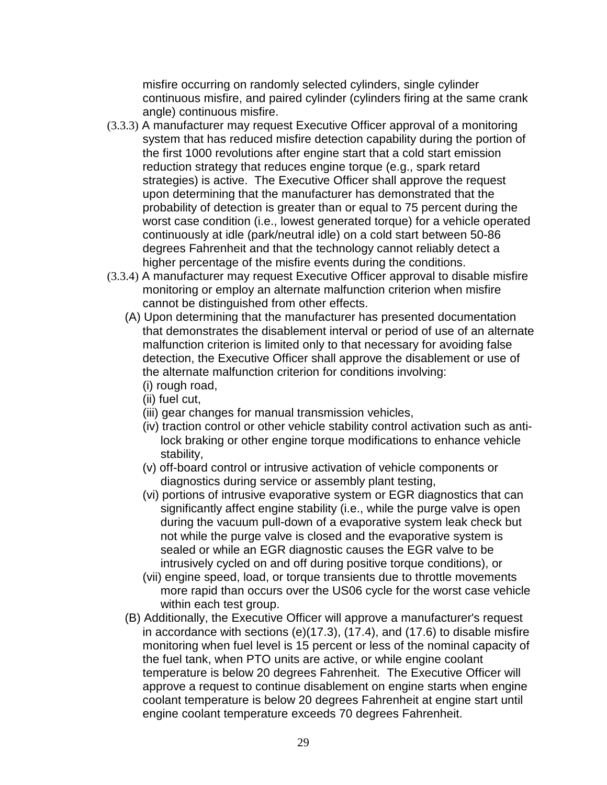misfire occurring on randomly selected cylinders, single cylinder continuous misfire, and paired cylinder (cylinders firing at the same crank angle) continuous misfire.

- (3.3.3) A manufacturer may request Executive Officer approval of a monitoring system that has reduced misfire detection capability during the portion of the first 1000 revolutions after engine start that a cold start emission reduction strategy that reduces engine torque (e.g., spark retard strategies) is active. The Executive Officer shall approve the request upon determining that the manufacturer has demonstrated that the probability of detection is greater than or equal to 75 percent during the worst case condition (i.e., lowest generated torque) for a vehicle operated continuously at idle (park/neutral idle) on a cold start between 50-86 degrees Fahrenheit and that the technology cannot reliably detect a higher percentage of the misfire events during the conditions.
- (3.3.4) A manufacturer may request Executive Officer approval to disable misfire monitoring or employ an alternate malfunction criterion when misfire cannot be distinguished from other effects.
	- (A) Upon determining that the manufacturer has presented documentation that demonstrates the disablement interval or period of use of an alternate malfunction criterion is limited only to that necessary for avoiding false detection, the Executive Officer shall approve the disablement or use of the alternate malfunction criterion for conditions involving: (i) rough road,
		- (ii) fuel cut,
		- (iii) gear changes for manual transmission vehicles,
		- (iv) traction control or other vehicle stability control activation such as antilock braking or other engine torque modifications to enhance vehicle stability,
		- (v) off-board control or intrusive activation of vehicle components or diagnostics during service or assembly plant testing,
		- (vi) portions of intrusive evaporative system or EGR diagnostics that can significantly affect engine stability (i.e., while the purge valve is open during the vacuum pull-down of a evaporative system leak check but not while the purge valve is closed and the evaporative system is sealed or while an EGR diagnostic causes the EGR valve to be intrusively cycled on and off during positive torque conditions), or
		- (vii) engine speed, load, or torque transients due to throttle movements more rapid than occurs over the US06 cycle for the worst case vehicle within each test group.
	- (B) Additionally, the Executive Officer will approve a manufacturer's request in accordance with sections (e)(17.3), (17.4), and (17.6) to disable misfire monitoring when fuel level is 15 percent or less of the nominal capacity of the fuel tank, when PTO units are active, or while engine coolant temperature is below 20 degrees Fahrenheit. The Executive Officer will approve a request to continue disablement on engine starts when engine coolant temperature is below 20 degrees Fahrenheit at engine start until engine coolant temperature exceeds 70 degrees Fahrenheit.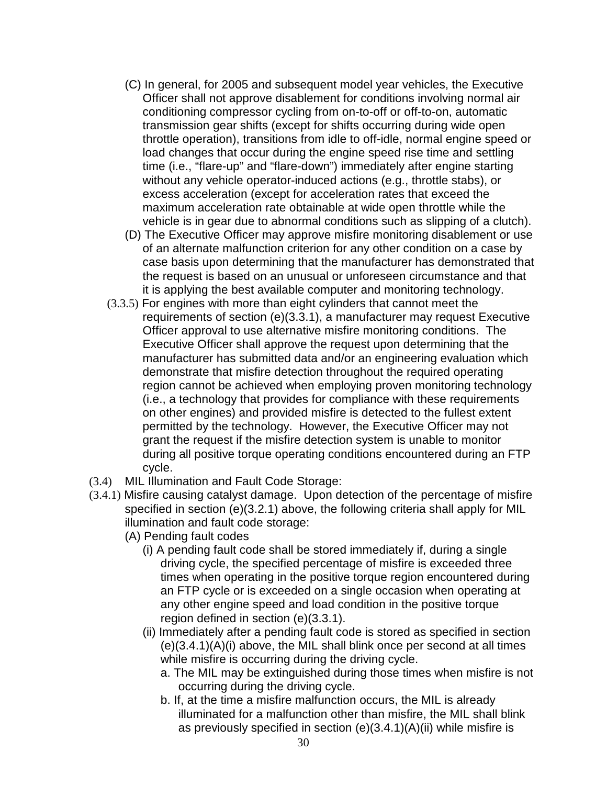- (C) In general, for 2005 and subsequent model year vehicles, the Executive Officer shall not approve disablement for conditions involving normal air conditioning compressor cycling from on-to-off or off-to-on, automatic transmission gear shifts (except for shifts occurring during wide open throttle operation), transitions from idle to off-idle, normal engine speed or load changes that occur during the engine speed rise time and settling time (i.e., "flare-up" and "flare-down") immediately after engine starting without any vehicle operator-induced actions (e.g., throttle stabs), or excess acceleration (except for acceleration rates that exceed the maximum acceleration rate obtainable at wide open throttle while the vehicle is in gear due to abnormal conditions such as slipping of a clutch).
- (D) The Executive Officer may approve misfire monitoring disablement or use of an alternate malfunction criterion for any other condition on a case by case basis upon determining that the manufacturer has demonstrated that the request is based on an unusual or unforeseen circumstance and that it is applying the best available computer and monitoring technology.
- (3.3.5) For engines with more than eight cylinders that cannot meet the requirements of section (e)(3.3.1), a manufacturer may request Executive Officer approval to use alternative misfire monitoring conditions. The Executive Officer shall approve the request upon determining that the manufacturer has submitted data and/or an engineering evaluation which demonstrate that misfire detection throughout the required operating region cannot be achieved when employing proven monitoring technology (i.e., a technology that provides for compliance with these requirements on other engines) and provided misfire is detected to the fullest extent permitted by the technology. However, the Executive Officer may not grant the request if the misfire detection system is unable to monitor during all positive torque operating conditions encountered during an FTP cycle.
- (3.4) MIL Illumination and Fault Code Storage:
- (3.4.1) Misfire causing catalyst damage. Upon detection of the percentage of misfire specified in section (e)(3.2.1) above, the following criteria shall apply for MIL illumination and fault code storage:
	- (A) Pending fault codes
		- (i) A pending fault code shall be stored immediately if, during a single driving cycle, the specified percentage of misfire is exceeded three times when operating in the positive torque region encountered during an FTP cycle or is exceeded on a single occasion when operating at any other engine speed and load condition in the positive torque region defined in section (e)(3.3.1).
		- (ii) Immediately after a pending fault code is stored as specified in section (e)(3.4.1)(A)(i) above, the MIL shall blink once per second at all times while misfire is occurring during the driving cycle.
			- a. The MIL may be extinguished during those times when misfire is not occurring during the driving cycle.
			- b. If, at the time a misfire malfunction occurs, the MIL is already illuminated for a malfunction other than misfire, the MIL shall blink as previously specified in section (e)(3.4.1)(A)(ii) while misfire is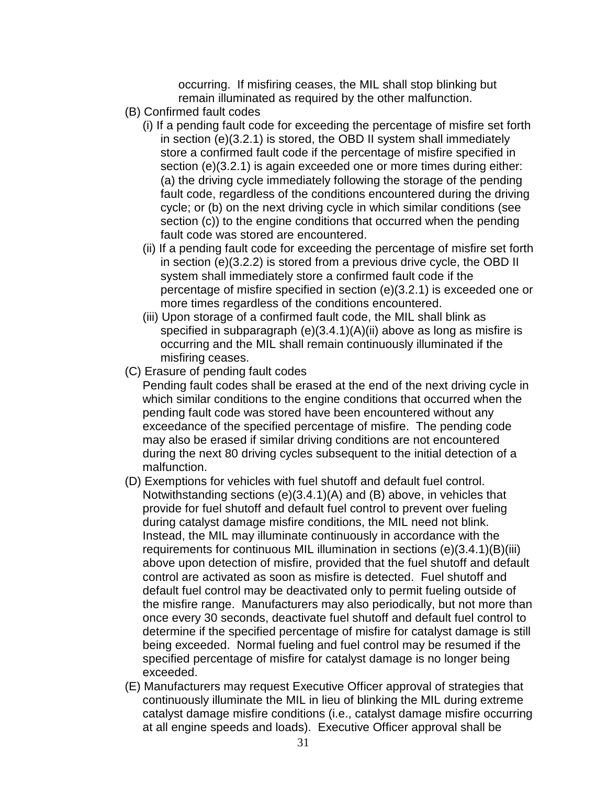occurring. If misfiring ceases, the MIL shall stop blinking but remain illuminated as required by the other malfunction.

- (B) Confirmed fault codes
	- (i) If a pending fault code for exceeding the percentage of misfire set forth in section (e)(3.2.1) is stored, the OBD II system shall immediately store a confirmed fault code if the percentage of misfire specified in section (e)(3.2.1) is again exceeded one or more times during either: (a) the driving cycle immediately following the storage of the pending fault code, regardless of the conditions encountered during the driving cycle; or (b) on the next driving cycle in which similar conditions (see section (c)) to the engine conditions that occurred when the pending fault code was stored are encountered.
	- (ii) If a pending fault code for exceeding the percentage of misfire set forth in section (e)(3.2.2) is stored from a previous drive cycle, the OBD II system shall immediately store a confirmed fault code if the percentage of misfire specified in section (e)(3.2.1) is exceeded one or more times regardless of the conditions encountered.
	- (iii) Upon storage of a confirmed fault code, the MIL shall blink as specified in subparagraph (e)(3.4.1)(A)(ii) above as long as misfire is occurring and the MIL shall remain continuously illuminated if the misfiring ceases.
- (C) Erasure of pending fault codes

Pending fault codes shall be erased at the end of the next driving cycle in which similar conditions to the engine conditions that occurred when the pending fault code was stored have been encountered without any exceedance of the specified percentage of misfire. The pending code may also be erased if similar driving conditions are not encountered during the next 80 driving cycles subsequent to the initial detection of a malfunction.

- (D) Exemptions for vehicles with fuel shutoff and default fuel control. Notwithstanding sections (e)(3.4.1)(A) and (B) above, in vehicles that provide for fuel shutoff and default fuel control to prevent over fueling during catalyst damage misfire conditions, the MIL need not blink. Instead, the MIL may illuminate continuously in accordance with the requirements for continuous MIL illumination in sections (e)(3.4.1)(B)(iii) above upon detection of misfire, provided that the fuel shutoff and default control are activated as soon as misfire is detected. Fuel shutoff and default fuel control may be deactivated only to permit fueling outside of the misfire range. Manufacturers may also periodically, but not more than once every 30 seconds, deactivate fuel shutoff and default fuel control to determine if the specified percentage of misfire for catalyst damage is still being exceeded. Normal fueling and fuel control may be resumed if the specified percentage of misfire for catalyst damage is no longer being exceeded.
- (E) Manufacturers may request Executive Officer approval of strategies that continuously illuminate the MIL in lieu of blinking the MIL during extreme catalyst damage misfire conditions (i.e., catalyst damage misfire occurring at all engine speeds and loads). Executive Officer approval shall be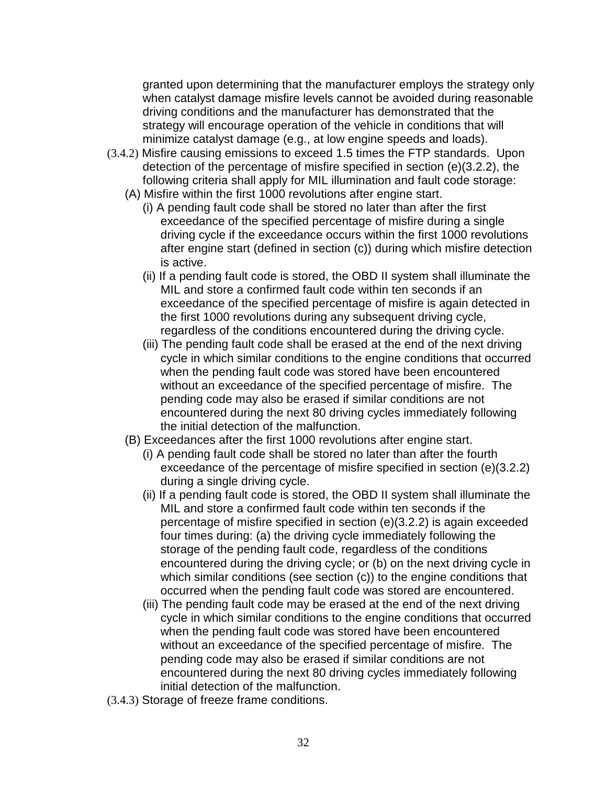granted upon determining that the manufacturer employs the strategy only when catalyst damage misfire levels cannot be avoided during reasonable driving conditions and the manufacturer has demonstrated that the strategy will encourage operation of the vehicle in conditions that will minimize catalyst damage (e.g., at low engine speeds and loads).

- (3.4.2) Misfire causing emissions to exceed 1.5 times the FTP standards. Upon detection of the percentage of misfire specified in section (e)(3.2.2), the following criteria shall apply for MIL illumination and fault code storage:
	- (A) Misfire within the first 1000 revolutions after engine start.
		- (i) A pending fault code shall be stored no later than after the first exceedance of the specified percentage of misfire during a single driving cycle if the exceedance occurs within the first 1000 revolutions after engine start (defined in section (c)) during which misfire detection is active.
		- (ii) If a pending fault code is stored, the OBD II system shall illuminate the MIL and store a confirmed fault code within ten seconds if an exceedance of the specified percentage of misfire is again detected in the first 1000 revolutions during any subsequent driving cycle, regardless of the conditions encountered during the driving cycle.
		- (iii) The pending fault code shall be erased at the end of the next driving cycle in which similar conditions to the engine conditions that occurred when the pending fault code was stored have been encountered without an exceedance of the specified percentage of misfire. The pending code may also be erased if similar conditions are not encountered during the next 80 driving cycles immediately following the initial detection of the malfunction.
	- (B) Exceedances after the first 1000 revolutions after engine start.
		- (i) A pending fault code shall be stored no later than after the fourth exceedance of the percentage of misfire specified in section (e)(3.2.2) during a single driving cycle.
		- (ii) If a pending fault code is stored, the OBD II system shall illuminate the MIL and store a confirmed fault code within ten seconds if the percentage of misfire specified in section (e)(3.2.2) is again exceeded four times during: (a) the driving cycle immediately following the storage of the pending fault code, regardless of the conditions encountered during the driving cycle; or (b) on the next driving cycle in which similar conditions (see section (c)) to the engine conditions that occurred when the pending fault code was stored are encountered.
		- (iii) The pending fault code may be erased at the end of the next driving cycle in which similar conditions to the engine conditions that occurred when the pending fault code was stored have been encountered without an exceedance of the specified percentage of misfire. The pending code may also be erased if similar conditions are not encountered during the next 80 driving cycles immediately following initial detection of the malfunction.
- (3.4.3) Storage of freeze frame conditions.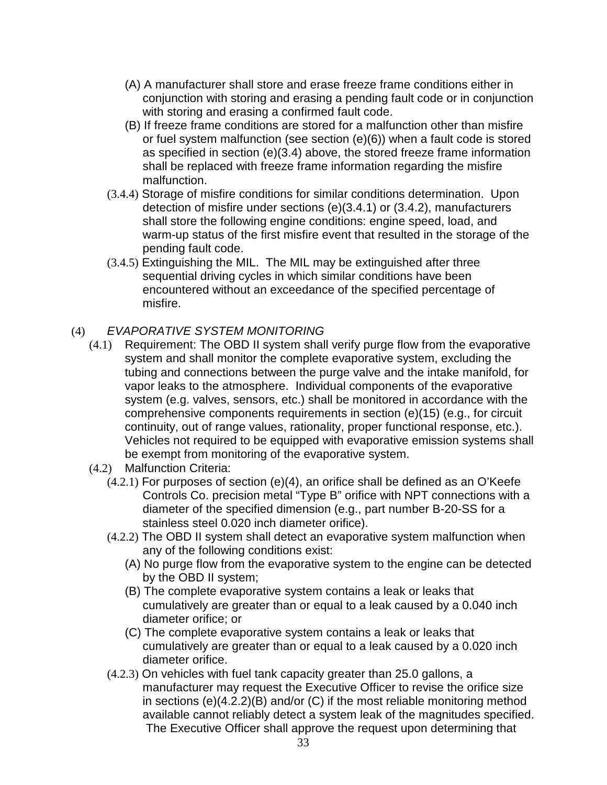- (A) A manufacturer shall store and erase freeze frame conditions either in conjunction with storing and erasing a pending fault code or in conjunction with storing and erasing a confirmed fault code.
- (B) If freeze frame conditions are stored for a malfunction other than misfire or fuel system malfunction (see section (e)(6)) when a fault code is stored as specified in section (e)(3.4) above, the stored freeze frame information shall be replaced with freeze frame information regarding the misfire malfunction.
- (3.4.4) Storage of misfire conditions for similar conditions determination. Upon detection of misfire under sections (e)(3.4.1) or (3.4.2), manufacturers shall store the following engine conditions: engine speed, load, and warm-up status of the first misfire event that resulted in the storage of the pending fault code.
- (3.4.5) Extinguishing the MIL. The MIL may be extinguished after three sequential driving cycles in which similar conditions have been encountered without an exceedance of the specified percentage of misfire.

### (4) EVAPORATIVE SYSTEM MONITORING

- (4.1) Requirement: The OBD II system shall verify purge flow from the evaporative system and shall monitor the complete evaporative system, excluding the tubing and connections between the purge valve and the intake manifold, for vapor leaks to the atmosphere. Individual components of the evaporative system (e.g. valves, sensors, etc.) shall be monitored in accordance with the comprehensive components requirements in section (e)(15) (e.g., for circuit continuity, out of range values, rationality, proper functional response, etc.). Vehicles not required to be equipped with evaporative emission systems shall be exempt from monitoring of the evaporative system.
- (4.2) Malfunction Criteria:
	- $(4.2.1)$  For purposes of section  $(e)(4)$ , an orifice shall be defined as an O'Keefe Controls Co. precision metal "Type B" orifice with NPT connections with a diameter of the specified dimension (e.g., part number B-20-SS for a stainless steel 0.020 inch diameter orifice).
	- (4.2.2) The OBD II system shall detect an evaporative system malfunction when any of the following conditions exist:
		- (A) No purge flow from the evaporative system to the engine can be detected by the OBD II system;
		- (B) The complete evaporative system contains a leak or leaks that cumulatively are greater than or equal to a leak caused by a 0.040 inch diameter orifice; or
		- (C) The complete evaporative system contains a leak or leaks that cumulatively are greater than or equal to a leak caused by a 0.020 inch diameter orifice.
	- (4.2.3) On vehicles with fuel tank capacity greater than 25.0 gallons, a manufacturer may request the Executive Officer to revise the orifice size in sections (e)(4.2.2)(B) and/or (C) if the most reliable monitoring method available cannot reliably detect a system leak of the magnitudes specified. The Executive Officer shall approve the request upon determining that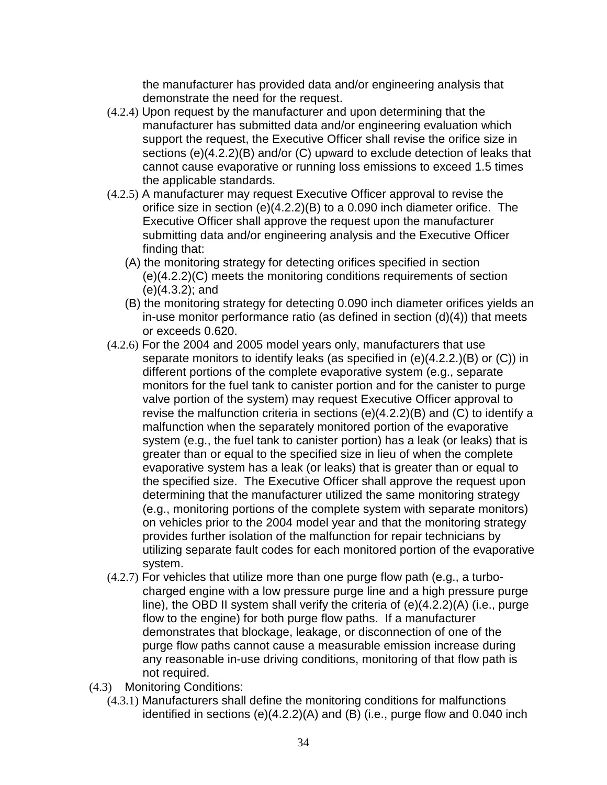the manufacturer has provided data and/or engineering analysis that demonstrate the need for the request.

- (4.2.4) Upon request by the manufacturer and upon determining that the manufacturer has submitted data and/or engineering evaluation which support the request, the Executive Officer shall revise the orifice size in sections (e)(4.2.2)(B) and/or (C) upward to exclude detection of leaks that cannot cause evaporative or running loss emissions to exceed 1.5 times the applicable standards.
- (4.2.5) A manufacturer may request Executive Officer approval to revise the orifice size in section (e)(4.2.2)(B) to a 0.090 inch diameter orifice. The Executive Officer shall approve the request upon the manufacturer submitting data and/or engineering analysis and the Executive Officer finding that:
	- (A) the monitoring strategy for detecting orifices specified in section (e)(4.2.2)(C) meets the monitoring conditions requirements of section (e)(4.3.2); and
	- (B) the monitoring strategy for detecting 0.090 inch diameter orifices yields an in-use monitor performance ratio (as defined in section (d)(4)) that meets or exceeds 0.620.
- (4.2.6) For the 2004 and 2005 model years only, manufacturers that use separate monitors to identify leaks (as specified in (e)(4.2.2.)(B) or (C)) in different portions of the complete evaporative system (e.g., separate monitors for the fuel tank to canister portion and for the canister to purge valve portion of the system) may request Executive Officer approval to revise the malfunction criteria in sections (e)(4.2.2)(B) and (C) to identify a malfunction when the separately monitored portion of the evaporative system (e.g., the fuel tank to canister portion) has a leak (or leaks) that is greater than or equal to the specified size in lieu of when the complete evaporative system has a leak (or leaks) that is greater than or equal to the specified size. The Executive Officer shall approve the request upon determining that the manufacturer utilized the same monitoring strategy (e.g., monitoring portions of the complete system with separate monitors) on vehicles prior to the 2004 model year and that the monitoring strategy provides further isolation of the malfunction for repair technicians by utilizing separate fault codes for each monitored portion of the evaporative system.
- (4.2.7) For vehicles that utilize more than one purge flow path (e.g., a turbocharged engine with a low pressure purge line and a high pressure purge line), the OBD II system shall verify the criteria of (e)(4.2.2)(A) (i.e., purge flow to the engine) for both purge flow paths. If a manufacturer demonstrates that blockage, leakage, or disconnection of one of the purge flow paths cannot cause a measurable emission increase during any reasonable in-use driving conditions, monitoring of that flow path is not required.
- (4.3) Monitoring Conditions:
	- (4.3.1) Manufacturers shall define the monitoring conditions for malfunctions identified in sections (e)(4.2.2)(A) and (B) (i.e., purge flow and 0.040 inch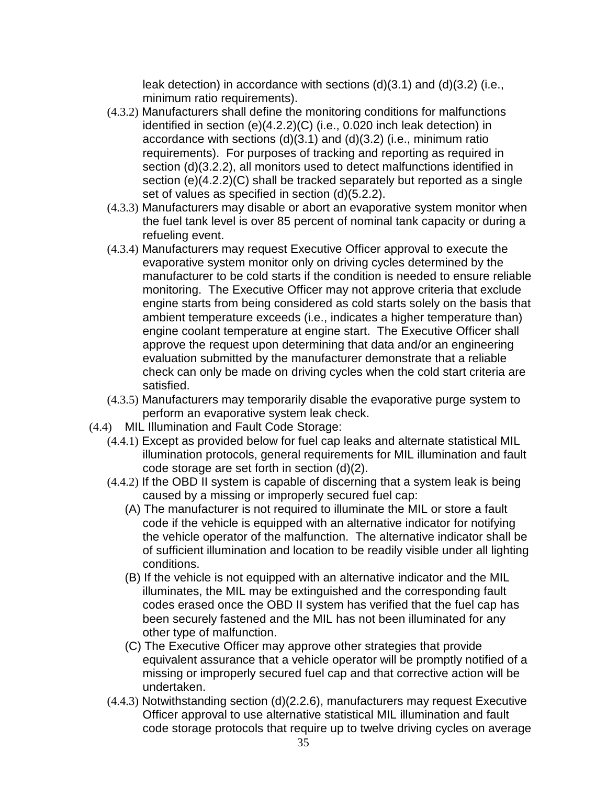leak detection) in accordance with sections (d)(3.1) and (d)(3.2) (i.e., minimum ratio requirements).

- (4.3.2) Manufacturers shall define the monitoring conditions for malfunctions identified in section (e)(4.2.2)(C) (i.e., 0.020 inch leak detection) in accordance with sections (d)(3.1) and (d)(3.2) (i.e., minimum ratio requirements). For purposes of tracking and reporting as required in section (d)(3.2.2), all monitors used to detect malfunctions identified in section (e)(4.2.2)(C) shall be tracked separately but reported as a single set of values as specified in section (d)(5.2.2).
- (4.3.3) Manufacturers may disable or abort an evaporative system monitor when the fuel tank level is over 85 percent of nominal tank capacity or during a refueling event.
- (4.3.4) Manufacturers may request Executive Officer approval to execute the evaporative system monitor only on driving cycles determined by the manufacturer to be cold starts if the condition is needed to ensure reliable monitoring. The Executive Officer may not approve criteria that exclude engine starts from being considered as cold starts solely on the basis that ambient temperature exceeds (i.e., indicates a higher temperature than) engine coolant temperature at engine start. The Executive Officer shall approve the request upon determining that data and/or an engineering evaluation submitted by the manufacturer demonstrate that a reliable check can only be made on driving cycles when the cold start criteria are satisfied.
- (4.3.5) Manufacturers may temporarily disable the evaporative purge system to perform an evaporative system leak check.
- (4.4) MIL Illumination and Fault Code Storage:
	- (4.4.1) Except as provided below for fuel cap leaks and alternate statistical MIL illumination protocols, general requirements for MIL illumination and fault code storage are set forth in section (d)(2).
	- (4.4.2) If the OBD II system is capable of discerning that a system leak is being caused by a missing or improperly secured fuel cap:
		- (A) The manufacturer is not required to illuminate the MIL or store a fault code if the vehicle is equipped with an alternative indicator for notifying the vehicle operator of the malfunction. The alternative indicator shall be of sufficient illumination and location to be readily visible under all lighting conditions.
		- (B) If the vehicle is not equipped with an alternative indicator and the MIL illuminates, the MIL may be extinguished and the corresponding fault codes erased once the OBD II system has verified that the fuel cap has been securely fastened and the MIL has not been illuminated for any other type of malfunction.
		- (C) The Executive Officer may approve other strategies that provide equivalent assurance that a vehicle operator will be promptly notified of a missing or improperly secured fuel cap and that corrective action will be undertaken.
	- (4.4.3) Notwithstanding section (d)(2.2.6), manufacturers may request Executive Officer approval to use alternative statistical MIL illumination and fault code storage protocols that require up to twelve driving cycles on average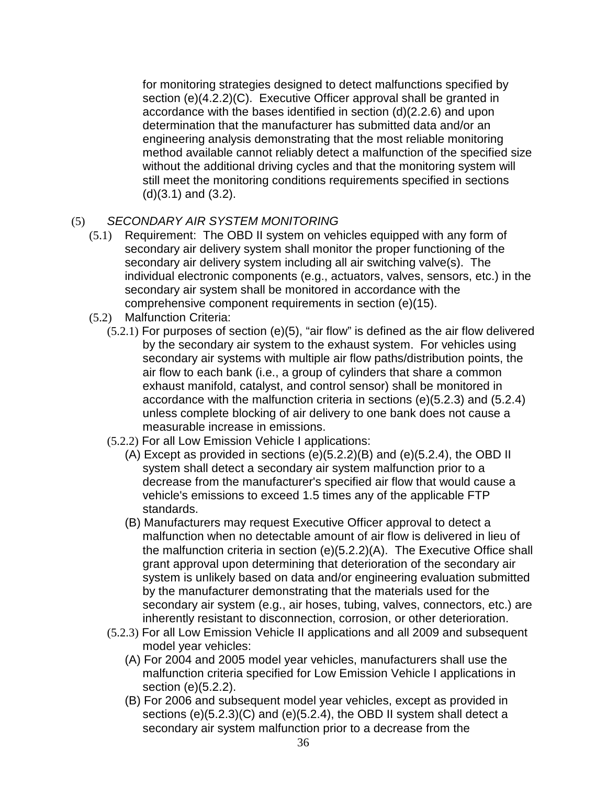for monitoring strategies designed to detect malfunctions specified by section (e)(4.2.2)(C). Executive Officer approval shall be granted in accordance with the bases identified in section (d)(2.2.6) and upon determination that the manufacturer has submitted data and/or an engineering analysis demonstrating that the most reliable monitoring method available cannot reliably detect a malfunction of the specified size without the additional driving cycles and that the monitoring system will still meet the monitoring conditions requirements specified in sections  $(d)(3.1)$  and  $(3.2)$ .

#### (5) SECONDARY AIR SYSTEM MONITORING

- (5.1) Requirement: The OBD II system on vehicles equipped with any form of secondary air delivery system shall monitor the proper functioning of the secondary air delivery system including all air switching valve(s). The individual electronic components (e.g., actuators, valves, sensors, etc.) in the secondary air system shall be monitored in accordance with the comprehensive component requirements in section (e)(15).
- (5.2) Malfunction Criteria:
	- (5.2.1) For purposes of section (e)(5), "air flow" is defined as the air flow delivered by the secondary air system to the exhaust system. For vehicles using secondary air systems with multiple air flow paths/distribution points, the air flow to each bank (i.e., a group of cylinders that share a common exhaust manifold, catalyst, and control sensor) shall be monitored in accordance with the malfunction criteria in sections (e)(5.2.3) and (5.2.4) unless complete blocking of air delivery to one bank does not cause a measurable increase in emissions.
	- (5.2.2) For all Low Emission Vehicle I applications:
		- (A) Except as provided in sections (e)(5.2.2)(B) and (e)(5.2.4), the OBD II system shall detect a secondary air system malfunction prior to a decrease from the manufacturer's specified air flow that would cause a vehicle's emissions to exceed 1.5 times any of the applicable FTP standards.
		- (B) Manufacturers may request Executive Officer approval to detect a malfunction when no detectable amount of air flow is delivered in lieu of the malfunction criteria in section (e)(5.2.2)(A). The Executive Office shall grant approval upon determining that deterioration of the secondary air system is unlikely based on data and/or engineering evaluation submitted by the manufacturer demonstrating that the materials used for the secondary air system (e.g., air hoses, tubing, valves, connectors, etc.) are inherently resistant to disconnection, corrosion, or other deterioration.
	- (5.2.3) For all Low Emission Vehicle II applications and all 2009 and subsequent model year vehicles:
		- (A) For 2004 and 2005 model year vehicles, manufacturers shall use the malfunction criteria specified for Low Emission Vehicle I applications in section (e)(5.2.2).
		- (B) For 2006 and subsequent model year vehicles, except as provided in sections (e)(5.2.3)(C) and (e)(5.2.4), the OBD II system shall detect a secondary air system malfunction prior to a decrease from the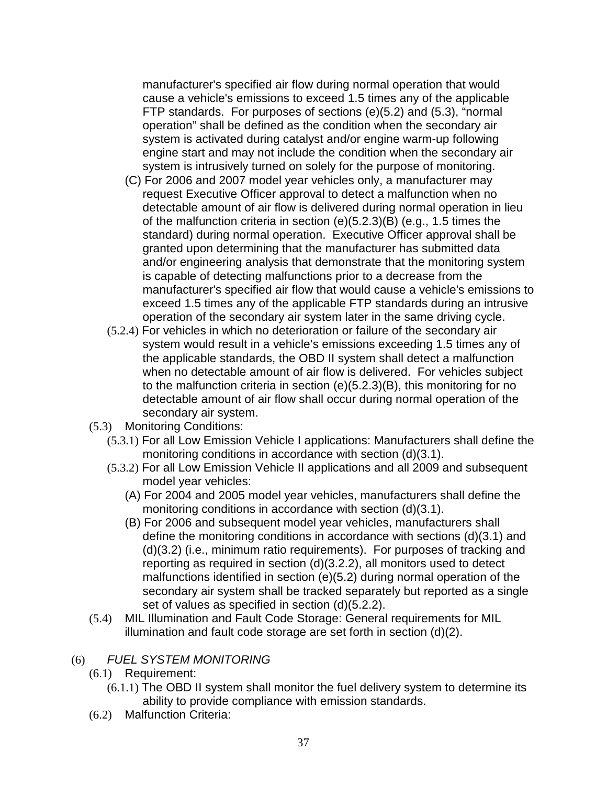manufacturer's specified air flow during normal operation that would cause a vehicle's emissions to exceed 1.5 times any of the applicable FTP standards. For purposes of sections (e)(5.2) and (5.3), "normal operation" shall be defined as the condition when the secondary air system is activated during catalyst and/or engine warm-up following engine start and may not include the condition when the secondary air system is intrusively turned on solely for the purpose of monitoring.

- (C) For 2006 and 2007 model year vehicles only, a manufacturer may request Executive Officer approval to detect a malfunction when no detectable amount of air flow is delivered during normal operation in lieu of the malfunction criteria in section (e)(5.2.3)(B) (e.g., 1.5 times the standard) during normal operation. Executive Officer approval shall be granted upon determining that the manufacturer has submitted data and/or engineering analysis that demonstrate that the monitoring system is capable of detecting malfunctions prior to a decrease from the manufacturer's specified air flow that would cause a vehicle's emissions to exceed 1.5 times any of the applicable FTP standards during an intrusive operation of the secondary air system later in the same driving cycle.
- (5.2.4) For vehicles in which no deterioration or failure of the secondary air system would result in a vehicle's emissions exceeding 1.5 times any of the applicable standards, the OBD II system shall detect a malfunction when no detectable amount of air flow is delivered. For vehicles subject to the malfunction criteria in section (e)(5.2.3)(B), this monitoring for no detectable amount of air flow shall occur during normal operation of the secondary air system.
- (5.3) Monitoring Conditions:
	- (5.3.1) For all Low Emission Vehicle I applications: Manufacturers shall define the monitoring conditions in accordance with section (d)(3.1).
	- (5.3.2) For all Low Emission Vehicle II applications and all 2009 and subsequent model year vehicles:
		- (A) For 2004 and 2005 model year vehicles, manufacturers shall define the monitoring conditions in accordance with section (d)(3.1).
		- (B) For 2006 and subsequent model year vehicles, manufacturers shall define the monitoring conditions in accordance with sections (d)(3.1) and (d)(3.2) (i.e., minimum ratio requirements). For purposes of tracking and reporting as required in section (d)(3.2.2), all monitors used to detect malfunctions identified in section (e)(5.2) during normal operation of the secondary air system shall be tracked separately but reported as a single set of values as specified in section (d)(5.2.2).
- (5.4) MIL Illumination and Fault Code Storage: General requirements for MIL illumination and fault code storage are set forth in section (d)(2).

### (6) FUEL SYSTEM MONITORING

- (6.1) Requirement:
	- (6.1.1) The OBD II system shall monitor the fuel delivery system to determine its ability to provide compliance with emission standards.
- (6.2) Malfunction Criteria: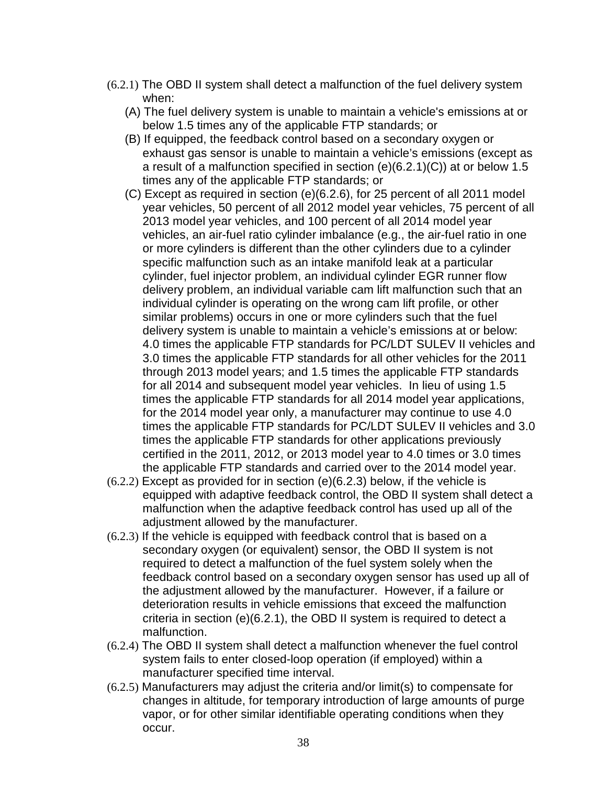- (6.2.1) The OBD II system shall detect a malfunction of the fuel delivery system when:
	- (A) The fuel delivery system is unable to maintain a vehicle's emissions at or below 1.5 times any of the applicable FTP standards; or
	- (B) If equipped, the feedback control based on a secondary oxygen or exhaust gas sensor is unable to maintain a vehicle's emissions (except as a result of a malfunction specified in section (e)(6.2.1)(C)) at or below 1.5 times any of the applicable FTP standards; or
	- (C) Except as required in section (e)(6.2.6), for 25 percent of all 2011 model year vehicles, 50 percent of all 2012 model year vehicles, 75 percent of all 2013 model year vehicles, and 100 percent of all 2014 model year vehicles, an air-fuel ratio cylinder imbalance (e.g., the air-fuel ratio in one or more cylinders is different than the other cylinders due to a cylinder specific malfunction such as an intake manifold leak at a particular cylinder, fuel injector problem, an individual cylinder EGR runner flow delivery problem, an individual variable cam lift malfunction such that an individual cylinder is operating on the wrong cam lift profile, or other similar problems) occurs in one or more cylinders such that the fuel delivery system is unable to maintain a vehicle's emissions at or below: 4.0 times the applicable FTP standards for PC/LDT SULEV II vehicles and 3.0 times the applicable FTP standards for all other vehicles for the 2011 through 2013 model years; and 1.5 times the applicable FTP standards for all 2014 and subsequent model year vehicles. In lieu of using 1.5 times the applicable FTP standards for all 2014 model year applications, for the 2014 model year only, a manufacturer may continue to use 4.0 times the applicable FTP standards for PC/LDT SULEV II vehicles and 3.0 times the applicable FTP standards for other applications previously certified in the 2011, 2012, or 2013 model year to 4.0 times or 3.0 times the applicable FTP standards and carried over to the 2014 model year.
- (6.2.2) Except as provided for in section (e)(6.2.3) below, if the vehicle is equipped with adaptive feedback control, the OBD II system shall detect a malfunction when the adaptive feedback control has used up all of the adjustment allowed by the manufacturer.
- (6.2.3) If the vehicle is equipped with feedback control that is based on a secondary oxygen (or equivalent) sensor, the OBD II system is not required to detect a malfunction of the fuel system solely when the feedback control based on a secondary oxygen sensor has used up all of the adjustment allowed by the manufacturer. However, if a failure or deterioration results in vehicle emissions that exceed the malfunction criteria in section (e)(6.2.1), the OBD II system is required to detect a malfunction.
- (6.2.4) The OBD II system shall detect a malfunction whenever the fuel control system fails to enter closed-loop operation (if employed) within a manufacturer specified time interval.
- (6.2.5) Manufacturers may adjust the criteria and/or limit(s) to compensate for changes in altitude, for temporary introduction of large amounts of purge vapor, or for other similar identifiable operating conditions when they occur.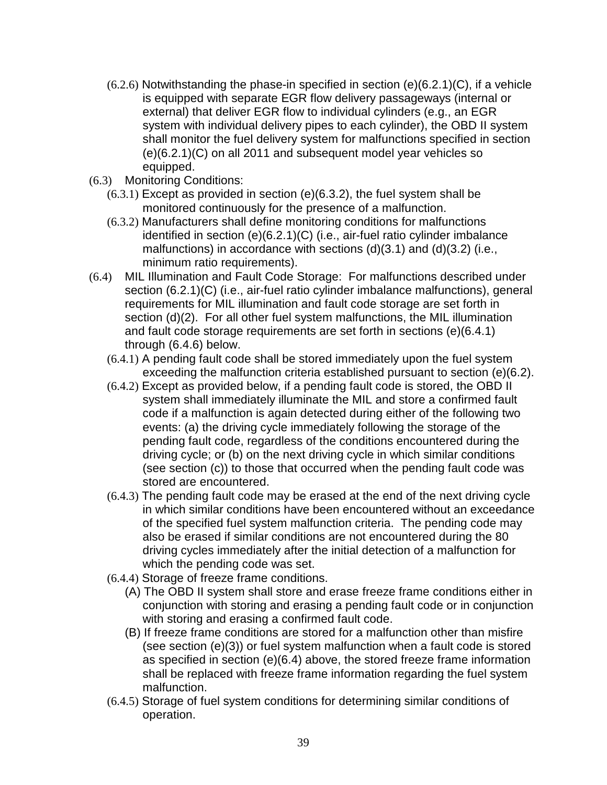- $(6.2.6)$  Notwithstanding the phase-in specified in section  $(e)(6.2.1)(C)$ , if a vehicle is equipped with separate EGR flow delivery passageways (internal or external) that deliver EGR flow to individual cylinders (e.g., an EGR system with individual delivery pipes to each cylinder), the OBD II system shall monitor the fuel delivery system for malfunctions specified in section (e)(6.2.1)(C) on all 2011 and subsequent model year vehicles so equipped.
- (6.3) Monitoring Conditions:
	- $(6.3.1)$  Except as provided in section  $(e)(6.3.2)$ , the fuel system shall be monitored continuously for the presence of a malfunction.
	- (6.3.2) Manufacturers shall define monitoring conditions for malfunctions identified in section (e)(6.2.1)(C) (i.e., air-fuel ratio cylinder imbalance malfunctions) in accordance with sections (d)(3.1) and (d)(3.2) (i.e., minimum ratio requirements).
- (6.4) MIL Illumination and Fault Code Storage: For malfunctions described under section (6.2.1)(C) (i.e., air-fuel ratio cylinder imbalance malfunctions), general requirements for MIL illumination and fault code storage are set forth in section (d)(2). For all other fuel system malfunctions, the MIL illumination and fault code storage requirements are set forth in sections (e)(6.4.1) through (6.4.6) below.
	- (6.4.1) A pending fault code shall be stored immediately upon the fuel system exceeding the malfunction criteria established pursuant to section (e)(6.2).
	- (6.4.2) Except as provided below, if a pending fault code is stored, the OBD II system shall immediately illuminate the MIL and store a confirmed fault code if a malfunction is again detected during either of the following two events: (a) the driving cycle immediately following the storage of the pending fault code, regardless of the conditions encountered during the driving cycle; or (b) on the next driving cycle in which similar conditions (see section (c)) to those that occurred when the pending fault code was stored are encountered.
	- (6.4.3) The pending fault code may be erased at the end of the next driving cycle in which similar conditions have been encountered without an exceedance of the specified fuel system malfunction criteria. The pending code may also be erased if similar conditions are not encountered during the 80 driving cycles immediately after the initial detection of a malfunction for which the pending code was set.
	- (6.4.4) Storage of freeze frame conditions.
		- (A) The OBD II system shall store and erase freeze frame conditions either in conjunction with storing and erasing a pending fault code or in conjunction with storing and erasing a confirmed fault code.
		- (B) If freeze frame conditions are stored for a malfunction other than misfire (see section (e)(3)) or fuel system malfunction when a fault code is stored as specified in section (e)(6.4) above, the stored freeze frame information shall be replaced with freeze frame information regarding the fuel system malfunction.
	- (6.4.5) Storage of fuel system conditions for determining similar conditions of operation.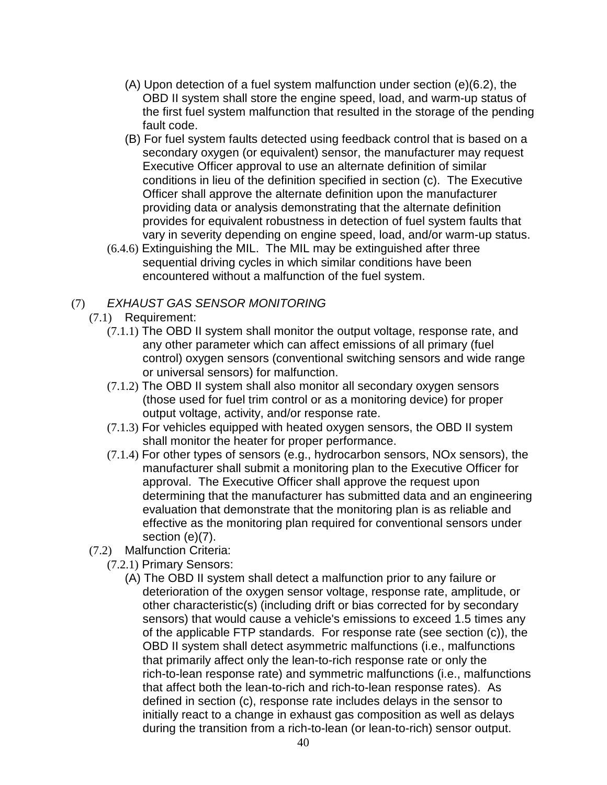- (A) Upon detection of a fuel system malfunction under section (e)(6.2), the OBD II system shall store the engine speed, load, and warm-up status of the first fuel system malfunction that resulted in the storage of the pending fault code.
- (B) For fuel system faults detected using feedback control that is based on a secondary oxygen (or equivalent) sensor, the manufacturer may request Executive Officer approval to use an alternate definition of similar conditions in lieu of the definition specified in section (c). The Executive Officer shall approve the alternate definition upon the manufacturer providing data or analysis demonstrating that the alternate definition provides for equivalent robustness in detection of fuel system faults that vary in severity depending on engine speed, load, and/or warm-up status.
- (6.4.6) Extinguishing the MIL. The MIL may be extinguished after three sequential driving cycles in which similar conditions have been encountered without a malfunction of the fuel system.

### (7) EXHAUST GAS SENSOR MONITORING

- (7.1) Requirement:
	- (7.1.1) The OBD II system shall monitor the output voltage, response rate, and any other parameter which can affect emissions of all primary (fuel control) oxygen sensors (conventional switching sensors and wide range or universal sensors) for malfunction.
	- (7.1.2) The OBD II system shall also monitor all secondary oxygen sensors (those used for fuel trim control or as a monitoring device) for proper output voltage, activity, and/or response rate.
	- (7.1.3) For vehicles equipped with heated oxygen sensors, the OBD II system shall monitor the heater for proper performance.
	- (7.1.4) For other types of sensors (e.g., hydrocarbon sensors, NOx sensors), the manufacturer shall submit a monitoring plan to the Executive Officer for approval. The Executive Officer shall approve the request upon determining that the manufacturer has submitted data and an engineering evaluation that demonstrate that the monitoring plan is as reliable and effective as the monitoring plan required for conventional sensors under section (e)(7).
- (7.2) Malfunction Criteria:
	- (7.2.1) Primary Sensors:
		- (A) The OBD II system shall detect a malfunction prior to any failure or deterioration of the oxygen sensor voltage, response rate, amplitude, or other characteristic(s) (including drift or bias corrected for by secondary sensors) that would cause a vehicle's emissions to exceed 1.5 times any of the applicable FTP standards. For response rate (see section (c)), the OBD II system shall detect asymmetric malfunctions (i.e., malfunctions that primarily affect only the lean-to-rich response rate or only the rich-to-lean response rate) and symmetric malfunctions (i.e., malfunctions that affect both the lean-to-rich and rich-to-lean response rates). As defined in section (c), response rate includes delays in the sensor to initially react to a change in exhaust gas composition as well as delays during the transition from a rich-to-lean (or lean-to-rich) sensor output.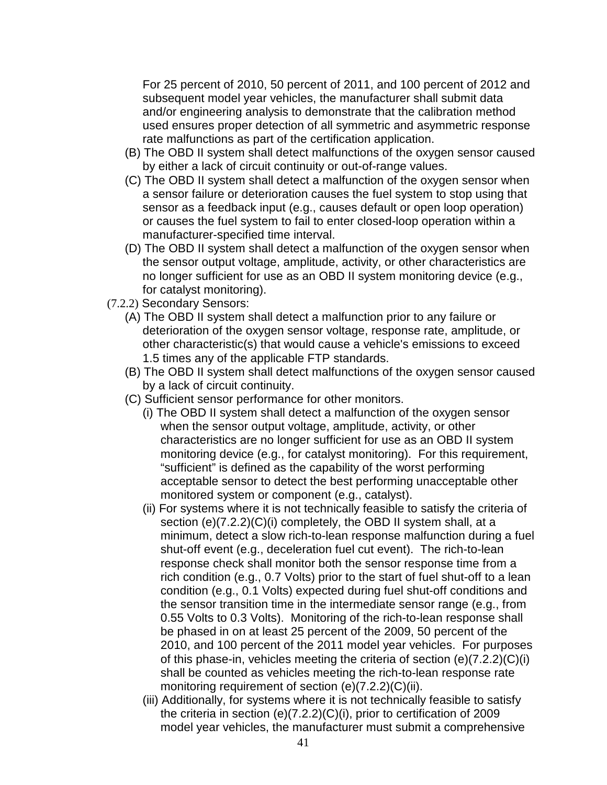For 25 percent of 2010, 50 percent of 2011, and 100 percent of 2012 and subsequent model year vehicles, the manufacturer shall submit data and/or engineering analysis to demonstrate that the calibration method used ensures proper detection of all symmetric and asymmetric response rate malfunctions as part of the certification application.

- (B) The OBD II system shall detect malfunctions of the oxygen sensor caused by either a lack of circuit continuity or out-of-range values.
- (C) The OBD II system shall detect a malfunction of the oxygen sensor when a sensor failure or deterioration causes the fuel system to stop using that sensor as a feedback input (e.g., causes default or open loop operation) or causes the fuel system to fail to enter closed-loop operation within a manufacturer-specified time interval.
- (D) The OBD II system shall detect a malfunction of the oxygen sensor when the sensor output voltage, amplitude, activity, or other characteristics are no longer sufficient for use as an OBD II system monitoring device (e.g., for catalyst monitoring).
- (7.2.2) Secondary Sensors:
	- (A) The OBD II system shall detect a malfunction prior to any failure or deterioration of the oxygen sensor voltage, response rate, amplitude, or other characteristic(s) that would cause a vehicle's emissions to exceed 1.5 times any of the applicable FTP standards.
	- (B) The OBD II system shall detect malfunctions of the oxygen sensor caused by a lack of circuit continuity.
	- (C) Sufficient sensor performance for other monitors.
		- (i) The OBD II system shall detect a malfunction of the oxygen sensor when the sensor output voltage, amplitude, activity, or other characteristics are no longer sufficient for use as an OBD II system monitoring device (e.g., for catalyst monitoring). For this requirement, "sufficient" is defined as the capability of the worst performing acceptable sensor to detect the best performing unacceptable other monitored system or component (e.g., catalyst).
		- (ii) For systems where it is not technically feasible to satisfy the criteria of section (e)(7.2.2)(C)(i) completely, the OBD II system shall, at a minimum, detect a slow rich-to-lean response malfunction during a fuel shut-off event (e.g., deceleration fuel cut event). The rich-to-lean response check shall monitor both the sensor response time from a rich condition (e.g., 0.7 Volts) prior to the start of fuel shut-off to a lean condition (e.g., 0.1 Volts) expected during fuel shut-off conditions and the sensor transition time in the intermediate sensor range (e.g., from 0.55 Volts to 0.3 Volts). Monitoring of the rich-to-lean response shall be phased in on at least 25 percent of the 2009, 50 percent of the 2010, and 100 percent of the 2011 model year vehicles. For purposes of this phase-in, vehicles meeting the criteria of section (e)(7.2.2)(C)(i) shall be counted as vehicles meeting the rich-to-lean response rate monitoring requirement of section (e)(7.2.2)(C)(ii).
		- (iii) Additionally, for systems where it is not technically feasible to satisfy the criteria in section (e)(7.2.2)(C)(i), prior to certification of 2009 model year vehicles, the manufacturer must submit a comprehensive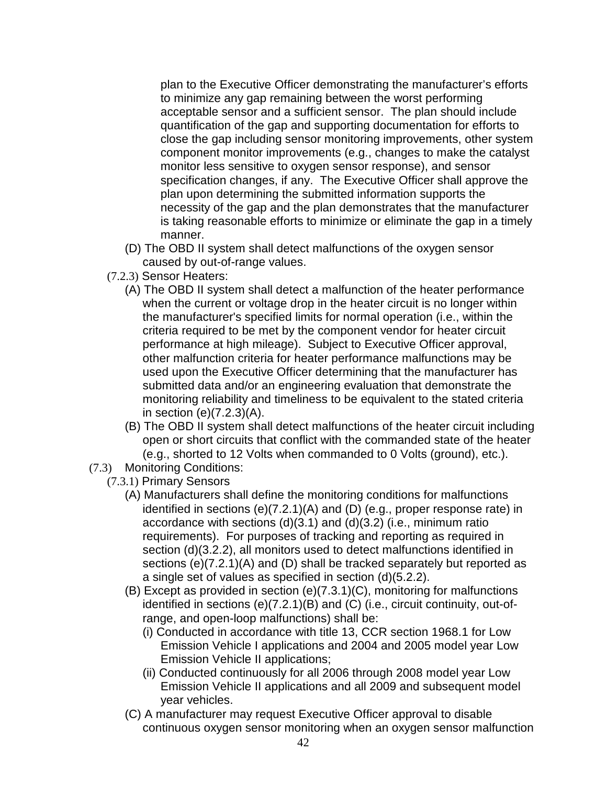plan to the Executive Officer demonstrating the manufacturer's efforts to minimize any gap remaining between the worst performing acceptable sensor and a sufficient sensor. The plan should include quantification of the gap and supporting documentation for efforts to close the gap including sensor monitoring improvements, other system component monitor improvements (e.g., changes to make the catalyst monitor less sensitive to oxygen sensor response), and sensor specification changes, if any. The Executive Officer shall approve the plan upon determining the submitted information supports the necessity of the gap and the plan demonstrates that the manufacturer is taking reasonable efforts to minimize or eliminate the gap in a timely manner.

- (D) The OBD II system shall detect malfunctions of the oxygen sensor caused by out-of-range values.
- (7.2.3) Sensor Heaters:
	- (A) The OBD II system shall detect a malfunction of the heater performance when the current or voltage drop in the heater circuit is no longer within the manufacturer's specified limits for normal operation (i.e., within the criteria required to be met by the component vendor for heater circuit performance at high mileage). Subject to Executive Officer approval, other malfunction criteria for heater performance malfunctions may be used upon the Executive Officer determining that the manufacturer has submitted data and/or an engineering evaluation that demonstrate the monitoring reliability and timeliness to be equivalent to the stated criteria in section (e)(7.2.3)(A).
	- (B) The OBD II system shall detect malfunctions of the heater circuit including open or short circuits that conflict with the commanded state of the heater (e.g., shorted to 12 Volts when commanded to 0 Volts (ground), etc.).
- (7.3) Monitoring Conditions:
	- (7.3.1) Primary Sensors
		- (A) Manufacturers shall define the monitoring conditions for malfunctions identified in sections (e)(7.2.1)(A) and (D) (e.g., proper response rate) in accordance with sections (d)(3.1) and (d)(3.2) (i.e., minimum ratio requirements). For purposes of tracking and reporting as required in section (d)(3.2.2), all monitors used to detect malfunctions identified in sections (e)(7.2.1)(A) and (D) shall be tracked separately but reported as a single set of values as specified in section (d)(5.2.2).
		- (B) Except as provided in section (e)(7.3.1)(C), monitoring for malfunctions identified in sections (e)(7.2.1)(B) and (C) (i.e., circuit continuity, out-ofrange, and open-loop malfunctions) shall be:
			- (i) Conducted in accordance with title 13, CCR section 1968.1 for Low Emission Vehicle I applications and 2004 and 2005 model year Low Emission Vehicle II applications;
			- (ii) Conducted continuously for all 2006 through 2008 model year Low Emission Vehicle II applications and all 2009 and subsequent model year vehicles.
		- (C) A manufacturer may request Executive Officer approval to disable continuous oxygen sensor monitoring when an oxygen sensor malfunction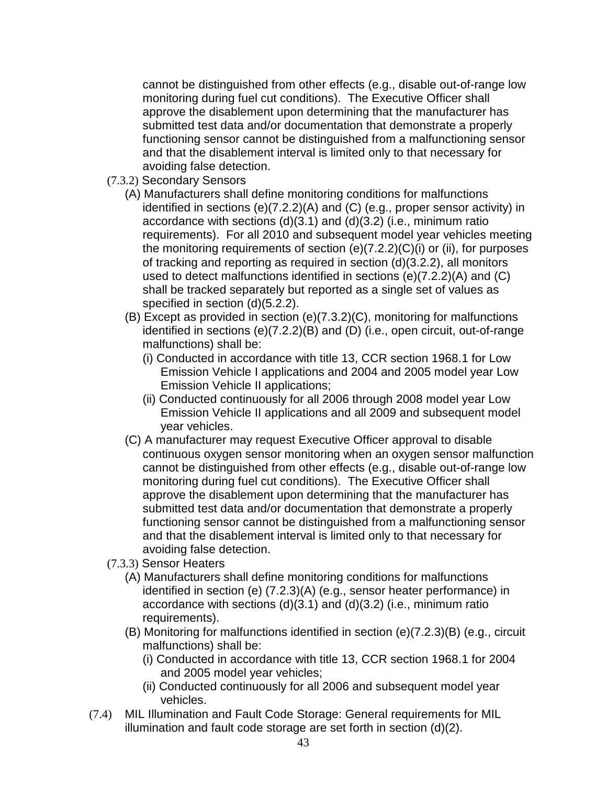cannot be distinguished from other effects (e.g., disable out-of-range low monitoring during fuel cut conditions). The Executive Officer shall approve the disablement upon determining that the manufacturer has submitted test data and/or documentation that demonstrate a properly functioning sensor cannot be distinguished from a malfunctioning sensor and that the disablement interval is limited only to that necessary for avoiding false detection.

- (7.3.2) Secondary Sensors
	- (A) Manufacturers shall define monitoring conditions for malfunctions identified in sections (e)(7.2.2)(A) and (C) (e.g., proper sensor activity) in accordance with sections (d)(3.1) and (d)(3.2) (i.e., minimum ratio requirements). For all 2010 and subsequent model year vehicles meeting the monitoring requirements of section (e)(7.2.2)(C)(i) or (ii), for purposes of tracking and reporting as required in section (d)(3.2.2), all monitors used to detect malfunctions identified in sections (e)(7.2.2)(A) and (C) shall be tracked separately but reported as a single set of values as specified in section (d)(5.2.2).
	- (B) Except as provided in section (e)(7.3.2)(C), monitoring for malfunctions identified in sections (e)(7.2.2)(B) and (D) (i.e., open circuit, out-of-range malfunctions) shall be:
		- (i) Conducted in accordance with title 13, CCR section 1968.1 for Low Emission Vehicle I applications and 2004 and 2005 model year Low Emission Vehicle II applications;
		- (ii) Conducted continuously for all 2006 through 2008 model year Low Emission Vehicle II applications and all 2009 and subsequent model year vehicles.
	- (C) A manufacturer may request Executive Officer approval to disable continuous oxygen sensor monitoring when an oxygen sensor malfunction cannot be distinguished from other effects (e.g., disable out-of-range low monitoring during fuel cut conditions). The Executive Officer shall approve the disablement upon determining that the manufacturer has submitted test data and/or documentation that demonstrate a properly functioning sensor cannot be distinguished from a malfunctioning sensor and that the disablement interval is limited only to that necessary for avoiding false detection.
- (7.3.3) Sensor Heaters
	- (A) Manufacturers shall define monitoring conditions for malfunctions identified in section (e) (7.2.3)(A) (e.g., sensor heater performance) in accordance with sections (d)(3.1) and (d)(3.2) (i.e., minimum ratio requirements).
	- (B) Monitoring for malfunctions identified in section (e)(7.2.3)(B) (e.g., circuit malfunctions) shall be:
		- (i) Conducted in accordance with title 13, CCR section 1968.1 for 2004 and 2005 model year vehicles;
		- (ii) Conducted continuously for all 2006 and subsequent model year vehicles.
- (7.4) MIL Illumination and Fault Code Storage: General requirements for MIL illumination and fault code storage are set forth in section (d)(2).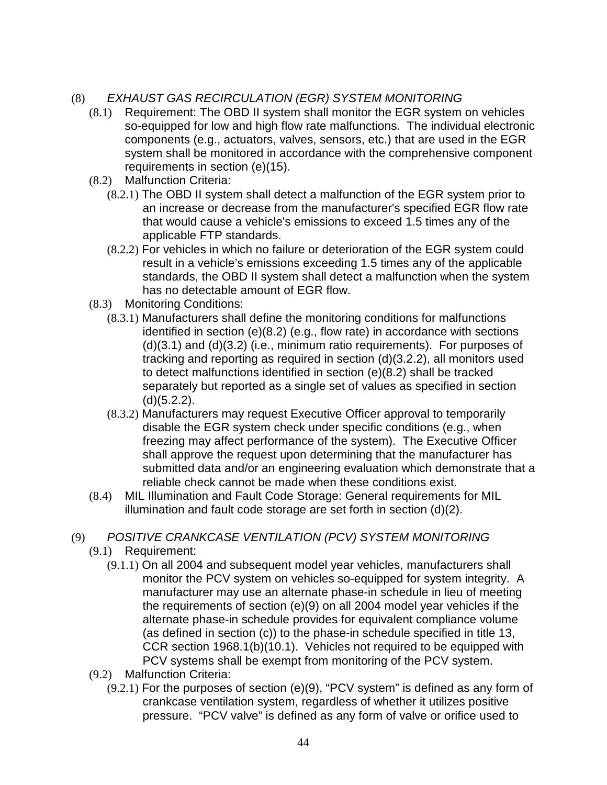# (8) EXHAUST GAS RECIRCULATION (EGR) SYSTEM MONITORING

- (8.1) Requirement: The OBD II system shall monitor the EGR system on vehicles so-equipped for low and high flow rate malfunctions. The individual electronic components (e.g., actuators, valves, sensors, etc.) that are used in the EGR system shall be monitored in accordance with the comprehensive component requirements in section (e)(15).
- (8.2) Malfunction Criteria:
	- (8.2.1) The OBD II system shall detect a malfunction of the EGR system prior to an increase or decrease from the manufacturer's specified EGR flow rate that would cause a vehicle's emissions to exceed 1.5 times any of the applicable FTP standards.
	- (8.2.2) For vehicles in which no failure or deterioration of the EGR system could result in a vehicle's emissions exceeding 1.5 times any of the applicable standards, the OBD II system shall detect a malfunction when the system has no detectable amount of EGR flow.
- (8.3) Monitoring Conditions:
	- (8.3.1) Manufacturers shall define the monitoring conditions for malfunctions identified in section (e)(8.2) (e.g., flow rate) in accordance with sections (d)(3.1) and (d)(3.2) (i.e., minimum ratio requirements). For purposes of tracking and reporting as required in section (d)(3.2.2), all monitors used to detect malfunctions identified in section (e)(8.2) shall be tracked separately but reported as a single set of values as specified in section (d)(5.2.2).
	- (8.3.2) Manufacturers may request Executive Officer approval to temporarily disable the EGR system check under specific conditions (e.g., when freezing may affect performance of the system). The Executive Officer shall approve the request upon determining that the manufacturer has submitted data and/or an engineering evaluation which demonstrate that a reliable check cannot be made when these conditions exist.
- (8.4) MIL Illumination and Fault Code Storage: General requirements for MIL illumination and fault code storage are set forth in section (d)(2).

## (9) POSITIVE CRANKCASE VENTILATION (PCV) SYSTEM MONITORING

- (9.1) Requirement:
	- (9.1.1) On all 2004 and subsequent model year vehicles, manufacturers shall monitor the PCV system on vehicles so-equipped for system integrity. A manufacturer may use an alternate phase-in schedule in lieu of meeting the requirements of section (e)(9) on all 2004 model year vehicles if the alternate phase-in schedule provides for equivalent compliance volume (as defined in section (c)) to the phase-in schedule specified in title 13, CCR section 1968.1(b)(10.1). Vehicles not required to be equipped with PCV systems shall be exempt from monitoring of the PCV system.
- (9.2) Malfunction Criteria:
	- (9.2.1) For the purposes of section (e)(9), "PCV system" is defined as any form of crankcase ventilation system, regardless of whether it utilizes positive pressure. "PCV valve" is defined as any form of valve or orifice used to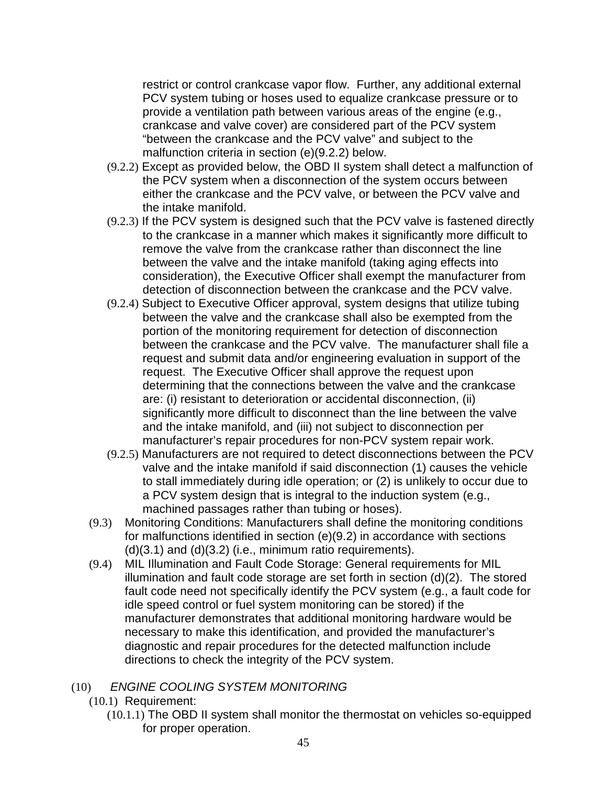restrict or control crankcase vapor flow. Further, any additional external PCV system tubing or hoses used to equalize crankcase pressure or to provide a ventilation path between various areas of the engine (e.g., crankcase and valve cover) are considered part of the PCV system "between the crankcase and the PCV valve" and subject to the malfunction criteria in section (e)(9.2.2) below.

- (9.2.2) Except as provided below, the OBD II system shall detect a malfunction of the PCV system when a disconnection of the system occurs between either the crankcase and the PCV valve, or between the PCV valve and the intake manifold.
- (9.2.3) If the PCV system is designed such that the PCV valve is fastened directly to the crankcase in a manner which makes it significantly more difficult to remove the valve from the crankcase rather than disconnect the line between the valve and the intake manifold (taking aging effects into consideration), the Executive Officer shall exempt the manufacturer from detection of disconnection between the crankcase and the PCV valve.
- (9.2.4) Subject to Executive Officer approval, system designs that utilize tubing between the valve and the crankcase shall also be exempted from the portion of the monitoring requirement for detection of disconnection between the crankcase and the PCV valve. The manufacturer shall file a request and submit data and/or engineering evaluation in support of the request. The Executive Officer shall approve the request upon determining that the connections between the valve and the crankcase are: (i) resistant to deterioration or accidental disconnection, (ii) significantly more difficult to disconnect than the line between the valve and the intake manifold, and (iii) not subject to disconnection per manufacturer's repair procedures for non-PCV system repair work.
- (9.2.5) Manufacturers are not required to detect disconnections between the PCV valve and the intake manifold if said disconnection (1) causes the vehicle to stall immediately during idle operation; or (2) is unlikely to occur due to a PCV system design that is integral to the induction system (e.g., machined passages rather than tubing or hoses).
- (9.3) Monitoring Conditions: Manufacturers shall define the monitoring conditions for malfunctions identified in section (e)(9.2) in accordance with sections  $(d)(3.1)$  and  $(d)(3.2)$  (i.e., minimum ratio requirements).
- (9.4) MIL Illumination and Fault Code Storage: General requirements for MIL illumination and fault code storage are set forth in section (d)(2). The stored fault code need not specifically identify the PCV system (e.g., a fault code for idle speed control or fuel system monitoring can be stored) if the manufacturer demonstrates that additional monitoring hardware would be necessary to make this identification, and provided the manufacturer's diagnostic and repair procedures for the detected malfunction include directions to check the integrity of the PCV system.

## (10) ENGINE COOLING SYSTEM MONITORING

- (10.1) Requirement:
	- (10.1.1) The OBD II system shall monitor the thermostat on vehicles so-equipped for proper operation.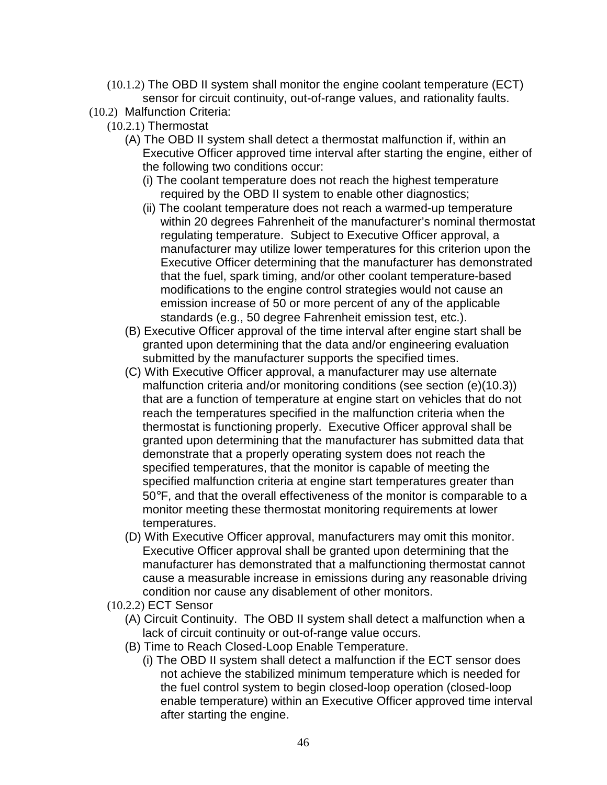- (10.1.2) The OBD II system shall monitor the engine coolant temperature (ECT) sensor for circuit continuity, out-of-range values, and rationality faults.
- (10.2) Malfunction Criteria:
	- (10.2.1) Thermostat
		- (A) The OBD II system shall detect a thermostat malfunction if, within an Executive Officer approved time interval after starting the engine, either of the following two conditions occur:
			- (i) The coolant temperature does not reach the highest temperature required by the OBD II system to enable other diagnostics;
			- (ii) The coolant temperature does not reach a warmed-up temperature within 20 degrees Fahrenheit of the manufacturer's nominal thermostat regulating temperature. Subject to Executive Officer approval, a manufacturer may utilize lower temperatures for this criterion upon the Executive Officer determining that the manufacturer has demonstrated that the fuel, spark timing, and/or other coolant temperature-based modifications to the engine control strategies would not cause an emission increase of 50 or more percent of any of the applicable standards (e.g., 50 degree Fahrenheit emission test, etc.).
		- (B) Executive Officer approval of the time interval after engine start shall be granted upon determining that the data and/or engineering evaluation submitted by the manufacturer supports the specified times.
		- (C) With Executive Officer approval, a manufacturer may use alternate malfunction criteria and/or monitoring conditions (see section (e)(10.3)) that are a function of temperature at engine start on vehicles that do not reach the temperatures specified in the malfunction criteria when the thermostat is functioning properly. Executive Officer approval shall be granted upon determining that the manufacturer has submitted data that demonstrate that a properly operating system does not reach the specified temperatures, that the monitor is capable of meeting the specified malfunction criteria at engine start temperatures greater than 50°F, and that the overall effectiveness of the monitor is comparable to a monitor meeting these thermostat monitoring requirements at lower temperatures.
		- (D) With Executive Officer approval, manufacturers may omit this monitor. Executive Officer approval shall be granted upon determining that the manufacturer has demonstrated that a malfunctioning thermostat cannot cause a measurable increase in emissions during any reasonable driving condition nor cause any disablement of other monitors.
	- (10.2.2) ECT Sensor
		- (A) Circuit Continuity. The OBD II system shall detect a malfunction when a lack of circuit continuity or out-of-range value occurs.
		- (B) Time to Reach Closed-Loop Enable Temperature.
			- (i) The OBD II system shall detect a malfunction if the ECT sensor does not achieve the stabilized minimum temperature which is needed for the fuel control system to begin closed-loop operation (closed-loop enable temperature) within an Executive Officer approved time interval after starting the engine.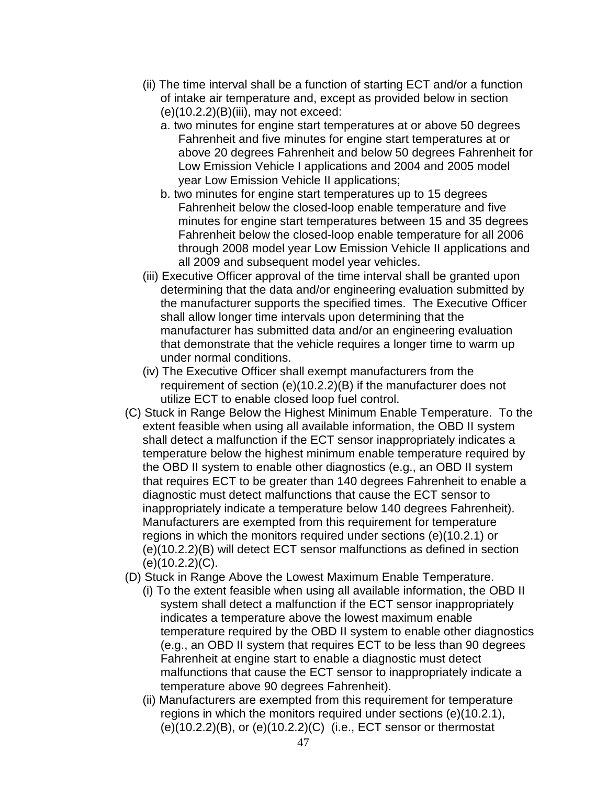- (ii) The time interval shall be a function of starting ECT and/or a function of intake air temperature and, except as provided below in section  $(e)(10.2.2)(B)(iii)$ , may not exceed:
	- a. two minutes for engine start temperatures at or above 50 degrees Fahrenheit and five minutes for engine start temperatures at or above 20 degrees Fahrenheit and below 50 degrees Fahrenheit for Low Emission Vehicle I applications and 2004 and 2005 model year Low Emission Vehicle II applications;
	- b. two minutes for engine start temperatures up to 15 degrees Fahrenheit below the closed-loop enable temperature and five minutes for engine start temperatures between 15 and 35 degrees Fahrenheit below the closed-loop enable temperature for all 2006 through 2008 model year Low Emission Vehicle II applications and all 2009 and subsequent model year vehicles.
- (iii) Executive Officer approval of the time interval shall be granted upon determining that the data and/or engineering evaluation submitted by the manufacturer supports the specified times. The Executive Officer shall allow longer time intervals upon determining that the manufacturer has submitted data and/or an engineering evaluation that demonstrate that the vehicle requires a longer time to warm up under normal conditions.
- (iv) The Executive Officer shall exempt manufacturers from the requirement of section (e)(10.2.2)(B) if the manufacturer does not utilize ECT to enable closed loop fuel control.
- (C) Stuck in Range Below the Highest Minimum Enable Temperature. To the extent feasible when using all available information, the OBD II system shall detect a malfunction if the ECT sensor inappropriately indicates a temperature below the highest minimum enable temperature required by the OBD II system to enable other diagnostics (e.g., an OBD II system that requires ECT to be greater than 140 degrees Fahrenheit to enable a diagnostic must detect malfunctions that cause the ECT sensor to inappropriately indicate a temperature below 140 degrees Fahrenheit). Manufacturers are exempted from this requirement for temperature regions in which the monitors required under sections (e)(10.2.1) or (e)(10.2.2)(B) will detect ECT sensor malfunctions as defined in section (e)(10.2.2)(C).
- (D) Stuck in Range Above the Lowest Maximum Enable Temperature.
	- (i) To the extent feasible when using all available information, the OBD II system shall detect a malfunction if the ECT sensor inappropriately indicates a temperature above the lowest maximum enable temperature required by the OBD II system to enable other diagnostics (e.g., an OBD II system that requires ECT to be less than 90 degrees Fahrenheit at engine start to enable a diagnostic must detect malfunctions that cause the ECT sensor to inappropriately indicate a temperature above 90 degrees Fahrenheit).
	- (ii) Manufacturers are exempted from this requirement for temperature regions in which the monitors required under sections (e)(10.2.1), (e)(10.2.2)(B), or (e)(10.2.2)(C) (i.e., ECT sensor or thermostat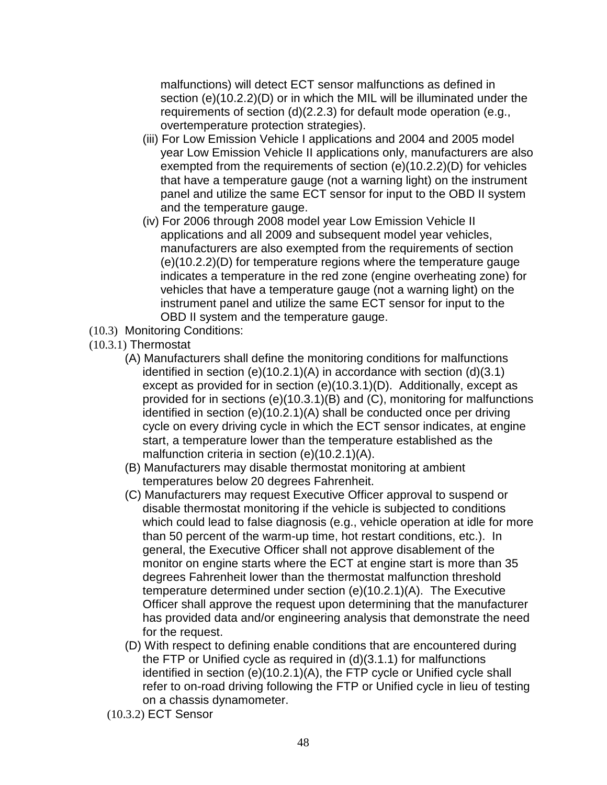malfunctions) will detect ECT sensor malfunctions as defined in section (e)(10.2.2)(D) or in which the MIL will be illuminated under the requirements of section (d)(2.2.3) for default mode operation (e.g., overtemperature protection strategies).

- (iii) For Low Emission Vehicle I applications and 2004 and 2005 model year Low Emission Vehicle II applications only, manufacturers are also exempted from the requirements of section (e)(10.2.2)(D) for vehicles that have a temperature gauge (not a warning light) on the instrument panel and utilize the same ECT sensor for input to the OBD II system and the temperature gauge.
- (iv) For 2006 through 2008 model year Low Emission Vehicle II applications and all 2009 and subsequent model year vehicles, manufacturers are also exempted from the requirements of section (e)(10.2.2)(D) for temperature regions where the temperature gauge indicates a temperature in the red zone (engine overheating zone) for vehicles that have a temperature gauge (not a warning light) on the instrument panel and utilize the same ECT sensor for input to the OBD II system and the temperature gauge.
- (10.3) Monitoring Conditions:
- (10.3.1) Thermostat
	- (A) Manufacturers shall define the monitoring conditions for malfunctions identified in section (e)(10.2.1)(A) in accordance with section (d)(3.1) except as provided for in section (e)(10.3.1)(D). Additionally, except as provided for in sections (e)(10.3.1)(B) and (C), monitoring for malfunctions identified in section (e)(10.2.1)(A) shall be conducted once per driving cycle on every driving cycle in which the ECT sensor indicates, at engine start, a temperature lower than the temperature established as the malfunction criteria in section (e)(10.2.1)(A).
	- (B) Manufacturers may disable thermostat monitoring at ambient temperatures below 20 degrees Fahrenheit.
	- (C) Manufacturers may request Executive Officer approval to suspend or disable thermostat monitoring if the vehicle is subjected to conditions which could lead to false diagnosis (e.g., vehicle operation at idle for more than 50 percent of the warm-up time, hot restart conditions, etc.). In general, the Executive Officer shall not approve disablement of the monitor on engine starts where the ECT at engine start is more than 35 degrees Fahrenheit lower than the thermostat malfunction threshold temperature determined under section (e)(10.2.1)(A). The Executive Officer shall approve the request upon determining that the manufacturer has provided data and/or engineering analysis that demonstrate the need for the request.
	- (D) With respect to defining enable conditions that are encountered during the FTP or Unified cycle as required in (d)(3.1.1) for malfunctions identified in section (e)(10.2.1)(A), the FTP cycle or Unified cycle shall refer to on-road driving following the FTP or Unified cycle in lieu of testing on a chassis dynamometer.
	- (10.3.2) ECT Sensor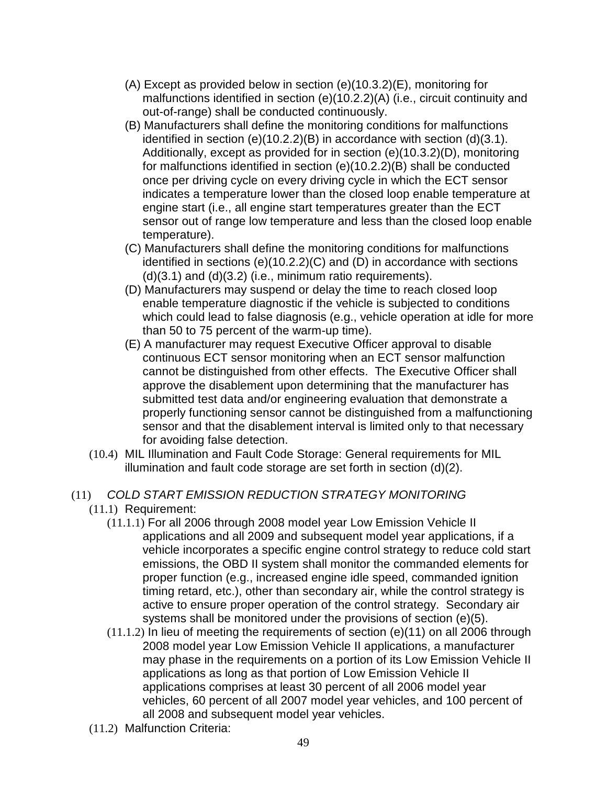- (A) Except as provided below in section (e)(10.3.2)(E), monitoring for malfunctions identified in section (e)(10.2.2)(A) (i.e., circuit continuity and out-of-range) shall be conducted continuously.
- (B) Manufacturers shall define the monitoring conditions for malfunctions identified in section (e)(10.2.2)(B) in accordance with section (d)(3.1). Additionally, except as provided for in section (e)(10.3.2)(D), monitoring for malfunctions identified in section (e)(10.2.2)(B) shall be conducted once per driving cycle on every driving cycle in which the ECT sensor indicates a temperature lower than the closed loop enable temperature at engine start (i.e., all engine start temperatures greater than the ECT sensor out of range low temperature and less than the closed loop enable temperature).
- (C) Manufacturers shall define the monitoring conditions for malfunctions identified in sections (e)(10.2.2)(C) and (D) in accordance with sections  $(d)(3.1)$  and  $(d)(3.2)$  (i.e., minimum ratio requirements).
- (D) Manufacturers may suspend or delay the time to reach closed loop enable temperature diagnostic if the vehicle is subjected to conditions which could lead to false diagnosis (e.g., vehicle operation at idle for more than 50 to 75 percent of the warm-up time).
- (E) A manufacturer may request Executive Officer approval to disable continuous ECT sensor monitoring when an ECT sensor malfunction cannot be distinguished from other effects. The Executive Officer shall approve the disablement upon determining that the manufacturer has submitted test data and/or engineering evaluation that demonstrate a properly functioning sensor cannot be distinguished from a malfunctioning sensor and that the disablement interval is limited only to that necessary for avoiding false detection.
- (10.4) MIL Illumination and Fault Code Storage: General requirements for MIL illumination and fault code storage are set forth in section (d)(2).

### (11) COLD START EMISSION REDUCTION STRATEGY MONITORING

- (11.1) Requirement:
	- (11.1.1) For all 2006 through 2008 model year Low Emission Vehicle II applications and all 2009 and subsequent model year applications, if a vehicle incorporates a specific engine control strategy to reduce cold start emissions, the OBD II system shall monitor the commanded elements for proper function (e.g., increased engine idle speed, commanded ignition timing retard, etc.), other than secondary air, while the control strategy is active to ensure proper operation of the control strategy. Secondary air systems shall be monitored under the provisions of section (e)(5).
	- (11.1.2) In lieu of meeting the requirements of section (e)(11) on all 2006 through 2008 model year Low Emission Vehicle II applications, a manufacturer may phase in the requirements on a portion of its Low Emission Vehicle II applications as long as that portion of Low Emission Vehicle II applications comprises at least 30 percent of all 2006 model year vehicles, 60 percent of all 2007 model year vehicles, and 100 percent of all 2008 and subsequent model year vehicles.
- (11.2) Malfunction Criteria: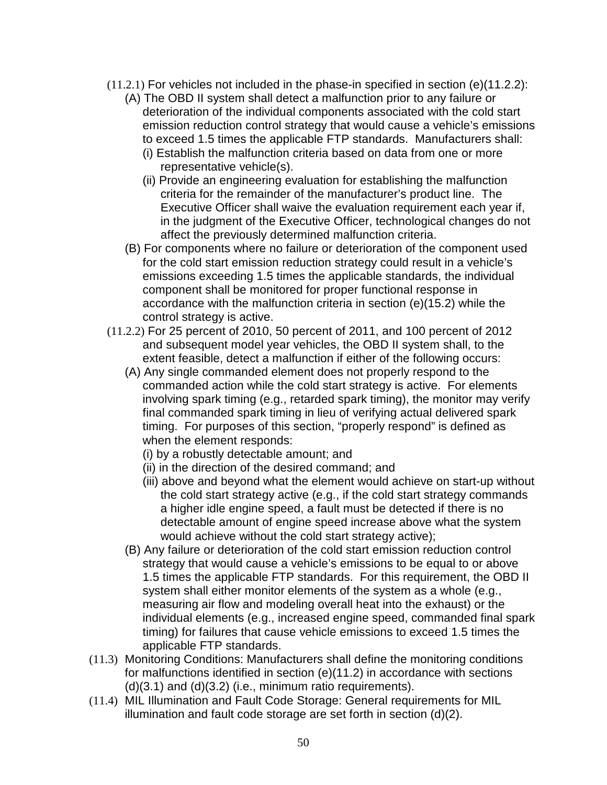- $(11.2.1)$  For vehicles not included in the phase-in specified in section (e) $(11.2.2)$ :
	- (A) The OBD II system shall detect a malfunction prior to any failure or deterioration of the individual components associated with the cold start emission reduction control strategy that would cause a vehicle's emissions to exceed 1.5 times the applicable FTP standards. Manufacturers shall:
		- (i) Establish the malfunction criteria based on data from one or more representative vehicle(s).
		- (ii) Provide an engineering evaluation for establishing the malfunction criteria for the remainder of the manufacturer's product line. The Executive Officer shall waive the evaluation requirement each year if, in the judgment of the Executive Officer, technological changes do not affect the previously determined malfunction criteria.
	- (B) For components where no failure or deterioration of the component used for the cold start emission reduction strategy could result in a vehicle's emissions exceeding 1.5 times the applicable standards, the individual component shall be monitored for proper functional response in accordance with the malfunction criteria in section (e)(15.2) while the control strategy is active.
- (11.2.2) For 25 percent of 2010, 50 percent of 2011, and 100 percent of 2012 and subsequent model year vehicles, the OBD II system shall, to the extent feasible, detect a malfunction if either of the following occurs:
	- (A) Any single commanded element does not properly respond to the commanded action while the cold start strategy is active. For elements involving spark timing (e.g., retarded spark timing), the monitor may verify final commanded spark timing in lieu of verifying actual delivered spark timing. For purposes of this section, "properly respond" is defined as when the element responds:
		- (i) by a robustly detectable amount; and
		- (ii) in the direction of the desired command; and
		- (iii) above and beyond what the element would achieve on start-up without the cold start strategy active (e.g., if the cold start strategy commands a higher idle engine speed, a fault must be detected if there is no detectable amount of engine speed increase above what the system would achieve without the cold start strategy active);
	- (B) Any failure or deterioration of the cold start emission reduction control strategy that would cause a vehicle's emissions to be equal to or above 1.5 times the applicable FTP standards. For this requirement, the OBD II system shall either monitor elements of the system as a whole (e.g., measuring air flow and modeling overall heat into the exhaust) or the individual elements (e.g., increased engine speed, commanded final spark timing) for failures that cause vehicle emissions to exceed 1.5 times the applicable FTP standards.
- (11.3) Monitoring Conditions: Manufacturers shall define the monitoring conditions for malfunctions identified in section (e)(11.2) in accordance with sections  $(d)(3.1)$  and  $(d)(3.2)$  (i.e., minimum ratio requirements).
- (11.4) MIL Illumination and Fault Code Storage: General requirements for MIL illumination and fault code storage are set forth in section (d)(2).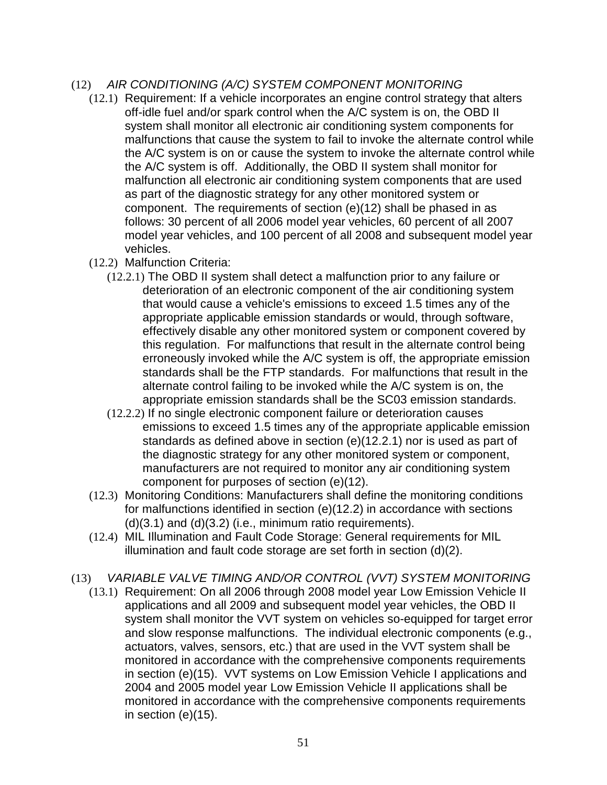### (12) AIR CONDITIONING (A/C) SYSTEM COMPONENT MONITORING

- (12.1) Requirement: If a vehicle incorporates an engine control strategy that alters off-idle fuel and/or spark control when the A/C system is on, the OBD II system shall monitor all electronic air conditioning system components for malfunctions that cause the system to fail to invoke the alternate control while the A/C system is on or cause the system to invoke the alternate control while the A/C system is off. Additionally, the OBD II system shall monitor for malfunction all electronic air conditioning system components that are used as part of the diagnostic strategy for any other monitored system or component. The requirements of section (e)(12) shall be phased in as follows: 30 percent of all 2006 model year vehicles, 60 percent of all 2007 model year vehicles, and 100 percent of all 2008 and subsequent model year vehicles.
- (12.2) Malfunction Criteria:
	- (12.2.1) The OBD II system shall detect a malfunction prior to any failure or deterioration of an electronic component of the air conditioning system that would cause a vehicle's emissions to exceed 1.5 times any of the appropriate applicable emission standards or would, through software, effectively disable any other monitored system or component covered by this regulation. For malfunctions that result in the alternate control being erroneously invoked while the A/C system is off, the appropriate emission standards shall be the FTP standards. For malfunctions that result in the alternate control failing to be invoked while the A/C system is on, the appropriate emission standards shall be the SC03 emission standards.
	- (12.2.2) If no single electronic component failure or deterioration causes emissions to exceed 1.5 times any of the appropriate applicable emission standards as defined above in section (e)(12.2.1) nor is used as part of the diagnostic strategy for any other monitored system or component, manufacturers are not required to monitor any air conditioning system component for purposes of section (e)(12).
- (12.3) Monitoring Conditions: Manufacturers shall define the monitoring conditions for malfunctions identified in section (e)(12.2) in accordance with sections  $(d)(3.1)$  and  $(d)(3.2)$  (i.e., minimum ratio requirements).
- (12.4) MIL Illumination and Fault Code Storage: General requirements for MIL illumination and fault code storage are set forth in section (d)(2).
- (13) VARIABLE VALVE TIMING AND/OR CONTROL (VVT) SYSTEM MONITORING
	- (13.1) Requirement: On all 2006 through 2008 model year Low Emission Vehicle II applications and all 2009 and subsequent model year vehicles, the OBD II system shall monitor the VVT system on vehicles so-equipped for target error and slow response malfunctions. The individual electronic components (e.g., actuators, valves, sensors, etc.) that are used in the VVT system shall be monitored in accordance with the comprehensive components requirements in section (e)(15). VVT systems on Low Emission Vehicle I applications and 2004 and 2005 model year Low Emission Vehicle II applications shall be monitored in accordance with the comprehensive components requirements in section (e)(15).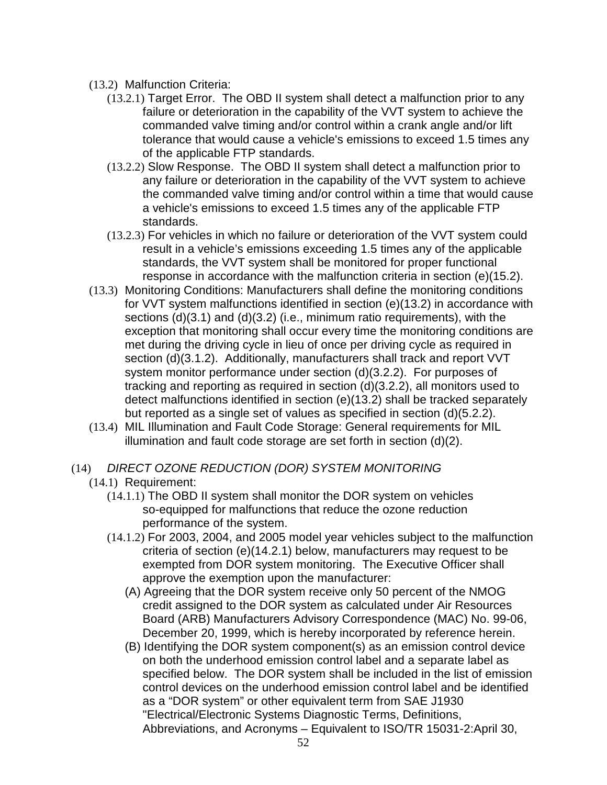- (13.2) Malfunction Criteria:
	- (13.2.1) Target Error. The OBD II system shall detect a malfunction prior to any failure or deterioration in the capability of the VVT system to achieve the commanded valve timing and/or control within a crank angle and/or lift tolerance that would cause a vehicle's emissions to exceed 1.5 times any of the applicable FTP standards.
	- (13.2.2) Slow Response. The OBD II system shall detect a malfunction prior to any failure or deterioration in the capability of the VVT system to achieve the commanded valve timing and/or control within a time that would cause a vehicle's emissions to exceed 1.5 times any of the applicable FTP standards.
	- (13.2.3) For vehicles in which no failure or deterioration of the VVT system could result in a vehicle's emissions exceeding 1.5 times any of the applicable standards, the VVT system shall be monitored for proper functional response in accordance with the malfunction criteria in section (e)(15.2).
- (13.3) Monitoring Conditions: Manufacturers shall define the monitoring conditions for VVT system malfunctions identified in section (e)(13.2) in accordance with sections (d)(3.1) and (d)(3.2) (i.e., minimum ratio requirements), with the exception that monitoring shall occur every time the monitoring conditions are met during the driving cycle in lieu of once per driving cycle as required in section (d)(3.1.2). Additionally, manufacturers shall track and report VVT system monitor performance under section (d)(3.2.2). For purposes of tracking and reporting as required in section (d)(3.2.2), all monitors used to detect malfunctions identified in section (e)(13.2) shall be tracked separately but reported as a single set of values as specified in section (d)(5.2.2).
- (13.4) MIL Illumination and Fault Code Storage: General requirements for MIL illumination and fault code storage are set forth in section (d)(2).
- (14) DIRECT OZONE REDUCTION (DOR) SYSTEM MONITORING
	- (14.1) Requirement:
		- (14.1.1) The OBD II system shall monitor the DOR system on vehicles so-equipped for malfunctions that reduce the ozone reduction performance of the system.
		- (14.1.2) For 2003, 2004, and 2005 model year vehicles subject to the malfunction criteria of section (e)(14.2.1) below, manufacturers may request to be exempted from DOR system monitoring. The Executive Officer shall approve the exemption upon the manufacturer:
			- (A) Agreeing that the DOR system receive only 50 percent of the NMOG credit assigned to the DOR system as calculated under Air Resources Board (ARB) Manufacturers Advisory Correspondence (MAC) No. 99-06, December 20, 1999, which is hereby incorporated by reference herein.
			- (B) Identifying the DOR system component(s) as an emission control device on both the underhood emission control label and a separate label as specified below. The DOR system shall be included in the list of emission control devices on the underhood emission control label and be identified as a "DOR system" or other equivalent term from SAE J1930 "Electrical/Electronic Systems Diagnostic Terms, Definitions, Abbreviations, and Acronyms – Equivalent to ISO/TR 15031-2:April 30,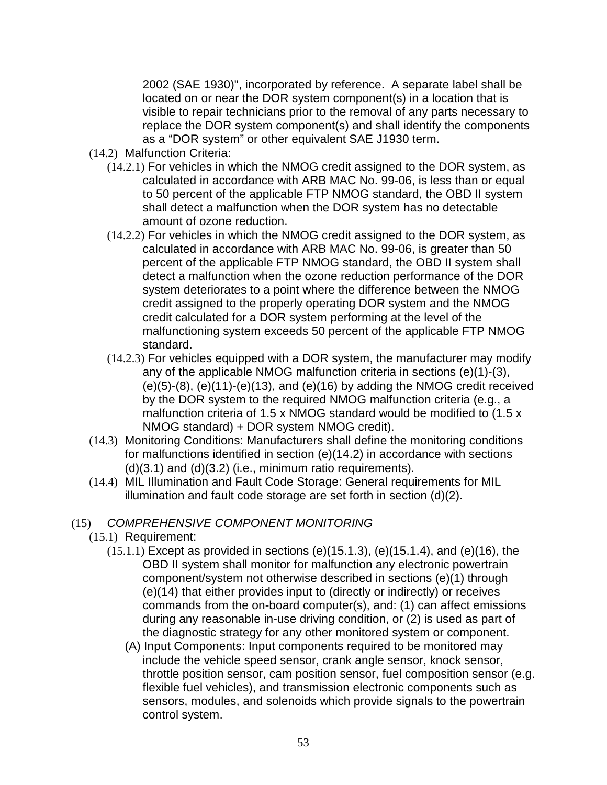2002 (SAE 1930)", incorporated by reference. A separate label shall be located on or near the DOR system component(s) in a location that is visible to repair technicians prior to the removal of any parts necessary to replace the DOR system component(s) and shall identify the components as a "DOR system" or other equivalent SAE J1930 term.

- (14.2) Malfunction Criteria:
	- (14.2.1) For vehicles in which the NMOG credit assigned to the DOR system, as calculated in accordance with ARB MAC No. 99-06, is less than or equal to 50 percent of the applicable FTP NMOG standard, the OBD II system shall detect a malfunction when the DOR system has no detectable amount of ozone reduction.
	- (14.2.2) For vehicles in which the NMOG credit assigned to the DOR system, as calculated in accordance with ARB MAC No. 99-06, is greater than 50 percent of the applicable FTP NMOG standard, the OBD II system shall detect a malfunction when the ozone reduction performance of the DOR system deteriorates to a point where the difference between the NMOG credit assigned to the properly operating DOR system and the NMOG credit calculated for a DOR system performing at the level of the malfunctioning system exceeds 50 percent of the applicable FTP NMOG standard.
	- (14.2.3) For vehicles equipped with a DOR system, the manufacturer may modify any of the applicable NMOG malfunction criteria in sections (e)(1)-(3),  $(e)(5)-(8)$ ,  $(e)(11)-(e)(13)$ , and  $(e)(16)$  by adding the NMOG credit received by the DOR system to the required NMOG malfunction criteria (e.g., a malfunction criteria of 1.5 x NMOG standard would be modified to (1.5 x NMOG standard) + DOR system NMOG credit).
- (14.3) Monitoring Conditions: Manufacturers shall define the monitoring conditions for malfunctions identified in section (e)(14.2) in accordance with sections  $(d)(3.1)$  and  $(d)(3.2)$  (i.e., minimum ratio requirements).
- (14.4) MIL Illumination and Fault Code Storage: General requirements for MIL illumination and fault code storage are set forth in section (d)(2).

### (15) COMPREHENSIVE COMPONENT MONITORING

- (15.1) Requirement:
	- $(15.1.1)$  Except as provided in sections  $(e)(15.1.3)$ ,  $(e)(15.1.4)$ , and  $(e)(16)$ , the OBD II system shall monitor for malfunction any electronic powertrain component/system not otherwise described in sections (e)(1) through (e)(14) that either provides input to (directly or indirectly) or receives commands from the on-board computer(s), and: (1) can affect emissions during any reasonable in-use driving condition, or (2) is used as part of the diagnostic strategy for any other monitored system or component.
		- (A) Input Components: Input components required to be monitored may include the vehicle speed sensor, crank angle sensor, knock sensor, throttle position sensor, cam position sensor, fuel composition sensor (e.g. flexible fuel vehicles), and transmission electronic components such as sensors, modules, and solenoids which provide signals to the powertrain control system.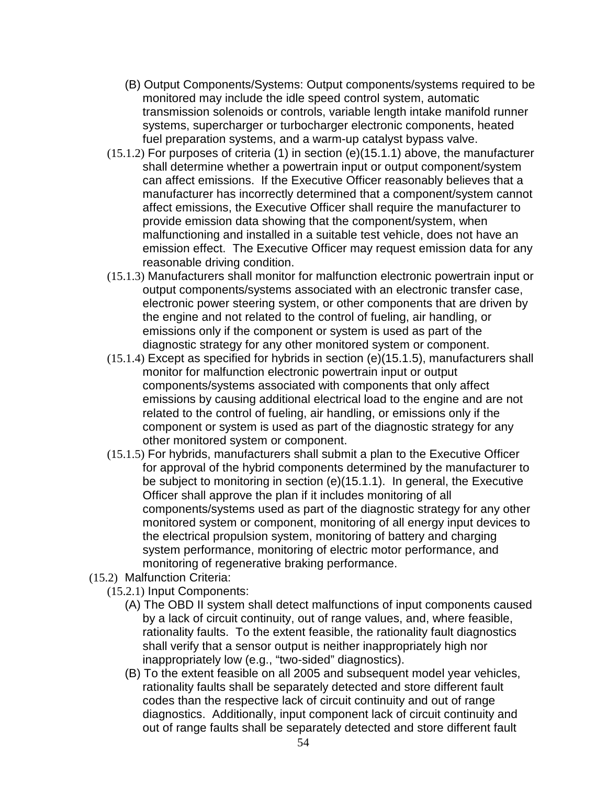- (B) Output Components/Systems: Output components/systems required to be monitored may include the idle speed control system, automatic transmission solenoids or controls, variable length intake manifold runner systems, supercharger or turbocharger electronic components, heated fuel preparation systems, and a warm-up catalyst bypass valve.
- (15.1.2) For purposes of criteria (1) in section (e)(15.1.1) above, the manufacturer shall determine whether a powertrain input or output component/system can affect emissions. If the Executive Officer reasonably believes that a manufacturer has incorrectly determined that a component/system cannot affect emissions, the Executive Officer shall require the manufacturer to provide emission data showing that the component/system, when malfunctioning and installed in a suitable test vehicle, does not have an emission effect. The Executive Officer may request emission data for any reasonable driving condition.
- (15.1.3) Manufacturers shall monitor for malfunction electronic powertrain input or output components/systems associated with an electronic transfer case, electronic power steering system, or other components that are driven by the engine and not related to the control of fueling, air handling, or emissions only if the component or system is used as part of the diagnostic strategy for any other monitored system or component.
- (15.1.4) Except as specified for hybrids in section (e)(15.1.5), manufacturers shall monitor for malfunction electronic powertrain input or output components/systems associated with components that only affect emissions by causing additional electrical load to the engine and are not related to the control of fueling, air handling, or emissions only if the component or system is used as part of the diagnostic strategy for any other monitored system or component.
- (15.1.5) For hybrids, manufacturers shall submit a plan to the Executive Officer for approval of the hybrid components determined by the manufacturer to be subject to monitoring in section (e)(15.1.1). In general, the Executive Officer shall approve the plan if it includes monitoring of all components/systems used as part of the diagnostic strategy for any other monitored system or component, monitoring of all energy input devices to the electrical propulsion system, monitoring of battery and charging system performance, monitoring of electric motor performance, and monitoring of regenerative braking performance.
- (15.2) Malfunction Criteria:
	- (15.2.1) Input Components:
		- (A) The OBD II system shall detect malfunctions of input components caused by a lack of circuit continuity, out of range values, and, where feasible, rationality faults. To the extent feasible, the rationality fault diagnostics shall verify that a sensor output is neither inappropriately high nor inappropriately low (e.g., "two-sided" diagnostics).
		- (B) To the extent feasible on all 2005 and subsequent model year vehicles, rationality faults shall be separately detected and store different fault codes than the respective lack of circuit continuity and out of range diagnostics. Additionally, input component lack of circuit continuity and out of range faults shall be separately detected and store different fault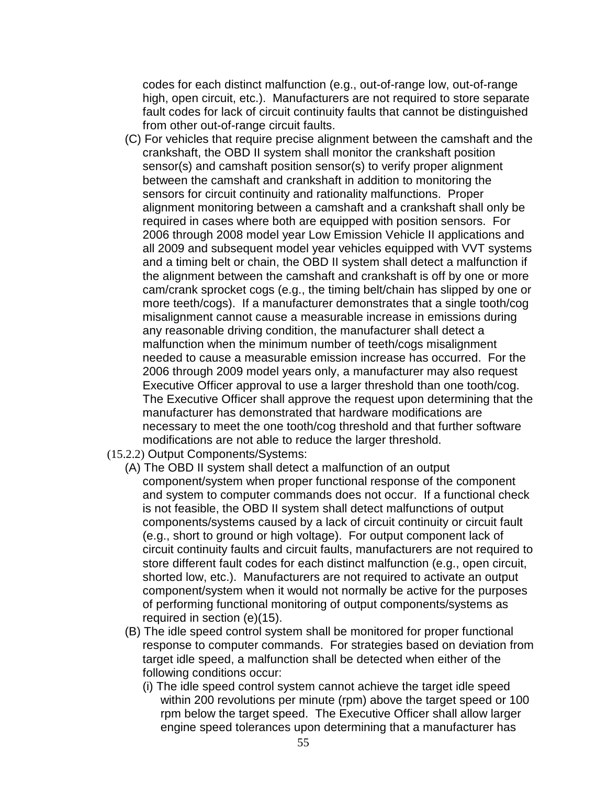codes for each distinct malfunction (e.g., out-of-range low, out-of-range high, open circuit, etc.). Manufacturers are not required to store separate fault codes for lack of circuit continuity faults that cannot be distinguished from other out-of-range circuit faults.

- (C) For vehicles that require precise alignment between the camshaft and the crankshaft, the OBD II system shall monitor the crankshaft position sensor(s) and camshaft position sensor(s) to verify proper alignment between the camshaft and crankshaft in addition to monitoring the sensors for circuit continuity and rationality malfunctions. Proper alignment monitoring between a camshaft and a crankshaft shall only be required in cases where both are equipped with position sensors. For 2006 through 2008 model year Low Emission Vehicle II applications and all 2009 and subsequent model year vehicles equipped with VVT systems and a timing belt or chain, the OBD II system shall detect a malfunction if the alignment between the camshaft and crankshaft is off by one or more cam/crank sprocket cogs (e.g., the timing belt/chain has slipped by one or more teeth/cogs). If a manufacturer demonstrates that a single tooth/cog misalignment cannot cause a measurable increase in emissions during any reasonable driving condition, the manufacturer shall detect a malfunction when the minimum number of teeth/cogs misalignment needed to cause a measurable emission increase has occurred. For the 2006 through 2009 model years only, a manufacturer may also request Executive Officer approval to use a larger threshold than one tooth/cog. The Executive Officer shall approve the request upon determining that the manufacturer has demonstrated that hardware modifications are necessary to meet the one tooth/cog threshold and that further software modifications are not able to reduce the larger threshold.
- (15.2.2) Output Components/Systems:
	- (A) The OBD II system shall detect a malfunction of an output component/system when proper functional response of the component and system to computer commands does not occur. If a functional check is not feasible, the OBD II system shall detect malfunctions of output components/systems caused by a lack of circuit continuity or circuit fault (e.g., short to ground or high voltage). For output component lack of circuit continuity faults and circuit faults, manufacturers are not required to store different fault codes for each distinct malfunction (e.g., open circuit, shorted low, etc.). Manufacturers are not required to activate an output component/system when it would not normally be active for the purposes of performing functional monitoring of output components/systems as required in section (e)(15).
	- (B) The idle speed control system shall be monitored for proper functional response to computer commands. For strategies based on deviation from target idle speed, a malfunction shall be detected when either of the following conditions occur:
		- (i) The idle speed control system cannot achieve the target idle speed within 200 revolutions per minute (rpm) above the target speed or 100 rpm below the target speed. The Executive Officer shall allow larger engine speed tolerances upon determining that a manufacturer has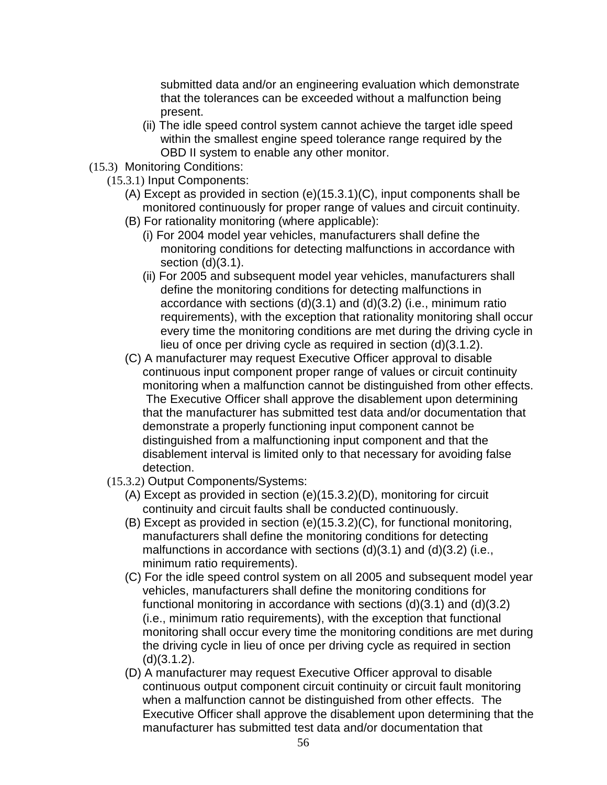submitted data and/or an engineering evaluation which demonstrate that the tolerances can be exceeded without a malfunction being present.

- (ii) The idle speed control system cannot achieve the target idle speed within the smallest engine speed tolerance range required by the OBD II system to enable any other monitor.
- (15.3) Monitoring Conditions:
	- (15.3.1) Input Components:
		- (A) Except as provided in section (e)(15.3.1)(C), input components shall be monitored continuously for proper range of values and circuit continuity.
		- (B) For rationality monitoring (where applicable):
			- (i) For 2004 model year vehicles, manufacturers shall define the monitoring conditions for detecting malfunctions in accordance with section (d)(3.1).
			- (ii) For 2005 and subsequent model year vehicles, manufacturers shall define the monitoring conditions for detecting malfunctions in accordance with sections  $(d)(3.1)$  and  $(d)(3.2)$  (i.e., minimum ratio requirements), with the exception that rationality monitoring shall occur every time the monitoring conditions are met during the driving cycle in lieu of once per driving cycle as required in section (d)(3.1.2).
		- (C) A manufacturer may request Executive Officer approval to disable continuous input component proper range of values or circuit continuity monitoring when a malfunction cannot be distinguished from other effects. The Executive Officer shall approve the disablement upon determining that the manufacturer has submitted test data and/or documentation that demonstrate a properly functioning input component cannot be distinguished from a malfunctioning input component and that the disablement interval is limited only to that necessary for avoiding false detection.
	- (15.3.2) Output Components/Systems:
		- (A) Except as provided in section (e)(15.3.2)(D), monitoring for circuit continuity and circuit faults shall be conducted continuously.
		- (B) Except as provided in section (e)(15.3.2)(C), for functional monitoring, manufacturers shall define the monitoring conditions for detecting malfunctions in accordance with sections (d)(3.1) and (d)(3.2) (i.e., minimum ratio requirements).
		- (C) For the idle speed control system on all 2005 and subsequent model year vehicles, manufacturers shall define the monitoring conditions for functional monitoring in accordance with sections (d)(3.1) and (d)(3.2) (i.e., minimum ratio requirements), with the exception that functional monitoring shall occur every time the monitoring conditions are met during the driving cycle in lieu of once per driving cycle as required in section (d)(3.1.2).
		- (D) A manufacturer may request Executive Officer approval to disable continuous output component circuit continuity or circuit fault monitoring when a malfunction cannot be distinguished from other effects. The Executive Officer shall approve the disablement upon determining that the manufacturer has submitted test data and/or documentation that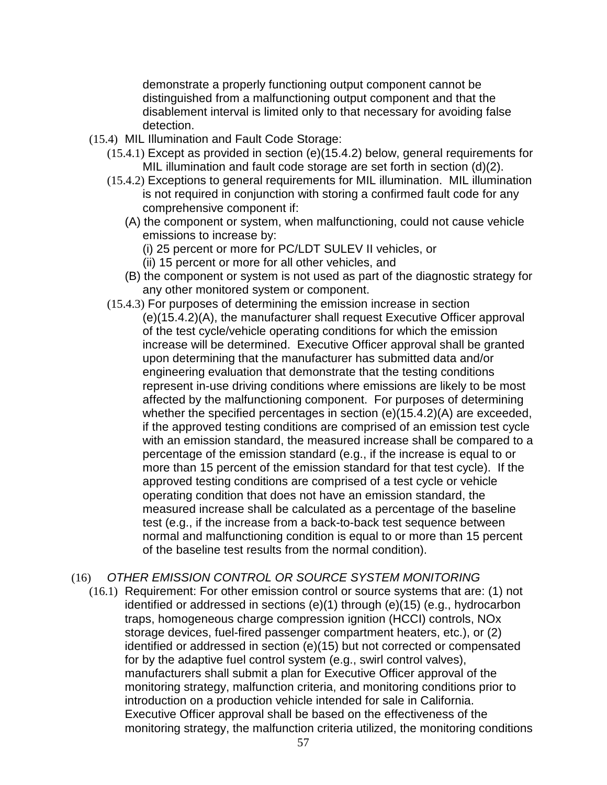demonstrate a properly functioning output component cannot be distinguished from a malfunctioning output component and that the disablement interval is limited only to that necessary for avoiding false detection.

- (15.4) MIL Illumination and Fault Code Storage:
	- (15.4.1) Except as provided in section (e)(15.4.2) below, general requirements for MIL illumination and fault code storage are set forth in section (d)(2).
	- (15.4.2) Exceptions to general requirements for MIL illumination. MIL illumination is not required in conjunction with storing a confirmed fault code for any comprehensive component if:
		- (A) the component or system, when malfunctioning, could not cause vehicle emissions to increase by:
			- (i) 25 percent or more for PC/LDT SULEV II vehicles, or
			- (ii) 15 percent or more for all other vehicles, and
		- (B) the component or system is not used as part of the diagnostic strategy for any other monitored system or component.
	- (15.4.3) For purposes of determining the emission increase in section (e)(15.4.2)(A), the manufacturer shall request Executive Officer approval of the test cycle/vehicle operating conditions for which the emission increase will be determined. Executive Officer approval shall be granted upon determining that the manufacturer has submitted data and/or engineering evaluation that demonstrate that the testing conditions represent in-use driving conditions where emissions are likely to be most affected by the malfunctioning component. For purposes of determining whether the specified percentages in section (e)(15.4.2)(A) are exceeded, if the approved testing conditions are comprised of an emission test cycle with an emission standard, the measured increase shall be compared to a percentage of the emission standard (e.g., if the increase is equal to or more than 15 percent of the emission standard for that test cycle). If the approved testing conditions are comprised of a test cycle or vehicle operating condition that does not have an emission standard, the measured increase shall be calculated as a percentage of the baseline test (e.g., if the increase from a back-to-back test sequence between normal and malfunctioning condition is equal to or more than 15 percent of the baseline test results from the normal condition).
- (16) OTHER EMISSION CONTROL OR SOURCE SYSTEM MONITORING
	- (16.1) Requirement: For other emission control or source systems that are: (1) not identified or addressed in sections (e)(1) through (e)(15) (e.g., hydrocarbon traps, homogeneous charge compression ignition (HCCI) controls, NOx storage devices, fuel-fired passenger compartment heaters, etc.), or (2) identified or addressed in section (e)(15) but not corrected or compensated for by the adaptive fuel control system (e.g., swirl control valves), manufacturers shall submit a plan for Executive Officer approval of the monitoring strategy, malfunction criteria, and monitoring conditions prior to introduction on a production vehicle intended for sale in California. Executive Officer approval shall be based on the effectiveness of the monitoring strategy, the malfunction criteria utilized, the monitoring conditions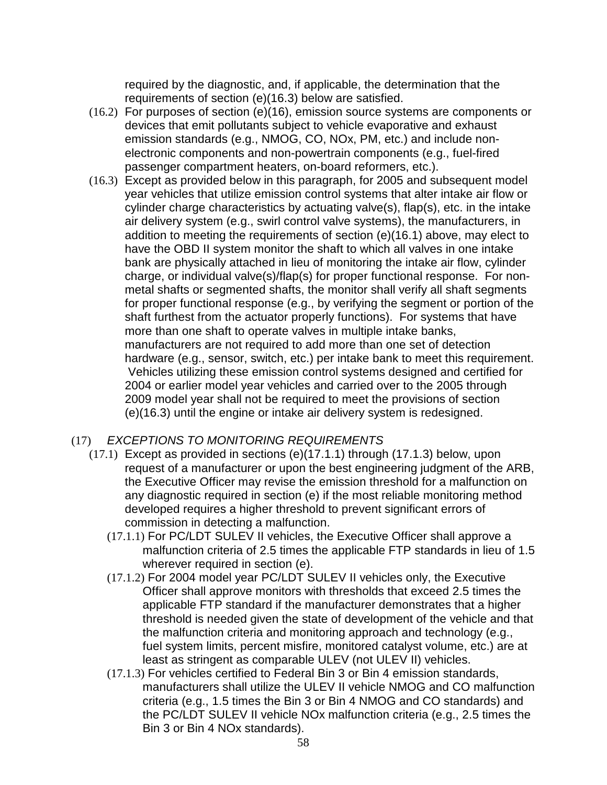required by the diagnostic, and, if applicable, the determination that the requirements of section (e)(16.3) below are satisfied.

- (16.2) For purposes of section (e)(16), emission source systems are components or devices that emit pollutants subject to vehicle evaporative and exhaust emission standards (e.g., NMOG, CO, NOx, PM, etc.) and include nonelectronic components and non-powertrain components (e.g., fuel-fired passenger compartment heaters, on-board reformers, etc.).
- (16.3) Except as provided below in this paragraph, for 2005 and subsequent model year vehicles that utilize emission control systems that alter intake air flow or cylinder charge characteristics by actuating valve(s), flap(s), etc. in the intake air delivery system (e.g., swirl control valve systems), the manufacturers, in addition to meeting the requirements of section (e)(16.1) above, may elect to have the OBD II system monitor the shaft to which all valves in one intake bank are physically attached in lieu of monitoring the intake air flow, cylinder charge, or individual valve(s)/flap(s) for proper functional response. For nonmetal shafts or segmented shafts, the monitor shall verify all shaft segments for proper functional response (e.g., by verifying the segment or portion of the shaft furthest from the actuator properly functions). For systems that have more than one shaft to operate valves in multiple intake banks, manufacturers are not required to add more than one set of detection hardware (e.g., sensor, switch, etc.) per intake bank to meet this requirement. Vehicles utilizing these emission control systems designed and certified for 2004 or earlier model year vehicles and carried over to the 2005 through 2009 model year shall not be required to meet the provisions of section (e)(16.3) until the engine or intake air delivery system is redesigned.

## (17) EXCEPTIONS TO MONITORING REQUIREMENTS

- (17.1) Except as provided in sections (e)(17.1.1) through (17.1.3) below, upon request of a manufacturer or upon the best engineering judgment of the ARB, the Executive Officer may revise the emission threshold for a malfunction on any diagnostic required in section (e) if the most reliable monitoring method developed requires a higher threshold to prevent significant errors of commission in detecting a malfunction.
	- (17.1.1) For PC/LDT SULEV II vehicles, the Executive Officer shall approve a malfunction criteria of 2.5 times the applicable FTP standards in lieu of 1.5 wherever required in section (e).
	- (17.1.2) For 2004 model year PC/LDT SULEV II vehicles only, the Executive Officer shall approve monitors with thresholds that exceed 2.5 times the applicable FTP standard if the manufacturer demonstrates that a higher threshold is needed given the state of development of the vehicle and that the malfunction criteria and monitoring approach and technology (e.g., fuel system limits, percent misfire, monitored catalyst volume, etc.) are at least as stringent as comparable ULEV (not ULEV II) vehicles.
	- (17.1.3) For vehicles certified to Federal Bin 3 or Bin 4 emission standards, manufacturers shall utilize the ULEV II vehicle NMOG and CO malfunction criteria (e.g., 1.5 times the Bin 3 or Bin 4 NMOG and CO standards) and the PC/LDT SULEV II vehicle NOx malfunction criteria (e.g., 2.5 times the Bin 3 or Bin 4 NOx standards).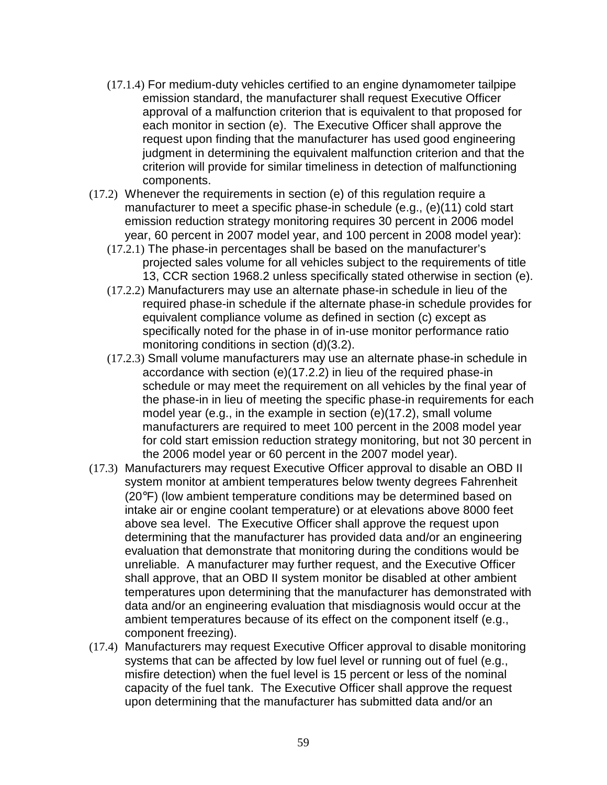- (17.1.4) For medium-duty vehicles certified to an engine dynamometer tailpipe emission standard, the manufacturer shall request Executive Officer approval of a malfunction criterion that is equivalent to that proposed for each monitor in section (e). The Executive Officer shall approve the request upon finding that the manufacturer has used good engineering judgment in determining the equivalent malfunction criterion and that the criterion will provide for similar timeliness in detection of malfunctioning components.
- (17.2) Whenever the requirements in section (e) of this regulation require a manufacturer to meet a specific phase-in schedule (e.g., (e)(11) cold start emission reduction strategy monitoring requires 30 percent in 2006 model year, 60 percent in 2007 model year, and 100 percent in 2008 model year):
	- (17.2.1) The phase-in percentages shall be based on the manufacturer's projected sales volume for all vehicles subject to the requirements of title 13, CCR section 1968.2 unless specifically stated otherwise in section (e).
	- (17.2.2) Manufacturers may use an alternate phase-in schedule in lieu of the required phase-in schedule if the alternate phase-in schedule provides for equivalent compliance volume as defined in section (c) except as specifically noted for the phase in of in-use monitor performance ratio monitoring conditions in section (d)(3.2).
	- (17.2.3) Small volume manufacturers may use an alternate phase-in schedule in accordance with section (e)(17.2.2) in lieu of the required phase-in schedule or may meet the requirement on all vehicles by the final year of the phase-in in lieu of meeting the specific phase-in requirements for each model year (e.g., in the example in section (e)(17.2), small volume manufacturers are required to meet 100 percent in the 2008 model year for cold start emission reduction strategy monitoring, but not 30 percent in the 2006 model year or 60 percent in the 2007 model year).
- (17.3) Manufacturers may request Executive Officer approval to disable an OBD II system monitor at ambient temperatures below twenty degrees Fahrenheit (20°F) (low ambient temperature conditions may be determined based on intake air or engine coolant temperature) or at elevations above 8000 feet above sea level. The Executive Officer shall approve the request upon determining that the manufacturer has provided data and/or an engineering evaluation that demonstrate that monitoring during the conditions would be unreliable. A manufacturer may further request, and the Executive Officer shall approve, that an OBD II system monitor be disabled at other ambient temperatures upon determining that the manufacturer has demonstrated with data and/or an engineering evaluation that misdiagnosis would occur at the ambient temperatures because of its effect on the component itself (e.g., component freezing).
- (17.4) Manufacturers may request Executive Officer approval to disable monitoring systems that can be affected by low fuel level or running out of fuel (e.g., misfire detection) when the fuel level is 15 percent or less of the nominal capacity of the fuel tank. The Executive Officer shall approve the request upon determining that the manufacturer has submitted data and/or an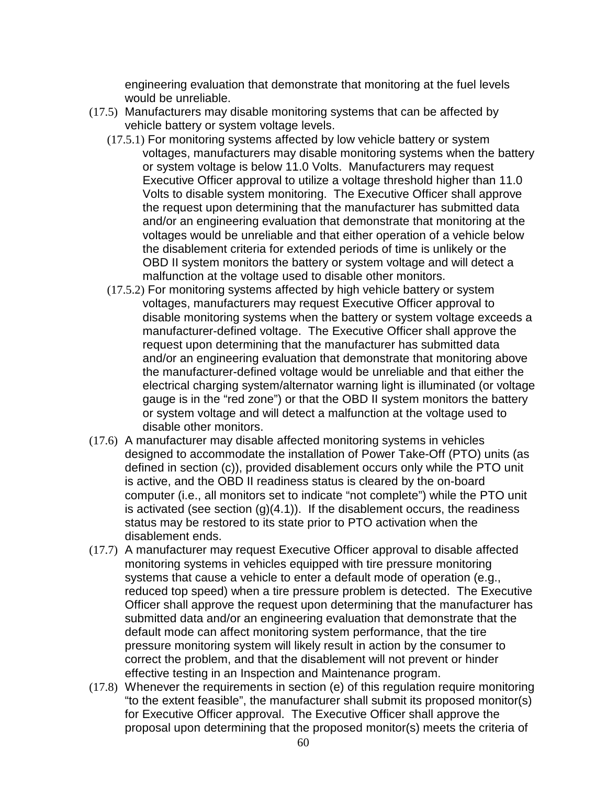engineering evaluation that demonstrate that monitoring at the fuel levels would be unreliable.

- (17.5) Manufacturers may disable monitoring systems that can be affected by vehicle battery or system voltage levels.
	- (17.5.1) For monitoring systems affected by low vehicle battery or system voltages, manufacturers may disable monitoring systems when the battery or system voltage is below 11.0 Volts. Manufacturers may request Executive Officer approval to utilize a voltage threshold higher than 11.0 Volts to disable system monitoring. The Executive Officer shall approve the request upon determining that the manufacturer has submitted data and/or an engineering evaluation that demonstrate that monitoring at the voltages would be unreliable and that either operation of a vehicle below the disablement criteria for extended periods of time is unlikely or the OBD II system monitors the battery or system voltage and will detect a malfunction at the voltage used to disable other monitors.
	- (17.5.2) For monitoring systems affected by high vehicle battery or system voltages, manufacturers may request Executive Officer approval to disable monitoring systems when the battery or system voltage exceeds a manufacturer-defined voltage. The Executive Officer shall approve the request upon determining that the manufacturer has submitted data and/or an engineering evaluation that demonstrate that monitoring above the manufacturer-defined voltage would be unreliable and that either the electrical charging system/alternator warning light is illuminated (or voltage gauge is in the "red zone") or that the OBD II system monitors the battery or system voltage and will detect a malfunction at the voltage used to disable other monitors.
- (17.6) A manufacturer may disable affected monitoring systems in vehicles designed to accommodate the installation of Power Take-Off (PTO) units (as defined in section (c)), provided disablement occurs only while the PTO unit is active, and the OBD II readiness status is cleared by the on-board computer (i.e., all monitors set to indicate "not complete") while the PTO unit is activated (see section (g)(4.1)). If the disablement occurs, the readiness status may be restored to its state prior to PTO activation when the disablement ends.
- (17.7) A manufacturer may request Executive Officer approval to disable affected monitoring systems in vehicles equipped with tire pressure monitoring systems that cause a vehicle to enter a default mode of operation (e.g., reduced top speed) when a tire pressure problem is detected. The Executive Officer shall approve the request upon determining that the manufacturer has submitted data and/or an engineering evaluation that demonstrate that the default mode can affect monitoring system performance, that the tire pressure monitoring system will likely result in action by the consumer to correct the problem, and that the disablement will not prevent or hinder effective testing in an Inspection and Maintenance program.
- (17.8) Whenever the requirements in section (e) of this regulation require monitoring "to the extent feasible", the manufacturer shall submit its proposed monitor(s) for Executive Officer approval. The Executive Officer shall approve the proposal upon determining that the proposed monitor(s) meets the criteria of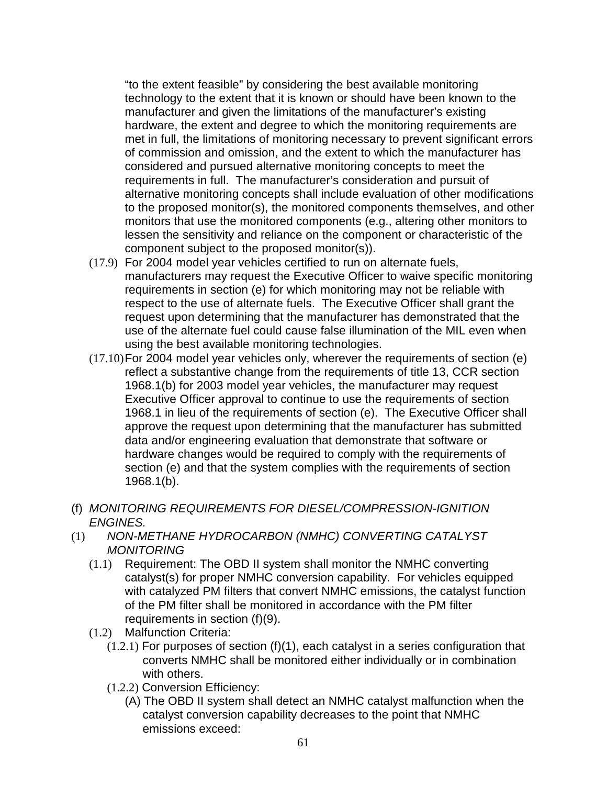"to the extent feasible" by considering the best available monitoring technology to the extent that it is known or should have been known to the manufacturer and given the limitations of the manufacturer's existing hardware, the extent and degree to which the monitoring requirements are met in full, the limitations of monitoring necessary to prevent significant errors of commission and omission, and the extent to which the manufacturer has considered and pursued alternative monitoring concepts to meet the requirements in full. The manufacturer's consideration and pursuit of alternative monitoring concepts shall include evaluation of other modifications to the proposed monitor(s), the monitored components themselves, and other monitors that use the monitored components (e.g., altering other monitors to lessen the sensitivity and reliance on the component or characteristic of the component subject to the proposed monitor(s)).

- (17.9) For 2004 model year vehicles certified to run on alternate fuels, manufacturers may request the Executive Officer to waive specific monitoring requirements in section (e) for which monitoring may not be reliable with respect to the use of alternate fuels. The Executive Officer shall grant the request upon determining that the manufacturer has demonstrated that the use of the alternate fuel could cause false illumination of the MIL even when using the best available monitoring technologies.
- (17.10) For 2004 model year vehicles only, wherever the requirements of section (e) reflect a substantive change from the requirements of title 13, CCR section 1968.1(b) for 2003 model year vehicles, the manufacturer may request Executive Officer approval to continue to use the requirements of section 1968.1 in lieu of the requirements of section (e). The Executive Officer shall approve the request upon determining that the manufacturer has submitted data and/or engineering evaluation that demonstrate that software or hardware changes would be required to comply with the requirements of section (e) and that the system complies with the requirements of section 1968.1(b).
- (f) MONITORING REQUIREMENTS FOR DIESEL/COMPRESSION-IGNITION ENGINES.
- (1) NON-METHANE HYDROCARBON (NMHC) CONVERTING CATALYST **MONITORING** 
	- (1.1) Requirement: The OBD II system shall monitor the NMHC converting catalyst(s) for proper NMHC conversion capability. For vehicles equipped with catalyzed PM filters that convert NMHC emissions, the catalyst function of the PM filter shall be monitored in accordance with the PM filter requirements in section (f)(9).
	- (1.2) Malfunction Criteria:
		- $(1.2.1)$  For purposes of section  $(f)(1)$ , each catalyst in a series configuration that converts NMHC shall be monitored either individually or in combination with others.
		- (1.2.2) Conversion Efficiency:
			- (A) The OBD II system shall detect an NMHC catalyst malfunction when the catalyst conversion capability decreases to the point that NMHC emissions exceed: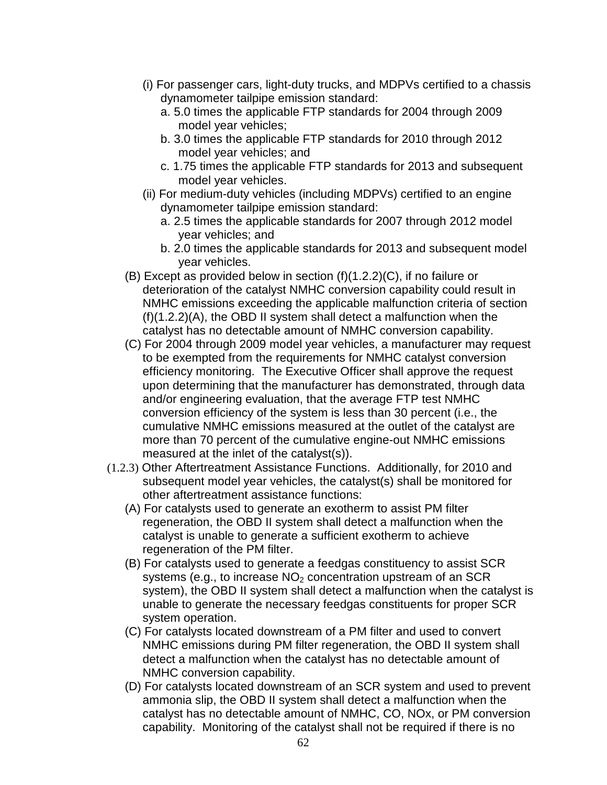- (i) For passenger cars, light-duty trucks, and MDPVs certified to a chassis dynamometer tailpipe emission standard:
	- a. 5.0 times the applicable FTP standards for 2004 through 2009 model year vehicles;
	- b. 3.0 times the applicable FTP standards for 2010 through 2012 model year vehicles; and
	- c. 1.75 times the applicable FTP standards for 2013 and subsequent model year vehicles.
- (ii) For medium-duty vehicles (including MDPVs) certified to an engine dynamometer tailpipe emission standard:
	- a. 2.5 times the applicable standards for 2007 through 2012 model year vehicles; and
	- b. 2.0 times the applicable standards for 2013 and subsequent model year vehicles.
- (B) Except as provided below in section (f)(1.2.2)(C), if no failure or deterioration of the catalyst NMHC conversion capability could result in NMHC emissions exceeding the applicable malfunction criteria of section (f)(1.2.2)(A), the OBD II system shall detect a malfunction when the catalyst has no detectable amount of NMHC conversion capability.
- (C) For 2004 through 2009 model year vehicles, a manufacturer may request to be exempted from the requirements for NMHC catalyst conversion efficiency monitoring. The Executive Officer shall approve the request upon determining that the manufacturer has demonstrated, through data and/or engineering evaluation, that the average FTP test NMHC conversion efficiency of the system is less than 30 percent (i.e., the cumulative NMHC emissions measured at the outlet of the catalyst are more than 70 percent of the cumulative engine-out NMHC emissions measured at the inlet of the catalyst(s)).
- (1.2.3) Other Aftertreatment Assistance Functions. Additionally, for 2010 and subsequent model year vehicles, the catalyst(s) shall be monitored for other aftertreatment assistance functions:
	- (A) For catalysts used to generate an exotherm to assist PM filter regeneration, the OBD II system shall detect a malfunction when the catalyst is unable to generate a sufficient exotherm to achieve regeneration of the PM filter.
	- (B) For catalysts used to generate a feedgas constituency to assist SCR systems (e.g., to increase  $NO<sub>2</sub>$  concentration upstream of an SCR system), the OBD II system shall detect a malfunction when the catalyst is unable to generate the necessary feedgas constituents for proper SCR system operation.
	- (C) For catalysts located downstream of a PM filter and used to convert NMHC emissions during PM filter regeneration, the OBD II system shall detect a malfunction when the catalyst has no detectable amount of NMHC conversion capability.
	- (D) For catalysts located downstream of an SCR system and used to prevent ammonia slip, the OBD II system shall detect a malfunction when the catalyst has no detectable amount of NMHC, CO, NOx, or PM conversion capability. Monitoring of the catalyst shall not be required if there is no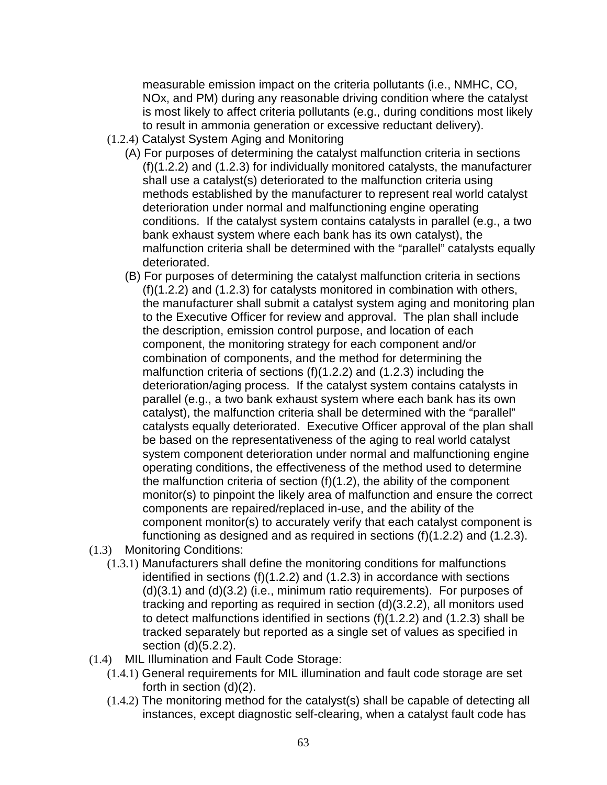measurable emission impact on the criteria pollutants (i.e., NMHC, CO, NOx, and PM) during any reasonable driving condition where the catalyst is most likely to affect criteria pollutants (e.g., during conditions most likely to result in ammonia generation or excessive reductant delivery).

- (1.2.4) Catalyst System Aging and Monitoring
	- (A) For purposes of determining the catalyst malfunction criteria in sections (f)(1.2.2) and (1.2.3) for individually monitored catalysts, the manufacturer shall use a catalyst(s) deteriorated to the malfunction criteria using methods established by the manufacturer to represent real world catalyst deterioration under normal and malfunctioning engine operating conditions. If the catalyst system contains catalysts in parallel (e.g., a two bank exhaust system where each bank has its own catalyst), the malfunction criteria shall be determined with the "parallel" catalysts equally deteriorated.
	- (B) For purposes of determining the catalyst malfunction criteria in sections (f)(1.2.2) and (1.2.3) for catalysts monitored in combination with others, the manufacturer shall submit a catalyst system aging and monitoring plan to the Executive Officer for review and approval. The plan shall include the description, emission control purpose, and location of each component, the monitoring strategy for each component and/or combination of components, and the method for determining the malfunction criteria of sections (f)(1.2.2) and (1.2.3) including the deterioration/aging process. If the catalyst system contains catalysts in parallel (e.g., a two bank exhaust system where each bank has its own catalyst), the malfunction criteria shall be determined with the "parallel" catalysts equally deteriorated. Executive Officer approval of the plan shall be based on the representativeness of the aging to real world catalyst system component deterioration under normal and malfunctioning engine operating conditions, the effectiveness of the method used to determine the malfunction criteria of section (f)(1.2), the ability of the component monitor(s) to pinpoint the likely area of malfunction and ensure the correct components are repaired/replaced in-use, and the ability of the component monitor(s) to accurately verify that each catalyst component is functioning as designed and as required in sections (f)(1.2.2) and (1.2.3).
- (1.3) Monitoring Conditions:
	- (1.3.1) Manufacturers shall define the monitoring conditions for malfunctions identified in sections (f)(1.2.2) and (1.2.3) in accordance with sections (d)(3.1) and (d)(3.2) (i.e., minimum ratio requirements). For purposes of tracking and reporting as required in section (d)(3.2.2), all monitors used to detect malfunctions identified in sections (f)(1.2.2) and (1.2.3) shall be tracked separately but reported as a single set of values as specified in section (d)(5.2.2).
- (1.4) MIL Illumination and Fault Code Storage:
	- (1.4.1) General requirements for MIL illumination and fault code storage are set forth in section (d)(2).
	- (1.4.2) The monitoring method for the catalyst(s) shall be capable of detecting all instances, except diagnostic self-clearing, when a catalyst fault code has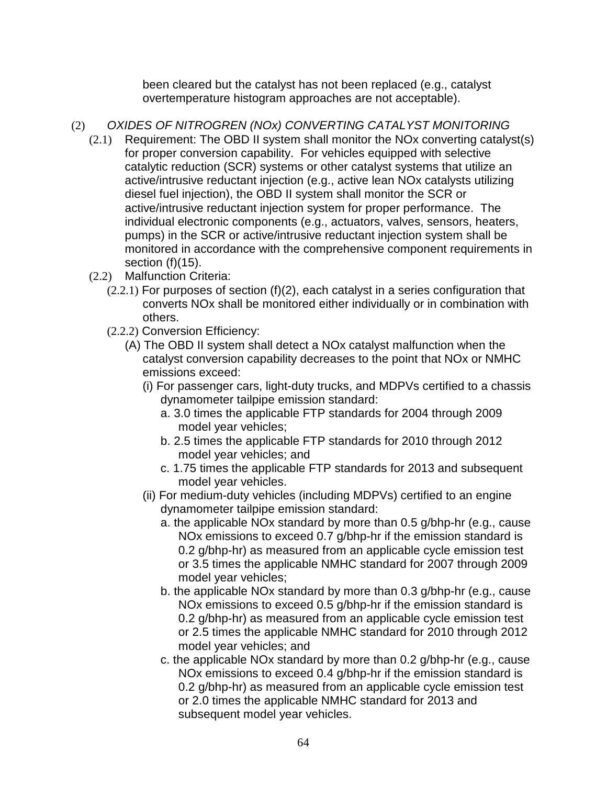been cleared but the catalyst has not been replaced (e.g., catalyst overtemperature histogram approaches are not acceptable).

- (2) OXIDES OF NITROGREN (NOx) CONVERTING CATALYST MONITORING
	- (2.1) Requirement: The OBD II system shall monitor the NOx converting catalyst(s) for proper conversion capability. For vehicles equipped with selective catalytic reduction (SCR) systems or other catalyst systems that utilize an active/intrusive reductant injection (e.g., active lean NOx catalysts utilizing diesel fuel injection), the OBD II system shall monitor the SCR or active/intrusive reductant injection system for proper performance. The individual electronic components (e.g., actuators, valves, sensors, heaters, pumps) in the SCR or active/intrusive reductant injection system shall be monitored in accordance with the comprehensive component requirements in section (f)(15).
	- (2.2) Malfunction Criteria:
		- (2.2.1) For purposes of section (f)(2), each catalyst in a series configuration that converts NOx shall be monitored either individually or in combination with others.
		- (2.2.2) Conversion Efficiency:
			- (A) The OBD II system shall detect a NOx catalyst malfunction when the catalyst conversion capability decreases to the point that NOx or NMHC emissions exceed:
				- (i) For passenger cars, light-duty trucks, and MDPVs certified to a chassis dynamometer tailpipe emission standard:
					- a. 3.0 times the applicable FTP standards for 2004 through 2009 model year vehicles;
					- b. 2.5 times the applicable FTP standards for 2010 through 2012 model year vehicles; and
					- c. 1.75 times the applicable FTP standards for 2013 and subsequent model year vehicles.
				- (ii) For medium-duty vehicles (including MDPVs) certified to an engine dynamometer tailpipe emission standard:
					- a. the applicable NOx standard by more than 0.5 g/bhp-hr (e.g., cause NOx emissions to exceed 0.7 g/bhp-hr if the emission standard is 0.2 g/bhp-hr) as measured from an applicable cycle emission test or 3.5 times the applicable NMHC standard for 2007 through 2009 model year vehicles;
					- b. the applicable NOx standard by more than 0.3 g/bhp-hr (e.g., cause NOx emissions to exceed 0.5 g/bhp-hr if the emission standard is 0.2 g/bhp-hr) as measured from an applicable cycle emission test or 2.5 times the applicable NMHC standard for 2010 through 2012 model year vehicles; and
					- c. the applicable NOx standard by more than 0.2 g/bhp-hr (e.g., cause NOx emissions to exceed 0.4 g/bhp-hr if the emission standard is 0.2 g/bhp-hr) as measured from an applicable cycle emission test or 2.0 times the applicable NMHC standard for 2013 and subsequent model year vehicles.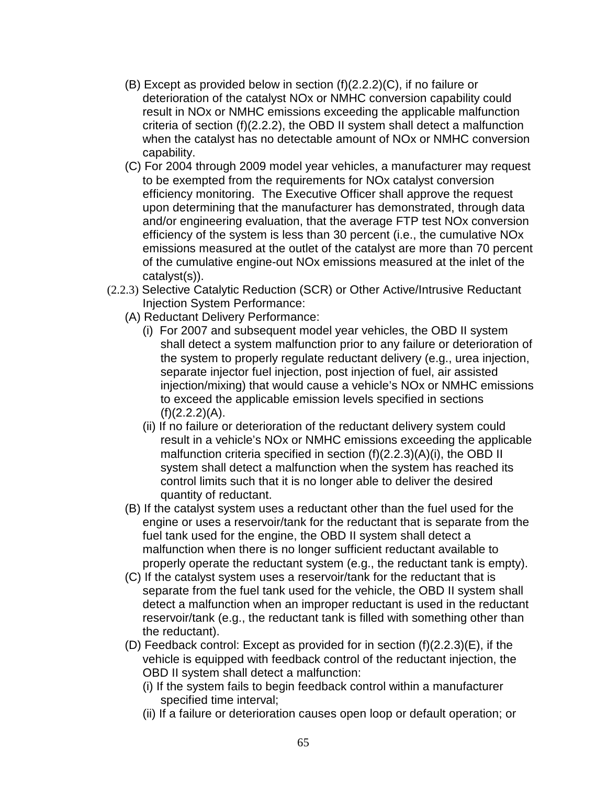- (B) Except as provided below in section (f)(2.2.2)(C), if no failure or deterioration of the catalyst NOx or NMHC conversion capability could result in NOx or NMHC emissions exceeding the applicable malfunction criteria of section (f)(2.2.2), the OBD II system shall detect a malfunction when the catalyst has no detectable amount of NOx or NMHC conversion capability.
- (C) For 2004 through 2009 model year vehicles, a manufacturer may request to be exempted from the requirements for NOx catalyst conversion efficiency monitoring. The Executive Officer shall approve the request upon determining that the manufacturer has demonstrated, through data and/or engineering evaluation, that the average FTP test NOx conversion efficiency of the system is less than 30 percent (i.e., the cumulative NOx emissions measured at the outlet of the catalyst are more than 70 percent of the cumulative engine-out NOx emissions measured at the inlet of the catalyst(s)).
- (2.2.3) Selective Catalytic Reduction (SCR) or Other Active/Intrusive Reductant Injection System Performance:
	- (A) Reductant Delivery Performance:
		- (i) For 2007 and subsequent model year vehicles, the OBD II system shall detect a system malfunction prior to any failure or deterioration of the system to properly regulate reductant delivery (e.g., urea injection, separate injector fuel injection, post injection of fuel, air assisted injection/mixing) that would cause a vehicle's NOx or NMHC emissions to exceed the applicable emission levels specified in sections  $(f)(2.2.2)(A)$ .
		- (ii) If no failure or deterioration of the reductant delivery system could result in a vehicle's NOx or NMHC emissions exceeding the applicable malfunction criteria specified in section (f)(2.2.3)(A)(i), the OBD II system shall detect a malfunction when the system has reached its control limits such that it is no longer able to deliver the desired quantity of reductant.
	- (B) If the catalyst system uses a reductant other than the fuel used for the engine or uses a reservoir/tank for the reductant that is separate from the fuel tank used for the engine, the OBD II system shall detect a malfunction when there is no longer sufficient reductant available to properly operate the reductant system (e.g., the reductant tank is empty).
	- (C) If the catalyst system uses a reservoir/tank for the reductant that is separate from the fuel tank used for the vehicle, the OBD II system shall detect a malfunction when an improper reductant is used in the reductant reservoir/tank (e.g., the reductant tank is filled with something other than the reductant).
	- (D) Feedback control: Except as provided for in section (f)(2.2.3)(E), if the vehicle is equipped with feedback control of the reductant injection, the OBD II system shall detect a malfunction:
		- (i) If the system fails to begin feedback control within a manufacturer specified time interval;
		- (ii) If a failure or deterioration causes open loop or default operation; or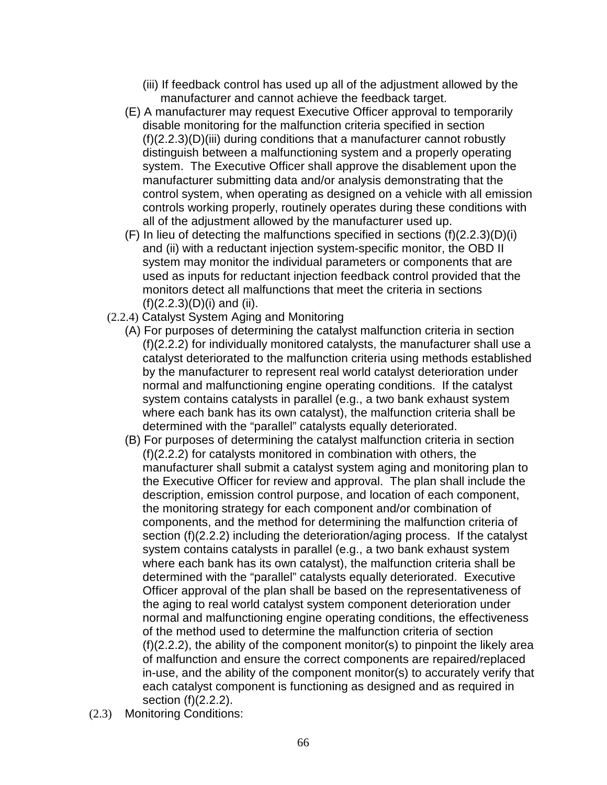- (iii) If feedback control has used up all of the adjustment allowed by the manufacturer and cannot achieve the feedback target.
- (E) A manufacturer may request Executive Officer approval to temporarily disable monitoring for the malfunction criteria specified in section (f)(2.2.3)(D)(iii) during conditions that a manufacturer cannot robustly distinguish between a malfunctioning system and a properly operating system. The Executive Officer shall approve the disablement upon the manufacturer submitting data and/or analysis demonstrating that the control system, when operating as designed on a vehicle with all emission controls working properly, routinely operates during these conditions with all of the adjustment allowed by the manufacturer used up.
- (F) In lieu of detecting the malfunctions specified in sections (f)(2.2.3)(D)(i) and (ii) with a reductant injection system-specific monitor, the OBD II system may monitor the individual parameters or components that are used as inputs for reductant injection feedback control provided that the monitors detect all malfunctions that meet the criteria in sections  $(f)(2.2.3)(D)(i)$  and (ii).
- (2.2.4) Catalyst System Aging and Monitoring
	- (A) For purposes of determining the catalyst malfunction criteria in section (f)(2.2.2) for individually monitored catalysts, the manufacturer shall use a catalyst deteriorated to the malfunction criteria using methods established by the manufacturer to represent real world catalyst deterioration under normal and malfunctioning engine operating conditions. If the catalyst system contains catalysts in parallel (e.g., a two bank exhaust system where each bank has its own catalyst), the malfunction criteria shall be determined with the "parallel" catalysts equally deteriorated.
	- (B) For purposes of determining the catalyst malfunction criteria in section (f)(2.2.2) for catalysts monitored in combination with others, the manufacturer shall submit a catalyst system aging and monitoring plan to the Executive Officer for review and approval. The plan shall include the description, emission control purpose, and location of each component, the monitoring strategy for each component and/or combination of components, and the method for determining the malfunction criteria of section (f)(2.2.2) including the deterioration/aging process. If the catalyst system contains catalysts in parallel (e.g., a two bank exhaust system where each bank has its own catalyst), the malfunction criteria shall be determined with the "parallel" catalysts equally deteriorated. Executive Officer approval of the plan shall be based on the representativeness of the aging to real world catalyst system component deterioration under normal and malfunctioning engine operating conditions, the effectiveness of the method used to determine the malfunction criteria of section (f)(2.2.2), the ability of the component monitor(s) to pinpoint the likely area of malfunction and ensure the correct components are repaired/replaced in-use, and the ability of the component monitor(s) to accurately verify that each catalyst component is functioning as designed and as required in section (f)(2.2.2).
- (2.3) Monitoring Conditions: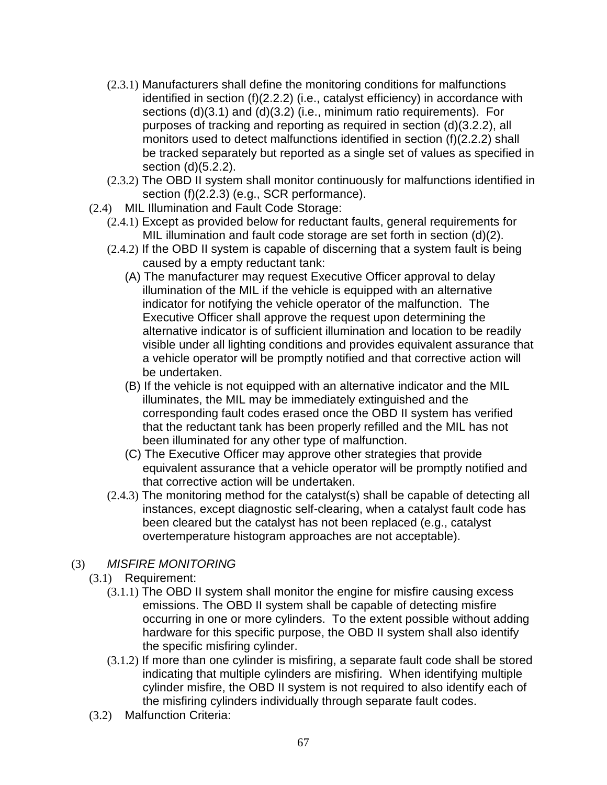- (2.3.1) Manufacturers shall define the monitoring conditions for malfunctions identified in section (f)(2.2.2) (i.e., catalyst efficiency) in accordance with sections (d)(3.1) and (d)(3.2) (i.e., minimum ratio requirements). For purposes of tracking and reporting as required in section (d)(3.2.2), all monitors used to detect malfunctions identified in section (f)(2.2.2) shall be tracked separately but reported as a single set of values as specified in section (d)(5.2.2).
- (2.3.2) The OBD II system shall monitor continuously for malfunctions identified in section (f)(2.2.3) (e.g., SCR performance).
- (2.4) MIL Illumination and Fault Code Storage:
	- (2.4.1) Except as provided below for reductant faults, general requirements for MIL illumination and fault code storage are set forth in section (d)(2).
	- (2.4.2) If the OBD II system is capable of discerning that a system fault is being caused by a empty reductant tank:
		- (A) The manufacturer may request Executive Officer approval to delay illumination of the MIL if the vehicle is equipped with an alternative indicator for notifying the vehicle operator of the malfunction. The Executive Officer shall approve the request upon determining the alternative indicator is of sufficient illumination and location to be readily visible under all lighting conditions and provides equivalent assurance that a vehicle operator will be promptly notified and that corrective action will be undertaken.
		- (B) If the vehicle is not equipped with an alternative indicator and the MIL illuminates, the MIL may be immediately extinguished and the corresponding fault codes erased once the OBD II system has verified that the reductant tank has been properly refilled and the MIL has not been illuminated for any other type of malfunction.
		- (C) The Executive Officer may approve other strategies that provide equivalent assurance that a vehicle operator will be promptly notified and that corrective action will be undertaken.
	- (2.4.3) The monitoring method for the catalyst(s) shall be capable of detecting all instances, except diagnostic self-clearing, when a catalyst fault code has been cleared but the catalyst has not been replaced (e.g., catalyst overtemperature histogram approaches are not acceptable).
- (3) MISFIRE MONITORING
	- (3.1) Requirement:
		- (3.1.1) The OBD II system shall monitor the engine for misfire causing excess emissions. The OBD II system shall be capable of detecting misfire occurring in one or more cylinders. To the extent possible without adding hardware for this specific purpose, the OBD II system shall also identify the specific misfiring cylinder.
		- (3.1.2) If more than one cylinder is misfiring, a separate fault code shall be stored indicating that multiple cylinders are misfiring. When identifying multiple cylinder misfire, the OBD II system is not required to also identify each of the misfiring cylinders individually through separate fault codes.
	- (3.2) Malfunction Criteria: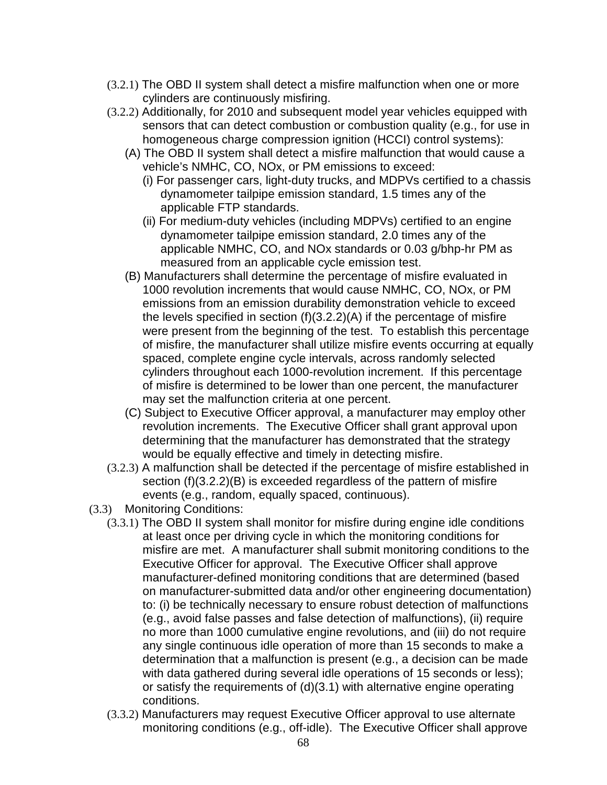- (3.2.1) The OBD II system shall detect a misfire malfunction when one or more cylinders are continuously misfiring.
- (3.2.2) Additionally, for 2010 and subsequent model year vehicles equipped with sensors that can detect combustion or combustion quality (e.g., for use in homogeneous charge compression ignition (HCCI) control systems):
	- (A) The OBD II system shall detect a misfire malfunction that would cause a vehicle's NMHC, CO, NOx, or PM emissions to exceed:
		- (i) For passenger cars, light-duty trucks, and MDPVs certified to a chassis dynamometer tailpipe emission standard, 1.5 times any of the applicable FTP standards.
		- (ii) For medium-duty vehicles (including MDPVs) certified to an engine dynamometer tailpipe emission standard, 2.0 times any of the applicable NMHC, CO, and NOx standards or 0.03 g/bhp-hr PM as measured from an applicable cycle emission test.
	- (B) Manufacturers shall determine the percentage of misfire evaluated in 1000 revolution increments that would cause NMHC, CO, NOx, or PM emissions from an emission durability demonstration vehicle to exceed the levels specified in section (f)(3.2.2)(A) if the percentage of misfire were present from the beginning of the test. To establish this percentage of misfire, the manufacturer shall utilize misfire events occurring at equally spaced, complete engine cycle intervals, across randomly selected cylinders throughout each 1000-revolution increment. If this percentage of misfire is determined to be lower than one percent, the manufacturer may set the malfunction criteria at one percent.
	- (C) Subject to Executive Officer approval, a manufacturer may employ other revolution increments. The Executive Officer shall grant approval upon determining that the manufacturer has demonstrated that the strategy would be equally effective and timely in detecting misfire.
- (3.2.3) A malfunction shall be detected if the percentage of misfire established in section (f)(3.2.2)(B) is exceeded regardless of the pattern of misfire events (e.g., random, equally spaced, continuous).
- (3.3) Monitoring Conditions:
	- (3.3.1) The OBD II system shall monitor for misfire during engine idle conditions at least once per driving cycle in which the monitoring conditions for misfire are met. A manufacturer shall submit monitoring conditions to the Executive Officer for approval. The Executive Officer shall approve manufacturer-defined monitoring conditions that are determined (based on manufacturer-submitted data and/or other engineering documentation) to: (i) be technically necessary to ensure robust detection of malfunctions (e.g., avoid false passes and false detection of malfunctions), (ii) require no more than 1000 cumulative engine revolutions, and (iii) do not require any single continuous idle operation of more than 15 seconds to make a determination that a malfunction is present (e.g., a decision can be made with data gathered during several idle operations of 15 seconds or less); or satisfy the requirements of (d)(3.1) with alternative engine operating conditions.
	- (3.3.2) Manufacturers may request Executive Officer approval to use alternate monitoring conditions (e.g., off-idle). The Executive Officer shall approve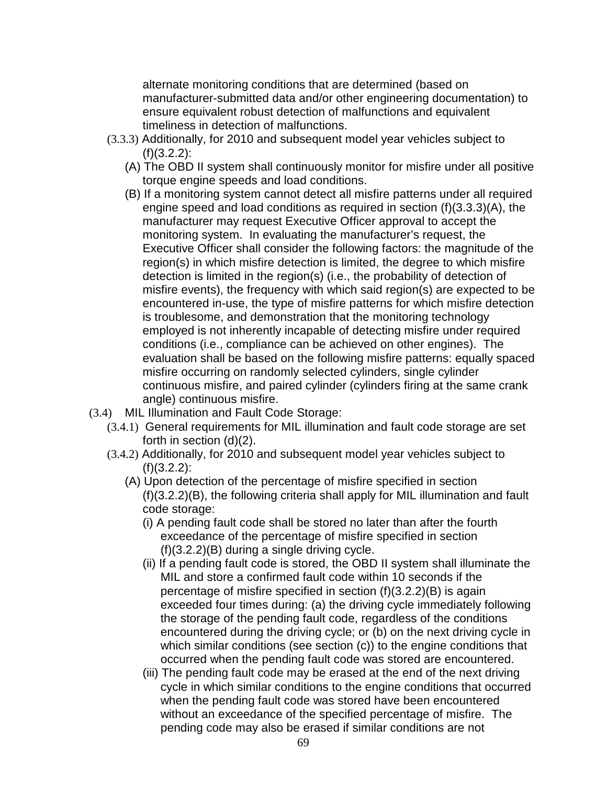alternate monitoring conditions that are determined (based on manufacturer-submitted data and/or other engineering documentation) to ensure equivalent robust detection of malfunctions and equivalent timeliness in detection of malfunctions.

- (3.3.3) Additionally, for 2010 and subsequent model year vehicles subject to  $(f)(3.2.2)$ :
	- (A) The OBD II system shall continuously monitor for misfire under all positive torque engine speeds and load conditions.
	- (B) If a monitoring system cannot detect all misfire patterns under all required engine speed and load conditions as required in section (f)(3.3.3)(A), the manufacturer may request Executive Officer approval to accept the monitoring system. In evaluating the manufacturer's request, the Executive Officer shall consider the following factors: the magnitude of the region(s) in which misfire detection is limited, the degree to which misfire detection is limited in the region(s) (i.e., the probability of detection of misfire events), the frequency with which said region(s) are expected to be encountered in-use, the type of misfire patterns for which misfire detection is troublesome, and demonstration that the monitoring technology employed is not inherently incapable of detecting misfire under required conditions (i.e., compliance can be achieved on other engines). The evaluation shall be based on the following misfire patterns: equally spaced misfire occurring on randomly selected cylinders, single cylinder continuous misfire, and paired cylinder (cylinders firing at the same crank angle) continuous misfire.
- (3.4) MIL Illumination and Fault Code Storage:
	- (3.4.1) General requirements for MIL illumination and fault code storage are set forth in section (d)(2).
	- (3.4.2) Additionally, for 2010 and subsequent model year vehicles subject to  $(f)(3.2.2)$ :
		- (A) Upon detection of the percentage of misfire specified in section (f)(3.2.2)(B), the following criteria shall apply for MIL illumination and fault code storage:
			- (i) A pending fault code shall be stored no later than after the fourth exceedance of the percentage of misfire specified in section (f)(3.2.2)(B) during a single driving cycle.
			- (ii) If a pending fault code is stored, the OBD II system shall illuminate the MIL and store a confirmed fault code within 10 seconds if the percentage of misfire specified in section (f)(3.2.2)(B) is again exceeded four times during: (a) the driving cycle immediately following the storage of the pending fault code, regardless of the conditions encountered during the driving cycle; or (b) on the next driving cycle in which similar conditions (see section (c)) to the engine conditions that occurred when the pending fault code was stored are encountered.
			- (iii) The pending fault code may be erased at the end of the next driving cycle in which similar conditions to the engine conditions that occurred when the pending fault code was stored have been encountered without an exceedance of the specified percentage of misfire. The pending code may also be erased if similar conditions are not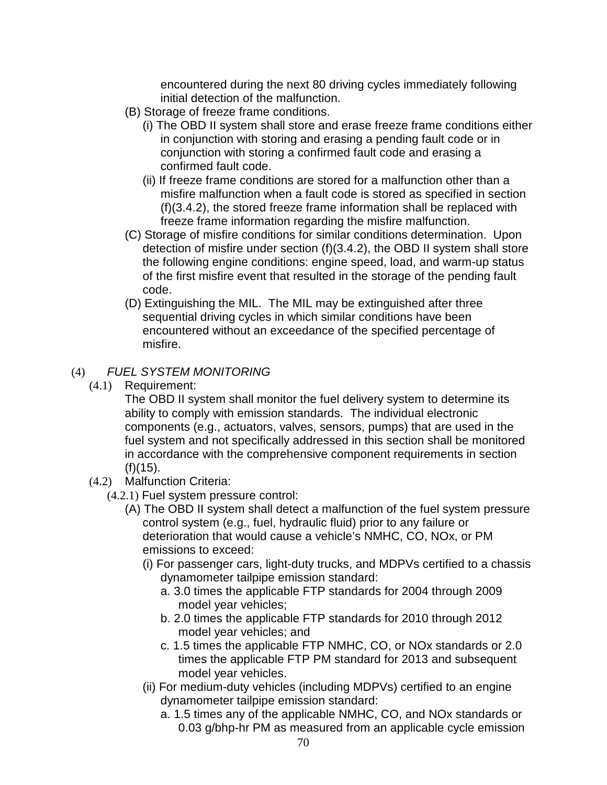encountered during the next 80 driving cycles immediately following initial detection of the malfunction.

- (B) Storage of freeze frame conditions.
	- (i) The OBD II system shall store and erase freeze frame conditions either in conjunction with storing and erasing a pending fault code or in conjunction with storing a confirmed fault code and erasing a confirmed fault code.
	- (ii) If freeze frame conditions are stored for a malfunction other than a misfire malfunction when a fault code is stored as specified in section (f)(3.4.2), the stored freeze frame information shall be replaced with freeze frame information regarding the misfire malfunction.
- (C) Storage of misfire conditions for similar conditions determination. Upon detection of misfire under section (f)(3.4.2), the OBD II system shall store the following engine conditions: engine speed, load, and warm-up status of the first misfire event that resulted in the storage of the pending fault code.
- (D) Extinguishing the MIL. The MIL may be extinguished after three sequential driving cycles in which similar conditions have been encountered without an exceedance of the specified percentage of misfire.

# (4) FUEL SYSTEM MONITORING

(4.1) Requirement:

The OBD II system shall monitor the fuel delivery system to determine its ability to comply with emission standards. The individual electronic components (e.g., actuators, valves, sensors, pumps) that are used in the fuel system and not specifically addressed in this section shall be monitored in accordance with the comprehensive component requirements in section  $(f)(15)$ .

- (4.2) Malfunction Criteria:
	- (4.2.1) Fuel system pressure control:
		- (A) The OBD II system shall detect a malfunction of the fuel system pressure control system (e.g., fuel, hydraulic fluid) prior to any failure or deterioration that would cause a vehicle's NMHC, CO, NOx, or PM emissions to exceed:
			- (i) For passenger cars, light-duty trucks, and MDPVs certified to a chassis dynamometer tailpipe emission standard:
				- a. 3.0 times the applicable FTP standards for 2004 through 2009 model year vehicles;
				- b. 2.0 times the applicable FTP standards for 2010 through 2012 model year vehicles; and
				- c. 1.5 times the applicable FTP NMHC, CO, or NOx standards or 2.0 times the applicable FTP PM standard for 2013 and subsequent model year vehicles.
			- (ii) For medium-duty vehicles (including MDPVs) certified to an engine dynamometer tailpipe emission standard:
				- a. 1.5 times any of the applicable NMHC, CO, and NOx standards or 0.03 g/bhp-hr PM as measured from an applicable cycle emission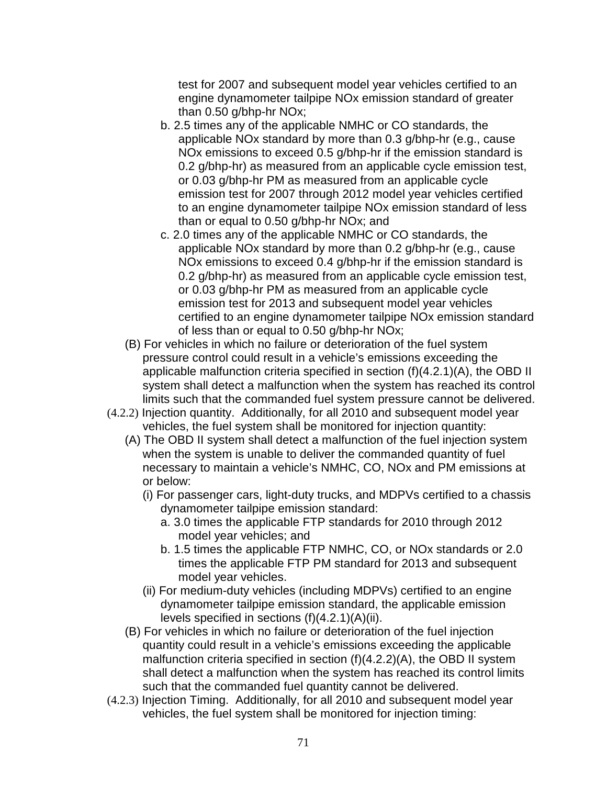test for 2007 and subsequent model year vehicles certified to an engine dynamometer tailpipe NOx emission standard of greater than 0.50 g/bhp-hr NOx;

- b. 2.5 times any of the applicable NMHC or CO standards, the applicable NOx standard by more than 0.3 g/bhp-hr (e.g., cause NOx emissions to exceed 0.5 g/bhp-hr if the emission standard is 0.2 g/bhp-hr) as measured from an applicable cycle emission test, or 0.03 g/bhp-hr PM as measured from an applicable cycle emission test for 2007 through 2012 model year vehicles certified to an engine dynamometer tailpipe NOx emission standard of less than or equal to 0.50 g/bhp-hr NOx; and
- c. 2.0 times any of the applicable NMHC or CO standards, the applicable NOx standard by more than 0.2 g/bhp-hr (e.g., cause NOx emissions to exceed 0.4 g/bhp-hr if the emission standard is 0.2 g/bhp-hr) as measured from an applicable cycle emission test, or 0.03 g/bhp-hr PM as measured from an applicable cycle emission test for 2013 and subsequent model year vehicles certified to an engine dynamometer tailpipe NOx emission standard of less than or equal to 0.50 g/bhp-hr NOx;
- (B) For vehicles in which no failure or deterioration of the fuel system pressure control could result in a vehicle's emissions exceeding the applicable malfunction criteria specified in section (f)(4.2.1)(A), the OBD II system shall detect a malfunction when the system has reached its control limits such that the commanded fuel system pressure cannot be delivered.
- (4.2.2) Injection quantity. Additionally, for all 2010 and subsequent model year vehicles, the fuel system shall be monitored for injection quantity:
	- (A) The OBD II system shall detect a malfunction of the fuel injection system when the system is unable to deliver the commanded quantity of fuel necessary to maintain a vehicle's NMHC, CO, NOx and PM emissions at or below:
		- (i) For passenger cars, light-duty trucks, and MDPVs certified to a chassis dynamometer tailpipe emission standard:
			- a. 3.0 times the applicable FTP standards for 2010 through 2012 model year vehicles; and
			- b. 1.5 times the applicable FTP NMHC, CO, or NOx standards or 2.0 times the applicable FTP PM standard for 2013 and subsequent model year vehicles.
		- (ii) For medium-duty vehicles (including MDPVs) certified to an engine dynamometer tailpipe emission standard, the applicable emission levels specified in sections (f)(4.2.1)(A)(ii).
	- (B) For vehicles in which no failure or deterioration of the fuel injection quantity could result in a vehicle's emissions exceeding the applicable malfunction criteria specified in section (f)(4.2.2)(A), the OBD II system shall detect a malfunction when the system has reached its control limits such that the commanded fuel quantity cannot be delivered.
- (4.2.3) Injection Timing. Additionally, for all 2010 and subsequent model year vehicles, the fuel system shall be monitored for injection timing: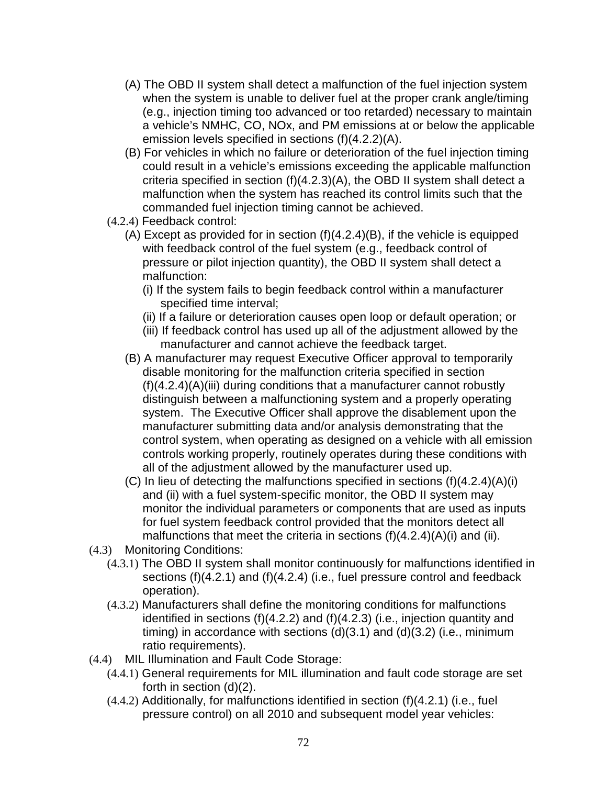- (A) The OBD II system shall detect a malfunction of the fuel injection system when the system is unable to deliver fuel at the proper crank angle/timing (e.g., injection timing too advanced or too retarded) necessary to maintain a vehicle's NMHC, CO, NOx, and PM emissions at or below the applicable emission levels specified in sections (f)(4.2.2)(A).
- (B) For vehicles in which no failure or deterioration of the fuel injection timing could result in a vehicle's emissions exceeding the applicable malfunction criteria specified in section (f)(4.2.3)(A), the OBD II system shall detect a malfunction when the system has reached its control limits such that the commanded fuel injection timing cannot be achieved.
- (4.2.4) Feedback control:
	- (A) Except as provided for in section (f)(4.2.4)(B), if the vehicle is equipped with feedback control of the fuel system (e.g., feedback control of pressure or pilot injection quantity), the OBD II system shall detect a malfunction:
		- (i) If the system fails to begin feedback control within a manufacturer specified time interval;
		- (ii) If a failure or deterioration causes open loop or default operation; or
		- (iii) If feedback control has used up all of the adjustment allowed by the manufacturer and cannot achieve the feedback target.
	- (B) A manufacturer may request Executive Officer approval to temporarily disable monitoring for the malfunction criteria specified in section (f)(4.2.4)(A)(iii) during conditions that a manufacturer cannot robustly distinguish between a malfunctioning system and a properly operating system. The Executive Officer shall approve the disablement upon the manufacturer submitting data and/or analysis demonstrating that the control system, when operating as designed on a vehicle with all emission controls working properly, routinely operates during these conditions with all of the adjustment allowed by the manufacturer used up.
	- (C) In lieu of detecting the malfunctions specified in sections (f)(4.2.4)(A)(i) and (ii) with a fuel system-specific monitor, the OBD II system may monitor the individual parameters or components that are used as inputs for fuel system feedback control provided that the monitors detect all malfunctions that meet the criteria in sections (f)(4.2.4)(A)(i) and (ii).
- (4.3) Monitoring Conditions:
	- (4.3.1) The OBD II system shall monitor continuously for malfunctions identified in sections (f)(4.2.1) and (f)(4.2.4) (i.e., fuel pressure control and feedback operation).
	- (4.3.2) Manufacturers shall define the monitoring conditions for malfunctions identified in sections (f)(4.2.2) and (f)(4.2.3) (i.e., injection quantity and timing) in accordance with sections  $(d)(3.1)$  and  $(d)(3.2)$  (i.e., minimum ratio requirements).
- (4.4) MIL Illumination and Fault Code Storage:
	- (4.4.1) General requirements for MIL illumination and fault code storage are set forth in section (d)(2).
	- (4.4.2) Additionally, for malfunctions identified in section (f)(4.2.1) (i.e., fuel pressure control) on all 2010 and subsequent model year vehicles: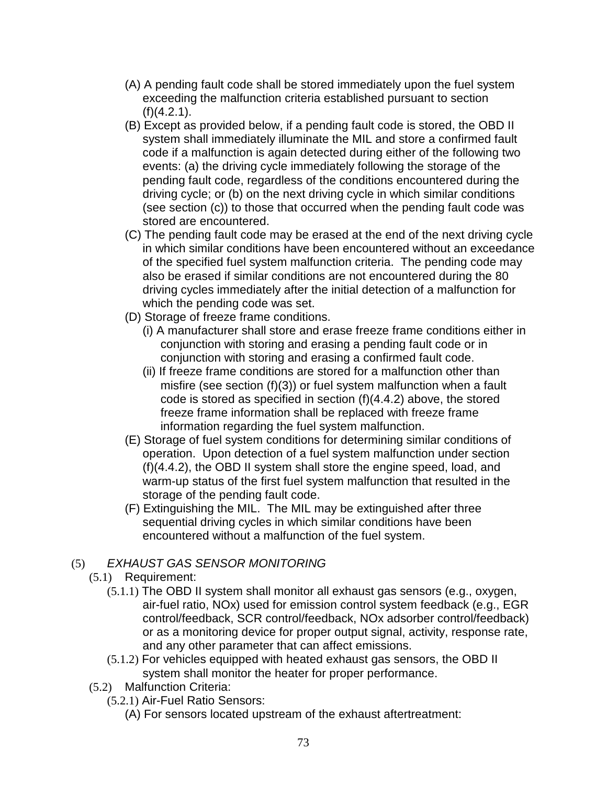- (A) A pending fault code shall be stored immediately upon the fuel system exceeding the malfunction criteria established pursuant to section  $(f)(4.2.1)$ .
- (B) Except as provided below, if a pending fault code is stored, the OBD II system shall immediately illuminate the MIL and store a confirmed fault code if a malfunction is again detected during either of the following two events: (a) the driving cycle immediately following the storage of the pending fault code, regardless of the conditions encountered during the driving cycle; or (b) on the next driving cycle in which similar conditions (see section (c)) to those that occurred when the pending fault code was stored are encountered.
- (C) The pending fault code may be erased at the end of the next driving cycle in which similar conditions have been encountered without an exceedance of the specified fuel system malfunction criteria. The pending code may also be erased if similar conditions are not encountered during the 80 driving cycles immediately after the initial detection of a malfunction for which the pending code was set.
- (D) Storage of freeze frame conditions.
	- (i) A manufacturer shall store and erase freeze frame conditions either in conjunction with storing and erasing a pending fault code or in conjunction with storing and erasing a confirmed fault code.
	- (ii) If freeze frame conditions are stored for a malfunction other than misfire (see section (f)(3)) or fuel system malfunction when a fault code is stored as specified in section (f)(4.4.2) above, the stored freeze frame information shall be replaced with freeze frame information regarding the fuel system malfunction.
- (E) Storage of fuel system conditions for determining similar conditions of operation. Upon detection of a fuel system malfunction under section (f)(4.4.2), the OBD II system shall store the engine speed, load, and warm-up status of the first fuel system malfunction that resulted in the storage of the pending fault code.
- (F) Extinguishing the MIL. The MIL may be extinguished after three sequential driving cycles in which similar conditions have been encountered without a malfunction of the fuel system.

# (5) EXHAUST GAS SENSOR MONITORING

- (5.1) Requirement:
	- (5.1.1) The OBD II system shall monitor all exhaust gas sensors (e.g., oxygen, air-fuel ratio, NOx) used for emission control system feedback (e.g., EGR control/feedback, SCR control/feedback, NOx adsorber control/feedback) or as a monitoring device for proper output signal, activity, response rate, and any other parameter that can affect emissions.
	- (5.1.2) For vehicles equipped with heated exhaust gas sensors, the OBD II system shall monitor the heater for proper performance.
- (5.2) Malfunction Criteria:
	- (5.2.1) Air-Fuel Ratio Sensors:
		- (A) For sensors located upstream of the exhaust aftertreatment: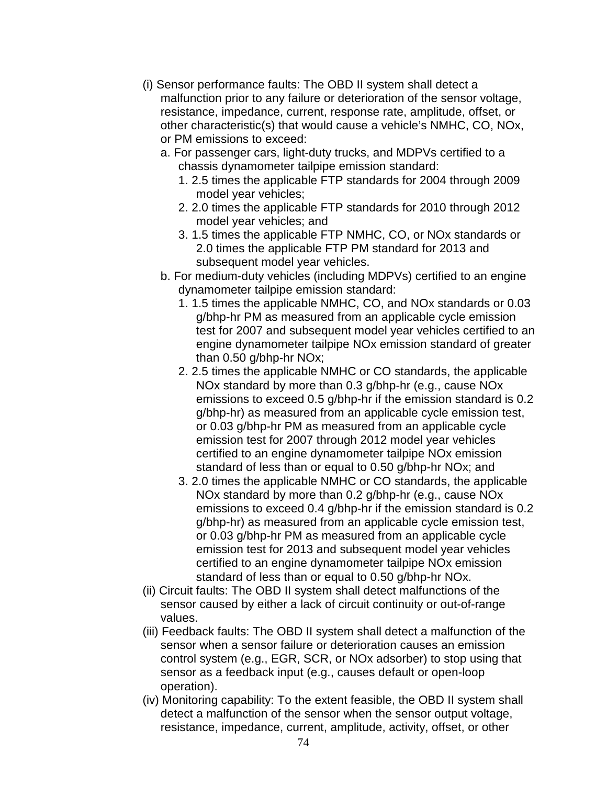- (i) Sensor performance faults: The OBD II system shall detect a malfunction prior to any failure or deterioration of the sensor voltage, resistance, impedance, current, response rate, amplitude, offset, or other characteristic(s) that would cause a vehicle's NMHC, CO, NOx, or PM emissions to exceed:
	- a. For passenger cars, light-duty trucks, and MDPVs certified to a chassis dynamometer tailpipe emission standard:
		- 1. 2.5 times the applicable FTP standards for 2004 through 2009 model year vehicles;
		- 2. 2.0 times the applicable FTP standards for 2010 through 2012 model year vehicles; and
		- 3. 1.5 times the applicable FTP NMHC, CO, or NOx standards or 2.0 times the applicable FTP PM standard for 2013 and subsequent model year vehicles.
	- b. For medium-duty vehicles (including MDPVs) certified to an engine dynamometer tailpipe emission standard:
		- 1. 1.5 times the applicable NMHC, CO, and NOx standards or 0.03 g/bhp-hr PM as measured from an applicable cycle emission test for 2007 and subsequent model year vehicles certified to an engine dynamometer tailpipe NOx emission standard of greater than 0.50 g/bhp-hr NOx;
		- 2. 2.5 times the applicable NMHC or CO standards, the applicable NOx standard by more than 0.3 g/bhp-hr (e.g., cause NOx emissions to exceed 0.5 g/bhp-hr if the emission standard is 0.2 g/bhp-hr) as measured from an applicable cycle emission test, or 0.03 g/bhp-hr PM as measured from an applicable cycle emission test for 2007 through 2012 model year vehicles certified to an engine dynamometer tailpipe NOx emission standard of less than or equal to 0.50 g/bhp-hr NOx; and
		- 3. 2.0 times the applicable NMHC or CO standards, the applicable NOx standard by more than 0.2 g/bhp-hr (e.g., cause NOx emissions to exceed 0.4 g/bhp-hr if the emission standard is 0.2 g/bhp-hr) as measured from an applicable cycle emission test, or 0.03 g/bhp-hr PM as measured from an applicable cycle emission test for 2013 and subsequent model year vehicles certified to an engine dynamometer tailpipe NOx emission standard of less than or equal to 0.50 g/bhp-hr NOx.
- (ii) Circuit faults: The OBD II system shall detect malfunctions of the sensor caused by either a lack of circuit continuity or out-of-range values.
- (iii) Feedback faults: The OBD II system shall detect a malfunction of the sensor when a sensor failure or deterioration causes an emission control system (e.g., EGR, SCR, or NOx adsorber) to stop using that sensor as a feedback input (e.g., causes default or open-loop operation).
- (iv) Monitoring capability: To the extent feasible, the OBD II system shall detect a malfunction of the sensor when the sensor output voltage, resistance, impedance, current, amplitude, activity, offset, or other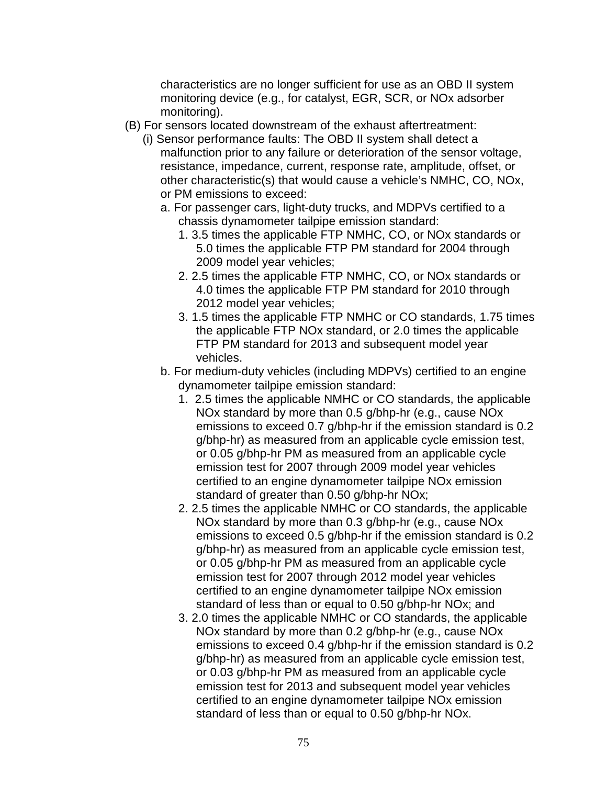characteristics are no longer sufficient for use as an OBD II system monitoring device (e.g., for catalyst, EGR, SCR, or NOx adsorber monitoring).

- (B) For sensors located downstream of the exhaust aftertreatment:
	- (i) Sensor performance faults: The OBD II system shall detect a malfunction prior to any failure or deterioration of the sensor voltage, resistance, impedance, current, response rate, amplitude, offset, or other characteristic(s) that would cause a vehicle's NMHC, CO, NOx, or PM emissions to exceed:
		- a. For passenger cars, light-duty trucks, and MDPVs certified to a chassis dynamometer tailpipe emission standard:
			- 1. 3.5 times the applicable FTP NMHC, CO, or NOx standards or 5.0 times the applicable FTP PM standard for 2004 through 2009 model year vehicles;
			- 2. 2.5 times the applicable FTP NMHC, CO, or NOx standards or 4.0 times the applicable FTP PM standard for 2010 through 2012 model year vehicles;
			- 3. 1.5 times the applicable FTP NMHC or CO standards, 1.75 times the applicable FTP NOx standard, or 2.0 times the applicable FTP PM standard for 2013 and subsequent model year vehicles.
		- b. For medium-duty vehicles (including MDPVs) certified to an engine dynamometer tailpipe emission standard:
			- 1. 2.5 times the applicable NMHC or CO standards, the applicable NOx standard by more than 0.5 g/bhp-hr (e.g., cause NOx emissions to exceed 0.7 g/bhp-hr if the emission standard is 0.2 g/bhp-hr) as measured from an applicable cycle emission test, or 0.05 g/bhp-hr PM as measured from an applicable cycle emission test for 2007 through 2009 model year vehicles certified to an engine dynamometer tailpipe NOx emission standard of greater than 0.50 g/bhp-hr NOx;
			- 2. 2.5 times the applicable NMHC or CO standards, the applicable NOx standard by more than 0.3 g/bhp-hr (e.g., cause NOx emissions to exceed 0.5 g/bhp-hr if the emission standard is 0.2 g/bhp-hr) as measured from an applicable cycle emission test, or 0.05 g/bhp-hr PM as measured from an applicable cycle emission test for 2007 through 2012 model year vehicles certified to an engine dynamometer tailpipe NOx emission standard of less than or equal to 0.50 g/bhp-hr NOx; and
			- 3. 2.0 times the applicable NMHC or CO standards, the applicable NOx standard by more than 0.2 g/bhp-hr (e.g., cause NOx emissions to exceed 0.4 g/bhp-hr if the emission standard is 0.2 g/bhp-hr) as measured from an applicable cycle emission test, or 0.03 g/bhp-hr PM as measured from an applicable cycle emission test for 2013 and subsequent model year vehicles certified to an engine dynamometer tailpipe NOx emission standard of less than or equal to 0.50 g/bhp-hr NOx.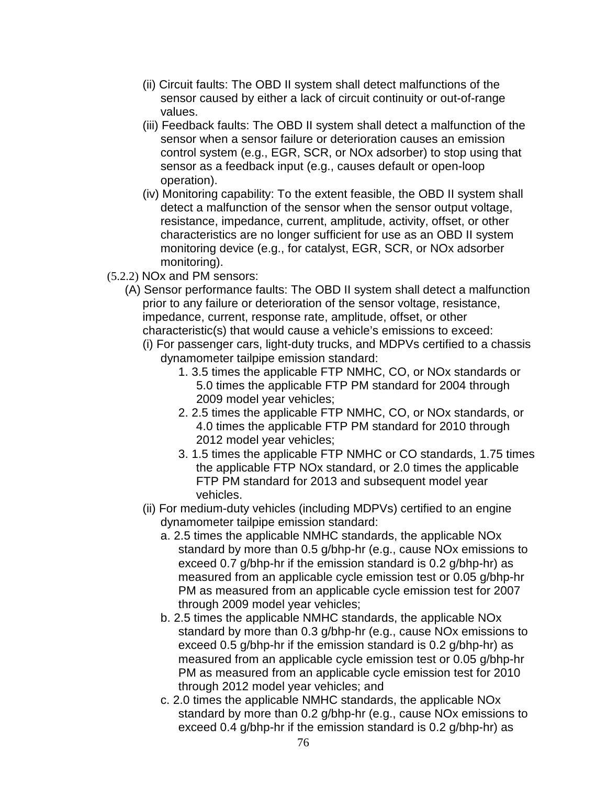- (ii) Circuit faults: The OBD II system shall detect malfunctions of the sensor caused by either a lack of circuit continuity or out-of-range values.
- (iii) Feedback faults: The OBD II system shall detect a malfunction of the sensor when a sensor failure or deterioration causes an emission control system (e.g., EGR, SCR, or NOx adsorber) to stop using that sensor as a feedback input (e.g., causes default or open-loop operation).
- (iv) Monitoring capability: To the extent feasible, the OBD II system shall detect a malfunction of the sensor when the sensor output voltage, resistance, impedance, current, amplitude, activity, offset, or other characteristics are no longer sufficient for use as an OBD II system monitoring device (e.g., for catalyst, EGR, SCR, or NOx adsorber monitoring).
- (5.2.2) NOx and PM sensors:
	- (A) Sensor performance faults: The OBD II system shall detect a malfunction prior to any failure or deterioration of the sensor voltage, resistance, impedance, current, response rate, amplitude, offset, or other characteristic(s) that would cause a vehicle's emissions to exceed:
		- (i) For passenger cars, light-duty trucks, and MDPVs certified to a chassis dynamometer tailpipe emission standard:
			- 1. 3.5 times the applicable FTP NMHC, CO, or NOx standards or 5.0 times the applicable FTP PM standard for 2004 through 2009 model year vehicles;
			- 2. 2.5 times the applicable FTP NMHC, CO, or NOx standards, or 4.0 times the applicable FTP PM standard for 2010 through 2012 model year vehicles;
			- 3. 1.5 times the applicable FTP NMHC or CO standards, 1.75 times the applicable FTP NOx standard, or 2.0 times the applicable FTP PM standard for 2013 and subsequent model year vehicles.
		- (ii) For medium-duty vehicles (including MDPVs) certified to an engine dynamometer tailpipe emission standard:
			- a. 2.5 times the applicable NMHC standards, the applicable NOx standard by more than 0.5 g/bhp-hr (e.g., cause NOx emissions to exceed 0.7 g/bhp-hr if the emission standard is 0.2 g/bhp-hr) as measured from an applicable cycle emission test or 0.05 g/bhp-hr PM as measured from an applicable cycle emission test for 2007 through 2009 model year vehicles;
			- b. 2.5 times the applicable NMHC standards, the applicable NOx standard by more than 0.3 g/bhp-hr (e.g., cause NOx emissions to exceed 0.5 g/bhp-hr if the emission standard is 0.2 g/bhp-hr) as measured from an applicable cycle emission test or 0.05 g/bhp-hr PM as measured from an applicable cycle emission test for 2010 through 2012 model year vehicles; and
			- c. 2.0 times the applicable NMHC standards, the applicable NOx standard by more than 0.2 g/bhp-hr (e.g., cause NOx emissions to exceed 0.4 g/bhp-hr if the emission standard is 0.2 g/bhp-hr) as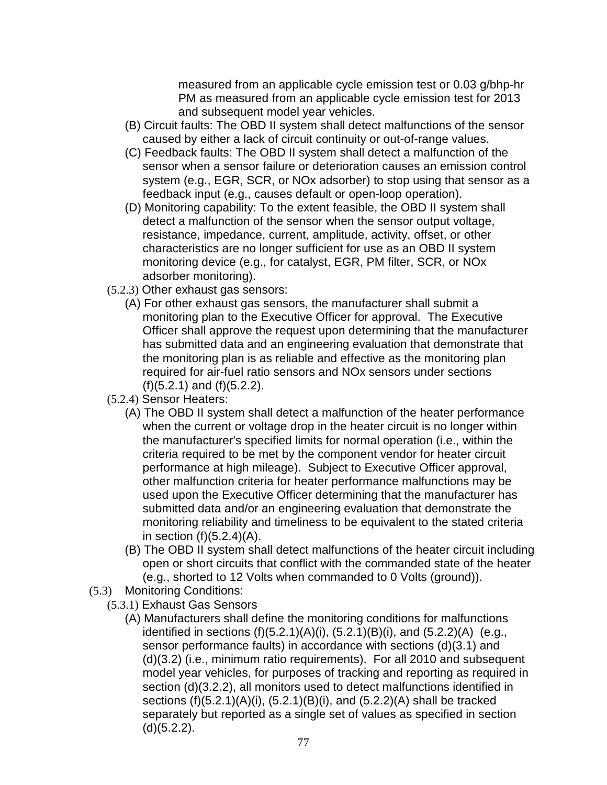measured from an applicable cycle emission test or 0.03 g/bhp-hr PM as measured from an applicable cycle emission test for 2013 and subsequent model year vehicles.

- (B) Circuit faults: The OBD II system shall detect malfunctions of the sensor caused by either a lack of circuit continuity or out-of-range values.
- (C) Feedback faults: The OBD II system shall detect a malfunction of the sensor when a sensor failure or deterioration causes an emission control system (e.g., EGR, SCR, or NOx adsorber) to stop using that sensor as a feedback input (e.g., causes default or open-loop operation).
- (D) Monitoring capability: To the extent feasible, the OBD II system shall detect a malfunction of the sensor when the sensor output voltage, resistance, impedance, current, amplitude, activity, offset, or other characteristics are no longer sufficient for use as an OBD II system monitoring device (e.g., for catalyst, EGR, PM filter, SCR, or NOx adsorber monitoring).
- (5.2.3) Other exhaust gas sensors:
	- (A) For other exhaust gas sensors, the manufacturer shall submit a monitoring plan to the Executive Officer for approval. The Executive Officer shall approve the request upon determining that the manufacturer has submitted data and an engineering evaluation that demonstrate that the monitoring plan is as reliable and effective as the monitoring plan required for air-fuel ratio sensors and NOx sensors under sections (f)(5.2.1) and (f)(5.2.2).
- (5.2.4) Sensor Heaters:
	- (A) The OBD II system shall detect a malfunction of the heater performance when the current or voltage drop in the heater circuit is no longer within the manufacturer's specified limits for normal operation (i.e., within the criteria required to be met by the component vendor for heater circuit performance at high mileage). Subject to Executive Officer approval, other malfunction criteria for heater performance malfunctions may be used upon the Executive Officer determining that the manufacturer has submitted data and/or an engineering evaluation that demonstrate the monitoring reliability and timeliness to be equivalent to the stated criteria in section  $(f)(5.2.4)(A)$ .
	- (B) The OBD II system shall detect malfunctions of the heater circuit including open or short circuits that conflict with the commanded state of the heater (e.g., shorted to 12 Volts when commanded to 0 Volts (ground)).
- (5.3) Monitoring Conditions:
	- (5.3.1) Exhaust Gas Sensors
		- (A) Manufacturers shall define the monitoring conditions for malfunctions identified in sections  $(f)(5.2.1)(A)(i)$ ,  $(5.2.1)(B)(i)$ , and  $(5.2.2)(A)$  (e.g., sensor performance faults) in accordance with sections (d)(3.1) and (d)(3.2) (i.e., minimum ratio requirements). For all 2010 and subsequent model year vehicles, for purposes of tracking and reporting as required in section (d)(3.2.2), all monitors used to detect malfunctions identified in sections (f)(5.2.1)(A)(i), (5.2.1)(B)(i), and (5.2.2)(A) shall be tracked separately but reported as a single set of values as specified in section  $(d)(5.2.2).$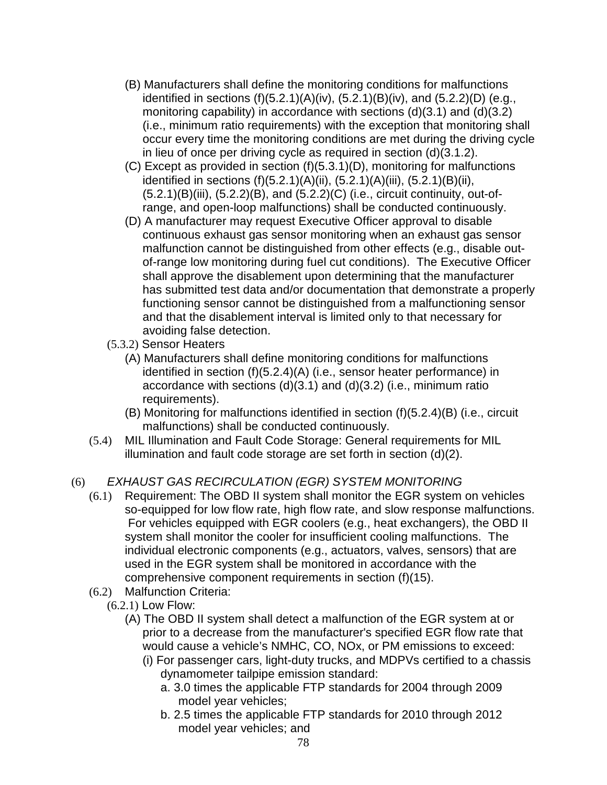- (B) Manufacturers shall define the monitoring conditions for malfunctions identified in sections  $(f)(5.2.1)(A)(iv)$ ,  $(5.2.1)(B)(iv)$ , and  $(5.2.2)(D)$  (e.g., monitoring capability) in accordance with sections (d)(3.1) and (d)(3.2) (i.e., minimum ratio requirements) with the exception that monitoring shall occur every time the monitoring conditions are met during the driving cycle in lieu of once per driving cycle as required in section (d)(3.1.2).
- (C) Except as provided in section (f)(5.3.1)(D), monitoring for malfunctions identified in sections (f)(5.2.1)(A)(ii), (5.2.1)(A)(iii), (5.2.1)(B)(ii),  $(5.2.1)(B)(iii)$ ,  $(5.2.2)(B)$ , and  $(5.2.2)(C)$  (i.e., circuit continuity, out-ofrange, and open-loop malfunctions) shall be conducted continuously.
- (D) A manufacturer may request Executive Officer approval to disable continuous exhaust gas sensor monitoring when an exhaust gas sensor malfunction cannot be distinguished from other effects (e.g., disable outof-range low monitoring during fuel cut conditions). The Executive Officer shall approve the disablement upon determining that the manufacturer has submitted test data and/or documentation that demonstrate a properly functioning sensor cannot be distinguished from a malfunctioning sensor and that the disablement interval is limited only to that necessary for avoiding false detection.
- (5.3.2) Sensor Heaters
	- (A) Manufacturers shall define monitoring conditions for malfunctions identified in section (f)(5.2.4)(A) (i.e., sensor heater performance) in accordance with sections (d)(3.1) and (d)(3.2) (i.e., minimum ratio requirements).
	- (B) Monitoring for malfunctions identified in section (f)(5.2.4)(B) (i.e., circuit malfunctions) shall be conducted continuously.
- (5.4) MIL Illumination and Fault Code Storage: General requirements for MIL illumination and fault code storage are set forth in section (d)(2).

# (6) EXHAUST GAS RECIRCULATION (EGR) SYSTEM MONITORING

- (6.1) Requirement: The OBD II system shall monitor the EGR system on vehicles so-equipped for low flow rate, high flow rate, and slow response malfunctions. For vehicles equipped with EGR coolers (e.g., heat exchangers), the OBD II system shall monitor the cooler for insufficient cooling malfunctions. The individual electronic components (e.g., actuators, valves, sensors) that are used in the EGR system shall be monitored in accordance with the comprehensive component requirements in section (f)(15).
- (6.2) Malfunction Criteria:
	- (6.2.1) Low Flow:
		- (A) The OBD II system shall detect a malfunction of the EGR system at or prior to a decrease from the manufacturer's specified EGR flow rate that would cause a vehicle's NMHC, CO, NOx, or PM emissions to exceed:
			- (i) For passenger cars, light-duty trucks, and MDPVs certified to a chassis dynamometer tailpipe emission standard:
				- a. 3.0 times the applicable FTP standards for 2004 through 2009 model year vehicles;
				- b. 2.5 times the applicable FTP standards for 2010 through 2012 model year vehicles; and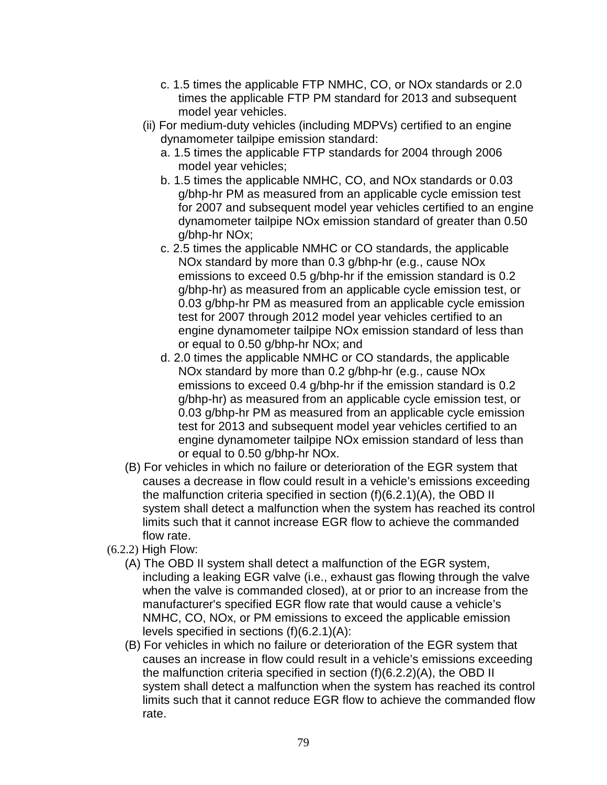- c. 1.5 times the applicable FTP NMHC, CO, or NOx standards or 2.0 times the applicable FTP PM standard for 2013 and subsequent model year vehicles.
- (ii) For medium-duty vehicles (including MDPVs) certified to an engine dynamometer tailpipe emission standard:
	- a. 1.5 times the applicable FTP standards for 2004 through 2006 model year vehicles;
	- b. 1.5 times the applicable NMHC, CO, and NOx standards or 0.03 g/bhp-hr PM as measured from an applicable cycle emission test for 2007 and subsequent model year vehicles certified to an engine dynamometer tailpipe NOx emission standard of greater than 0.50 g/bhp-hr NOx;
	- c. 2.5 times the applicable NMHC or CO standards, the applicable NOx standard by more than 0.3 g/bhp-hr (e.g., cause NOx emissions to exceed 0.5 g/bhp-hr if the emission standard is 0.2 g/bhp-hr) as measured from an applicable cycle emission test, or 0.03 g/bhp-hr PM as measured from an applicable cycle emission test for 2007 through 2012 model year vehicles certified to an engine dynamometer tailpipe NOx emission standard of less than or equal to 0.50 g/bhp-hr NOx; and
	- d. 2.0 times the applicable NMHC or CO standards, the applicable NOx standard by more than 0.2 g/bhp-hr (e.g., cause NOx emissions to exceed 0.4 g/bhp-hr if the emission standard is 0.2 g/bhp-hr) as measured from an applicable cycle emission test, or 0.03 g/bhp-hr PM as measured from an applicable cycle emission test for 2013 and subsequent model year vehicles certified to an engine dynamometer tailpipe NOx emission standard of less than or equal to 0.50 g/bhp-hr NOx.
- (B) For vehicles in which no failure or deterioration of the EGR system that causes a decrease in flow could result in a vehicle's emissions exceeding the malfunction criteria specified in section (f)(6.2.1)(A), the OBD II system shall detect a malfunction when the system has reached its control limits such that it cannot increase EGR flow to achieve the commanded flow rate.
- (6.2.2) High Flow:
	- (A) The OBD II system shall detect a malfunction of the EGR system, including a leaking EGR valve (i.e., exhaust gas flowing through the valve when the valve is commanded closed), at or prior to an increase from the manufacturer's specified EGR flow rate that would cause a vehicle's NMHC, CO, NOx, or PM emissions to exceed the applicable emission levels specified in sections (f)(6.2.1)(A):
	- (B) For vehicles in which no failure or deterioration of the EGR system that causes an increase in flow could result in a vehicle's emissions exceeding the malfunction criteria specified in section (f)(6.2.2)(A), the OBD II system shall detect a malfunction when the system has reached its control limits such that it cannot reduce EGR flow to achieve the commanded flow rate.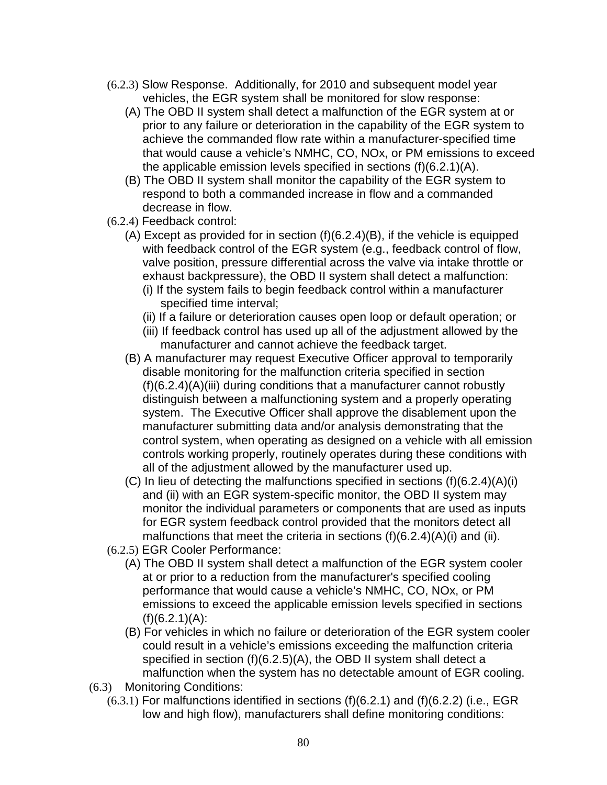- (6.2.3) Slow Response. Additionally, for 2010 and subsequent model year vehicles, the EGR system shall be monitored for slow response:
	- (A) The OBD II system shall detect a malfunction of the EGR system at or prior to any failure or deterioration in the capability of the EGR system to achieve the commanded flow rate within a manufacturer-specified time that would cause a vehicle's NMHC, CO, NOx, or PM emissions to exceed the applicable emission levels specified in sections (f)(6.2.1)(A).
	- (B) The OBD II system shall monitor the capability of the EGR system to respond to both a commanded increase in flow and a commanded decrease in flow.
- (6.2.4) Feedback control:
	- (A) Except as provided for in section (f)(6.2.4)(B), if the vehicle is equipped with feedback control of the EGR system (e.g., feedback control of flow, valve position, pressure differential across the valve via intake throttle or exhaust backpressure), the OBD II system shall detect a malfunction:
		- (i) If the system fails to begin feedback control within a manufacturer specified time interval;
		- (ii) If a failure or deterioration causes open loop or default operation; or
		- (iii) If feedback control has used up all of the adjustment allowed by the manufacturer and cannot achieve the feedback target.
	- (B) A manufacturer may request Executive Officer approval to temporarily disable monitoring for the malfunction criteria specified in section (f)(6.2.4)(A)(iii) during conditions that a manufacturer cannot robustly distinguish between a malfunctioning system and a properly operating system. The Executive Officer shall approve the disablement upon the manufacturer submitting data and/or analysis demonstrating that the control system, when operating as designed on a vehicle with all emission controls working properly, routinely operates during these conditions with all of the adjustment allowed by the manufacturer used up.
	- (C) In lieu of detecting the malfunctions specified in sections (f)(6.2.4)(A)(i) and (ii) with an EGR system-specific monitor, the OBD II system may monitor the individual parameters or components that are used as inputs for EGR system feedback control provided that the monitors detect all malfunctions that meet the criteria in sections  $(f)(6.2.4)(A)(i)$  and (ii).
- (6.2.5) EGR Cooler Performance:
	- (A) The OBD II system shall detect a malfunction of the EGR system cooler at or prior to a reduction from the manufacturer's specified cooling performance that would cause a vehicle's NMHC, CO, NOx, or PM emissions to exceed the applicable emission levels specified in sections  $(f)(6.2.1)(A)$ :
	- (B) For vehicles in which no failure or deterioration of the EGR system cooler could result in a vehicle's emissions exceeding the malfunction criteria specified in section (f)(6.2.5)(A), the OBD II system shall detect a malfunction when the system has no detectable amount of EGR cooling.
- (6.3) Monitoring Conditions:
	- (6.3.1) For malfunctions identified in sections (f)(6.2.1) and (f)(6.2.2) (i.e., EGR low and high flow), manufacturers shall define monitoring conditions: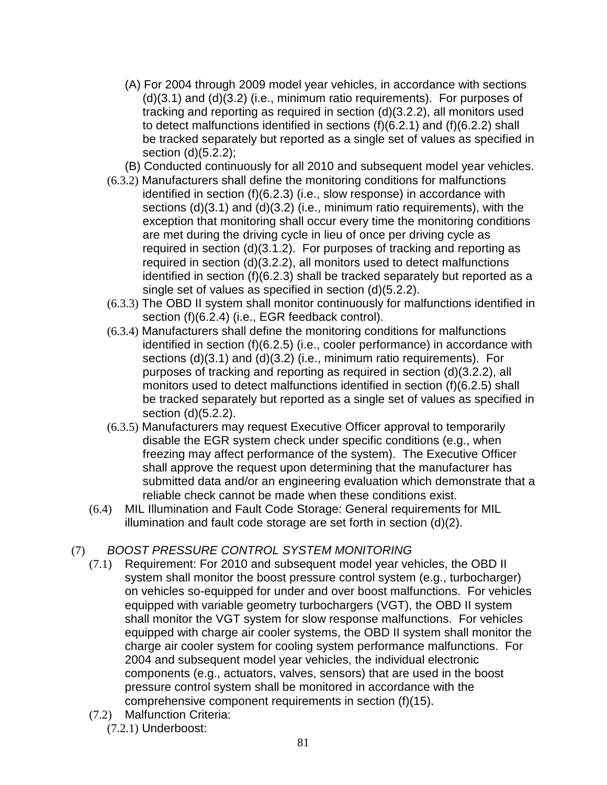- (A) For 2004 through 2009 model year vehicles, in accordance with sections (d)(3.1) and (d)(3.2) (i.e., minimum ratio requirements). For purposes of tracking and reporting as required in section (d)(3.2.2), all monitors used to detect malfunctions identified in sections (f)(6.2.1) and (f)(6.2.2) shall be tracked separately but reported as a single set of values as specified in section (d)(5.2.2);
- (B) Conducted continuously for all 2010 and subsequent model year vehicles.
- (6.3.2) Manufacturers shall define the monitoring conditions for malfunctions identified in section (f)(6.2.3) (i.e., slow response) in accordance with sections (d)(3.1) and (d)(3.2) (i.e., minimum ratio requirements), with the exception that monitoring shall occur every time the monitoring conditions are met during the driving cycle in lieu of once per driving cycle as required in section (d)(3.1.2). For purposes of tracking and reporting as required in section (d)(3.2.2), all monitors used to detect malfunctions identified in section (f)(6.2.3) shall be tracked separately but reported as a single set of values as specified in section (d)(5.2.2).
- (6.3.3) The OBD II system shall monitor continuously for malfunctions identified in section (f)(6.2.4) (i.e., EGR feedback control).
- (6.3.4) Manufacturers shall define the monitoring conditions for malfunctions identified in section (f)(6.2.5) (i.e., cooler performance) in accordance with sections (d)(3.1) and (d)(3.2) (i.e., minimum ratio requirements). For purposes of tracking and reporting as required in section (d)(3.2.2), all monitors used to detect malfunctions identified in section (f)(6.2.5) shall be tracked separately but reported as a single set of values as specified in section (d)(5.2.2).
- (6.3.5) Manufacturers may request Executive Officer approval to temporarily disable the EGR system check under specific conditions (e.g., when freezing may affect performance of the system). The Executive Officer shall approve the request upon determining that the manufacturer has submitted data and/or an engineering evaluation which demonstrate that a reliable check cannot be made when these conditions exist.
- (6.4) MIL Illumination and Fault Code Storage: General requirements for MIL illumination and fault code storage are set forth in section (d)(2).

# (7) BOOST PRESSURE CONTROL SYSTEM MONITORING

- (7.1) Requirement: For 2010 and subsequent model year vehicles, the OBD II system shall monitor the boost pressure control system (e.g., turbocharger) on vehicles so-equipped for under and over boost malfunctions. For vehicles equipped with variable geometry turbochargers (VGT), the OBD II system shall monitor the VGT system for slow response malfunctions. For vehicles equipped with charge air cooler systems, the OBD II system shall monitor the charge air cooler system for cooling system performance malfunctions. For 2004 and subsequent model year vehicles, the individual electronic components (e.g., actuators, valves, sensors) that are used in the boost pressure control system shall be monitored in accordance with the comprehensive component requirements in section (f)(15).
- (7.2) Malfunction Criteria:

(7.2.1) Underboost: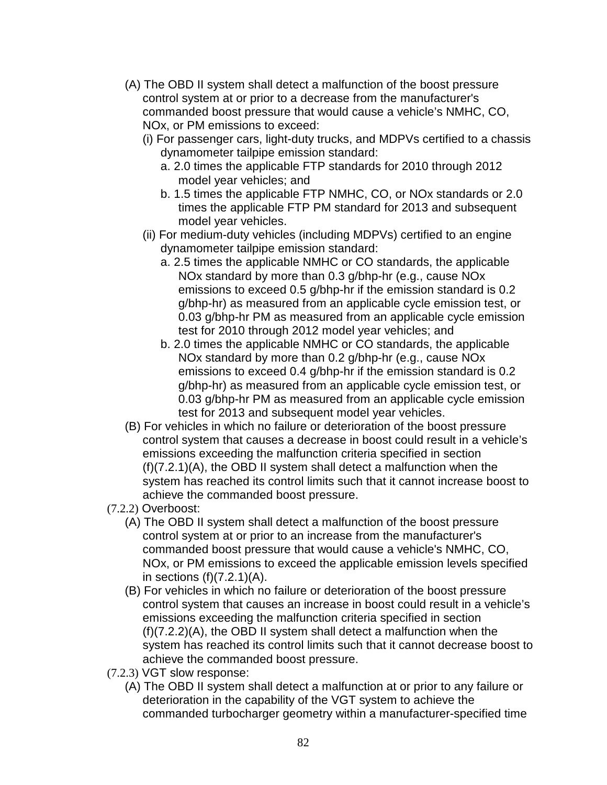- (A) The OBD II system shall detect a malfunction of the boost pressure control system at or prior to a decrease from the manufacturer's commanded boost pressure that would cause a vehicle's NMHC, CO, NOx, or PM emissions to exceed:
	- (i) For passenger cars, light-duty trucks, and MDPVs certified to a chassis dynamometer tailpipe emission standard:
		- a. 2.0 times the applicable FTP standards for 2010 through 2012 model year vehicles; and
		- b. 1.5 times the applicable FTP NMHC, CO, or NOx standards or 2.0 times the applicable FTP PM standard for 2013 and subsequent model year vehicles.
	- (ii) For medium-duty vehicles (including MDPVs) certified to an engine dynamometer tailpipe emission standard:
		- a. 2.5 times the applicable NMHC or CO standards, the applicable NOx standard by more than 0.3 g/bhp-hr (e.g., cause NOx emissions to exceed 0.5 g/bhp-hr if the emission standard is 0.2 g/bhp-hr) as measured from an applicable cycle emission test, or 0.03 g/bhp-hr PM as measured from an applicable cycle emission test for 2010 through 2012 model year vehicles; and
		- b. 2.0 times the applicable NMHC or CO standards, the applicable NOx standard by more than 0.2 g/bhp-hr (e.g., cause NOx emissions to exceed 0.4 g/bhp-hr if the emission standard is 0.2 g/bhp-hr) as measured from an applicable cycle emission test, or 0.03 g/bhp-hr PM as measured from an applicable cycle emission test for 2013 and subsequent model year vehicles.
- (B) For vehicles in which no failure or deterioration of the boost pressure control system that causes a decrease in boost could result in a vehicle's emissions exceeding the malfunction criteria specified in section (f)(7.2.1)(A), the OBD II system shall detect a malfunction when the system has reached its control limits such that it cannot increase boost to achieve the commanded boost pressure.
- (7.2.2) Overboost:
	- (A) The OBD II system shall detect a malfunction of the boost pressure control system at or prior to an increase from the manufacturer's commanded boost pressure that would cause a vehicle's NMHC, CO, NOx, or PM emissions to exceed the applicable emission levels specified in sections  $(f)(7.2.1)(A)$ .
	- (B) For vehicles in which no failure or deterioration of the boost pressure control system that causes an increase in boost could result in a vehicle's emissions exceeding the malfunction criteria specified in section (f)(7.2.2)(A), the OBD II system shall detect a malfunction when the system has reached its control limits such that it cannot decrease boost to achieve the commanded boost pressure.
- (7.2.3) VGT slow response:
	- (A) The OBD II system shall detect a malfunction at or prior to any failure or deterioration in the capability of the VGT system to achieve the commanded turbocharger geometry within a manufacturer-specified time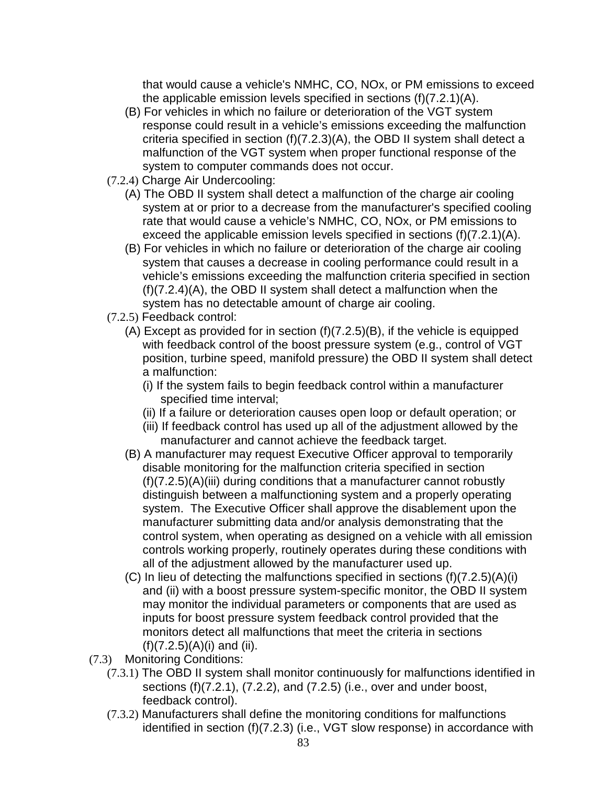that would cause a vehicle's NMHC, CO, NOx, or PM emissions to exceed the applicable emission levels specified in sections (f)(7.2.1)(A).

- (B) For vehicles in which no failure or deterioration of the VGT system response could result in a vehicle's emissions exceeding the malfunction criteria specified in section (f)(7.2.3)(A), the OBD II system shall detect a malfunction of the VGT system when proper functional response of the system to computer commands does not occur.
- (7.2.4) Charge Air Undercooling:
	- (A) The OBD II system shall detect a malfunction of the charge air cooling system at or prior to a decrease from the manufacturer's specified cooling rate that would cause a vehicle's NMHC, CO, NOx, or PM emissions to exceed the applicable emission levels specified in sections  $(f)(7.2.1)(A)$ .
	- (B) For vehicles in which no failure or deterioration of the charge air cooling system that causes a decrease in cooling performance could result in a vehicle's emissions exceeding the malfunction criteria specified in section (f)(7.2.4)(A), the OBD II system shall detect a malfunction when the system has no detectable amount of charge air cooling.
- (7.2.5) Feedback control:
	- (A) Except as provided for in section (f)(7.2.5)(B), if the vehicle is equipped with feedback control of the boost pressure system (e.g., control of VGT position, turbine speed, manifold pressure) the OBD II system shall detect a malfunction:
		- (i) If the system fails to begin feedback control within a manufacturer specified time interval;
		- (ii) If a failure or deterioration causes open loop or default operation; or
		- (iii) If feedback control has used up all of the adjustment allowed by the manufacturer and cannot achieve the feedback target.
	- (B) A manufacturer may request Executive Officer approval to temporarily disable monitoring for the malfunction criteria specified in section (f)(7.2.5)(A)(iii) during conditions that a manufacturer cannot robustly distinguish between a malfunctioning system and a properly operating system. The Executive Officer shall approve the disablement upon the manufacturer submitting data and/or analysis demonstrating that the control system, when operating as designed on a vehicle with all emission controls working properly, routinely operates during these conditions with all of the adjustment allowed by the manufacturer used up.
	- (C) In lieu of detecting the malfunctions specified in sections (f)(7.2.5)(A)(i) and (ii) with a boost pressure system-specific monitor, the OBD II system may monitor the individual parameters or components that are used as inputs for boost pressure system feedback control provided that the monitors detect all malfunctions that meet the criteria in sections (f)(7.2.5)(A)(i) and (ii).
- (7.3) Monitoring Conditions:
	- (7.3.1) The OBD II system shall monitor continuously for malfunctions identified in sections (f)(7.2.1), (7.2.2), and (7.2.5) (i.e., over and under boost, feedback control).
	- (7.3.2) Manufacturers shall define the monitoring conditions for malfunctions identified in section (f)(7.2.3) (i.e., VGT slow response) in accordance with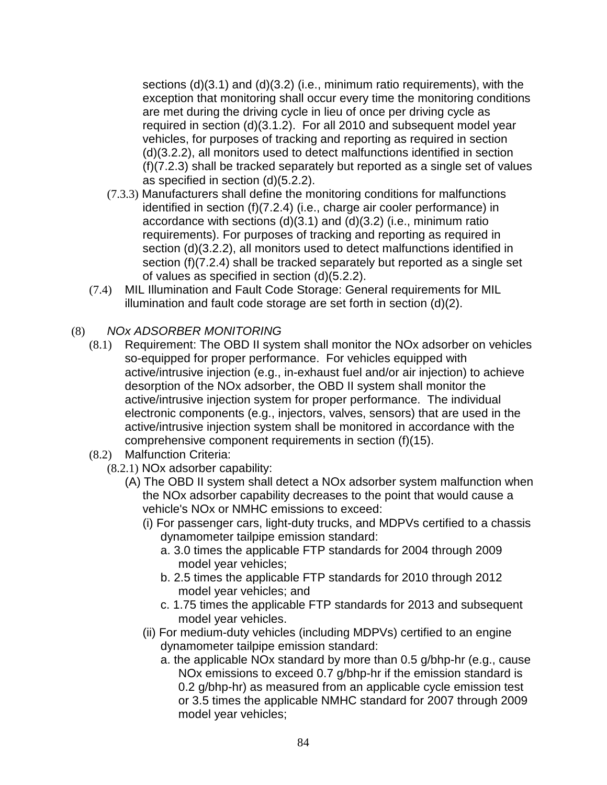sections (d)(3.1) and (d)(3.2) (i.e., minimum ratio requirements), with the exception that monitoring shall occur every time the monitoring conditions are met during the driving cycle in lieu of once per driving cycle as required in section (d)(3.1.2). For all 2010 and subsequent model year vehicles, for purposes of tracking and reporting as required in section (d)(3.2.2), all monitors used to detect malfunctions identified in section (f)(7.2.3) shall be tracked separately but reported as a single set of values as specified in section (d)(5.2.2).

- (7.3.3) Manufacturers shall define the monitoring conditions for malfunctions identified in section (f)(7.2.4) (i.e., charge air cooler performance) in accordance with sections (d)(3.1) and (d)(3.2) (i.e., minimum ratio requirements). For purposes of tracking and reporting as required in section (d)(3.2.2), all monitors used to detect malfunctions identified in section (f)(7.2.4) shall be tracked separately but reported as a single set of values as specified in section (d)(5.2.2).
- (7.4) MIL Illumination and Fault Code Storage: General requirements for MIL illumination and fault code storage are set forth in section (d)(2).

### (8) NOx ADSORBER MONITORING

- (8.1) Requirement: The OBD II system shall monitor the NOx adsorber on vehicles so-equipped for proper performance. For vehicles equipped with active/intrusive injection (e.g., in-exhaust fuel and/or air injection) to achieve desorption of the NOx adsorber, the OBD II system shall monitor the active/intrusive injection system for proper performance. The individual electronic components (e.g., injectors, valves, sensors) that are used in the active/intrusive injection system shall be monitored in accordance with the comprehensive component requirements in section (f)(15).
- (8.2) Malfunction Criteria:
	- (8.2.1) NOx adsorber capability:
		- (A) The OBD II system shall detect a NOx adsorber system malfunction when the NOx adsorber capability decreases to the point that would cause a vehicle's NOx or NMHC emissions to exceed:
			- (i) For passenger cars, light-duty trucks, and MDPVs certified to a chassis dynamometer tailpipe emission standard:
				- a. 3.0 times the applicable FTP standards for 2004 through 2009 model year vehicles;
				- b. 2.5 times the applicable FTP standards for 2010 through 2012 model year vehicles; and
				- c. 1.75 times the applicable FTP standards for 2013 and subsequent model year vehicles.
			- (ii) For medium-duty vehicles (including MDPVs) certified to an engine dynamometer tailpipe emission standard:
				- a. the applicable NOx standard by more than 0.5 g/bhp-hr (e.g., cause NOx emissions to exceed 0.7 g/bhp-hr if the emission standard is 0.2 g/bhp-hr) as measured from an applicable cycle emission test or 3.5 times the applicable NMHC standard for 2007 through 2009 model year vehicles;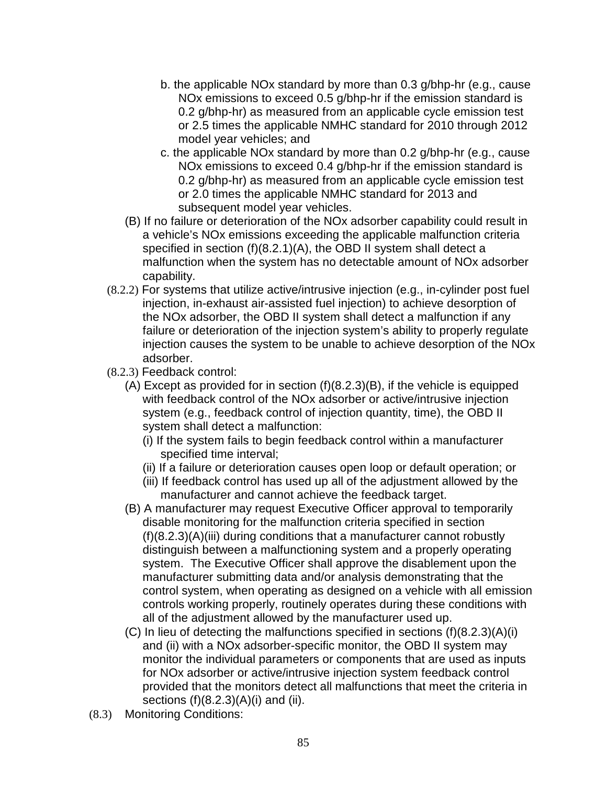- b. the applicable NOx standard by more than 0.3 g/bhp-hr (e.g., cause NOx emissions to exceed 0.5 g/bhp-hr if the emission standard is 0.2 g/bhp-hr) as measured from an applicable cycle emission test or 2.5 times the applicable NMHC standard for 2010 through 2012 model year vehicles; and
- c. the applicable NOx standard by more than 0.2 g/bhp-hr (e.g., cause NO<sub>x</sub> emissions to exceed 0.4 g/bhp-hr if the emission standard is 0.2 g/bhp-hr) as measured from an applicable cycle emission test or 2.0 times the applicable NMHC standard for 2013 and subsequent model year vehicles.
- (B) If no failure or deterioration of the NOx adsorber capability could result in a vehicle's NOx emissions exceeding the applicable malfunction criteria specified in section (f)(8.2.1)(A), the OBD II system shall detect a malfunction when the system has no detectable amount of NOx adsorber capability.
- (8.2.2) For systems that utilize active/intrusive injection (e.g., in-cylinder post fuel injection, in-exhaust air-assisted fuel injection) to achieve desorption of the NOx adsorber, the OBD II system shall detect a malfunction if any failure or deterioration of the injection system's ability to properly regulate injection causes the system to be unable to achieve desorption of the NOx adsorber.
- (8.2.3) Feedback control:
	- (A) Except as provided for in section (f)(8.2.3)(B), if the vehicle is equipped with feedback control of the NOx adsorber or active/intrusive injection system (e.g., feedback control of injection quantity, time), the OBD II system shall detect a malfunction:
		- (i) If the system fails to begin feedback control within a manufacturer specified time interval;
		- (ii) If a failure or deterioration causes open loop or default operation; or
		- (iii) If feedback control has used up all of the adjustment allowed by the manufacturer and cannot achieve the feedback target.
	- (B) A manufacturer may request Executive Officer approval to temporarily disable monitoring for the malfunction criteria specified in section (f)(8.2.3)(A)(iii) during conditions that a manufacturer cannot robustly distinguish between a malfunctioning system and a properly operating system. The Executive Officer shall approve the disablement upon the manufacturer submitting data and/or analysis demonstrating that the control system, when operating as designed on a vehicle with all emission controls working properly, routinely operates during these conditions with all of the adjustment allowed by the manufacturer used up.
	- (C) In lieu of detecting the malfunctions specified in sections (f)(8.2.3)(A)(i) and (ii) with a NOx adsorber-specific monitor, the OBD II system may monitor the individual parameters or components that are used as inputs for NOx adsorber or active/intrusive injection system feedback control provided that the monitors detect all malfunctions that meet the criteria in sections  $(f)(8.2.3)(A)(i)$  and  $(ii)$ .
- (8.3) Monitoring Conditions: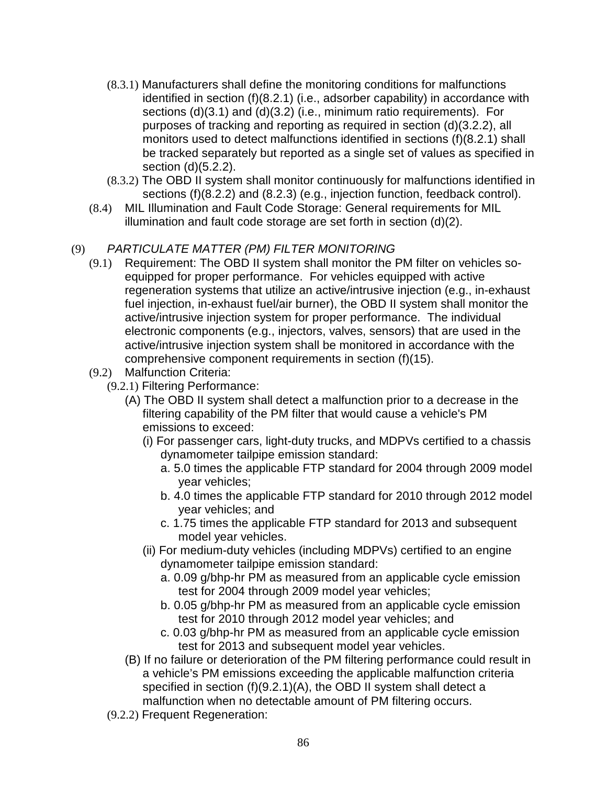- (8.3.1) Manufacturers shall define the monitoring conditions for malfunctions identified in section (f)(8.2.1) (i.e., adsorber capability) in accordance with sections (d)(3.1) and (d)(3.2) (i.e., minimum ratio requirements). For purposes of tracking and reporting as required in section (d)(3.2.2), all monitors used to detect malfunctions identified in sections (f)(8.2.1) shall be tracked separately but reported as a single set of values as specified in section (d)(5.2.2).
- (8.3.2) The OBD II system shall monitor continuously for malfunctions identified in sections (f)(8.2.2) and (8.2.3) (e.g., injection function, feedback control).
- (8.4) MIL Illumination and Fault Code Storage: General requirements for MIL illumination and fault code storage are set forth in section (d)(2).

# (9) PARTICULATE MATTER (PM) FILTER MONITORING

- (9.1) Requirement: The OBD II system shall monitor the PM filter on vehicles soequipped for proper performance. For vehicles equipped with active regeneration systems that utilize an active/intrusive injection (e.g., in-exhaust fuel injection, in-exhaust fuel/air burner), the OBD II system shall monitor the active/intrusive injection system for proper performance. The individual electronic components (e.g., injectors, valves, sensors) that are used in the active/intrusive injection system shall be monitored in accordance with the comprehensive component requirements in section (f)(15).
- (9.2) Malfunction Criteria:
	- (9.2.1) Filtering Performance:
		- (A) The OBD II system shall detect a malfunction prior to a decrease in the filtering capability of the PM filter that would cause a vehicle's PM emissions to exceed:
			- (i) For passenger cars, light-duty trucks, and MDPVs certified to a chassis dynamometer tailpipe emission standard:
				- a. 5.0 times the applicable FTP standard for 2004 through 2009 model year vehicles;
				- b. 4.0 times the applicable FTP standard for 2010 through 2012 model year vehicles; and
				- c. 1.75 times the applicable FTP standard for 2013 and subsequent model year vehicles.
			- (ii) For medium-duty vehicles (including MDPVs) certified to an engine dynamometer tailpipe emission standard:
				- a. 0.09 g/bhp-hr PM as measured from an applicable cycle emission test for 2004 through 2009 model year vehicles;
				- b. 0.05 g/bhp-hr PM as measured from an applicable cycle emission test for 2010 through 2012 model year vehicles; and
				- c. 0.03 g/bhp-hr PM as measured from an applicable cycle emission test for 2013 and subsequent model year vehicles.
		- (B) If no failure or deterioration of the PM filtering performance could result in a vehicle's PM emissions exceeding the applicable malfunction criteria specified in section (f)(9.2.1)(A), the OBD II system shall detect a malfunction when no detectable amount of PM filtering occurs.
	- (9.2.2) Frequent Regeneration: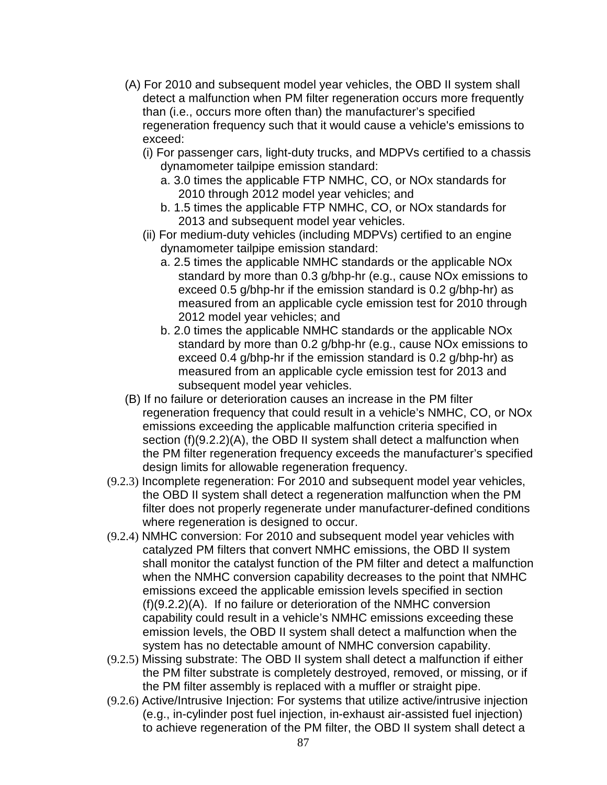- (A) For 2010 and subsequent model year vehicles, the OBD II system shall detect a malfunction when PM filter regeneration occurs more frequently than (i.e., occurs more often than) the manufacturer's specified regeneration frequency such that it would cause a vehicle's emissions to exceed:
	- (i) For passenger cars, light-duty trucks, and MDPVs certified to a chassis dynamometer tailpipe emission standard:
		- a. 3.0 times the applicable FTP NMHC, CO, or NOx standards for 2010 through 2012 model year vehicles; and
		- b. 1.5 times the applicable FTP NMHC, CO, or NOx standards for 2013 and subsequent model year vehicles.
	- (ii) For medium-duty vehicles (including MDPVs) certified to an engine dynamometer tailpipe emission standard:
		- a. 2.5 times the applicable NMHC standards or the applicable NOx standard by more than 0.3 g/bhp-hr (e.g., cause NOx emissions to exceed 0.5 g/bhp-hr if the emission standard is 0.2 g/bhp-hr) as measured from an applicable cycle emission test for 2010 through 2012 model year vehicles; and
		- b. 2.0 times the applicable NMHC standards or the applicable NOx standard by more than 0.2 g/bhp-hr (e.g., cause NOx emissions to exceed 0.4 g/bhp-hr if the emission standard is 0.2 g/bhp-hr) as measured from an applicable cycle emission test for 2013 and subsequent model year vehicles.
- (B) If no failure or deterioration causes an increase in the PM filter regeneration frequency that could result in a vehicle's NMHC, CO, or NOx emissions exceeding the applicable malfunction criteria specified in section (f)(9.2.2)(A), the OBD II system shall detect a malfunction when the PM filter regeneration frequency exceeds the manufacturer's specified design limits for allowable regeneration frequency.
- (9.2.3) Incomplete regeneration: For 2010 and subsequent model year vehicles, the OBD II system shall detect a regeneration malfunction when the PM filter does not properly regenerate under manufacturer-defined conditions where regeneration is designed to occur.
- (9.2.4) NMHC conversion: For 2010 and subsequent model year vehicles with catalyzed PM filters that convert NMHC emissions, the OBD II system shall monitor the catalyst function of the PM filter and detect a malfunction when the NMHC conversion capability decreases to the point that NMHC emissions exceed the applicable emission levels specified in section (f)(9.2.2)(A). If no failure or deterioration of the NMHC conversion capability could result in a vehicle's NMHC emissions exceeding these emission levels, the OBD II system shall detect a malfunction when the system has no detectable amount of NMHC conversion capability.
- (9.2.5) Missing substrate: The OBD II system shall detect a malfunction if either the PM filter substrate is completely destroyed, removed, or missing, or if the PM filter assembly is replaced with a muffler or straight pipe.
- (9.2.6) Active/Intrusive Injection: For systems that utilize active/intrusive injection (e.g., in-cylinder post fuel injection, in-exhaust air-assisted fuel injection) to achieve regeneration of the PM filter, the OBD II system shall detect a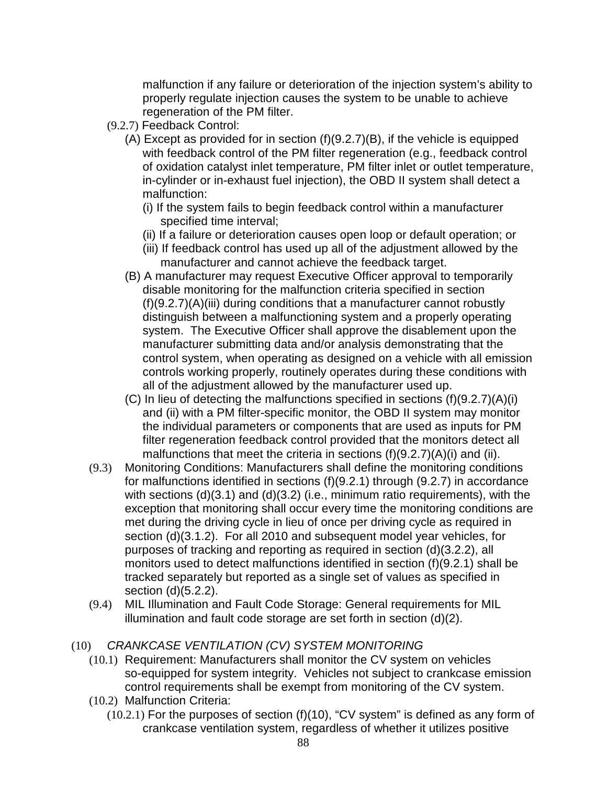malfunction if any failure or deterioration of the injection system's ability to properly regulate injection causes the system to be unable to achieve regeneration of the PM filter.

- (9.2.7) Feedback Control:
	- (A) Except as provided for in section (f)(9.2.7)(B), if the vehicle is equipped with feedback control of the PM filter regeneration (e.g., feedback control of oxidation catalyst inlet temperature, PM filter inlet or outlet temperature, in-cylinder or in-exhaust fuel injection), the OBD II system shall detect a malfunction:
		- (i) If the system fails to begin feedback control within a manufacturer specified time interval;
		- (ii) If a failure or deterioration causes open loop or default operation; or
		- (iii) If feedback control has used up all of the adjustment allowed by the manufacturer and cannot achieve the feedback target.
	- (B) A manufacturer may request Executive Officer approval to temporarily disable monitoring for the malfunction criteria specified in section (f)(9.2.7)(A)(iii) during conditions that a manufacturer cannot robustly distinguish between a malfunctioning system and a properly operating system. The Executive Officer shall approve the disablement upon the manufacturer submitting data and/or analysis demonstrating that the control system, when operating as designed on a vehicle with all emission controls working properly, routinely operates during these conditions with all of the adjustment allowed by the manufacturer used up.
	- (C) In lieu of detecting the malfunctions specified in sections (f)(9.2.7)(A)(i) and (ii) with a PM filter-specific monitor, the OBD II system may monitor the individual parameters or components that are used as inputs for PM filter regeneration feedback control provided that the monitors detect all malfunctions that meet the criteria in sections (f)(9.2.7)(A)(i) and (ii).
- (9.3) Monitoring Conditions: Manufacturers shall define the monitoring conditions for malfunctions identified in sections (f)(9.2.1) through (9.2.7) in accordance with sections (d)(3.1) and (d)(3.2) (i.e., minimum ratio requirements), with the exception that monitoring shall occur every time the monitoring conditions are met during the driving cycle in lieu of once per driving cycle as required in section (d)(3.1.2). For all 2010 and subsequent model year vehicles, for purposes of tracking and reporting as required in section (d)(3.2.2), all monitors used to detect malfunctions identified in section (f)(9.2.1) shall be tracked separately but reported as a single set of values as specified in section (d)(5.2.2).
- (9.4) MIL Illumination and Fault Code Storage: General requirements for MIL illumination and fault code storage are set forth in section (d)(2).

# (10) CRANKCASE VENTILATION (CV) SYSTEM MONITORING

- (10.1) Requirement: Manufacturers shall monitor the CV system on vehicles so-equipped for system integrity. Vehicles not subject to crankcase emission control requirements shall be exempt from monitoring of the CV system.
- (10.2) Malfunction Criteria:
	- (10.2.1) For the purposes of section (f)(10), "CV system" is defined as any form of crankcase ventilation system, regardless of whether it utilizes positive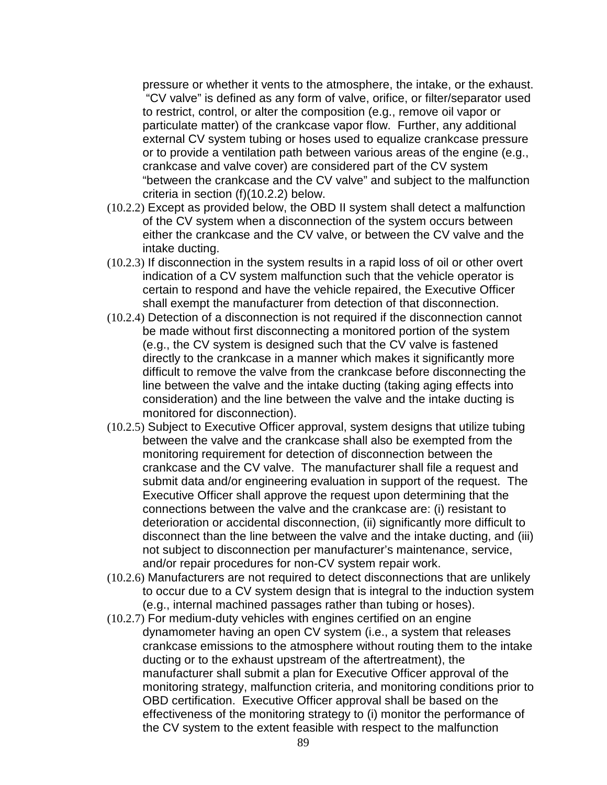pressure or whether it vents to the atmosphere, the intake, or the exhaust. "CV valve" is defined as any form of valve, orifice, or filter/separator used to restrict, control, or alter the composition (e.g., remove oil vapor or particulate matter) of the crankcase vapor flow. Further, any additional external CV system tubing or hoses used to equalize crankcase pressure or to provide a ventilation path between various areas of the engine (e.g., crankcase and valve cover) are considered part of the CV system "between the crankcase and the CV valve" and subject to the malfunction criteria in section (f)(10.2.2) below.

- (10.2.2) Except as provided below, the OBD II system shall detect a malfunction of the CV system when a disconnection of the system occurs between either the crankcase and the CV valve, or between the CV valve and the intake ducting.
- (10.2.3) If disconnection in the system results in a rapid loss of oil or other overt indication of a CV system malfunction such that the vehicle operator is certain to respond and have the vehicle repaired, the Executive Officer shall exempt the manufacturer from detection of that disconnection.
- (10.2.4) Detection of a disconnection is not required if the disconnection cannot be made without first disconnecting a monitored portion of the system (e.g., the CV system is designed such that the CV valve is fastened directly to the crankcase in a manner which makes it significantly more difficult to remove the valve from the crankcase before disconnecting the line between the valve and the intake ducting (taking aging effects into consideration) and the line between the valve and the intake ducting is monitored for disconnection).
- (10.2.5) Subject to Executive Officer approval, system designs that utilize tubing between the valve and the crankcase shall also be exempted from the monitoring requirement for detection of disconnection between the crankcase and the CV valve. The manufacturer shall file a request and submit data and/or engineering evaluation in support of the request. The Executive Officer shall approve the request upon determining that the connections between the valve and the crankcase are: (i) resistant to deterioration or accidental disconnection, (ii) significantly more difficult to disconnect than the line between the valve and the intake ducting, and (iii) not subject to disconnection per manufacturer's maintenance, service, and/or repair procedures for non-CV system repair work.
- (10.2.6) Manufacturers are not required to detect disconnections that are unlikely to occur due to a CV system design that is integral to the induction system (e.g., internal machined passages rather than tubing or hoses).
- (10.2.7) For medium-duty vehicles with engines certified on an engine dynamometer having an open CV system (i.e., a system that releases crankcase emissions to the atmosphere without routing them to the intake ducting or to the exhaust upstream of the aftertreatment), the manufacturer shall submit a plan for Executive Officer approval of the monitoring strategy, malfunction criteria, and monitoring conditions prior to OBD certification. Executive Officer approval shall be based on the effectiveness of the monitoring strategy to (i) monitor the performance of the CV system to the extent feasible with respect to the malfunction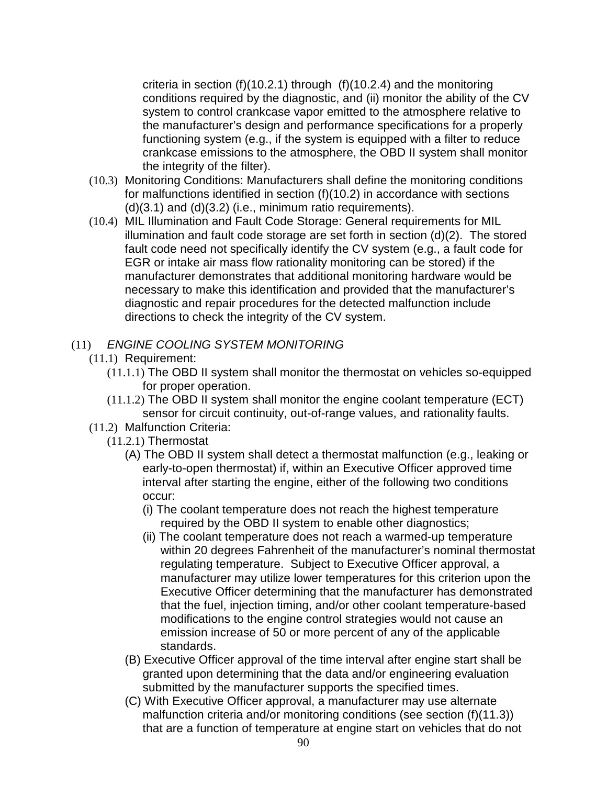criteria in section (f)(10.2.1) through (f)(10.2.4) and the monitoring conditions required by the diagnostic, and (ii) monitor the ability of the CV system to control crankcase vapor emitted to the atmosphere relative to the manufacturer's design and performance specifications for a properly functioning system (e.g., if the system is equipped with a filter to reduce crankcase emissions to the atmosphere, the OBD II system shall monitor the integrity of the filter).

- (10.3) Monitoring Conditions: Manufacturers shall define the monitoring conditions for malfunctions identified in section (f)(10.2) in accordance with sections  $(d)(3.1)$  and  $(d)(3.2)$  (i.e., minimum ratio requirements).
- (10.4) MIL Illumination and Fault Code Storage: General requirements for MIL illumination and fault code storage are set forth in section (d)(2). The stored fault code need not specifically identify the CV system (e.g., a fault code for EGR or intake air mass flow rationality monitoring can be stored) if the manufacturer demonstrates that additional monitoring hardware would be necessary to make this identification and provided that the manufacturer's diagnostic and repair procedures for the detected malfunction include directions to check the integrity of the CV system.

#### (11) ENGINE COOLING SYSTEM MONITORING

- (11.1) Requirement:
	- (11.1.1) The OBD II system shall monitor the thermostat on vehicles so-equipped for proper operation.
	- (11.1.2) The OBD II system shall monitor the engine coolant temperature (ECT) sensor for circuit continuity, out-of-range values, and rationality faults.
- (11.2) Malfunction Criteria:
	- (11.2.1) Thermostat
		- (A) The OBD II system shall detect a thermostat malfunction (e.g., leaking or early-to-open thermostat) if, within an Executive Officer approved time interval after starting the engine, either of the following two conditions occur:
			- (i) The coolant temperature does not reach the highest temperature required by the OBD II system to enable other diagnostics;
			- (ii) The coolant temperature does not reach a warmed-up temperature within 20 degrees Fahrenheit of the manufacturer's nominal thermostat regulating temperature. Subject to Executive Officer approval, a manufacturer may utilize lower temperatures for this criterion upon the Executive Officer determining that the manufacturer has demonstrated that the fuel, injection timing, and/or other coolant temperature-based modifications to the engine control strategies would not cause an emission increase of 50 or more percent of any of the applicable standards.
		- (B) Executive Officer approval of the time interval after engine start shall be granted upon determining that the data and/or engineering evaluation submitted by the manufacturer supports the specified times.
		- (C) With Executive Officer approval, a manufacturer may use alternate malfunction criteria and/or monitoring conditions (see section (f)(11.3)) that are a function of temperature at engine start on vehicles that do not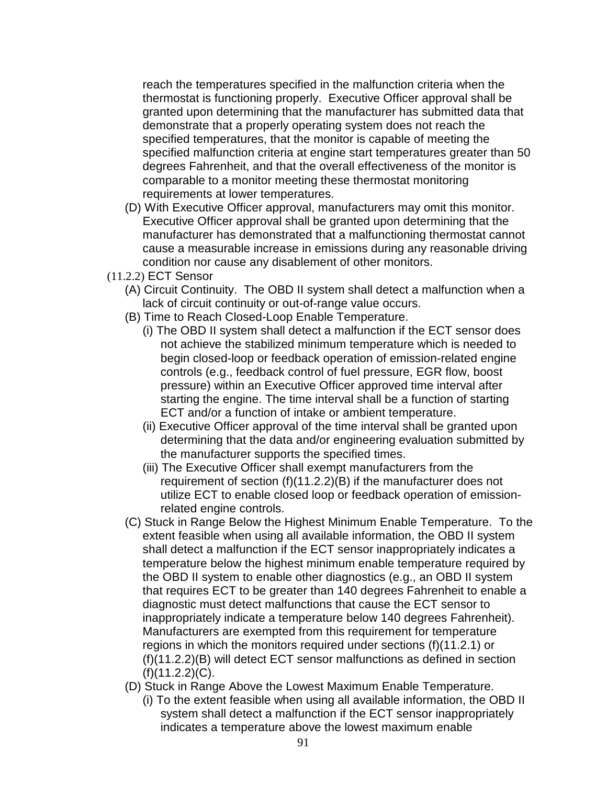reach the temperatures specified in the malfunction criteria when the thermostat is functioning properly. Executive Officer approval shall be granted upon determining that the manufacturer has submitted data that demonstrate that a properly operating system does not reach the specified temperatures, that the monitor is capable of meeting the specified malfunction criteria at engine start temperatures greater than 50 degrees Fahrenheit, and that the overall effectiveness of the monitor is comparable to a monitor meeting these thermostat monitoring requirements at lower temperatures.

- (D) With Executive Officer approval, manufacturers may omit this monitor. Executive Officer approval shall be granted upon determining that the manufacturer has demonstrated that a malfunctioning thermostat cannot cause a measurable increase in emissions during any reasonable driving condition nor cause any disablement of other monitors.
- (11.2.2) ECT Sensor
	- (A) Circuit Continuity. The OBD II system shall detect a malfunction when a lack of circuit continuity or out-of-range value occurs.
	- (B) Time to Reach Closed-Loop Enable Temperature.
		- (i) The OBD II system shall detect a malfunction if the ECT sensor does not achieve the stabilized minimum temperature which is needed to begin closed-loop or feedback operation of emission-related engine controls (e.g., feedback control of fuel pressure, EGR flow, boost pressure) within an Executive Officer approved time interval after starting the engine. The time interval shall be a function of starting ECT and/or a function of intake or ambient temperature.
		- (ii) Executive Officer approval of the time interval shall be granted upon determining that the data and/or engineering evaluation submitted by the manufacturer supports the specified times.
		- (iii) The Executive Officer shall exempt manufacturers from the requirement of section (f)(11.2.2)(B) if the manufacturer does not utilize ECT to enable closed loop or feedback operation of emissionrelated engine controls.
	- (C) Stuck in Range Below the Highest Minimum Enable Temperature. To the extent feasible when using all available information, the OBD II system shall detect a malfunction if the ECT sensor inappropriately indicates a temperature below the highest minimum enable temperature required by the OBD II system to enable other diagnostics (e.g., an OBD II system that requires ECT to be greater than 140 degrees Fahrenheit to enable a diagnostic must detect malfunctions that cause the ECT sensor to inappropriately indicate a temperature below 140 degrees Fahrenheit). Manufacturers are exempted from this requirement for temperature regions in which the monitors required under sections (f)(11.2.1) or (f)(11.2.2)(B) will detect ECT sensor malfunctions as defined in section  $(f)(11.2.2)(C)$ .
	- (D) Stuck in Range Above the Lowest Maximum Enable Temperature.
		- (i) To the extent feasible when using all available information, the OBD II system shall detect a malfunction if the ECT sensor inappropriately indicates a temperature above the lowest maximum enable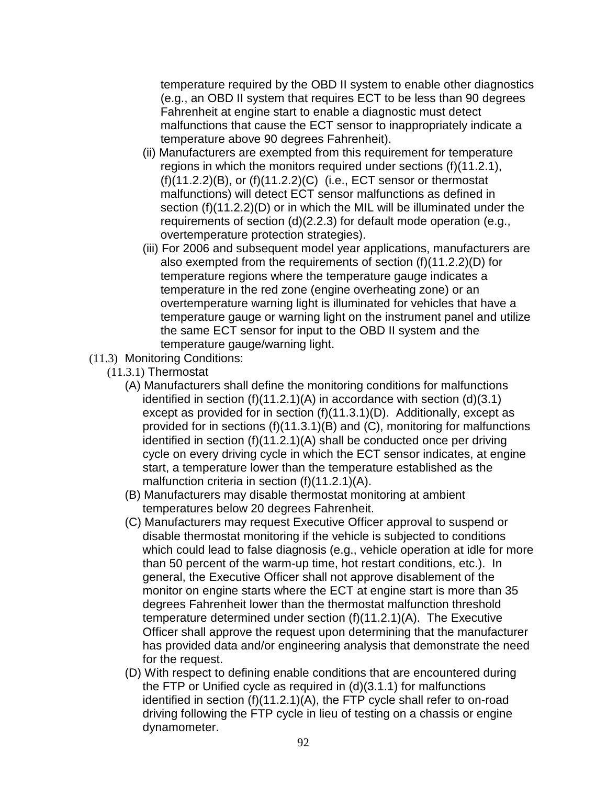temperature required by the OBD II system to enable other diagnostics (e.g., an OBD II system that requires ECT to be less than 90 degrees Fahrenheit at engine start to enable a diagnostic must detect malfunctions that cause the ECT sensor to inappropriately indicate a temperature above 90 degrees Fahrenheit).

- (ii) Manufacturers are exempted from this requirement for temperature regions in which the monitors required under sections (f)(11.2.1), (f)(11.2.2)(B), or (f)(11.2.2)(C) (i.e., ECT sensor or thermostat malfunctions) will detect ECT sensor malfunctions as defined in section (f)(11.2.2)(D) or in which the MIL will be illuminated under the requirements of section (d)(2.2.3) for default mode operation (e.g., overtemperature protection strategies).
- (iii) For 2006 and subsequent model year applications, manufacturers are also exempted from the requirements of section (f)(11.2.2)(D) for temperature regions where the temperature gauge indicates a temperature in the red zone (engine overheating zone) or an overtemperature warning light is illuminated for vehicles that have a temperature gauge or warning light on the instrument panel and utilize the same ECT sensor for input to the OBD II system and the temperature gauge/warning light.
- (11.3) Monitoring Conditions:
	- (11.3.1) Thermostat
		- (A) Manufacturers shall define the monitoring conditions for malfunctions identified in section (f)(11.2.1)(A) in accordance with section (d)(3.1) except as provided for in section (f)(11.3.1)(D). Additionally, except as provided for in sections (f)(11.3.1)(B) and (C), monitoring for malfunctions identified in section (f)(11.2.1)(A) shall be conducted once per driving cycle on every driving cycle in which the ECT sensor indicates, at engine start, a temperature lower than the temperature established as the malfunction criteria in section (f)(11.2.1)(A).
		- (B) Manufacturers may disable thermostat monitoring at ambient temperatures below 20 degrees Fahrenheit.
		- (C) Manufacturers may request Executive Officer approval to suspend or disable thermostat monitoring if the vehicle is subjected to conditions which could lead to false diagnosis (e.g., vehicle operation at idle for more than 50 percent of the warm-up time, hot restart conditions, etc.). In general, the Executive Officer shall not approve disablement of the monitor on engine starts where the ECT at engine start is more than 35 degrees Fahrenheit lower than the thermostat malfunction threshold temperature determined under section (f)(11.2.1)(A). The Executive Officer shall approve the request upon determining that the manufacturer has provided data and/or engineering analysis that demonstrate the need for the request.
		- (D) With respect to defining enable conditions that are encountered during the FTP or Unified cycle as required in (d)(3.1.1) for malfunctions identified in section (f)(11.2.1)(A), the FTP cycle shall refer to on-road driving following the FTP cycle in lieu of testing on a chassis or engine dynamometer.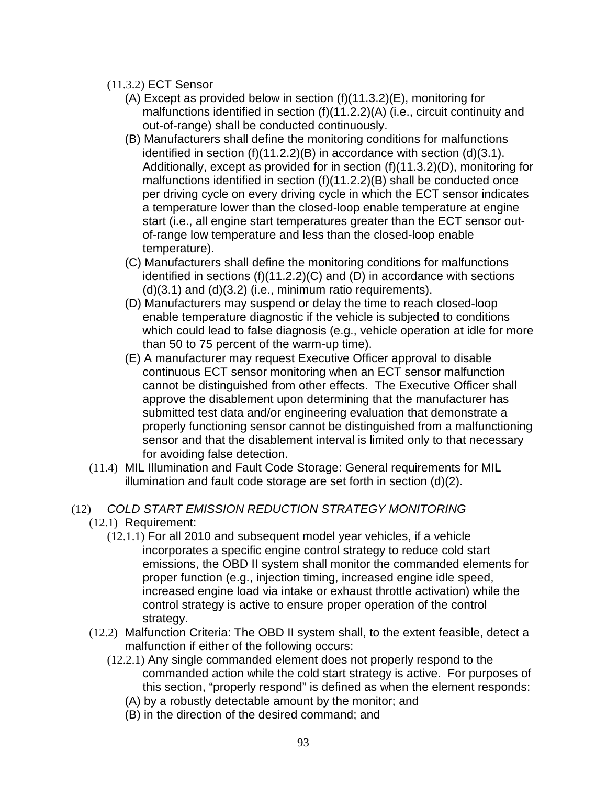- (11.3.2) ECT Sensor
	- (A) Except as provided below in section (f)(11.3.2)(E), monitoring for malfunctions identified in section (f)(11.2.2)(A) (i.e., circuit continuity and out-of-range) shall be conducted continuously.
	- (B) Manufacturers shall define the monitoring conditions for malfunctions identified in section (f)(11.2.2)(B) in accordance with section (d)(3.1). Additionally, except as provided for in section (f)(11.3.2)(D), monitoring for malfunctions identified in section (f)(11.2.2)(B) shall be conducted once per driving cycle on every driving cycle in which the ECT sensor indicates a temperature lower than the closed-loop enable temperature at engine start (i.e., all engine start temperatures greater than the ECT sensor outof-range low temperature and less than the closed-loop enable temperature).
	- (C) Manufacturers shall define the monitoring conditions for malfunctions identified in sections (f)(11.2.2)(C) and (D) in accordance with sections  $(d)(3.1)$  and  $(d)(3.2)$  (i.e., minimum ratio requirements).
	- (D) Manufacturers may suspend or delay the time to reach closed-loop enable temperature diagnostic if the vehicle is subjected to conditions which could lead to false diagnosis (e.g., vehicle operation at idle for more than 50 to 75 percent of the warm-up time).
	- (E) A manufacturer may request Executive Officer approval to disable continuous ECT sensor monitoring when an ECT sensor malfunction cannot be distinguished from other effects. The Executive Officer shall approve the disablement upon determining that the manufacturer has submitted test data and/or engineering evaluation that demonstrate a properly functioning sensor cannot be distinguished from a malfunctioning sensor and that the disablement interval is limited only to that necessary for avoiding false detection.
- (11.4) MIL Illumination and Fault Code Storage: General requirements for MIL illumination and fault code storage are set forth in section (d)(2).

# (12) COLD START EMISSION REDUCTION STRATEGY MONITORING

- (12.1) Requirement:
	- (12.1.1) For all 2010 and subsequent model year vehicles, if a vehicle incorporates a specific engine control strategy to reduce cold start emissions, the OBD II system shall monitor the commanded elements for proper function (e.g., injection timing, increased engine idle speed, increased engine load via intake or exhaust throttle activation) while the control strategy is active to ensure proper operation of the control strategy.
- (12.2) Malfunction Criteria: The OBD II system shall, to the extent feasible, detect a malfunction if either of the following occurs:
	- (12.2.1) Any single commanded element does not properly respond to the commanded action while the cold start strategy is active. For purposes of this section, "properly respond" is defined as when the element responds:
		- (A) by a robustly detectable amount by the monitor; and
		- (B) in the direction of the desired command; and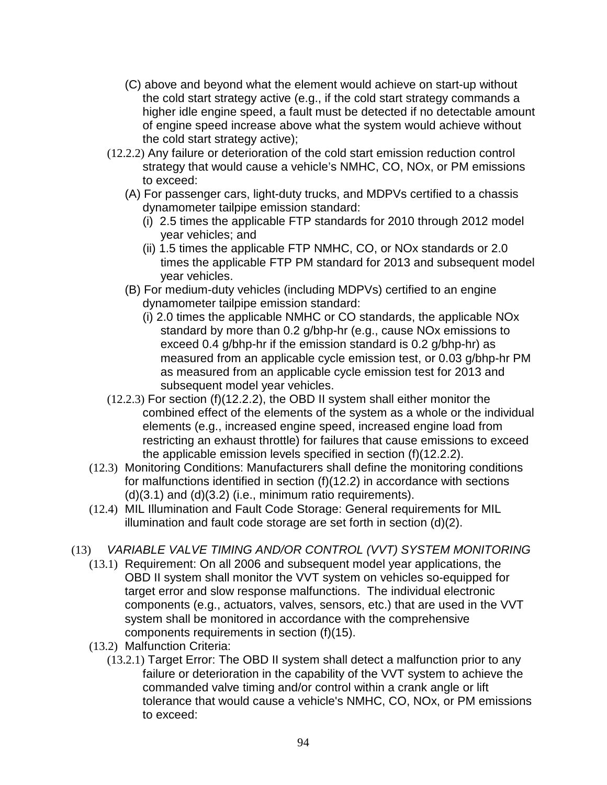- (C) above and beyond what the element would achieve on start-up without the cold start strategy active (e.g., if the cold start strategy commands a higher idle engine speed, a fault must be detected if no detectable amount of engine speed increase above what the system would achieve without the cold start strategy active);
- (12.2.2) Any failure or deterioration of the cold start emission reduction control strategy that would cause a vehicle's NMHC, CO, NOx, or PM emissions to exceed:
	- (A) For passenger cars, light-duty trucks, and MDPVs certified to a chassis dynamometer tailpipe emission standard:
		- (i) 2.5 times the applicable FTP standards for 2010 through 2012 model year vehicles; and
		- (ii) 1.5 times the applicable FTP NMHC, CO, or NOx standards or 2.0 times the applicable FTP PM standard for 2013 and subsequent model year vehicles.
	- (B) For medium-duty vehicles (including MDPVs) certified to an engine dynamometer tailpipe emission standard:
		- (i) 2.0 times the applicable NMHC or CO standards, the applicable NOx standard by more than 0.2 g/bhp-hr (e.g., cause NOx emissions to exceed 0.4 g/bhp-hr if the emission standard is 0.2 g/bhp-hr) as measured from an applicable cycle emission test, or 0.03 g/bhp-hr PM as measured from an applicable cycle emission test for 2013 and subsequent model year vehicles.
- (12.2.3) For section (f)(12.2.2), the OBD II system shall either monitor the combined effect of the elements of the system as a whole or the individual elements (e.g., increased engine speed, increased engine load from restricting an exhaust throttle) for failures that cause emissions to exceed the applicable emission levels specified in section (f)(12.2.2).
- (12.3) Monitoring Conditions: Manufacturers shall define the monitoring conditions for malfunctions identified in section (f)(12.2) in accordance with sections  $(d)(3.1)$  and  $(d)(3.2)$  (i.e., minimum ratio requirements).
- (12.4) MIL Illumination and Fault Code Storage: General requirements for MIL illumination and fault code storage are set forth in section (d)(2).
- (13) VARIABLE VALVE TIMING AND/OR CONTROL (VVT) SYSTEM MONITORING
	- (13.1) Requirement: On all 2006 and subsequent model year applications, the OBD II system shall monitor the VVT system on vehicles so-equipped for target error and slow response malfunctions. The individual electronic components (e.g., actuators, valves, sensors, etc.) that are used in the VVT system shall be monitored in accordance with the comprehensive components requirements in section (f)(15).
	- (13.2) Malfunction Criteria:
		- (13.2.1) Target Error: The OBD II system shall detect a malfunction prior to any failure or deterioration in the capability of the VVT system to achieve the commanded valve timing and/or control within a crank angle or lift tolerance that would cause a vehicle's NMHC, CO, NOx, or PM emissions to exceed: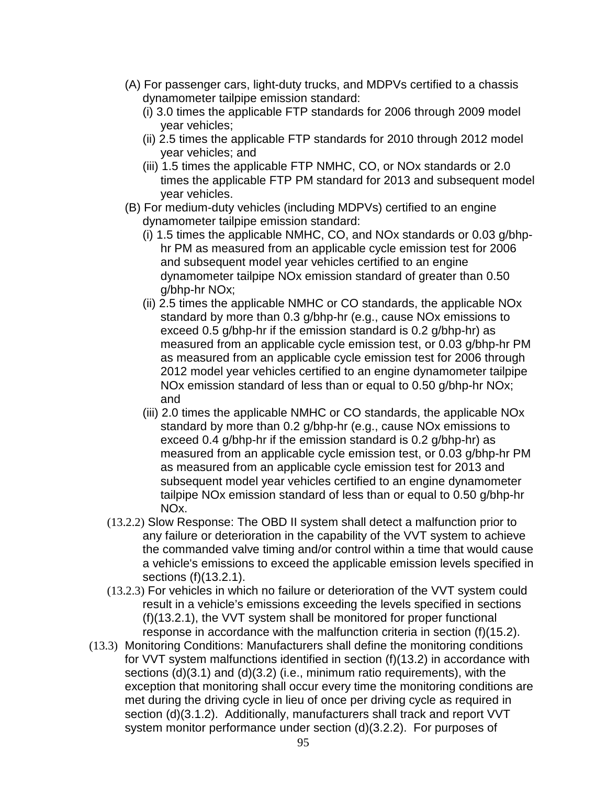- (A) For passenger cars, light-duty trucks, and MDPVs certified to a chassis dynamometer tailpipe emission standard:
	- (i) 3.0 times the applicable FTP standards for 2006 through 2009 model year vehicles;
	- (ii) 2.5 times the applicable FTP standards for 2010 through 2012 model year vehicles; and
	- (iii) 1.5 times the applicable FTP NMHC, CO, or NOx standards or 2.0 times the applicable FTP PM standard for 2013 and subsequent model year vehicles.
- (B) For medium-duty vehicles (including MDPVs) certified to an engine dynamometer tailpipe emission standard:
	- (i) 1.5 times the applicable NMHC, CO, and NOx standards or 0.03 g/bhphr PM as measured from an applicable cycle emission test for 2006 and subsequent model year vehicles certified to an engine dynamometer tailpipe NOx emission standard of greater than 0.50 g/bhp-hr NOx;
	- (ii) 2.5 times the applicable NMHC or CO standards, the applicable NOx standard by more than 0.3 g/bhp-hr (e.g., cause NOx emissions to exceed 0.5 g/bhp-hr if the emission standard is 0.2 g/bhp-hr) as measured from an applicable cycle emission test, or 0.03 g/bhp-hr PM as measured from an applicable cycle emission test for 2006 through 2012 model year vehicles certified to an engine dynamometer tailpipe NOx emission standard of less than or equal to 0.50 g/bhp-hr NOx; and
	- (iii) 2.0 times the applicable NMHC or CO standards, the applicable NOx standard by more than 0.2 g/bhp-hr (e.g., cause NOx emissions to exceed 0.4 g/bhp-hr if the emission standard is 0.2 g/bhp-hr) as measured from an applicable cycle emission test, or 0.03 g/bhp-hr PM as measured from an applicable cycle emission test for 2013 and subsequent model year vehicles certified to an engine dynamometer tailpipe NOx emission standard of less than or equal to 0.50 g/bhp-hr NOx.
- (13.2.2) Slow Response: The OBD II system shall detect a malfunction prior to any failure or deterioration in the capability of the VVT system to achieve the commanded valve timing and/or control within a time that would cause a vehicle's emissions to exceed the applicable emission levels specified in sections (f)(13.2.1).
- (13.2.3) For vehicles in which no failure or deterioration of the VVT system could result in a vehicle's emissions exceeding the levels specified in sections (f)(13.2.1), the VVT system shall be monitored for proper functional response in accordance with the malfunction criteria in section (f)(15.2).
- (13.3) Monitoring Conditions: Manufacturers shall define the monitoring conditions for VVT system malfunctions identified in section (f)(13.2) in accordance with sections (d)(3.1) and (d)(3.2) (i.e., minimum ratio requirements), with the exception that monitoring shall occur every time the monitoring conditions are met during the driving cycle in lieu of once per driving cycle as required in section (d)(3.1.2). Additionally, manufacturers shall track and report VVT system monitor performance under section (d)(3.2.2). For purposes of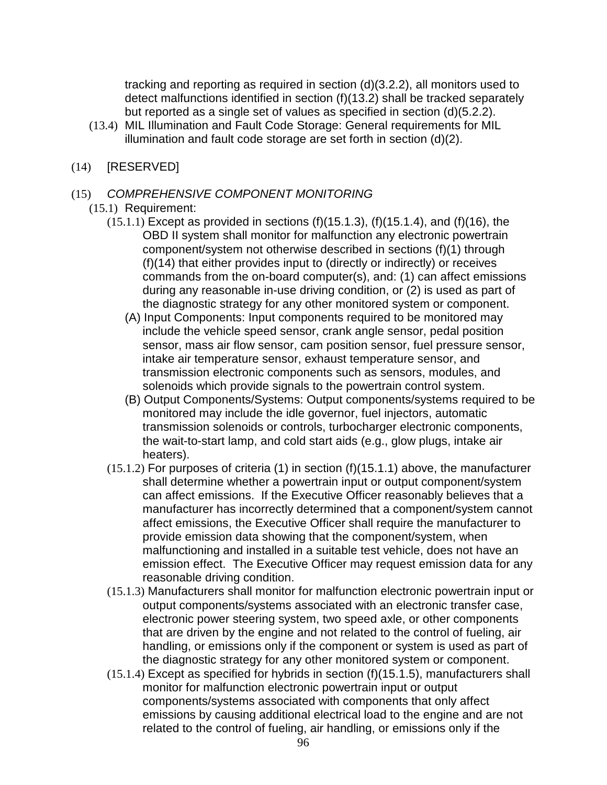tracking and reporting as required in section (d)(3.2.2), all monitors used to detect malfunctions identified in section (f)(13.2) shall be tracked separately but reported as a single set of values as specified in section (d)(5.2.2).

- (13.4) MIL Illumination and Fault Code Storage: General requirements for MIL illumination and fault code storage are set forth in section (d)(2).
- (14) [RESERVED]
- (15) COMPREHENSIVE COMPONENT MONITORING
	- (15.1) Requirement:
		- $(15.1.1)$  Except as provided in sections  $(f)(15.1.3)$ ,  $(f)(15.1.4)$ , and  $(f)(16)$ , the OBD II system shall monitor for malfunction any electronic powertrain component/system not otherwise described in sections (f)(1) through (f)(14) that either provides input to (directly or indirectly) or receives commands from the on-board computer(s), and: (1) can affect emissions during any reasonable in-use driving condition, or (2) is used as part of the diagnostic strategy for any other monitored system or component.
			- (A) Input Components: Input components required to be monitored may include the vehicle speed sensor, crank angle sensor, pedal position sensor, mass air flow sensor, cam position sensor, fuel pressure sensor, intake air temperature sensor, exhaust temperature sensor, and transmission electronic components such as sensors, modules, and solenoids which provide signals to the powertrain control system.
			- (B) Output Components/Systems: Output components/systems required to be monitored may include the idle governor, fuel injectors, automatic transmission solenoids or controls, turbocharger electronic components, the wait-to-start lamp, and cold start aids (e.g., glow plugs, intake air heaters).
		- (15.1.2) For purposes of criteria (1) in section (f)(15.1.1) above, the manufacturer shall determine whether a powertrain input or output component/system can affect emissions. If the Executive Officer reasonably believes that a manufacturer has incorrectly determined that a component/system cannot affect emissions, the Executive Officer shall require the manufacturer to provide emission data showing that the component/system, when malfunctioning and installed in a suitable test vehicle, does not have an emission effect. The Executive Officer may request emission data for any reasonable driving condition.
		- (15.1.3) Manufacturers shall monitor for malfunction electronic powertrain input or output components/systems associated with an electronic transfer case, electronic power steering system, two speed axle, or other components that are driven by the engine and not related to the control of fueling, air handling, or emissions only if the component or system is used as part of the diagnostic strategy for any other monitored system or component.
		- (15.1.4) Except as specified for hybrids in section (f)(15.1.5), manufacturers shall monitor for malfunction electronic powertrain input or output components/systems associated with components that only affect emissions by causing additional electrical load to the engine and are not related to the control of fueling, air handling, or emissions only if the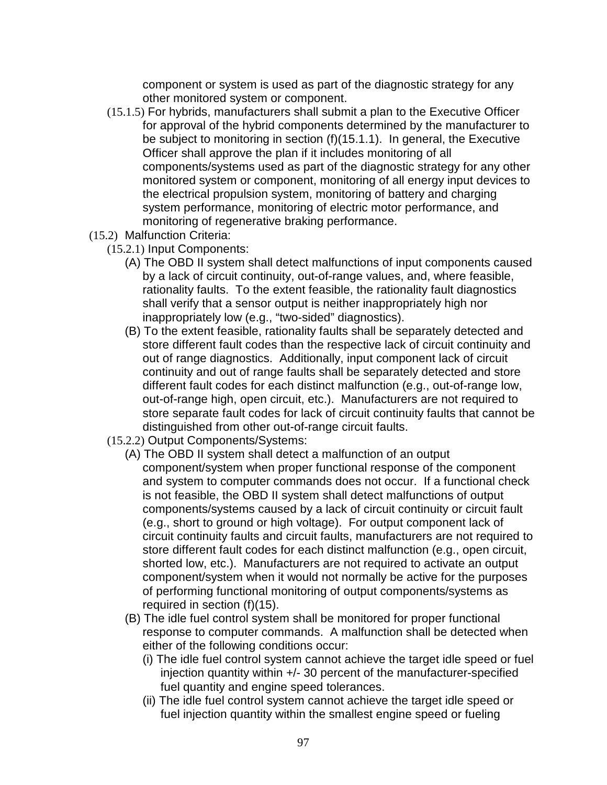component or system is used as part of the diagnostic strategy for any other monitored system or component.

- (15.1.5) For hybrids, manufacturers shall submit a plan to the Executive Officer for approval of the hybrid components determined by the manufacturer to be subject to monitoring in section (f)(15.1.1). In general, the Executive Officer shall approve the plan if it includes monitoring of all components/systems used as part of the diagnostic strategy for any other monitored system or component, monitoring of all energy input devices to the electrical propulsion system, monitoring of battery and charging system performance, monitoring of electric motor performance, and monitoring of regenerative braking performance.
- (15.2) Malfunction Criteria:
	- (15.2.1) Input Components:
		- (A) The OBD II system shall detect malfunctions of input components caused by a lack of circuit continuity, out-of-range values, and, where feasible, rationality faults. To the extent feasible, the rationality fault diagnostics shall verify that a sensor output is neither inappropriately high nor inappropriately low (e.g., "two-sided" diagnostics).
		- (B) To the extent feasible, rationality faults shall be separately detected and store different fault codes than the respective lack of circuit continuity and out of range diagnostics. Additionally, input component lack of circuit continuity and out of range faults shall be separately detected and store different fault codes for each distinct malfunction (e.g., out-of-range low, out-of-range high, open circuit, etc.). Manufacturers are not required to store separate fault codes for lack of circuit continuity faults that cannot be distinguished from other out-of-range circuit faults.
	- (15.2.2) Output Components/Systems:
		- (A) The OBD II system shall detect a malfunction of an output component/system when proper functional response of the component and system to computer commands does not occur. If a functional check is not feasible, the OBD II system shall detect malfunctions of output components/systems caused by a lack of circuit continuity or circuit fault (e.g., short to ground or high voltage). For output component lack of circuit continuity faults and circuit faults, manufacturers are not required to store different fault codes for each distinct malfunction (e.g., open circuit, shorted low, etc.). Manufacturers are not required to activate an output component/system when it would not normally be active for the purposes of performing functional monitoring of output components/systems as required in section (f)(15).
		- (B) The idle fuel control system shall be monitored for proper functional response to computer commands. A malfunction shall be detected when either of the following conditions occur:
			- (i) The idle fuel control system cannot achieve the target idle speed or fuel injection quantity within +/- 30 percent of the manufacturer-specified fuel quantity and engine speed tolerances.
			- (ii) The idle fuel control system cannot achieve the target idle speed or fuel injection quantity within the smallest engine speed or fueling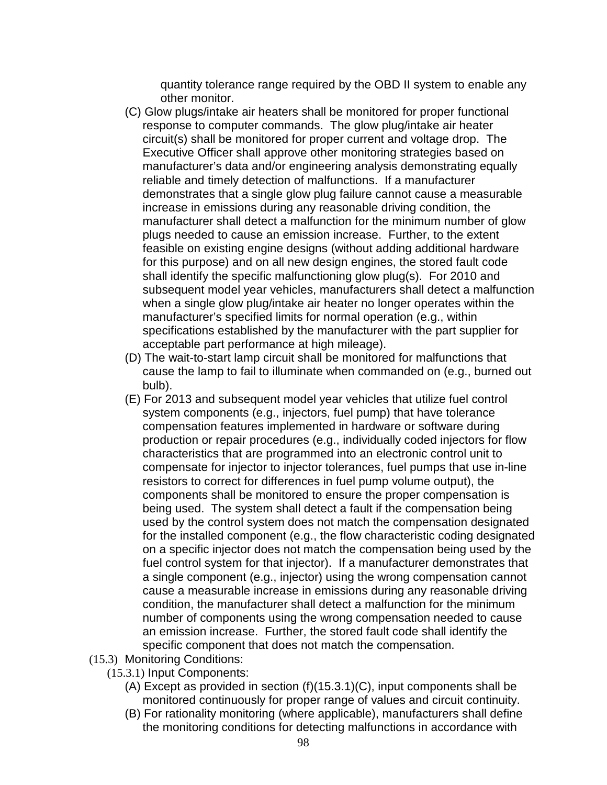quantity tolerance range required by the OBD II system to enable any other monitor.

- (C) Glow plugs/intake air heaters shall be monitored for proper functional response to computer commands. The glow plug/intake air heater circuit(s) shall be monitored for proper current and voltage drop. The Executive Officer shall approve other monitoring strategies based on manufacturer's data and/or engineering analysis demonstrating equally reliable and timely detection of malfunctions. If a manufacturer demonstrates that a single glow plug failure cannot cause a measurable increase in emissions during any reasonable driving condition, the manufacturer shall detect a malfunction for the minimum number of glow plugs needed to cause an emission increase. Further, to the extent feasible on existing engine designs (without adding additional hardware for this purpose) and on all new design engines, the stored fault code shall identify the specific malfunctioning glow plug(s). For 2010 and subsequent model year vehicles, manufacturers shall detect a malfunction when a single glow plug/intake air heater no longer operates within the manufacturer's specified limits for normal operation (e.g., within specifications established by the manufacturer with the part supplier for acceptable part performance at high mileage).
- (D) The wait-to-start lamp circuit shall be monitored for malfunctions that cause the lamp to fail to illuminate when commanded on (e.g., burned out bulb).
- (E) For 2013 and subsequent model year vehicles that utilize fuel control system components (e.g., injectors, fuel pump) that have tolerance compensation features implemented in hardware or software during production or repair procedures (e.g., individually coded injectors for flow characteristics that are programmed into an electronic control unit to compensate for injector to injector tolerances, fuel pumps that use in-line resistors to correct for differences in fuel pump volume output), the components shall be monitored to ensure the proper compensation is being used. The system shall detect a fault if the compensation being used by the control system does not match the compensation designated for the installed component (e.g., the flow characteristic coding designated on a specific injector does not match the compensation being used by the fuel control system for that injector). If a manufacturer demonstrates that a single component (e.g., injector) using the wrong compensation cannot cause a measurable increase in emissions during any reasonable driving condition, the manufacturer shall detect a malfunction for the minimum number of components using the wrong compensation needed to cause an emission increase. Further, the stored fault code shall identify the specific component that does not match the compensation.
- (15.3) Monitoring Conditions:
	- (15.3.1) Input Components:
		- (A) Except as provided in section (f)(15.3.1)(C), input components shall be monitored continuously for proper range of values and circuit continuity.
		- (B) For rationality monitoring (where applicable), manufacturers shall define the monitoring conditions for detecting malfunctions in accordance with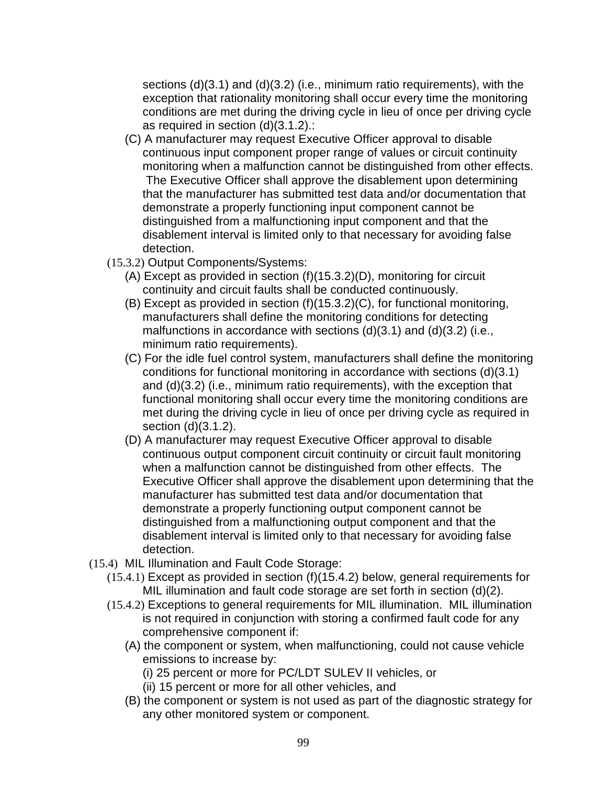sections (d)(3.1) and (d)(3.2) (i.e., minimum ratio requirements), with the exception that rationality monitoring shall occur every time the monitoring conditions are met during the driving cycle in lieu of once per driving cycle as required in section (d)(3.1.2).:

- (C) A manufacturer may request Executive Officer approval to disable continuous input component proper range of values or circuit continuity monitoring when a malfunction cannot be distinguished from other effects. The Executive Officer shall approve the disablement upon determining that the manufacturer has submitted test data and/or documentation that demonstrate a properly functioning input component cannot be distinguished from a malfunctioning input component and that the disablement interval is limited only to that necessary for avoiding false detection.
- (15.3.2) Output Components/Systems:
	- (A) Except as provided in section (f)(15.3.2)(D), monitoring for circuit continuity and circuit faults shall be conducted continuously.
	- (B) Except as provided in section (f)(15.3.2)(C), for functional monitoring, manufacturers shall define the monitoring conditions for detecting malfunctions in accordance with sections (d)(3.1) and (d)(3.2) (i.e., minimum ratio requirements).
	- (C) For the idle fuel control system, manufacturers shall define the monitoring conditions for functional monitoring in accordance with sections (d)(3.1) and (d)(3.2) (i.e., minimum ratio requirements), with the exception that functional monitoring shall occur every time the monitoring conditions are met during the driving cycle in lieu of once per driving cycle as required in section (d)(3.1.2).
	- (D) A manufacturer may request Executive Officer approval to disable continuous output component circuit continuity or circuit fault monitoring when a malfunction cannot be distinguished from other effects. The Executive Officer shall approve the disablement upon determining that the manufacturer has submitted test data and/or documentation that demonstrate a properly functioning output component cannot be distinguished from a malfunctioning output component and that the disablement interval is limited only to that necessary for avoiding false detection.
- (15.4) MIL Illumination and Fault Code Storage:
	- (15.4.1) Except as provided in section (f)(15.4.2) below, general requirements for MIL illumination and fault code storage are set forth in section (d)(2).
	- (15.4.2) Exceptions to general requirements for MIL illumination. MIL illumination is not required in conjunction with storing a confirmed fault code for any comprehensive component if:
		- (A) the component or system, when malfunctioning, could not cause vehicle emissions to increase by:
			- (i) 25 percent or more for PC/LDT SULEV II vehicles, or
			- (ii) 15 percent or more for all other vehicles, and
		- (B) the component or system is not used as part of the diagnostic strategy for any other monitored system or component.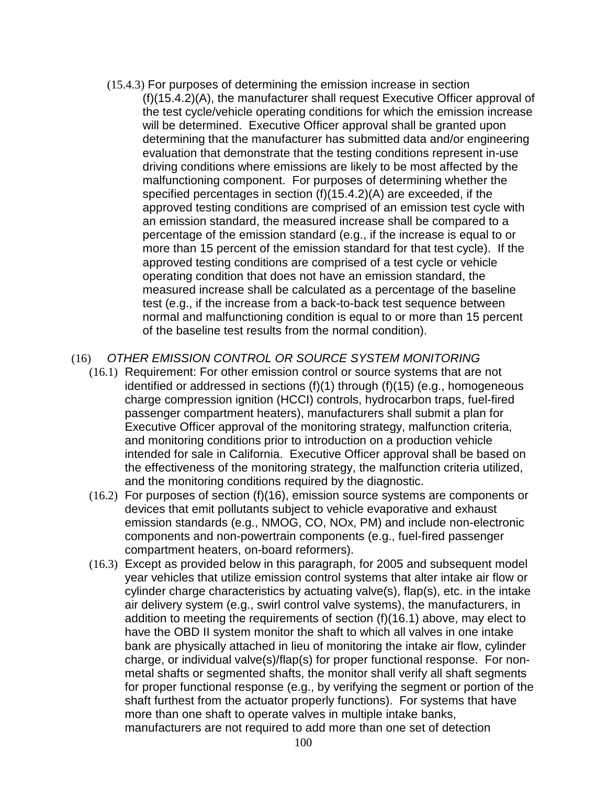(15.4.3) For purposes of determining the emission increase in section (f)(15.4.2)(A), the manufacturer shall request Executive Officer approval of the test cycle/vehicle operating conditions for which the emission increase will be determined. Executive Officer approval shall be granted upon determining that the manufacturer has submitted data and/or engineering evaluation that demonstrate that the testing conditions represent in-use driving conditions where emissions are likely to be most affected by the malfunctioning component. For purposes of determining whether the specified percentages in section (f)(15.4.2)(A) are exceeded, if the approved testing conditions are comprised of an emission test cycle with an emission standard, the measured increase shall be compared to a percentage of the emission standard (e.g., if the increase is equal to or more than 15 percent of the emission standard for that test cycle). If the approved testing conditions are comprised of a test cycle or vehicle operating condition that does not have an emission standard, the measured increase shall be calculated as a percentage of the baseline test (e.g., if the increase from a back-to-back test sequence between normal and malfunctioning condition is equal to or more than 15 percent of the baseline test results from the normal condition).

#### (16) OTHER EMISSION CONTROL OR SOURCE SYSTEM MONITORING

- (16.1) Requirement: For other emission control or source systems that are not identified or addressed in sections (f)(1) through (f)(15) (e.g., homogeneous charge compression ignition (HCCI) controls, hydrocarbon traps, fuel-fired passenger compartment heaters), manufacturers shall submit a plan for Executive Officer approval of the monitoring strategy, malfunction criteria, and monitoring conditions prior to introduction on a production vehicle intended for sale in California. Executive Officer approval shall be based on the effectiveness of the monitoring strategy, the malfunction criteria utilized, and the monitoring conditions required by the diagnostic.
- (16.2) For purposes of section (f)(16), emission source systems are components or devices that emit pollutants subject to vehicle evaporative and exhaust emission standards (e.g., NMOG, CO, NOx, PM) and include non-electronic components and non-powertrain components (e.g., fuel-fired passenger compartment heaters, on-board reformers).
- (16.3) Except as provided below in this paragraph, for 2005 and subsequent model year vehicles that utilize emission control systems that alter intake air flow or cylinder charge characteristics by actuating valve(s), flap(s), etc. in the intake air delivery system (e.g., swirl control valve systems), the manufacturers, in addition to meeting the requirements of section (f)(16.1) above, may elect to have the OBD II system monitor the shaft to which all valves in one intake bank are physically attached in lieu of monitoring the intake air flow, cylinder charge, or individual valve(s)/flap(s) for proper functional response. For nonmetal shafts or segmented shafts, the monitor shall verify all shaft segments for proper functional response (e.g., by verifying the segment or portion of the shaft furthest from the actuator properly functions). For systems that have more than one shaft to operate valves in multiple intake banks, manufacturers are not required to add more than one set of detection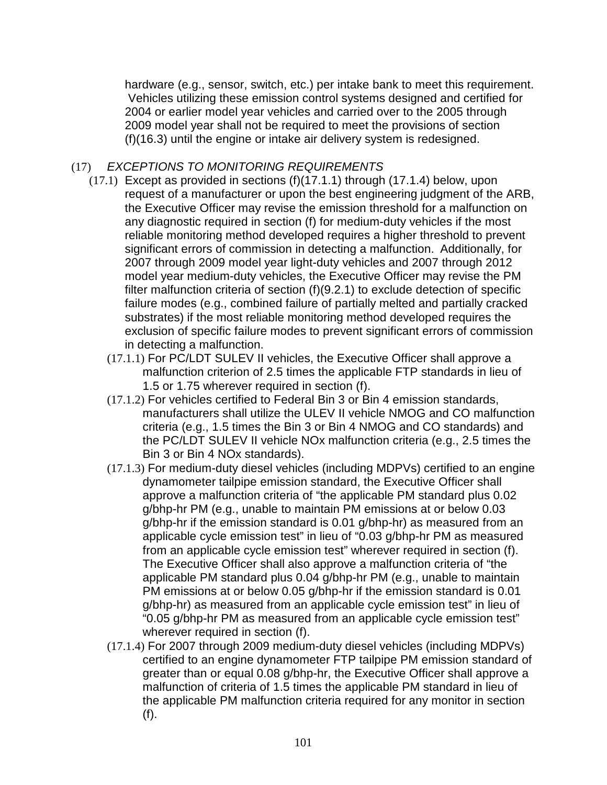hardware (e.g., sensor, switch, etc.) per intake bank to meet this requirement. Vehicles utilizing these emission control systems designed and certified for 2004 or earlier model year vehicles and carried over to the 2005 through 2009 model year shall not be required to meet the provisions of section (f)(16.3) until the engine or intake air delivery system is redesigned.

## (17) EXCEPTIONS TO MONITORING REQUIREMENTS

- (17.1) Except as provided in sections (f)(17.1.1) through (17.1.4) below, upon request of a manufacturer or upon the best engineering judgment of the ARB, the Executive Officer may revise the emission threshold for a malfunction on any diagnostic required in section (f) for medium-duty vehicles if the most reliable monitoring method developed requires a higher threshold to prevent significant errors of commission in detecting a malfunction. Additionally, for 2007 through 2009 model year light-duty vehicles and 2007 through 2012 model year medium-duty vehicles, the Executive Officer may revise the PM filter malfunction criteria of section (f)(9.2.1) to exclude detection of specific failure modes (e.g., combined failure of partially melted and partially cracked substrates) if the most reliable monitoring method developed requires the exclusion of specific failure modes to prevent significant errors of commission in detecting a malfunction.
	- (17.1.1) For PC/LDT SULEV II vehicles, the Executive Officer shall approve a malfunction criterion of 2.5 times the applicable FTP standards in lieu of 1.5 or 1.75 wherever required in section (f).
	- (17.1.2) For vehicles certified to Federal Bin 3 or Bin 4 emission standards, manufacturers shall utilize the ULEV II vehicle NMOG and CO malfunction criteria (e.g., 1.5 times the Bin 3 or Bin 4 NMOG and CO standards) and the PC/LDT SULEV II vehicle NOx malfunction criteria (e.g., 2.5 times the Bin 3 or Bin 4 NOx standards).
	- (17.1.3) For medium-duty diesel vehicles (including MDPVs) certified to an engine dynamometer tailpipe emission standard, the Executive Officer shall approve a malfunction criteria of "the applicable PM standard plus 0.02 g/bhp-hr PM (e.g., unable to maintain PM emissions at or below 0.03 g/bhp-hr if the emission standard is 0.01 g/bhp-hr) as measured from an applicable cycle emission test" in lieu of "0.03 g/bhp-hr PM as measured from an applicable cycle emission test" wherever required in section (f). The Executive Officer shall also approve a malfunction criteria of "the applicable PM standard plus 0.04 g/bhp-hr PM (e.g., unable to maintain PM emissions at or below 0.05 g/bhp-hr if the emission standard is 0.01 g/bhp-hr) as measured from an applicable cycle emission test" in lieu of "0.05 g/bhp-hr PM as measured from an applicable cycle emission test" wherever required in section (f).
	- (17.1.4) For 2007 through 2009 medium-duty diesel vehicles (including MDPVs) certified to an engine dynamometer FTP tailpipe PM emission standard of greater than or equal 0.08 g/bhp-hr, the Executive Officer shall approve a malfunction of criteria of 1.5 times the applicable PM standard in lieu of the applicable PM malfunction criteria required for any monitor in section (f).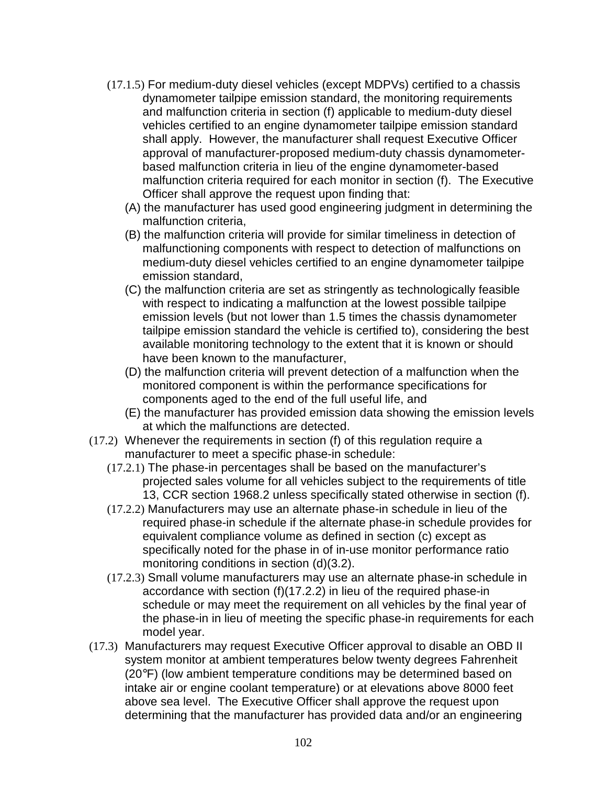- (17.1.5) For medium-duty diesel vehicles (except MDPVs) certified to a chassis dynamometer tailpipe emission standard, the monitoring requirements and malfunction criteria in section (f) applicable to medium-duty diesel vehicles certified to an engine dynamometer tailpipe emission standard shall apply. However, the manufacturer shall request Executive Officer approval of manufacturer-proposed medium-duty chassis dynamometerbased malfunction criteria in lieu of the engine dynamometer-based malfunction criteria required for each monitor in section (f). The Executive Officer shall approve the request upon finding that:
	- (A) the manufacturer has used good engineering judgment in determining the malfunction criteria,
	- (B) the malfunction criteria will provide for similar timeliness in detection of malfunctioning components with respect to detection of malfunctions on medium-duty diesel vehicles certified to an engine dynamometer tailpipe emission standard,
	- (C) the malfunction criteria are set as stringently as technologically feasible with respect to indicating a malfunction at the lowest possible tailpipe emission levels (but not lower than 1.5 times the chassis dynamometer tailpipe emission standard the vehicle is certified to), considering the best available monitoring technology to the extent that it is known or should have been known to the manufacturer,
	- (D) the malfunction criteria will prevent detection of a malfunction when the monitored component is within the performance specifications for components aged to the end of the full useful life, and
	- (E) the manufacturer has provided emission data showing the emission levels at which the malfunctions are detected.
- (17.2) Whenever the requirements in section (f) of this regulation require a manufacturer to meet a specific phase-in schedule:
	- (17.2.1) The phase-in percentages shall be based on the manufacturer's projected sales volume for all vehicles subject to the requirements of title 13, CCR section 1968.2 unless specifically stated otherwise in section (f).
	- (17.2.2) Manufacturers may use an alternate phase-in schedule in lieu of the required phase-in schedule if the alternate phase-in schedule provides for equivalent compliance volume as defined in section (c) except as specifically noted for the phase in of in-use monitor performance ratio monitoring conditions in section (d)(3.2).
	- (17.2.3) Small volume manufacturers may use an alternate phase-in schedule in accordance with section (f)(17.2.2) in lieu of the required phase-in schedule or may meet the requirement on all vehicles by the final year of the phase-in in lieu of meeting the specific phase-in requirements for each model year.
- (17.3) Manufacturers may request Executive Officer approval to disable an OBD II system monitor at ambient temperatures below twenty degrees Fahrenheit (20°F) (low ambient temperature conditions may be determined based on intake air or engine coolant temperature) or at elevations above 8000 feet above sea level. The Executive Officer shall approve the request upon determining that the manufacturer has provided data and/or an engineering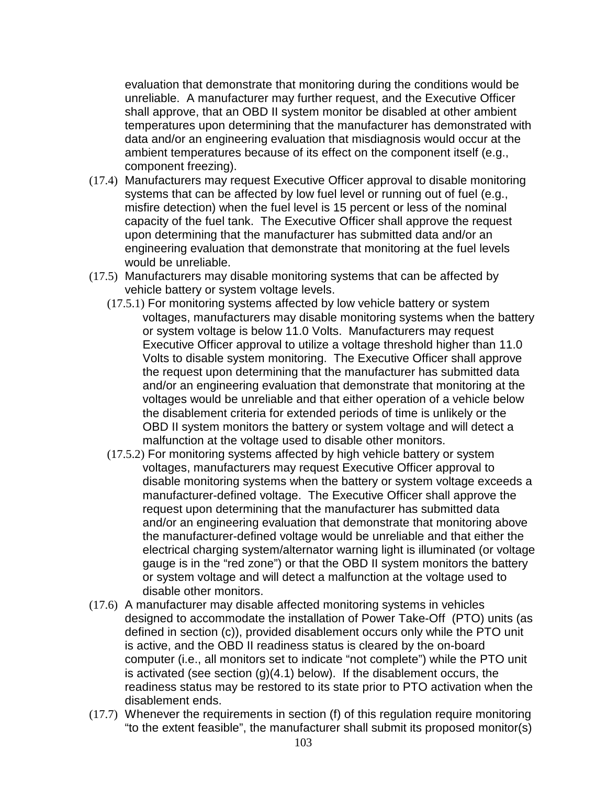evaluation that demonstrate that monitoring during the conditions would be unreliable. A manufacturer may further request, and the Executive Officer shall approve, that an OBD II system monitor be disabled at other ambient temperatures upon determining that the manufacturer has demonstrated with data and/or an engineering evaluation that misdiagnosis would occur at the ambient temperatures because of its effect on the component itself (e.g., component freezing).

- (17.4) Manufacturers may request Executive Officer approval to disable monitoring systems that can be affected by low fuel level or running out of fuel (e.g., misfire detection) when the fuel level is 15 percent or less of the nominal capacity of the fuel tank. The Executive Officer shall approve the request upon determining that the manufacturer has submitted data and/or an engineering evaluation that demonstrate that monitoring at the fuel levels would be unreliable.
- (17.5) Manufacturers may disable monitoring systems that can be affected by vehicle battery or system voltage levels.
	- (17.5.1) For monitoring systems affected by low vehicle battery or system voltages, manufacturers may disable monitoring systems when the battery or system voltage is below 11.0 Volts. Manufacturers may request Executive Officer approval to utilize a voltage threshold higher than 11.0 Volts to disable system monitoring. The Executive Officer shall approve the request upon determining that the manufacturer has submitted data and/or an engineering evaluation that demonstrate that monitoring at the voltages would be unreliable and that either operation of a vehicle below the disablement criteria for extended periods of time is unlikely or the OBD II system monitors the battery or system voltage and will detect a malfunction at the voltage used to disable other monitors.
	- (17.5.2) For monitoring systems affected by high vehicle battery or system voltages, manufacturers may request Executive Officer approval to disable monitoring systems when the battery or system voltage exceeds a manufacturer-defined voltage. The Executive Officer shall approve the request upon determining that the manufacturer has submitted data and/or an engineering evaluation that demonstrate that monitoring above the manufacturer-defined voltage would be unreliable and that either the electrical charging system/alternator warning light is illuminated (or voltage gauge is in the "red zone") or that the OBD II system monitors the battery or system voltage and will detect a malfunction at the voltage used to disable other monitors.
- (17.6) A manufacturer may disable affected monitoring systems in vehicles designed to accommodate the installation of Power Take-Off (PTO) units (as defined in section (c)), provided disablement occurs only while the PTO unit is active, and the OBD II readiness status is cleared by the on-board computer (i.e., all monitors set to indicate "not complete") while the PTO unit is activated (see section  $(g)(4.1)$  below). If the disablement occurs, the readiness status may be restored to its state prior to PTO activation when the disablement ends.
- (17.7) Whenever the requirements in section (f) of this regulation require monitoring "to the extent feasible", the manufacturer shall submit its proposed monitor(s)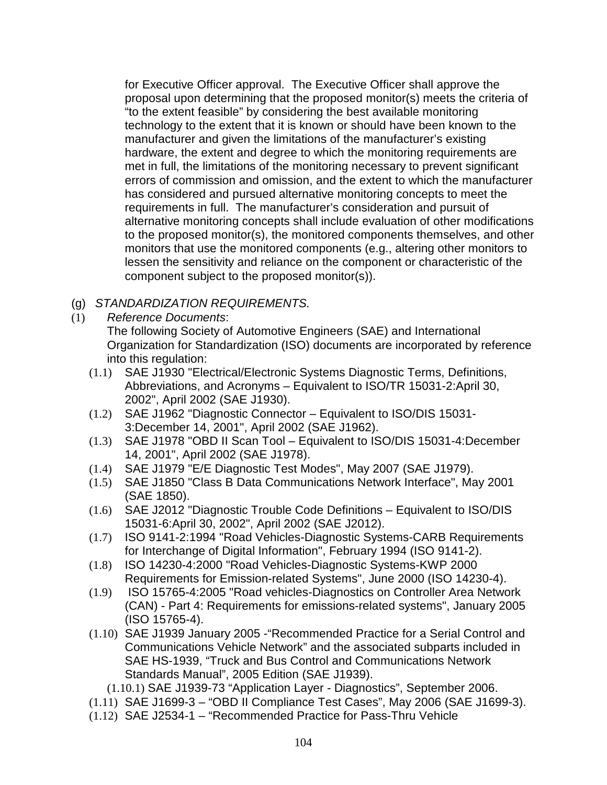for Executive Officer approval. The Executive Officer shall approve the proposal upon determining that the proposed monitor(s) meets the criteria of "to the extent feasible" by considering the best available monitoring technology to the extent that it is known or should have been known to the manufacturer and given the limitations of the manufacturer's existing hardware, the extent and degree to which the monitoring requirements are met in full, the limitations of the monitoring necessary to prevent significant errors of commission and omission, and the extent to which the manufacturer has considered and pursued alternative monitoring concepts to meet the requirements in full. The manufacturer's consideration and pursuit of alternative monitoring concepts shall include evaluation of other modifications to the proposed monitor(s), the monitored components themselves, and other monitors that use the monitored components (e.g., altering other monitors to lessen the sensitivity and reliance on the component or characteristic of the component subject to the proposed monitor(s)).

# (g) STANDARDIZATION REQUIREMENTS.

(1) Reference Documents:

The following Society of Automotive Engineers (SAE) and International Organization for Standardization (ISO) documents are incorporated by reference into this regulation:

- (1.1) SAE J1930 "Electrical/Electronic Systems Diagnostic Terms, Definitions, Abbreviations, and Acronyms – Equivalent to ISO/TR 15031-2:April 30, 2002", April 2002 (SAE J1930).
- (1.2) SAE J1962 "Diagnostic Connector Equivalent to ISO/DIS 15031- 3:December 14, 2001", April 2002 (SAE J1962).
- (1.3) SAE J1978 "OBD II Scan Tool Equivalent to ISO/DIS 15031-4:December 14, 2001", April 2002 (SAE J1978).
- (1.4) SAE J1979 "E/E Diagnostic Test Modes", May 2007 (SAE J1979).
- (1.5) SAE J1850 "Class B Data Communications Network Interface", May 2001 (SAE 1850).
- (1.6) SAE J2012 "Diagnostic Trouble Code Definitions Equivalent to ISO/DIS 15031-6:April 30, 2002", April 2002 (SAE J2012).
- (1.7) ISO 9141-2:1994 "Road Vehicles-Diagnostic Systems-CARB Requirements for Interchange of Digital Information", February 1994 (ISO 9141-2).
- (1.8) ISO 14230-4:2000 "Road Vehicles-Diagnostic Systems-KWP 2000 Requirements for Emission-related Systems", June 2000 (ISO 14230-4).
- (1.9) ISO 15765-4:2005 "Road vehicles-Diagnostics on Controller Area Network (CAN) - Part 4: Requirements for emissions-related systems", January 2005 (ISO 15765-4).
- (1.10) SAE J1939 January 2005 -"Recommended Practice for a Serial Control and Communications Vehicle Network" and the associated subparts included in SAE HS-1939, "Truck and Bus Control and Communications Network Standards Manual", 2005 Edition (SAE J1939).
	- (1.10.1) SAE J1939-73 "Application Layer Diagnostics", September 2006.
- (1.11) SAE J1699-3 "OBD II Compliance Test Cases", May 2006 (SAE J1699-3).
- (1.12) SAE J2534-1 "Recommended Practice for Pass-Thru Vehicle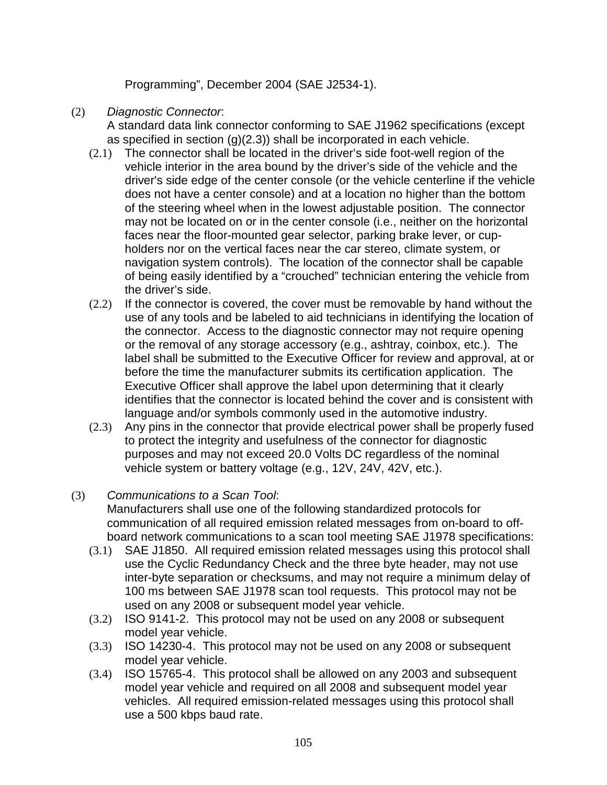Programming", December 2004 (SAE J2534-1).

## (2) Diagnostic Connector:

A standard data link connector conforming to SAE J1962 specifications (except as specified in section (g)(2.3)) shall be incorporated in each vehicle.

- (2.1) The connector shall be located in the driver's side foot-well region of the vehicle interior in the area bound by the driver's side of the vehicle and the driver's side edge of the center console (or the vehicle centerline if the vehicle does not have a center console) and at a location no higher than the bottom of the steering wheel when in the lowest adjustable position. The connector may not be located on or in the center console (i.e., neither on the horizontal faces near the floor-mounted gear selector, parking brake lever, or cupholders nor on the vertical faces near the car stereo, climate system, or navigation system controls). The location of the connector shall be capable of being easily identified by a "crouched" technician entering the vehicle from the driver's side.
- (2.2) If the connector is covered, the cover must be removable by hand without the use of any tools and be labeled to aid technicians in identifying the location of the connector. Access to the diagnostic connector may not require opening or the removal of any storage accessory (e.g., ashtray, coinbox, etc.). The label shall be submitted to the Executive Officer for review and approval, at or before the time the manufacturer submits its certification application. The Executive Officer shall approve the label upon determining that it clearly identifies that the connector is located behind the cover and is consistent with language and/or symbols commonly used in the automotive industry.
- (2.3) Any pins in the connector that provide electrical power shall be properly fused to protect the integrity and usefulness of the connector for diagnostic purposes and may not exceed 20.0 Volts DC regardless of the nominal vehicle system or battery voltage (e.g., 12V, 24V, 42V, etc.).
- (3) Communications to a Scan Tool:

Manufacturers shall use one of the following standardized protocols for communication of all required emission related messages from on-board to offboard network communications to a scan tool meeting SAE J1978 specifications:

- (3.1) SAE J1850. All required emission related messages using this protocol shall use the Cyclic Redundancy Check and the three byte header, may not use inter-byte separation or checksums, and may not require a minimum delay of 100 ms between SAE J1978 scan tool requests. This protocol may not be used on any 2008 or subsequent model year vehicle.
- (3.2) ISO 9141-2. This protocol may not be used on any 2008 or subsequent model year vehicle.
- (3.3) ISO 14230-4. This protocol may not be used on any 2008 or subsequent model year vehicle.
- (3.4) ISO 15765-4. This protocol shall be allowed on any 2003 and subsequent model year vehicle and required on all 2008 and subsequent model year vehicles. All required emission-related messages using this protocol shall use a 500 kbps baud rate.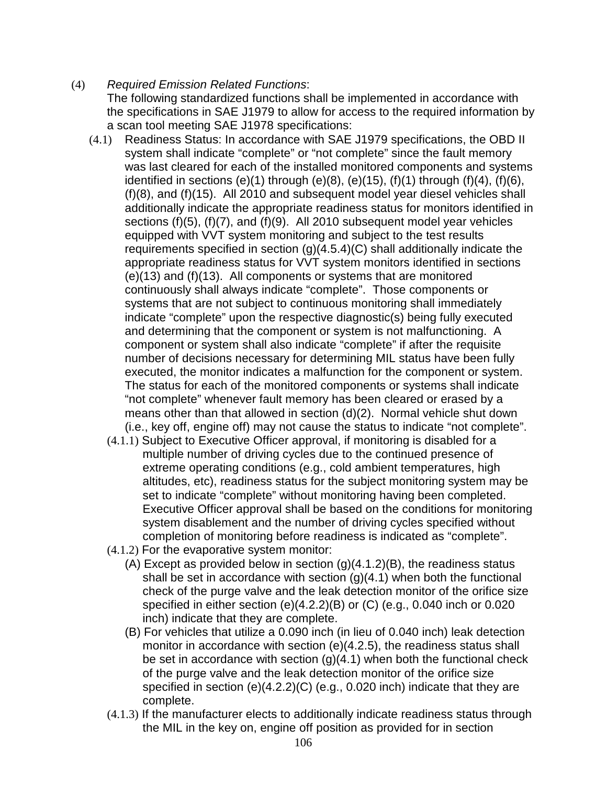## (4) Required Emission Related Functions:

The following standardized functions shall be implemented in accordance with the specifications in SAE J1979 to allow for access to the required information by a scan tool meeting SAE J1978 specifications:

- (4.1) Readiness Status: In accordance with SAE J1979 specifications, the OBD II system shall indicate "complete" or "not complete" since the fault memory was last cleared for each of the installed monitored components and systems identified in sections  $(e)(1)$  through  $(e)(8)$ ,  $(e)(15)$ ,  $(f)(1)$  through  $(f)(4)$ ,  $(f)(6)$ , (f)(8), and (f)(15). All 2010 and subsequent model year diesel vehicles shall additionally indicate the appropriate readiness status for monitors identified in sections (f)(5), (f)(7), and (f)(9). All 2010 subsequent model year vehicles equipped with VVT system monitoring and subject to the test results requirements specified in section  $(g)(4.5.4)(C)$  shall additionally indicate the appropriate readiness status for VVT system monitors identified in sections (e)(13) and (f)(13). All components or systems that are monitored continuously shall always indicate "complete". Those components or systems that are not subject to continuous monitoring shall immediately indicate "complete" upon the respective diagnostic(s) being fully executed and determining that the component or system is not malfunctioning. A component or system shall also indicate "complete" if after the requisite number of decisions necessary for determining MIL status have been fully executed, the monitor indicates a malfunction for the component or system. The status for each of the monitored components or systems shall indicate "not complete" whenever fault memory has been cleared or erased by a means other than that allowed in section (d)(2). Normal vehicle shut down (i.e., key off, engine off) may not cause the status to indicate "not complete".
	- (4.1.1) Subject to Executive Officer approval, if monitoring is disabled for a multiple number of driving cycles due to the continued presence of extreme operating conditions (e.g., cold ambient temperatures, high altitudes, etc), readiness status for the subject monitoring system may be set to indicate "complete" without monitoring having been completed. Executive Officer approval shall be based on the conditions for monitoring system disablement and the number of driving cycles specified without completion of monitoring before readiness is indicated as "complete".
	- (4.1.2) For the evaporative system monitor:
		- (A) Except as provided below in section (g)(4.1.2)(B), the readiness status shall be set in accordance with section  $(g)(4.1)$  when both the functional check of the purge valve and the leak detection monitor of the orifice size specified in either section (e)(4.2.2)(B) or (C) (e.g., 0.040 inch or 0.020 inch) indicate that they are complete.
		- (B) For vehicles that utilize a 0.090 inch (in lieu of 0.040 inch) leak detection monitor in accordance with section (e)(4.2.5), the readiness status shall be set in accordance with section  $(g)(4.1)$  when both the functional check of the purge valve and the leak detection monitor of the orifice size specified in section (e)(4.2.2)(C) (e.g., 0.020 inch) indicate that they are complete.
	- (4.1.3) If the manufacturer elects to additionally indicate readiness status through the MIL in the key on, engine off position as provided for in section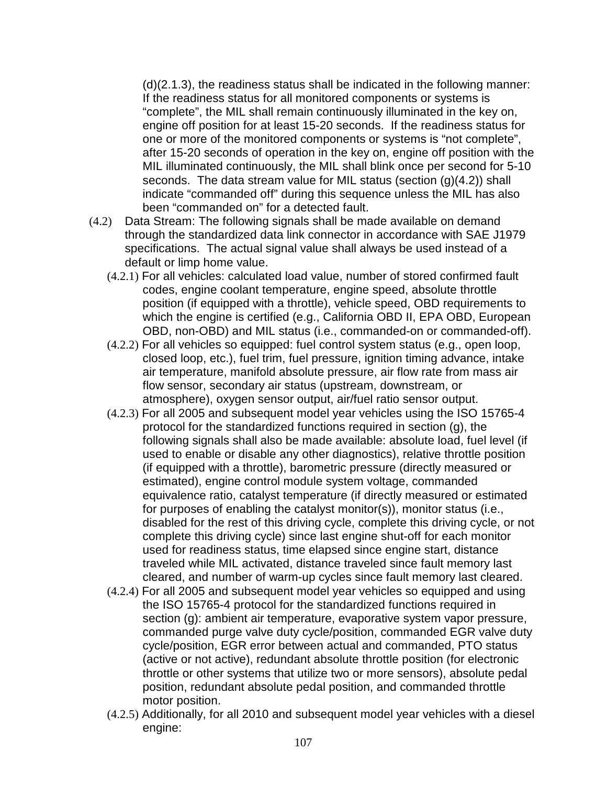(d)(2.1.3), the readiness status shall be indicated in the following manner: If the readiness status for all monitored components or systems is "complete", the MIL shall remain continuously illuminated in the key on, engine off position for at least 15-20 seconds. If the readiness status for one or more of the monitored components or systems is "not complete", after 15-20 seconds of operation in the key on, engine off position with the MIL illuminated continuously, the MIL shall blink once per second for 5-10 seconds. The data stream value for MIL status (section (g)(4.2)) shall indicate "commanded off" during this sequence unless the MIL has also been "commanded on" for a detected fault.

- (4.2) Data Stream: The following signals shall be made available on demand through the standardized data link connector in accordance with SAE J1979 specifications. The actual signal value shall always be used instead of a default or limp home value.
	- (4.2.1) For all vehicles: calculated load value, number of stored confirmed fault codes, engine coolant temperature, engine speed, absolute throttle position (if equipped with a throttle), vehicle speed, OBD requirements to which the engine is certified (e.g., California OBD II, EPA OBD, European OBD, non-OBD) and MIL status (i.e., commanded-on or commanded-off).
	- (4.2.2) For all vehicles so equipped: fuel control system status (e.g., open loop, closed loop, etc.), fuel trim, fuel pressure, ignition timing advance, intake air temperature, manifold absolute pressure, air flow rate from mass air flow sensor, secondary air status (upstream, downstream, or atmosphere), oxygen sensor output, air/fuel ratio sensor output.
	- (4.2.3) For all 2005 and subsequent model year vehicles using the ISO 15765-4 protocol for the standardized functions required in section (g), the following signals shall also be made available: absolute load, fuel level (if used to enable or disable any other diagnostics), relative throttle position (if equipped with a throttle), barometric pressure (directly measured or estimated), engine control module system voltage, commanded equivalence ratio, catalyst temperature (if directly measured or estimated for purposes of enabling the catalyst monitor(s)), monitor status (i.e., disabled for the rest of this driving cycle, complete this driving cycle, or not complete this driving cycle) since last engine shut-off for each monitor used for readiness status, time elapsed since engine start, distance traveled while MIL activated, distance traveled since fault memory last cleared, and number of warm-up cycles since fault memory last cleared.
	- (4.2.4) For all 2005 and subsequent model year vehicles so equipped and using the ISO 15765-4 protocol for the standardized functions required in section (g): ambient air temperature, evaporative system vapor pressure, commanded purge valve duty cycle/position, commanded EGR valve duty cycle/position, EGR error between actual and commanded, PTO status (active or not active), redundant absolute throttle position (for electronic throttle or other systems that utilize two or more sensors), absolute pedal position, redundant absolute pedal position, and commanded throttle motor position.
	- (4.2.5) Additionally, for all 2010 and subsequent model year vehicles with a diesel engine: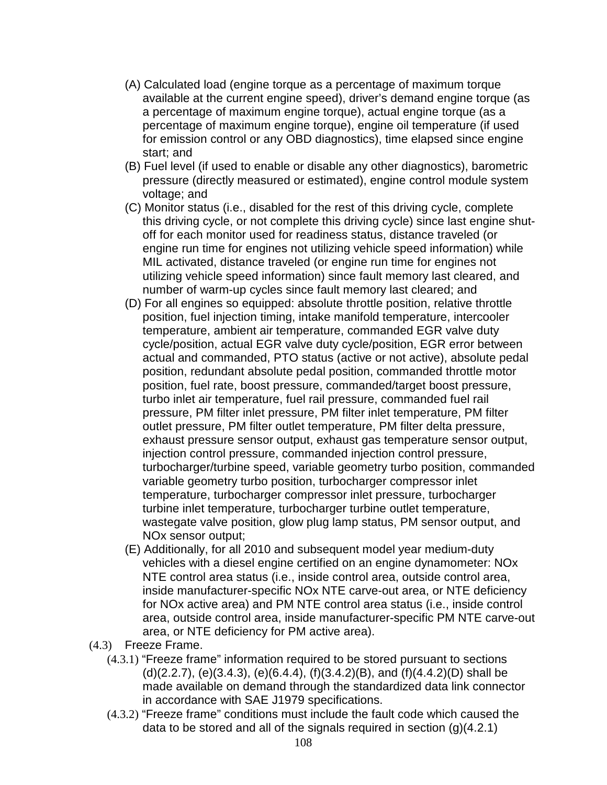- (A) Calculated load (engine torque as a percentage of maximum torque available at the current engine speed), driver's demand engine torque (as a percentage of maximum engine torque), actual engine torque (as a percentage of maximum engine torque), engine oil temperature (if used for emission control or any OBD diagnostics), time elapsed since engine start; and
- (B) Fuel level (if used to enable or disable any other diagnostics), barometric pressure (directly measured or estimated), engine control module system voltage; and
- (C) Monitor status (i.e., disabled for the rest of this driving cycle, complete this driving cycle, or not complete this driving cycle) since last engine shutoff for each monitor used for readiness status, distance traveled (or engine run time for engines not utilizing vehicle speed information) while MIL activated, distance traveled (or engine run time for engines not utilizing vehicle speed information) since fault memory last cleared, and number of warm-up cycles since fault memory last cleared; and
- (D) For all engines so equipped: absolute throttle position, relative throttle position, fuel injection timing, intake manifold temperature, intercooler temperature, ambient air temperature, commanded EGR valve duty cycle/position, actual EGR valve duty cycle/position, EGR error between actual and commanded, PTO status (active or not active), absolute pedal position, redundant absolute pedal position, commanded throttle motor position, fuel rate, boost pressure, commanded/target boost pressure, turbo inlet air temperature, fuel rail pressure, commanded fuel rail pressure, PM filter inlet pressure, PM filter inlet temperature, PM filter outlet pressure, PM filter outlet temperature, PM filter delta pressure, exhaust pressure sensor output, exhaust gas temperature sensor output, injection control pressure, commanded injection control pressure, turbocharger/turbine speed, variable geometry turbo position, commanded variable geometry turbo position, turbocharger compressor inlet temperature, turbocharger compressor inlet pressure, turbocharger turbine inlet temperature, turbocharger turbine outlet temperature, wastegate valve position, glow plug lamp status, PM sensor output, and NOx sensor output;
- (E) Additionally, for all 2010 and subsequent model year medium-duty vehicles with a diesel engine certified on an engine dynamometer: NOx NTE control area status (i.e., inside control area, outside control area, inside manufacturer-specific NOx NTE carve-out area, or NTE deficiency for NOx active area) and PM NTE control area status (i.e., inside control area, outside control area, inside manufacturer-specific PM NTE carve-out area, or NTE deficiency for PM active area).
- (4.3) Freeze Frame.
	- (4.3.1) "Freeze frame" information required to be stored pursuant to sections (d)(2.2.7), (e)(3.4.3), (e)(6.4.4), (f)(3.4.2)(B), and (f)(4.4.2)(D) shall be made available on demand through the standardized data link connector in accordance with SAE J1979 specifications.
	- (4.3.2) "Freeze frame" conditions must include the fault code which caused the data to be stored and all of the signals required in section (g)(4.2.1)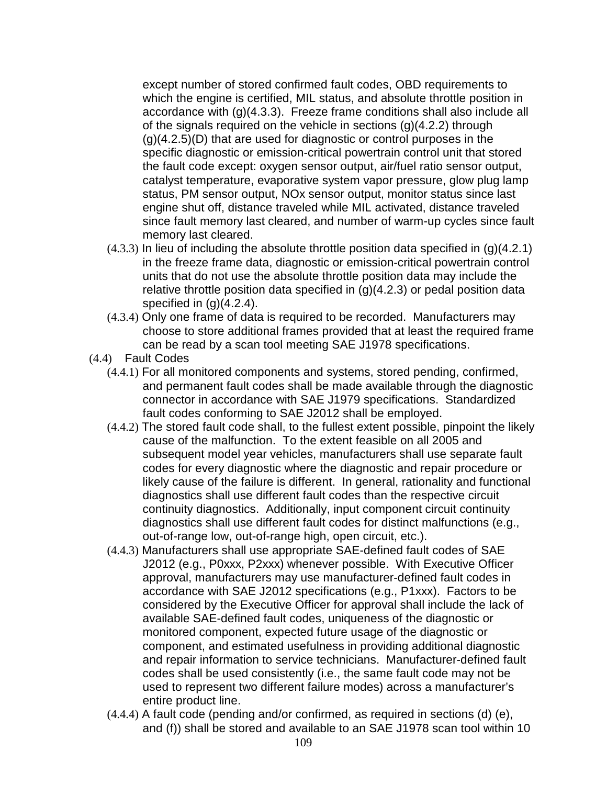except number of stored confirmed fault codes, OBD requirements to which the engine is certified, MIL status, and absolute throttle position in accordance with (g)(4.3.3). Freeze frame conditions shall also include all of the signals required on the vehicle in sections (g)(4.2.2) through (g)(4.2.5)(D) that are used for diagnostic or control purposes in the specific diagnostic or emission-critical powertrain control unit that stored the fault code except: oxygen sensor output, air/fuel ratio sensor output, catalyst temperature, evaporative system vapor pressure, glow plug lamp status, PM sensor output, NOx sensor output, monitor status since last engine shut off, distance traveled while MIL activated, distance traveled since fault memory last cleared, and number of warm-up cycles since fault memory last cleared.

- $(4.3.3)$  In lieu of including the absolute throttle position data specified in  $(q)(4.2.1)$ in the freeze frame data, diagnostic or emission-critical powertrain control units that do not use the absolute throttle position data may include the relative throttle position data specified in  $(q)(4.2.3)$  or pedal position data specified in  $(g)(4.2.4)$ .
- (4.3.4) Only one frame of data is required to be recorded. Manufacturers may choose to store additional frames provided that at least the required frame can be read by a scan tool meeting SAE J1978 specifications.
- (4.4) Fault Codes
	- (4.4.1) For all monitored components and systems, stored pending, confirmed, and permanent fault codes shall be made available through the diagnostic connector in accordance with SAE J1979 specifications. Standardized fault codes conforming to SAE J2012 shall be employed.
	- (4.4.2) The stored fault code shall, to the fullest extent possible, pinpoint the likely cause of the malfunction. To the extent feasible on all 2005 and subsequent model year vehicles, manufacturers shall use separate fault codes for every diagnostic where the diagnostic and repair procedure or likely cause of the failure is different. In general, rationality and functional diagnostics shall use different fault codes than the respective circuit continuity diagnostics. Additionally, input component circuit continuity diagnostics shall use different fault codes for distinct malfunctions (e.g., out-of-range low, out-of-range high, open circuit, etc.).
	- (4.4.3) Manufacturers shall use appropriate SAE-defined fault codes of SAE J2012 (e.g., P0xxx, P2xxx) whenever possible. With Executive Officer approval, manufacturers may use manufacturer-defined fault codes in accordance with SAE J2012 specifications (e.g., P1xxx). Factors to be considered by the Executive Officer for approval shall include the lack of available SAE-defined fault codes, uniqueness of the diagnostic or monitored component, expected future usage of the diagnostic or component, and estimated usefulness in providing additional diagnostic and repair information to service technicians. Manufacturer-defined fault codes shall be used consistently (i.e., the same fault code may not be used to represent two different failure modes) across a manufacturer's entire product line.
	- (4.4.4) A fault code (pending and/or confirmed, as required in sections (d) (e), and (f)) shall be stored and available to an SAE J1978 scan tool within 10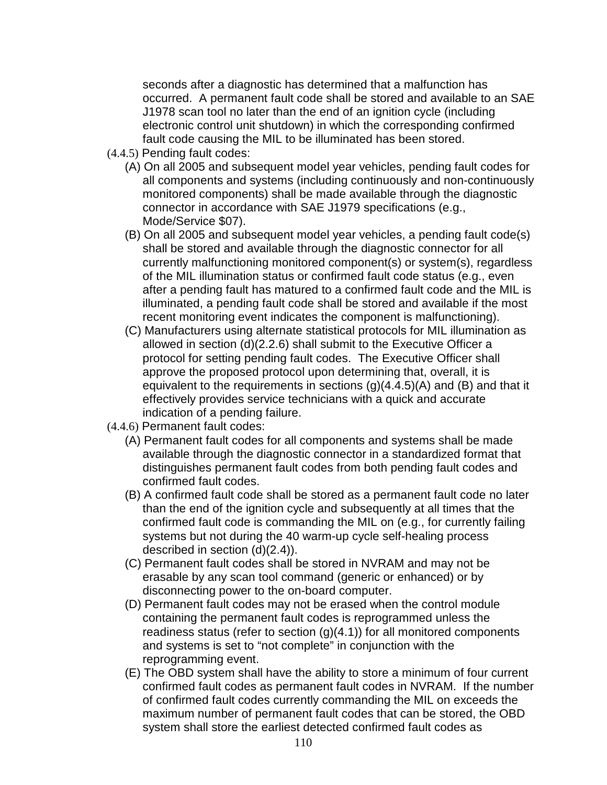seconds after a diagnostic has determined that a malfunction has occurred. A permanent fault code shall be stored and available to an SAE J1978 scan tool no later than the end of an ignition cycle (including electronic control unit shutdown) in which the corresponding confirmed fault code causing the MIL to be illuminated has been stored.

- (4.4.5) Pending fault codes:
	- (A) On all 2005 and subsequent model year vehicles, pending fault codes for all components and systems (including continuously and non-continuously monitored components) shall be made available through the diagnostic connector in accordance with SAE J1979 specifications (e.g., Mode/Service \$07).
	- (B) On all 2005 and subsequent model year vehicles, a pending fault code(s) shall be stored and available through the diagnostic connector for all currently malfunctioning monitored component(s) or system(s), regardless of the MIL illumination status or confirmed fault code status (e.g., even after a pending fault has matured to a confirmed fault code and the MIL is illuminated, a pending fault code shall be stored and available if the most recent monitoring event indicates the component is malfunctioning).
	- (C) Manufacturers using alternate statistical protocols for MIL illumination as allowed in section (d)(2.2.6) shall submit to the Executive Officer a protocol for setting pending fault codes. The Executive Officer shall approve the proposed protocol upon determining that, overall, it is equivalent to the requirements in sections  $(g)(4.4.5)(A)$  and  $(B)$  and that it effectively provides service technicians with a quick and accurate indication of a pending failure.
- (4.4.6) Permanent fault codes:
	- (A) Permanent fault codes for all components and systems shall be made available through the diagnostic connector in a standardized format that distinguishes permanent fault codes from both pending fault codes and confirmed fault codes.
	- (B) A confirmed fault code shall be stored as a permanent fault code no later than the end of the ignition cycle and subsequently at all times that the confirmed fault code is commanding the MIL on (e.g., for currently failing systems but not during the 40 warm-up cycle self-healing process described in section (d)(2.4)).
	- (C) Permanent fault codes shall be stored in NVRAM and may not be erasable by any scan tool command (generic or enhanced) or by disconnecting power to the on-board computer.
	- (D) Permanent fault codes may not be erased when the control module containing the permanent fault codes is reprogrammed unless the readiness status (refer to section  $(g)(4.1)$ ) for all monitored components and systems is set to "not complete" in conjunction with the reprogramming event.
	- (E) The OBD system shall have the ability to store a minimum of four current confirmed fault codes as permanent fault codes in NVRAM. If the number of confirmed fault codes currently commanding the MIL on exceeds the maximum number of permanent fault codes that can be stored, the OBD system shall store the earliest detected confirmed fault codes as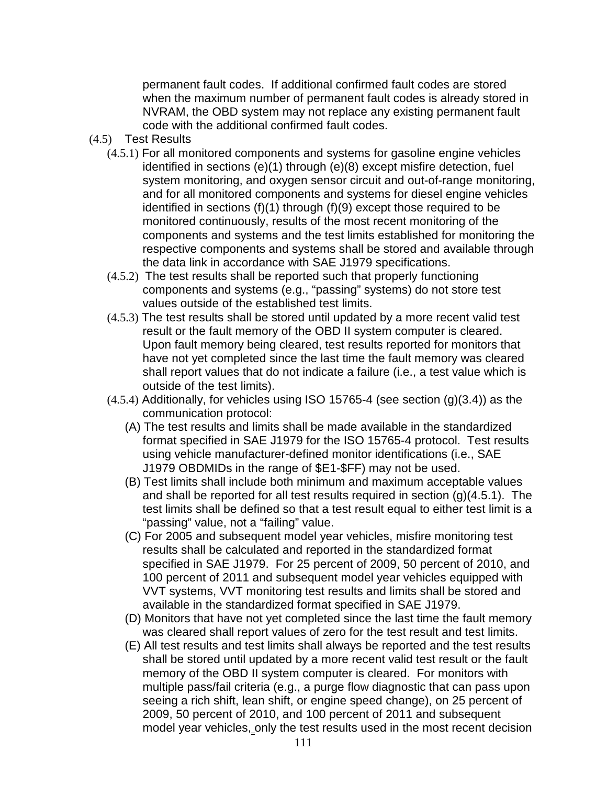permanent fault codes. If additional confirmed fault codes are stored when the maximum number of permanent fault codes is already stored in NVRAM, the OBD system may not replace any existing permanent fault code with the additional confirmed fault codes.

- (4.5) Test Results
	- (4.5.1) For all monitored components and systems for gasoline engine vehicles identified in sections (e)(1) through (e)(8) except misfire detection, fuel system monitoring, and oxygen sensor circuit and out-of-range monitoring, and for all monitored components and systems for diesel engine vehicles identified in sections (f)(1) through (f)(9) except those required to be monitored continuously, results of the most recent monitoring of the components and systems and the test limits established for monitoring the respective components and systems shall be stored and available through the data link in accordance with SAE J1979 specifications.
	- (4.5.2) The test results shall be reported such that properly functioning components and systems (e.g., "passing" systems) do not store test values outside of the established test limits.
	- (4.5.3) The test results shall be stored until updated by a more recent valid test result or the fault memory of the OBD II system computer is cleared. Upon fault memory being cleared, test results reported for monitors that have not yet completed since the last time the fault memory was cleared shall report values that do not indicate a failure (i.e., a test value which is outside of the test limits).
	- (4.5.4) Additionally, for vehicles using ISO 15765-4 (see section (g)(3.4)) as the communication protocol:
		- (A) The test results and limits shall be made available in the standardized format specified in SAE J1979 for the ISO 15765-4 protocol. Test results using vehicle manufacturer-defined monitor identifications (i.e., SAE J1979 OBDMIDs in the range of \$E1-\$FF) may not be used.
		- (B) Test limits shall include both minimum and maximum acceptable values and shall be reported for all test results required in section (g)(4.5.1). The test limits shall be defined so that a test result equal to either test limit is a "passing" value, not a "failing" value.
		- (C) For 2005 and subsequent model year vehicles, misfire monitoring test results shall be calculated and reported in the standardized format specified in SAE J1979. For 25 percent of 2009, 50 percent of 2010, and 100 percent of 2011 and subsequent model year vehicles equipped with VVT systems, VVT monitoring test results and limits shall be stored and available in the standardized format specified in SAE J1979.
		- (D) Monitors that have not yet completed since the last time the fault memory was cleared shall report values of zero for the test result and test limits.
		- (E) All test results and test limits shall always be reported and the test results shall be stored until updated by a more recent valid test result or the fault memory of the OBD II system computer is cleared. For monitors with multiple pass/fail criteria (e.g., a purge flow diagnostic that can pass upon seeing a rich shift, lean shift, or engine speed change), on 25 percent of 2009, 50 percent of 2010, and 100 percent of 2011 and subsequent model year vehicles, only the test results used in the most recent decision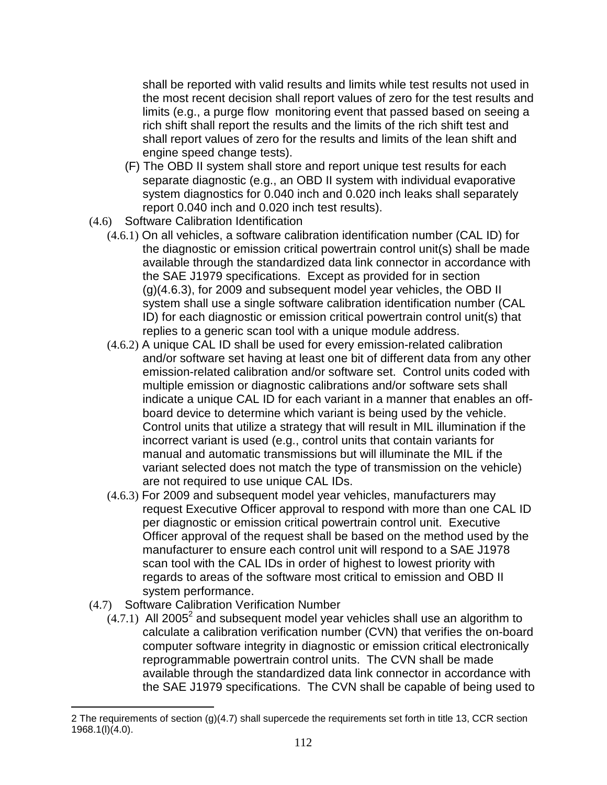shall be reported with valid results and limits while test results not used in the most recent decision shall report values of zero for the test results and limits (e.g., a purge flow monitoring event that passed based on seeing a rich shift shall report the results and the limits of the rich shift test and shall report values of zero for the results and limits of the lean shift and engine speed change tests).

- (F) The OBD II system shall store and report unique test results for each separate diagnostic (e.g., an OBD II system with individual evaporative system diagnostics for 0.040 inch and 0.020 inch leaks shall separately report 0.040 inch and 0.020 inch test results).
- (4.6) Software Calibration Identification
	- (4.6.1) On all vehicles, a software calibration identification number (CAL ID) for the diagnostic or emission critical powertrain control unit(s) shall be made available through the standardized data link connector in accordance with the SAE J1979 specifications. Except as provided for in section (g)(4.6.3), for 2009 and subsequent model year vehicles, the OBD II system shall use a single software calibration identification number (CAL ID) for each diagnostic or emission critical powertrain control unit(s) that replies to a generic scan tool with a unique module address.
	- (4.6.2) A unique CAL ID shall be used for every emission-related calibration and/or software set having at least one bit of different data from any other emission-related calibration and/or software set. Control units coded with multiple emission or diagnostic calibrations and/or software sets shall indicate a unique CAL ID for each variant in a manner that enables an offboard device to determine which variant is being used by the vehicle. Control units that utilize a strategy that will result in MIL illumination if the incorrect variant is used (e.g., control units that contain variants for manual and automatic transmissions but will illuminate the MIL if the variant selected does not match the type of transmission on the vehicle) are not required to use unique CAL IDs.
	- (4.6.3) For 2009 and subsequent model year vehicles, manufacturers may request Executive Officer approval to respond with more than one CAL ID per diagnostic or emission critical powertrain control unit. Executive Officer approval of the request shall be based on the method used by the manufacturer to ensure each control unit will respond to a SAE J1978 scan tool with the CAL IDs in order of highest to lowest priority with regards to areas of the software most critical to emission and OBD II system performance.
- (4.7) Software Calibration Verification Number

 $\overline{a}$ 

 $(4.7.1)$  All 2005<sup>2</sup> and subsequent model year vehicles shall use an algorithm to calculate a calibration verification number (CVN) that verifies the on-board computer software integrity in diagnostic or emission critical electronically reprogrammable powertrain control units. The CVN shall be made available through the standardized data link connector in accordance with the SAE J1979 specifications. The CVN shall be capable of being used to

<sup>2</sup> The requirements of section (g)(4.7) shall supercede the requirements set forth in title 13, CCR section 1968.1(l)(4.0).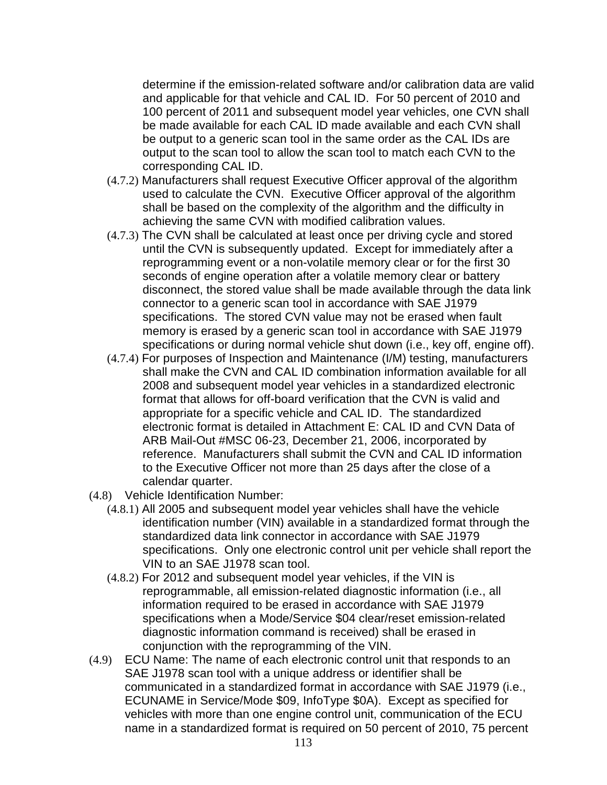determine if the emission-related software and/or calibration data are valid and applicable for that vehicle and CAL ID. For 50 percent of 2010 and 100 percent of 2011 and subsequent model year vehicles, one CVN shall be made available for each CAL ID made available and each CVN shall be output to a generic scan tool in the same order as the CAL IDs are output to the scan tool to allow the scan tool to match each CVN to the corresponding CAL ID.

- (4.7.2) Manufacturers shall request Executive Officer approval of the algorithm used to calculate the CVN. Executive Officer approval of the algorithm shall be based on the complexity of the algorithm and the difficulty in achieving the same CVN with modified calibration values.
- (4.7.3) The CVN shall be calculated at least once per driving cycle and stored until the CVN is subsequently updated. Except for immediately after a reprogramming event or a non-volatile memory clear or for the first 30 seconds of engine operation after a volatile memory clear or battery disconnect, the stored value shall be made available through the data link connector to a generic scan tool in accordance with SAE J1979 specifications. The stored CVN value may not be erased when fault memory is erased by a generic scan tool in accordance with SAE J1979 specifications or during normal vehicle shut down (i.e., key off, engine off).
- (4.7.4) For purposes of Inspection and Maintenance (I/M) testing, manufacturers shall make the CVN and CAL ID combination information available for all 2008 and subsequent model year vehicles in a standardized electronic format that allows for off-board verification that the CVN is valid and appropriate for a specific vehicle and CAL ID. The standardized electronic format is detailed in Attachment E: CAL ID and CVN Data of ARB Mail-Out #MSC 06-23, December 21, 2006, incorporated by reference. Manufacturers shall submit the CVN and CAL ID information to the Executive Officer not more than 25 days after the close of a calendar quarter.
- (4.8) Vehicle Identification Number:
	- (4.8.1) All 2005 and subsequent model year vehicles shall have the vehicle identification number (VIN) available in a standardized format through the standardized data link connector in accordance with SAE J1979 specifications. Only one electronic control unit per vehicle shall report the VIN to an SAE J1978 scan tool.
	- (4.8.2) For 2012 and subsequent model year vehicles, if the VIN is reprogrammable, all emission-related diagnostic information (i.e., all information required to be erased in accordance with SAE J1979 specifications when a Mode/Service \$04 clear/reset emission-related diagnostic information command is received) shall be erased in conjunction with the reprogramming of the VIN.
- (4.9) ECU Name: The name of each electronic control unit that responds to an SAE J1978 scan tool with a unique address or identifier shall be communicated in a standardized format in accordance with SAE J1979 (i.e., ECUNAME in Service/Mode \$09, InfoType \$0A). Except as specified for vehicles with more than one engine control unit, communication of the ECU name in a standardized format is required on 50 percent of 2010, 75 percent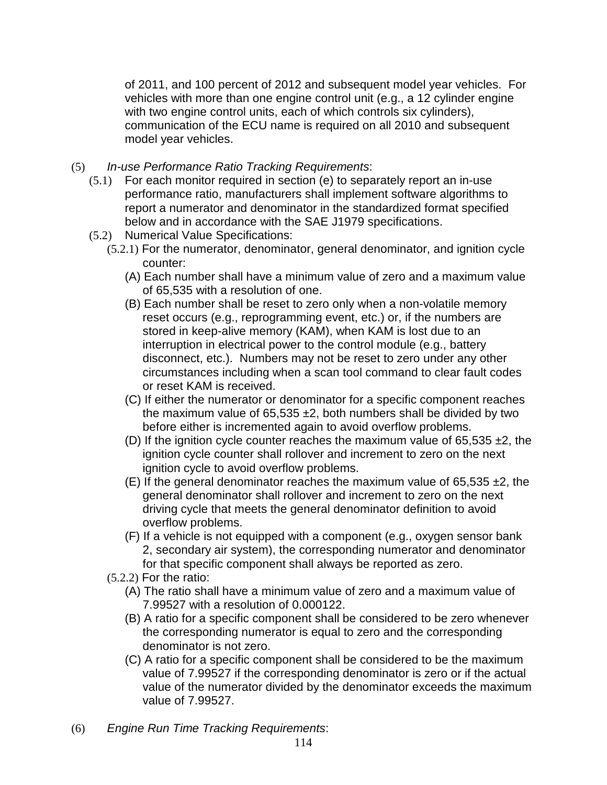of 2011, and 100 percent of 2012 and subsequent model year vehicles. For vehicles with more than one engine control unit (e.g., a 12 cylinder engine with two engine control units, each of which controls six cylinders), communication of the ECU name is required on all 2010 and subsequent model year vehicles.

- (5) In-use Performance Ratio Tracking Requirements:
	- (5.1) For each monitor required in section (e) to separately report an in-use performance ratio, manufacturers shall implement software algorithms to report a numerator and denominator in the standardized format specified below and in accordance with the SAE J1979 specifications.
	- (5.2) Numerical Value Specifications:
		- (5.2.1) For the numerator, denominator, general denominator, and ignition cycle counter:
			- (A) Each number shall have a minimum value of zero and a maximum value of 65,535 with a resolution of one.
			- (B) Each number shall be reset to zero only when a non-volatile memory reset occurs (e.g., reprogramming event, etc.) or, if the numbers are stored in keep-alive memory (KAM), when KAM is lost due to an interruption in electrical power to the control module (e.g., battery disconnect, etc.). Numbers may not be reset to zero under any other circumstances including when a scan tool command to clear fault codes or reset KAM is received.
			- (C) If either the numerator or denominator for a specific component reaches the maximum value of  $65,535 \pm 2$ , both numbers shall be divided by two before either is incremented again to avoid overflow problems.
			- (D) If the ignition cycle counter reaches the maximum value of 65,535  $\pm$ 2, the ignition cycle counter shall rollover and increment to zero on the next ignition cycle to avoid overflow problems.
			- (E) If the general denominator reaches the maximum value of  $65.535 \pm 2$ , the general denominator shall rollover and increment to zero on the next driving cycle that meets the general denominator definition to avoid overflow problems.
			- (F) If a vehicle is not equipped with a component (e.g., oxygen sensor bank 2, secondary air system), the corresponding numerator and denominator for that specific component shall always be reported as zero.
		- (5.2.2) For the ratio:
			- (A) The ratio shall have a minimum value of zero and a maximum value of 7.99527 with a resolution of 0.000122.
			- (B) A ratio for a specific component shall be considered to be zero whenever the corresponding numerator is equal to zero and the corresponding denominator is not zero.
			- (C) A ratio for a specific component shall be considered to be the maximum value of 7.99527 if the corresponding denominator is zero or if the actual value of the numerator divided by the denominator exceeds the maximum value of 7.99527.
- (6) Engine Run Time Tracking Requirements: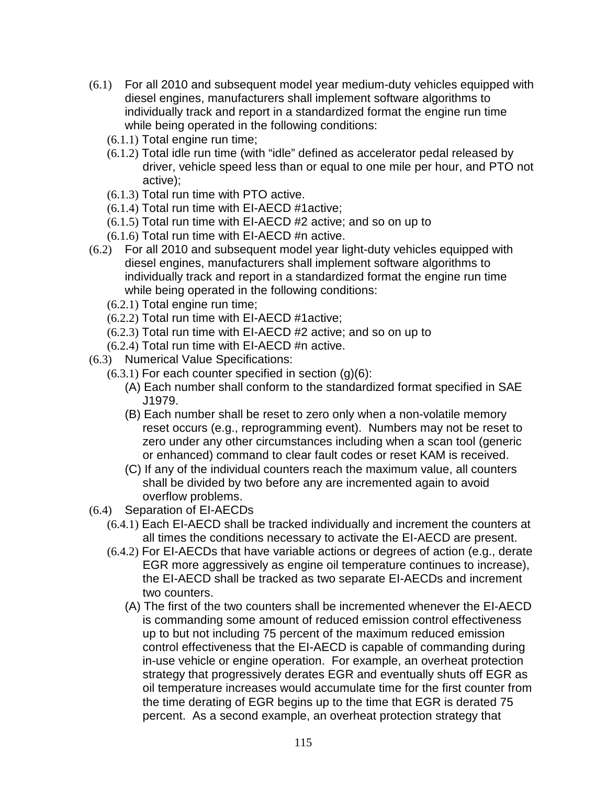- (6.1) For all 2010 and subsequent model year medium-duty vehicles equipped with diesel engines, manufacturers shall implement software algorithms to individually track and report in a standardized format the engine run time while being operated in the following conditions:
	- (6.1.1) Total engine run time;
	- (6.1.2) Total idle run time (with "idle" defined as accelerator pedal released by driver, vehicle speed less than or equal to one mile per hour, and PTO not active);
	- (6.1.3) Total run time with PTO active.
	- (6.1.4) Total run time with EI-AECD #1active;
	- (6.1.5) Total run time with EI-AECD #2 active; and so on up to
	- (6.1.6) Total run time with EI-AECD #n active.
- (6.2) For all 2010 and subsequent model year light-duty vehicles equipped with diesel engines, manufacturers shall implement software algorithms to individually track and report in a standardized format the engine run time while being operated in the following conditions:
	- (6.2.1) Total engine run time;
	- (6.2.2) Total run time with EI-AECD #1active;
	- (6.2.3) Total run time with EI-AECD #2 active; and so on up to
	- (6.2.4) Total run time with EI-AECD #n active.
- (6.3) Numerical Value Specifications:
	- $(6.3.1)$  For each counter specified in section  $(g)(6)$ :
		- (A) Each number shall conform to the standardized format specified in SAE J1979.
		- (B) Each number shall be reset to zero only when a non-volatile memory reset occurs (e.g., reprogramming event). Numbers may not be reset to zero under any other circumstances including when a scan tool (generic or enhanced) command to clear fault codes or reset KAM is received.
		- (C) If any of the individual counters reach the maximum value, all counters shall be divided by two before any are incremented again to avoid overflow problems.
- (6.4) Separation of EI-AECDs
	- (6.4.1) Each EI-AECD shall be tracked individually and increment the counters at all times the conditions necessary to activate the EI-AECD are present.
	- (6.4.2) For EI-AECDs that have variable actions or degrees of action (e.g., derate EGR more aggressively as engine oil temperature continues to increase), the EI-AECD shall be tracked as two separate EI-AECDs and increment two counters.
		- (A) The first of the two counters shall be incremented whenever the EI-AECD is commanding some amount of reduced emission control effectiveness up to but not including 75 percent of the maximum reduced emission control effectiveness that the EI-AECD is capable of commanding during in-use vehicle or engine operation. For example, an overheat protection strategy that progressively derates EGR and eventually shuts off EGR as oil temperature increases would accumulate time for the first counter from the time derating of EGR begins up to the time that EGR is derated 75 percent. As a second example, an overheat protection strategy that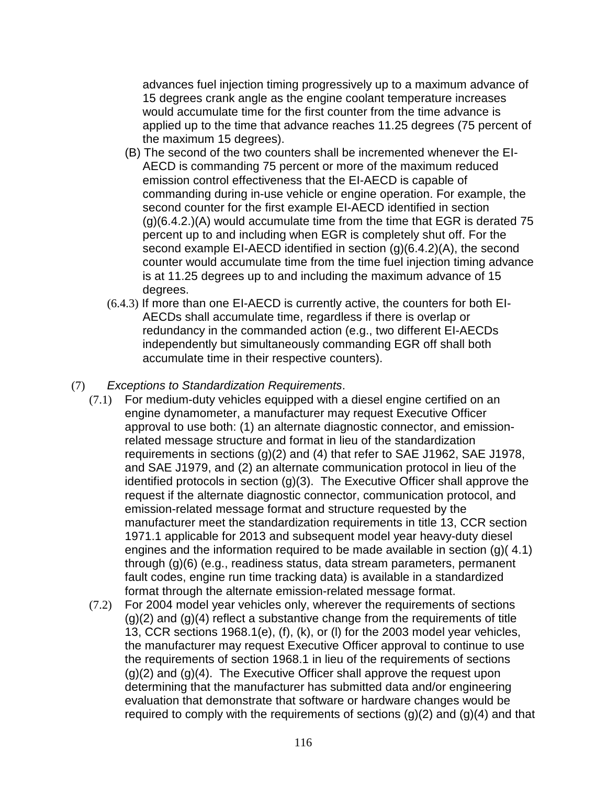advances fuel injection timing progressively up to a maximum advance of 15 degrees crank angle as the engine coolant temperature increases would accumulate time for the first counter from the time advance is applied up to the time that advance reaches 11.25 degrees (75 percent of the maximum 15 degrees).

- (B) The second of the two counters shall be incremented whenever the EI-AECD is commanding 75 percent or more of the maximum reduced emission control effectiveness that the EI-AECD is capable of commanding during in-use vehicle or engine operation. For example, the second counter for the first example EI-AECD identified in section (g)(6.4.2.)(A) would accumulate time from the time that EGR is derated 75 percent up to and including when EGR is completely shut off. For the second example EI-AECD identified in section (g)(6.4.2)(A), the second counter would accumulate time from the time fuel injection timing advance is at 11.25 degrees up to and including the maximum advance of 15 degrees.
- (6.4.3) If more than one EI-AECD is currently active, the counters for both EI-AECDs shall accumulate time, regardless if there is overlap or redundancy in the commanded action (e.g., two different EI-AECDs independently but simultaneously commanding EGR off shall both accumulate time in their respective counters).
- (7) Exceptions to Standardization Requirements.
	- (7.1) For medium-duty vehicles equipped with a diesel engine certified on an engine dynamometer, a manufacturer may request Executive Officer approval to use both: (1) an alternate diagnostic connector, and emissionrelated message structure and format in lieu of the standardization requirements in sections (g)(2) and (4) that refer to SAE J1962, SAE J1978, and SAE J1979, and (2) an alternate communication protocol in lieu of the identified protocols in section (g)(3). The Executive Officer shall approve the request if the alternate diagnostic connector, communication protocol, and emission-related message format and structure requested by the manufacturer meet the standardization requirements in title 13, CCR section 1971.1 applicable for 2013 and subsequent model year heavy-duty diesel engines and the information required to be made available in section (g)( 4.1) through (g)(6) (e.g., readiness status, data stream parameters, permanent fault codes, engine run time tracking data) is available in a standardized format through the alternate emission-related message format.
	- (7.2) For 2004 model year vehicles only, wherever the requirements of sections  $(g)(2)$  and  $(g)(4)$  reflect a substantive change from the requirements of title 13, CCR sections 1968.1(e), (f), (k), or (l) for the 2003 model year vehicles, the manufacturer may request Executive Officer approval to continue to use the requirements of section 1968.1 in lieu of the requirements of sections (g)(2) and (g)(4). The Executive Officer shall approve the request upon determining that the manufacturer has submitted data and/or engineering evaluation that demonstrate that software or hardware changes would be required to comply with the requirements of sections  $(q)(2)$  and  $(q)(4)$  and that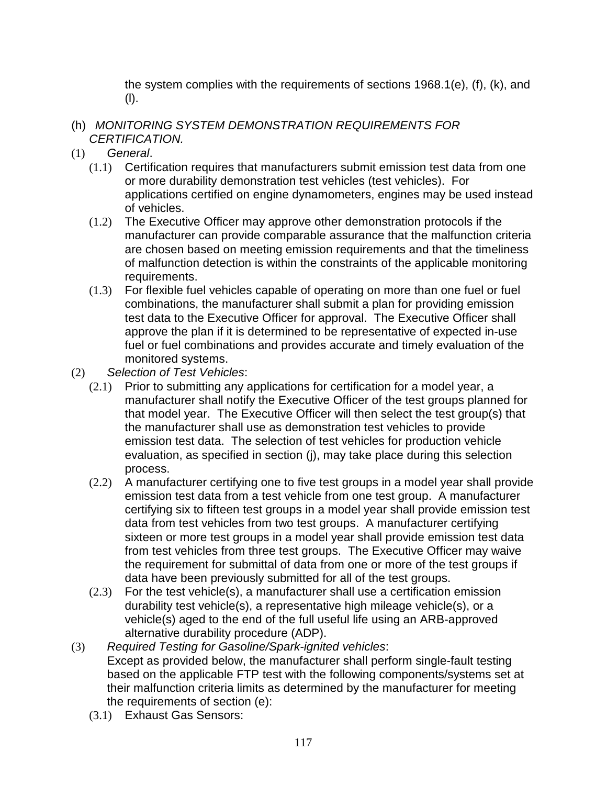the system complies with the requirements of sections 1968.1(e), (f), (k), and (l).

- (h) MONITORING SYSTEM DEMONSTRATION REQUIREMENTS FOR CERTIFICATION.
- (1) General.
	- (1.1) Certification requires that manufacturers submit emission test data from one or more durability demonstration test vehicles (test vehicles). For applications certified on engine dynamometers, engines may be used instead of vehicles.
	- (1.2) The Executive Officer may approve other demonstration protocols if the manufacturer can provide comparable assurance that the malfunction criteria are chosen based on meeting emission requirements and that the timeliness of malfunction detection is within the constraints of the applicable monitoring requirements.
	- (1.3) For flexible fuel vehicles capable of operating on more than one fuel or fuel combinations, the manufacturer shall submit a plan for providing emission test data to the Executive Officer for approval. The Executive Officer shall approve the plan if it is determined to be representative of expected in-use fuel or fuel combinations and provides accurate and timely evaluation of the monitored systems.
- (2) Selection of Test Vehicles:
	- (2.1) Prior to submitting any applications for certification for a model year, a manufacturer shall notify the Executive Officer of the test groups planned for that model year. The Executive Officer will then select the test group(s) that the manufacturer shall use as demonstration test vehicles to provide emission test data. The selection of test vehicles for production vehicle evaluation, as specified in section (j), may take place during this selection process.
	- (2.2) A manufacturer certifying one to five test groups in a model year shall provide emission test data from a test vehicle from one test group. A manufacturer certifying six to fifteen test groups in a model year shall provide emission test data from test vehicles from two test groups. A manufacturer certifying sixteen or more test groups in a model year shall provide emission test data from test vehicles from three test groups. The Executive Officer may waive the requirement for submittal of data from one or more of the test groups if data have been previously submitted for all of the test groups.
	- (2.3) For the test vehicle(s), a manufacturer shall use a certification emission durability test vehicle(s), a representative high mileage vehicle(s), or a vehicle(s) aged to the end of the full useful life using an ARB-approved alternative durability procedure (ADP).
- (3) Required Testing for Gasoline/Spark-ignited vehicles: Except as provided below, the manufacturer shall perform single-fault testing based on the applicable FTP test with the following components/systems set at their malfunction criteria limits as determined by the manufacturer for meeting the requirements of section (e):
	- (3.1) Exhaust Gas Sensors: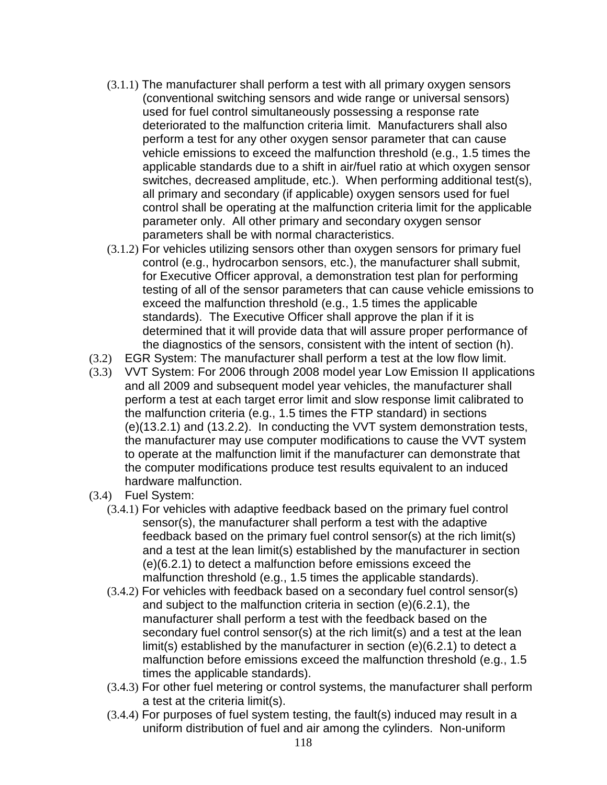- (3.1.1) The manufacturer shall perform a test with all primary oxygen sensors (conventional switching sensors and wide range or universal sensors) used for fuel control simultaneously possessing a response rate deteriorated to the malfunction criteria limit. Manufacturers shall also perform a test for any other oxygen sensor parameter that can cause vehicle emissions to exceed the malfunction threshold (e.g., 1.5 times the applicable standards due to a shift in air/fuel ratio at which oxygen sensor switches, decreased amplitude, etc.). When performing additional test(s), all primary and secondary (if applicable) oxygen sensors used for fuel control shall be operating at the malfunction criteria limit for the applicable parameter only. All other primary and secondary oxygen sensor parameters shall be with normal characteristics.
- (3.1.2) For vehicles utilizing sensors other than oxygen sensors for primary fuel control (e.g., hydrocarbon sensors, etc.), the manufacturer shall submit, for Executive Officer approval, a demonstration test plan for performing testing of all of the sensor parameters that can cause vehicle emissions to exceed the malfunction threshold (e.g., 1.5 times the applicable standards). The Executive Officer shall approve the plan if it is determined that it will provide data that will assure proper performance of the diagnostics of the sensors, consistent with the intent of section (h).
- (3.2) EGR System: The manufacturer shall perform a test at the low flow limit.
- (3.3) VVT System: For 2006 through 2008 model year Low Emission II applications and all 2009 and subsequent model year vehicles, the manufacturer shall perform a test at each target error limit and slow response limit calibrated to the malfunction criteria (e.g., 1.5 times the FTP standard) in sections (e)(13.2.1) and (13.2.2). In conducting the VVT system demonstration tests, the manufacturer may use computer modifications to cause the VVT system to operate at the malfunction limit if the manufacturer can demonstrate that the computer modifications produce test results equivalent to an induced hardware malfunction.
- (3.4) Fuel System:
	- (3.4.1) For vehicles with adaptive feedback based on the primary fuel control sensor(s), the manufacturer shall perform a test with the adaptive feedback based on the primary fuel control sensor(s) at the rich limit(s) and a test at the lean limit(s) established by the manufacturer in section (e)(6.2.1) to detect a malfunction before emissions exceed the malfunction threshold (e.g., 1.5 times the applicable standards).
	- (3.4.2) For vehicles with feedback based on a secondary fuel control sensor(s) and subject to the malfunction criteria in section (e)(6.2.1), the manufacturer shall perform a test with the feedback based on the secondary fuel control sensor(s) at the rich limit(s) and a test at the lean limit(s) established by the manufacturer in section (e)(6.2.1) to detect a malfunction before emissions exceed the malfunction threshold (e.g., 1.5 times the applicable standards).
	- (3.4.3) For other fuel metering or control systems, the manufacturer shall perform a test at the criteria limit(s).
	- (3.4.4) For purposes of fuel system testing, the fault(s) induced may result in a uniform distribution of fuel and air among the cylinders. Non-uniform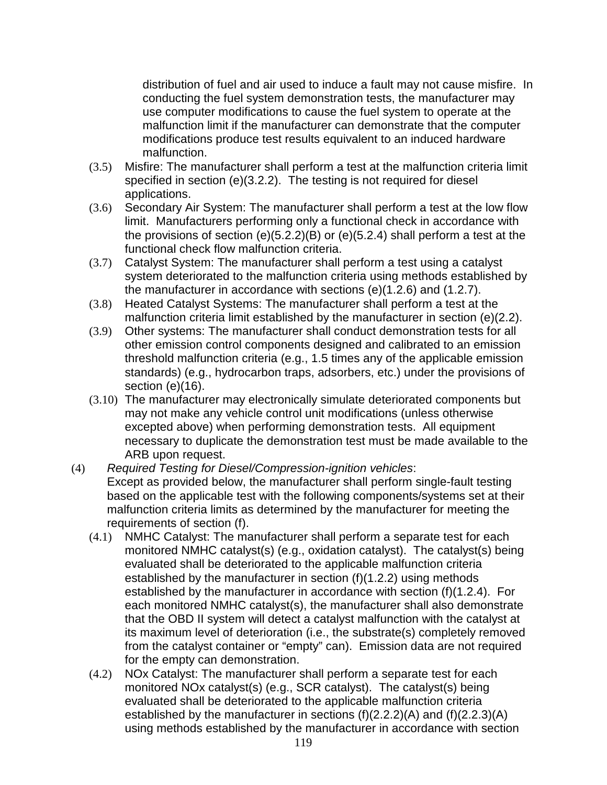distribution of fuel and air used to induce a fault may not cause misfire. In conducting the fuel system demonstration tests, the manufacturer may use computer modifications to cause the fuel system to operate at the malfunction limit if the manufacturer can demonstrate that the computer modifications produce test results equivalent to an induced hardware malfunction.

- (3.5) Misfire: The manufacturer shall perform a test at the malfunction criteria limit specified in section (e)(3.2.2). The testing is not required for diesel applications.
- (3.6) Secondary Air System: The manufacturer shall perform a test at the low flow limit. Manufacturers performing only a functional check in accordance with the provisions of section (e)(5.2.2)(B) or (e)(5.2.4) shall perform a test at the functional check flow malfunction criteria.
- (3.7) Catalyst System: The manufacturer shall perform a test using a catalyst system deteriorated to the malfunction criteria using methods established by the manufacturer in accordance with sections (e)(1.2.6) and (1.2.7).
- (3.8) Heated Catalyst Systems: The manufacturer shall perform a test at the malfunction criteria limit established by the manufacturer in section (e)(2.2).
- (3.9) Other systems: The manufacturer shall conduct demonstration tests for all other emission control components designed and calibrated to an emission threshold malfunction criteria (e.g., 1.5 times any of the applicable emission standards) (e.g., hydrocarbon traps, adsorbers, etc.) under the provisions of section (e)(16).
- (3.10) The manufacturer may electronically simulate deteriorated components but may not make any vehicle control unit modifications (unless otherwise excepted above) when performing demonstration tests. All equipment necessary to duplicate the demonstration test must be made available to the ARB upon request.
- (4) Required Testing for Diesel/Compression-ignition vehicles: Except as provided below, the manufacturer shall perform single-fault testing based on the applicable test with the following components/systems set at their malfunction criteria limits as determined by the manufacturer for meeting the requirements of section (f).
	- (4.1) NMHC Catalyst: The manufacturer shall perform a separate test for each monitored NMHC catalyst(s) (e.g., oxidation catalyst). The catalyst(s) being evaluated shall be deteriorated to the applicable malfunction criteria established by the manufacturer in section (f)(1.2.2) using methods established by the manufacturer in accordance with section (f)(1.2.4). For each monitored NMHC catalyst(s), the manufacturer shall also demonstrate that the OBD II system will detect a catalyst malfunction with the catalyst at its maximum level of deterioration (i.e., the substrate(s) completely removed from the catalyst container or "empty" can). Emission data are not required for the empty can demonstration.
	- (4.2) NOx Catalyst: The manufacturer shall perform a separate test for each monitored NOx catalyst(s) (e.g., SCR catalyst). The catalyst(s) being evaluated shall be deteriorated to the applicable malfunction criteria established by the manufacturer in sections (f)(2.2.2)(A) and (f)(2.2.3)(A) using methods established by the manufacturer in accordance with section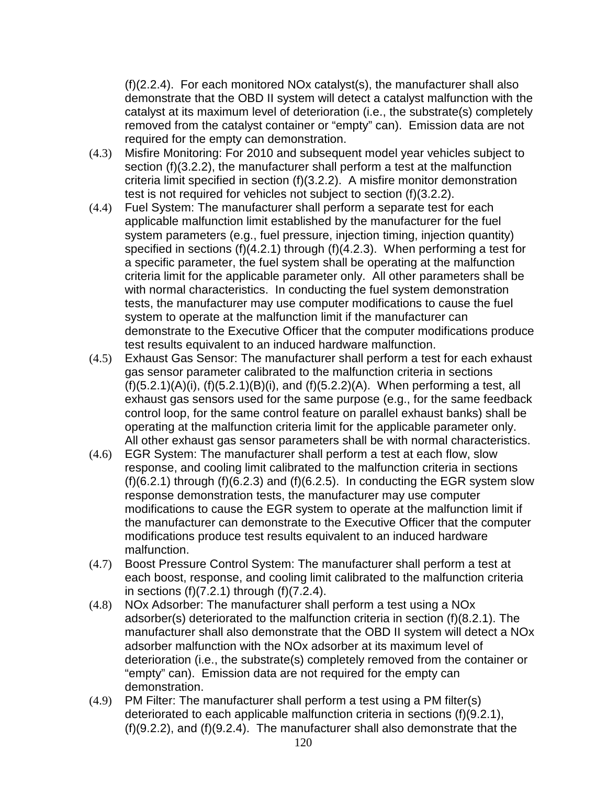(f)(2.2.4). For each monitored NOx catalyst(s), the manufacturer shall also demonstrate that the OBD II system will detect a catalyst malfunction with the catalyst at its maximum level of deterioration (i.e., the substrate(s) completely removed from the catalyst container or "empty" can). Emission data are not required for the empty can demonstration.

- (4.3) Misfire Monitoring: For 2010 and subsequent model year vehicles subject to section (f)(3.2.2), the manufacturer shall perform a test at the malfunction criteria limit specified in section (f)(3.2.2). A misfire monitor demonstration test is not required for vehicles not subject to section (f)(3.2.2).
- (4.4) Fuel System: The manufacturer shall perform a separate test for each applicable malfunction limit established by the manufacturer for the fuel system parameters (e.g., fuel pressure, injection timing, injection quantity) specified in sections (f)(4.2.1) through (f)(4.2.3). When performing a test for a specific parameter, the fuel system shall be operating at the malfunction criteria limit for the applicable parameter only. All other parameters shall be with normal characteristics. In conducting the fuel system demonstration tests, the manufacturer may use computer modifications to cause the fuel system to operate at the malfunction limit if the manufacturer can demonstrate to the Executive Officer that the computer modifications produce test results equivalent to an induced hardware malfunction.
- (4.5) Exhaust Gas Sensor: The manufacturer shall perform a test for each exhaust gas sensor parameter calibrated to the malfunction criteria in sections (f)(5.2.1)(A)(i), (f)(5.2.1)(B)(i), and (f)(5.2.2)(A). When performing a test, all exhaust gas sensors used for the same purpose (e.g., for the same feedback control loop, for the same control feature on parallel exhaust banks) shall be operating at the malfunction criteria limit for the applicable parameter only. All other exhaust gas sensor parameters shall be with normal characteristics.
- (4.6) EGR System: The manufacturer shall perform a test at each flow, slow response, and cooling limit calibrated to the malfunction criteria in sections  $(f)(6.2.1)$  through  $(f)(6.2.3)$  and  $(f)(6.2.5)$ . In conducting the EGR system slow response demonstration tests, the manufacturer may use computer modifications to cause the EGR system to operate at the malfunction limit if the manufacturer can demonstrate to the Executive Officer that the computer modifications produce test results equivalent to an induced hardware malfunction.
- (4.7) Boost Pressure Control System: The manufacturer shall perform a test at each boost, response, and cooling limit calibrated to the malfunction criteria in sections  $(f)(7.2.1)$  through  $(f)(7.2.4)$ .
- (4.8) NOx Adsorber: The manufacturer shall perform a test using a NOx adsorber(s) deteriorated to the malfunction criteria in section (f)(8.2.1). The manufacturer shall also demonstrate that the OBD II system will detect a NOx adsorber malfunction with the NOx adsorber at its maximum level of deterioration (i.e., the substrate(s) completely removed from the container or "empty" can). Emission data are not required for the empty can demonstration.
- (4.9) PM Filter: The manufacturer shall perform a test using a PM filter(s) deteriorated to each applicable malfunction criteria in sections (f)(9.2.1), (f)(9.2.2), and (f)(9.2.4). The manufacturer shall also demonstrate that the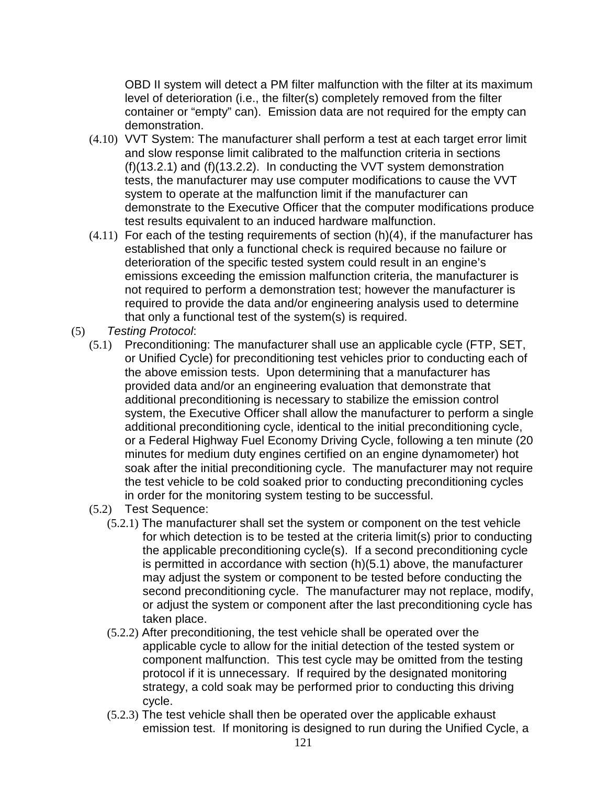OBD II system will detect a PM filter malfunction with the filter at its maximum level of deterioration (i.e., the filter(s) completely removed from the filter container or "empty" can). Emission data are not required for the empty can demonstration.

- (4.10) VVT System: The manufacturer shall perform a test at each target error limit and slow response limit calibrated to the malfunction criteria in sections (f)(13.2.1) and (f)(13.2.2). In conducting the VVT system demonstration tests, the manufacturer may use computer modifications to cause the VVT system to operate at the malfunction limit if the manufacturer can demonstrate to the Executive Officer that the computer modifications produce test results equivalent to an induced hardware malfunction.
- $(4.11)$  For each of the testing requirements of section  $(h)(4)$ , if the manufacturer has established that only a functional check is required because no failure or deterioration of the specific tested system could result in an engine's emissions exceeding the emission malfunction criteria, the manufacturer is not required to perform a demonstration test; however the manufacturer is required to provide the data and/or engineering analysis used to determine that only a functional test of the system(s) is required.
- (5) Testing Protocol:
	- (5.1) Preconditioning: The manufacturer shall use an applicable cycle (FTP, SET, or Unified Cycle) for preconditioning test vehicles prior to conducting each of the above emission tests. Upon determining that a manufacturer has provided data and/or an engineering evaluation that demonstrate that additional preconditioning is necessary to stabilize the emission control system, the Executive Officer shall allow the manufacturer to perform a single additional preconditioning cycle, identical to the initial preconditioning cycle, or a Federal Highway Fuel Economy Driving Cycle, following a ten minute (20 minutes for medium duty engines certified on an engine dynamometer) hot soak after the initial preconditioning cycle. The manufacturer may not require the test vehicle to be cold soaked prior to conducting preconditioning cycles in order for the monitoring system testing to be successful.
	- (5.2) Test Sequence:
		- (5.2.1) The manufacturer shall set the system or component on the test vehicle for which detection is to be tested at the criteria limit(s) prior to conducting the applicable preconditioning cycle(s). If a second preconditioning cycle is permitted in accordance with section (h)(5.1) above, the manufacturer may adjust the system or component to be tested before conducting the second preconditioning cycle. The manufacturer may not replace, modify, or adjust the system or component after the last preconditioning cycle has taken place.
		- (5.2.2) After preconditioning, the test vehicle shall be operated over the applicable cycle to allow for the initial detection of the tested system or component malfunction. This test cycle may be omitted from the testing protocol if it is unnecessary. If required by the designated monitoring strategy, a cold soak may be performed prior to conducting this driving cycle.
		- (5.2.3) The test vehicle shall then be operated over the applicable exhaust emission test. If monitoring is designed to run during the Unified Cycle, a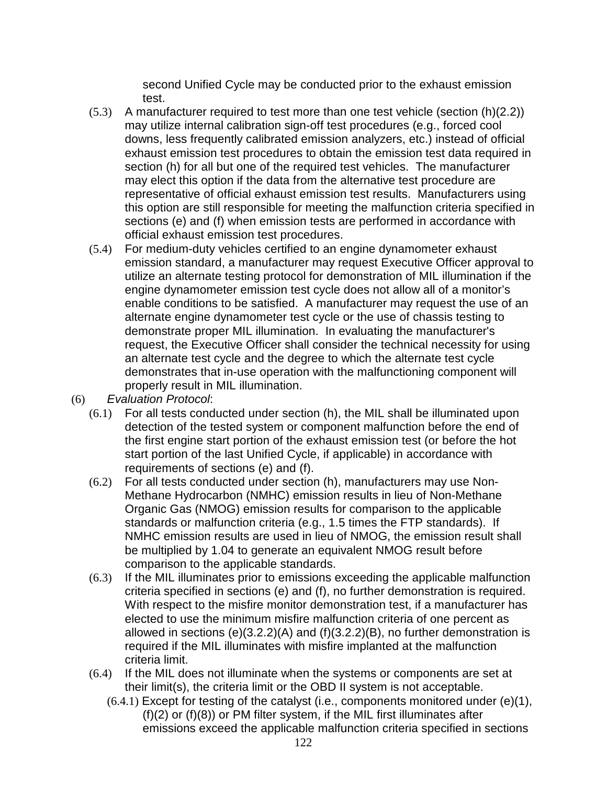second Unified Cycle may be conducted prior to the exhaust emission test.

- (5.3) A manufacturer required to test more than one test vehicle (section (h)(2.2)) may utilize internal calibration sign-off test procedures (e.g., forced cool downs, less frequently calibrated emission analyzers, etc.) instead of official exhaust emission test procedures to obtain the emission test data required in section (h) for all but one of the required test vehicles. The manufacturer may elect this option if the data from the alternative test procedure are representative of official exhaust emission test results. Manufacturers using this option are still responsible for meeting the malfunction criteria specified in sections (e) and (f) when emission tests are performed in accordance with official exhaust emission test procedures.
- (5.4) For medium-duty vehicles certified to an engine dynamometer exhaust emission standard, a manufacturer may request Executive Officer approval to utilize an alternate testing protocol for demonstration of MIL illumination if the engine dynamometer emission test cycle does not allow all of a monitor's enable conditions to be satisfied. A manufacturer may request the use of an alternate engine dynamometer test cycle or the use of chassis testing to demonstrate proper MIL illumination. In evaluating the manufacturer's request, the Executive Officer shall consider the technical necessity for using an alternate test cycle and the degree to which the alternate test cycle demonstrates that in-use operation with the malfunctioning component will properly result in MIL illumination.
- (6) Evaluation Protocol:
	- (6.1) For all tests conducted under section (h), the MIL shall be illuminated upon detection of the tested system or component malfunction before the end of the first engine start portion of the exhaust emission test (or before the hot start portion of the last Unified Cycle, if applicable) in accordance with requirements of sections (e) and (f).
	- (6.2) For all tests conducted under section (h), manufacturers may use Non-Methane Hydrocarbon (NMHC) emission results in lieu of Non-Methane Organic Gas (NMOG) emission results for comparison to the applicable standards or malfunction criteria (e.g., 1.5 times the FTP standards). If NMHC emission results are used in lieu of NMOG, the emission result shall be multiplied by 1.04 to generate an equivalent NMOG result before comparison to the applicable standards.
	- (6.3) If the MIL illuminates prior to emissions exceeding the applicable malfunction criteria specified in sections (e) and (f), no further demonstration is required. With respect to the misfire monitor demonstration test, if a manufacturer has elected to use the minimum misfire malfunction criteria of one percent as allowed in sections (e)(3.2.2)(A) and (f)(3.2.2)(B), no further demonstration is required if the MIL illuminates with misfire implanted at the malfunction criteria limit.
	- (6.4) If the MIL does not illuminate when the systems or components are set at their limit(s), the criteria limit or the OBD II system is not acceptable.
		- $(6.4.1)$  Except for testing of the catalyst (i.e., components monitored under  $(e)(1)$ , (f)(2) or (f)(8)) or PM filter system, if the MIL first illuminates after emissions exceed the applicable malfunction criteria specified in sections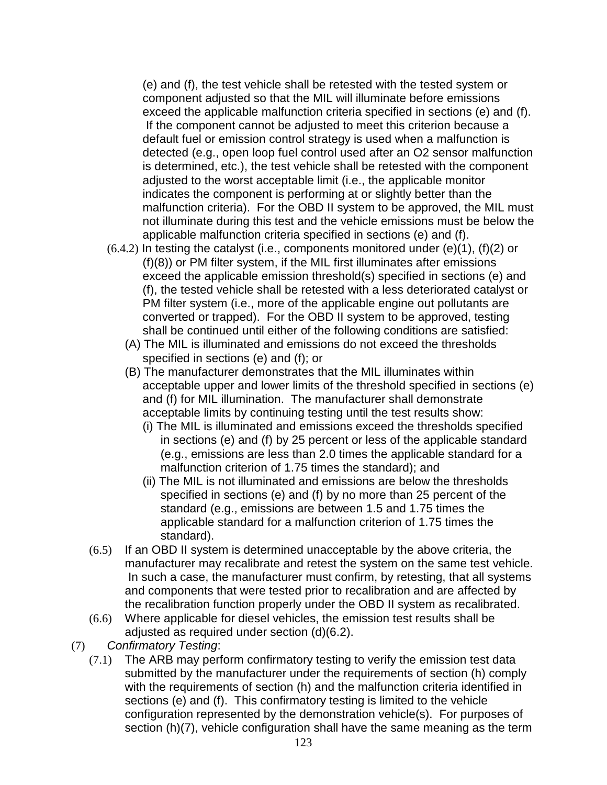(e) and (f), the test vehicle shall be retested with the tested system or component adjusted so that the MIL will illuminate before emissions exceed the applicable malfunction criteria specified in sections (e) and (f). If the component cannot be adjusted to meet this criterion because a default fuel or emission control strategy is used when a malfunction is detected (e.g., open loop fuel control used after an O2 sensor malfunction is determined, etc.), the test vehicle shall be retested with the component adjusted to the worst acceptable limit (i.e., the applicable monitor indicates the component is performing at or slightly better than the malfunction criteria). For the OBD II system to be approved, the MIL must not illuminate during this test and the vehicle emissions must be below the applicable malfunction criteria specified in sections (e) and (f).

- $(6.4.2)$  In testing the catalyst (i.e., components monitored under  $(e)(1)$ ,  $(f)(2)$  or (f)(8)) or PM filter system, if the MIL first illuminates after emissions exceed the applicable emission threshold(s) specified in sections (e) and (f), the tested vehicle shall be retested with a less deteriorated catalyst or PM filter system (i.e., more of the applicable engine out pollutants are converted or trapped). For the OBD II system to be approved, testing shall be continued until either of the following conditions are satisfied:
	- (A) The MIL is illuminated and emissions do not exceed the thresholds specified in sections (e) and (f); or
	- (B) The manufacturer demonstrates that the MIL illuminates within acceptable upper and lower limits of the threshold specified in sections (e) and (f) for MIL illumination. The manufacturer shall demonstrate acceptable limits by continuing testing until the test results show:
		- (i) The MIL is illuminated and emissions exceed the thresholds specified in sections (e) and (f) by 25 percent or less of the applicable standard (e.g., emissions are less than 2.0 times the applicable standard for a malfunction criterion of 1.75 times the standard); and
		- (ii) The MIL is not illuminated and emissions are below the thresholds specified in sections (e) and (f) by no more than 25 percent of the standard (e.g., emissions are between 1.5 and 1.75 times the applicable standard for a malfunction criterion of 1.75 times the standard).
- (6.5) If an OBD II system is determined unacceptable by the above criteria, the manufacturer may recalibrate and retest the system on the same test vehicle. In such a case, the manufacturer must confirm, by retesting, that all systems and components that were tested prior to recalibration and are affected by the recalibration function properly under the OBD II system as recalibrated.
- (6.6) Where applicable for diesel vehicles, the emission test results shall be adjusted as required under section (d)(6.2).
- (7) Confirmatory Testing:
	- (7.1) The ARB may perform confirmatory testing to verify the emission test data submitted by the manufacturer under the requirements of section (h) comply with the requirements of section (h) and the malfunction criteria identified in sections (e) and (f). This confirmatory testing is limited to the vehicle configuration represented by the demonstration vehicle(s). For purposes of section (h)(7), vehicle configuration shall have the same meaning as the term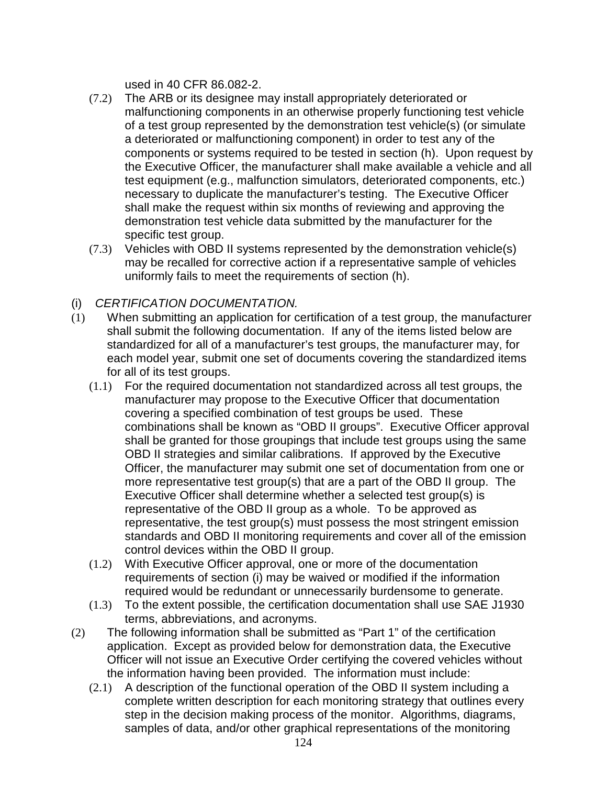used in 40 CFR 86.082-2.

- (7.2) The ARB or its designee may install appropriately deteriorated or malfunctioning components in an otherwise properly functioning test vehicle of a test group represented by the demonstration test vehicle(s) (or simulate a deteriorated or malfunctioning component) in order to test any of the components or systems required to be tested in section (h). Upon request by the Executive Officer, the manufacturer shall make available a vehicle and all test equipment (e.g., malfunction simulators, deteriorated components, etc.) necessary to duplicate the manufacturer's testing. The Executive Officer shall make the request within six months of reviewing and approving the demonstration test vehicle data submitted by the manufacturer for the specific test group.
- (7.3) Vehicles with OBD II systems represented by the demonstration vehicle(s) may be recalled for corrective action if a representative sample of vehicles uniformly fails to meet the requirements of section (h).

## (i) CERTIFICATION DOCUMENTATION.

- (1) When submitting an application for certification of a test group, the manufacturer shall submit the following documentation. If any of the items listed below are standardized for all of a manufacturer's test groups, the manufacturer may, for each model year, submit one set of documents covering the standardized items for all of its test groups.
	- (1.1) For the required documentation not standardized across all test groups, the manufacturer may propose to the Executive Officer that documentation covering a specified combination of test groups be used. These combinations shall be known as "OBD II groups". Executive Officer approval shall be granted for those groupings that include test groups using the same OBD II strategies and similar calibrations. If approved by the Executive Officer, the manufacturer may submit one set of documentation from one or more representative test group(s) that are a part of the OBD II group. The Executive Officer shall determine whether a selected test group(s) is representative of the OBD II group as a whole. To be approved as representative, the test group(s) must possess the most stringent emission standards and OBD II monitoring requirements and cover all of the emission control devices within the OBD II group.
	- (1.2) With Executive Officer approval, one or more of the documentation requirements of section (i) may be waived or modified if the information required would be redundant or unnecessarily burdensome to generate.
	- (1.3) To the extent possible, the certification documentation shall use SAE J1930 terms, abbreviations, and acronyms.
- (2) The following information shall be submitted as "Part 1" of the certification application. Except as provided below for demonstration data, the Executive Officer will not issue an Executive Order certifying the covered vehicles without the information having been provided. The information must include:
	- (2.1) A description of the functional operation of the OBD II system including a complete written description for each monitoring strategy that outlines every step in the decision making process of the monitor. Algorithms, diagrams, samples of data, and/or other graphical representations of the monitoring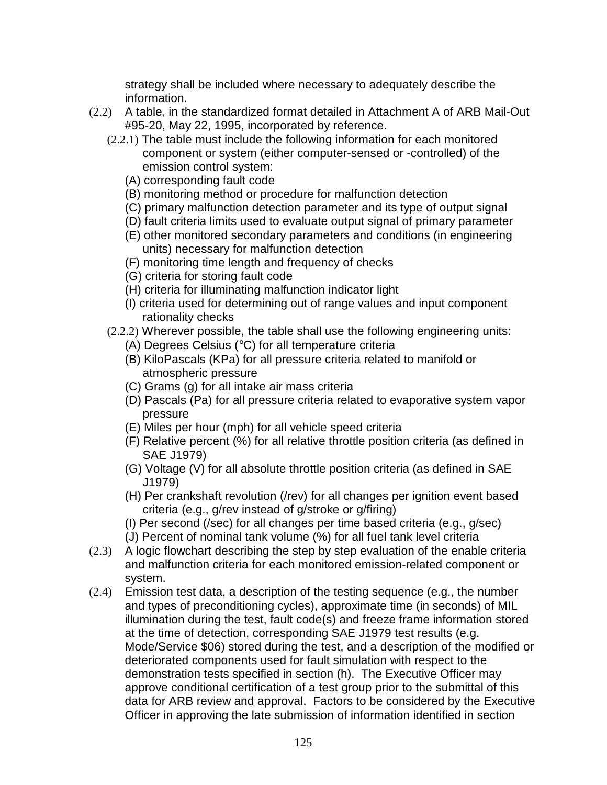strategy shall be included where necessary to adequately describe the information.

- (2.2) A table, in the standardized format detailed in Attachment A of ARB Mail-Out #95-20, May 22, 1995, incorporated by reference.
	- (2.2.1) The table must include the following information for each monitored component or system (either computer-sensed or -controlled) of the emission control system:
		- (A) corresponding fault code
		- (B) monitoring method or procedure for malfunction detection
		- (C) primary malfunction detection parameter and its type of output signal
		- (D) fault criteria limits used to evaluate output signal of primary parameter
		- (E) other monitored secondary parameters and conditions (in engineering units) necessary for malfunction detection
		- (F) monitoring time length and frequency of checks
		- (G) criteria for storing fault code
		- (H) criteria for illuminating malfunction indicator light
		- (I) criteria used for determining out of range values and input component rationality checks
	- (2.2.2) Wherever possible, the table shall use the following engineering units:
		- (A) Degrees Celsius (°C) for all temperature criteria
		- (B) KiloPascals (KPa) for all pressure criteria related to manifold or atmospheric pressure
		- (C) Grams (g) for all intake air mass criteria
		- (D) Pascals (Pa) for all pressure criteria related to evaporative system vapor pressure
		- (E) Miles per hour (mph) for all vehicle speed criteria
		- (F) Relative percent (%) for all relative throttle position criteria (as defined in SAE J1979)
		- (G) Voltage (V) for all absolute throttle position criteria (as defined in SAE J1979)
		- (H) Per crankshaft revolution (/rev) for all changes per ignition event based criteria (e.g., g/rev instead of g/stroke or g/firing)
		- (I) Per second (/sec) for all changes per time based criteria (e.g., g/sec)
		- (J) Percent of nominal tank volume (%) for all fuel tank level criteria
- (2.3) A logic flowchart describing the step by step evaluation of the enable criteria and malfunction criteria for each monitored emission-related component or system.
- (2.4) Emission test data, a description of the testing sequence (e.g., the number and types of preconditioning cycles), approximate time (in seconds) of MIL illumination during the test, fault code(s) and freeze frame information stored at the time of detection, corresponding SAE J1979 test results (e.g. Mode/Service \$06) stored during the test, and a description of the modified or deteriorated components used for fault simulation with respect to the demonstration tests specified in section (h). The Executive Officer may approve conditional certification of a test group prior to the submittal of this data for ARB review and approval. Factors to be considered by the Executive Officer in approving the late submission of information identified in section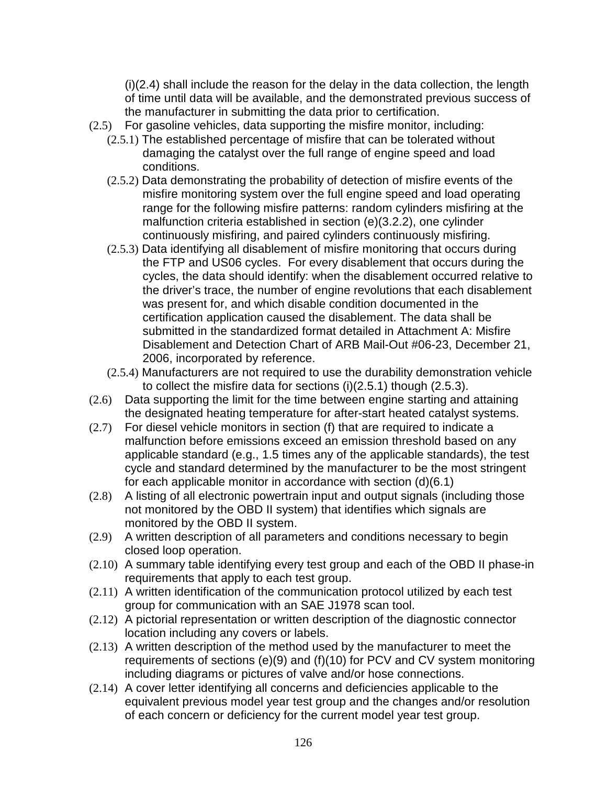(i)(2.4) shall include the reason for the delay in the data collection, the length of time until data will be available, and the demonstrated previous success of the manufacturer in submitting the data prior to certification.

- (2.5) For gasoline vehicles, data supporting the misfire monitor, including:
	- (2.5.1) The established percentage of misfire that can be tolerated without damaging the catalyst over the full range of engine speed and load conditions.
	- (2.5.2) Data demonstrating the probability of detection of misfire events of the misfire monitoring system over the full engine speed and load operating range for the following misfire patterns: random cylinders misfiring at the malfunction criteria established in section (e)(3.2.2), one cylinder continuously misfiring, and paired cylinders continuously misfiring.
	- (2.5.3) Data identifying all disablement of misfire monitoring that occurs during the FTP and US06 cycles. For every disablement that occurs during the cycles, the data should identify: when the disablement occurred relative to the driver's trace, the number of engine revolutions that each disablement was present for, and which disable condition documented in the certification application caused the disablement. The data shall be submitted in the standardized format detailed in Attachment A: Misfire Disablement and Detection Chart of ARB Mail-Out #06-23, December 21, 2006, incorporated by reference.
	- (2.5.4) Manufacturers are not required to use the durability demonstration vehicle to collect the misfire data for sections (i)(2.5.1) though (2.5.3).
- (2.6) Data supporting the limit for the time between engine starting and attaining the designated heating temperature for after-start heated catalyst systems.
- (2.7) For diesel vehicle monitors in section (f) that are required to indicate a malfunction before emissions exceed an emission threshold based on any applicable standard (e.g., 1.5 times any of the applicable standards), the test cycle and standard determined by the manufacturer to be the most stringent for each applicable monitor in accordance with section (d)(6.1)
- (2.8) A listing of all electronic powertrain input and output signals (including those not monitored by the OBD II system) that identifies which signals are monitored by the OBD II system.
- (2.9) A written description of all parameters and conditions necessary to begin closed loop operation.
- (2.10) A summary table identifying every test group and each of the OBD II phase-in requirements that apply to each test group.
- (2.11) A written identification of the communication protocol utilized by each test group for communication with an SAE J1978 scan tool.
- (2.12) A pictorial representation or written description of the diagnostic connector location including any covers or labels.
- (2.13) A written description of the method used by the manufacturer to meet the requirements of sections (e)(9) and (f)(10) for PCV and CV system monitoring including diagrams or pictures of valve and/or hose connections.
- (2.14) A cover letter identifying all concerns and deficiencies applicable to the equivalent previous model year test group and the changes and/or resolution of each concern or deficiency for the current model year test group.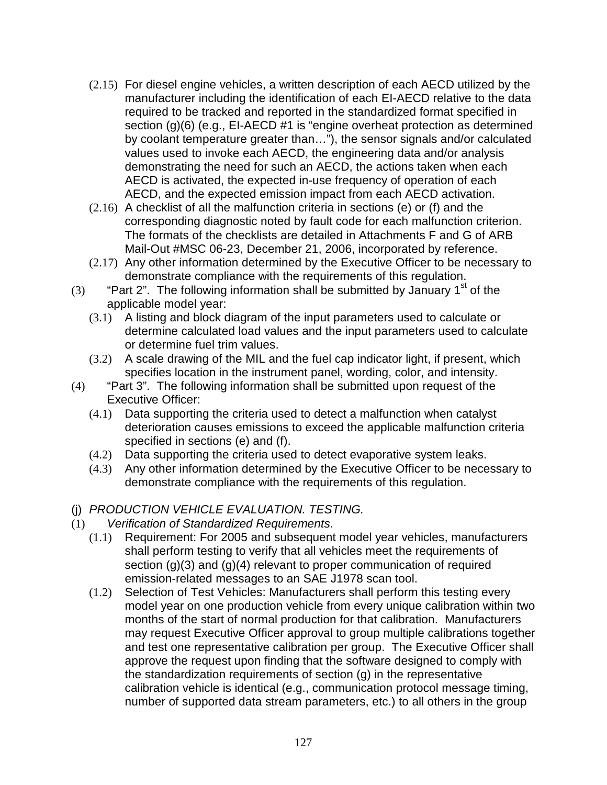- (2.15) For diesel engine vehicles, a written description of each AECD utilized by the manufacturer including the identification of each EI-AECD relative to the data required to be tracked and reported in the standardized format specified in section (g)(6) (e.g., EI-AECD #1 is "engine overheat protection as determined by coolant temperature greater than…"), the sensor signals and/or calculated values used to invoke each AECD, the engineering data and/or analysis demonstrating the need for such an AECD, the actions taken when each AECD is activated, the expected in-use frequency of operation of each AECD, and the expected emission impact from each AECD activation.
- (2.16) A checklist of all the malfunction criteria in sections (e) or (f) and the corresponding diagnostic noted by fault code for each malfunction criterion. The formats of the checklists are detailed in Attachments F and G of ARB Mail-Out #MSC 06-23, December 21, 2006, incorporated by reference.
- (2.17) Any other information determined by the Executive Officer to be necessary to demonstrate compliance with the requirements of this regulation.
- (3) "Part 2". The following information shall be submitted by January 1<sup>st</sup> of the applicable model year:
	- (3.1) A listing and block diagram of the input parameters used to calculate or determine calculated load values and the input parameters used to calculate or determine fuel trim values.
	- (3.2) A scale drawing of the MIL and the fuel cap indicator light, if present, which specifies location in the instrument panel, wording, color, and intensity.
- (4) "Part 3". The following information shall be submitted upon request of the Executive Officer:
	- (4.1) Data supporting the criteria used to detect a malfunction when catalyst deterioration causes emissions to exceed the applicable malfunction criteria specified in sections (e) and (f).
	- (4.2) Data supporting the criteria used to detect evaporative system leaks.
	- (4.3) Any other information determined by the Executive Officer to be necessary to demonstrate compliance with the requirements of this regulation.
- (j) PRODUCTION VEHICLE EVALUATION. TESTING.
- (1) Verification of Standardized Requirements.
	- (1.1) Requirement: For 2005 and subsequent model year vehicles, manufacturers shall perform testing to verify that all vehicles meet the requirements of section (g)(3) and (g)(4) relevant to proper communication of required emission-related messages to an SAE J1978 scan tool.
	- (1.2) Selection of Test Vehicles: Manufacturers shall perform this testing every model year on one production vehicle from every unique calibration within two months of the start of normal production for that calibration. Manufacturers may request Executive Officer approval to group multiple calibrations together and test one representative calibration per group. The Executive Officer shall approve the request upon finding that the software designed to comply with the standardization requirements of section (g) in the representative calibration vehicle is identical (e.g., communication protocol message timing, number of supported data stream parameters, etc.) to all others in the group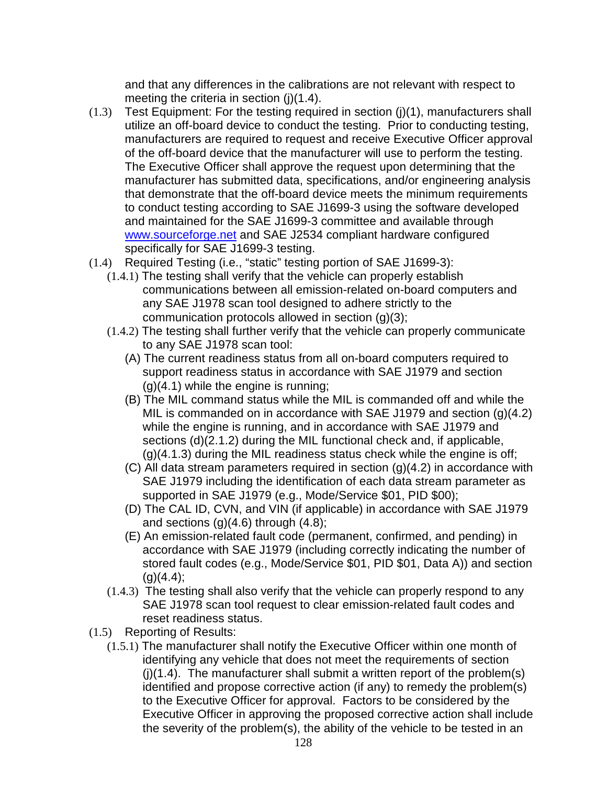and that any differences in the calibrations are not relevant with respect to meeting the criteria in section (j)(1.4).

- (1.3) Test Equipment: For the testing required in section (j)(1), manufacturers shall utilize an off-board device to conduct the testing. Prior to conducting testing, manufacturers are required to request and receive Executive Officer approval of the off-board device that the manufacturer will use to perform the testing. The Executive Officer shall approve the request upon determining that the manufacturer has submitted data, specifications, and/or engineering analysis that demonstrate that the off-board device meets the minimum requirements to conduct testing according to SAE J1699-3 using the software developed and maintained for the SAE J1699-3 committee and available through www.sourceforge.net and SAE J2534 compliant hardware configured specifically for SAE J1699-3 testing.
- (1.4) Required Testing (i.e., "static" testing portion of SAE J1699-3):
	- (1.4.1) The testing shall verify that the vehicle can properly establish communications between all emission-related on-board computers and any SAE J1978 scan tool designed to adhere strictly to the communication protocols allowed in section (g)(3);
	- (1.4.2) The testing shall further verify that the vehicle can properly communicate to any SAE J1978 scan tool:
		- (A) The current readiness status from all on-board computers required to support readiness status in accordance with SAE J1979 and section  $(g)(4.1)$  while the engine is running;
		- (B) The MIL command status while the MIL is commanded off and while the MIL is commanded on in accordance with SAE J1979 and section (g)(4.2) while the engine is running, and in accordance with SAE J1979 and sections (d)(2.1.2) during the MIL functional check and, if applicable, (g)(4.1.3) during the MIL readiness status check while the engine is off;
		- (C) All data stream parameters required in section (g)(4.2) in accordance with SAE J1979 including the identification of each data stream parameter as supported in SAE J1979 (e.g., Mode/Service \$01, PID \$00);
		- (D) The CAL ID, CVN, and VIN (if applicable) in accordance with SAE J1979 and sections  $(g)(4.6)$  through  $(4.8)$ ;
		- (E) An emission-related fault code (permanent, confirmed, and pending) in accordance with SAE J1979 (including correctly indicating the number of stored fault codes (e.g., Mode/Service \$01, PID \$01, Data A)) and section  $(q)(4.4)$ ;
	- (1.4.3) The testing shall also verify that the vehicle can properly respond to any SAE J1978 scan tool request to clear emission-related fault codes and reset readiness status.
- (1.5) Reporting of Results:
	- (1.5.1) The manufacturer shall notify the Executive Officer within one month of identifying any vehicle that does not meet the requirements of section  $(i)(1.4)$ . The manufacturer shall submit a written report of the problem(s) identified and propose corrective action (if any) to remedy the problem(s) to the Executive Officer for approval. Factors to be considered by the Executive Officer in approving the proposed corrective action shall include the severity of the problem(s), the ability of the vehicle to be tested in an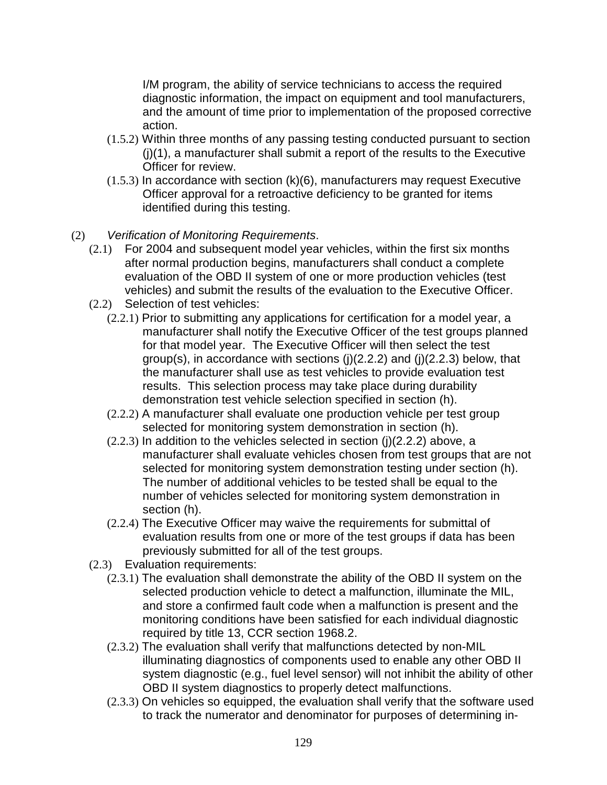I/M program, the ability of service technicians to access the required diagnostic information, the impact on equipment and tool manufacturers, and the amount of time prior to implementation of the proposed corrective action.

- (1.5.2) Within three months of any passing testing conducted pursuant to section (j)(1), a manufacturer shall submit a report of the results to the Executive Officer for review.
- (1.5.3) In accordance with section (k)(6), manufacturers may request Executive Officer approval for a retroactive deficiency to be granted for items identified during this testing.
- (2) Verification of Monitoring Requirements.
	- (2.1) For 2004 and subsequent model year vehicles, within the first six months after normal production begins, manufacturers shall conduct a complete evaluation of the OBD II system of one or more production vehicles (test vehicles) and submit the results of the evaluation to the Executive Officer.
	- (2.2) Selection of test vehicles:
		- (2.2.1) Prior to submitting any applications for certification for a model year, a manufacturer shall notify the Executive Officer of the test groups planned for that model year. The Executive Officer will then select the test group(s), in accordance with sections (j)(2.2.2) and (j)(2.2.3) below, that the manufacturer shall use as test vehicles to provide evaluation test results. This selection process may take place during durability demonstration test vehicle selection specified in section (h).
		- (2.2.2) A manufacturer shall evaluate one production vehicle per test group selected for monitoring system demonstration in section (h).
		- $(2.2.3)$  In addition to the vehicles selected in section  $(i)(2.2.2)$  above, a manufacturer shall evaluate vehicles chosen from test groups that are not selected for monitoring system demonstration testing under section (h). The number of additional vehicles to be tested shall be equal to the number of vehicles selected for monitoring system demonstration in section (h).
		- (2.2.4) The Executive Officer may waive the requirements for submittal of evaluation results from one or more of the test groups if data has been previously submitted for all of the test groups.
	- (2.3) Evaluation requirements:
		- (2.3.1) The evaluation shall demonstrate the ability of the OBD II system on the selected production vehicle to detect a malfunction, illuminate the MIL, and store a confirmed fault code when a malfunction is present and the monitoring conditions have been satisfied for each individual diagnostic required by title 13, CCR section 1968.2.
		- (2.3.2) The evaluation shall verify that malfunctions detected by non-MIL illuminating diagnostics of components used to enable any other OBD II system diagnostic (e.g., fuel level sensor) will not inhibit the ability of other OBD II system diagnostics to properly detect malfunctions.
		- (2.3.3) On vehicles so equipped, the evaluation shall verify that the software used to track the numerator and denominator for purposes of determining in-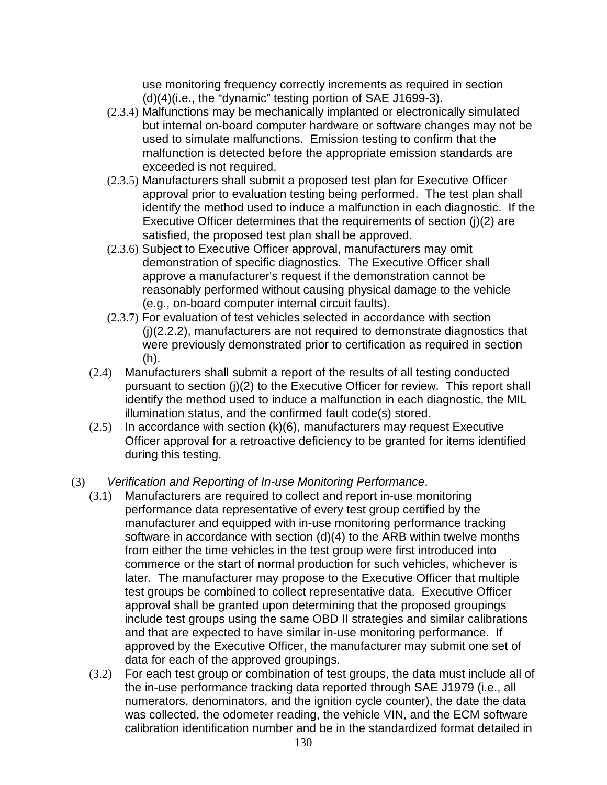use monitoring frequency correctly increments as required in section (d)(4)(i.e., the "dynamic" testing portion of SAE J1699-3).

- (2.3.4) Malfunctions may be mechanically implanted or electronically simulated but internal on-board computer hardware or software changes may not be used to simulate malfunctions. Emission testing to confirm that the malfunction is detected before the appropriate emission standards are exceeded is not required.
- (2.3.5) Manufacturers shall submit a proposed test plan for Executive Officer approval prior to evaluation testing being performed. The test plan shall identify the method used to induce a malfunction in each diagnostic. If the Executive Officer determines that the requirements of section (j)(2) are satisfied, the proposed test plan shall be approved.
- (2.3.6) Subject to Executive Officer approval, manufacturers may omit demonstration of specific diagnostics. The Executive Officer shall approve a manufacturer's request if the demonstration cannot be reasonably performed without causing physical damage to the vehicle (e.g., on-board computer internal circuit faults).
- (2.3.7) For evaluation of test vehicles selected in accordance with section (j)(2.2.2), manufacturers are not required to demonstrate diagnostics that were previously demonstrated prior to certification as required in section (h).
- (2.4) Manufacturers shall submit a report of the results of all testing conducted pursuant to section (j)(2) to the Executive Officer for review. This report shall identify the method used to induce a malfunction in each diagnostic, the MIL illumination status, and the confirmed fault code(s) stored.
- $(2.5)$  In accordance with section  $(k)(6)$ , manufacturers may request Executive Officer approval for a retroactive deficiency to be granted for items identified during this testing.

## (3) Verification and Reporting of In-use Monitoring Performance.

- (3.1) Manufacturers are required to collect and report in-use monitoring performance data representative of every test group certified by the manufacturer and equipped with in-use monitoring performance tracking software in accordance with section (d)(4) to the ARB within twelve months from either the time vehicles in the test group were first introduced into commerce or the start of normal production for such vehicles, whichever is later. The manufacturer may propose to the Executive Officer that multiple test groups be combined to collect representative data. Executive Officer approval shall be granted upon determining that the proposed groupings include test groups using the same OBD II strategies and similar calibrations and that are expected to have similar in-use monitoring performance. If approved by the Executive Officer, the manufacturer may submit one set of data for each of the approved groupings.
- (3.2) For each test group or combination of test groups, the data must include all of the in-use performance tracking data reported through SAE J1979 (i.e., all numerators, denominators, and the ignition cycle counter), the date the data was collected, the odometer reading, the vehicle VIN, and the ECM software calibration identification number and be in the standardized format detailed in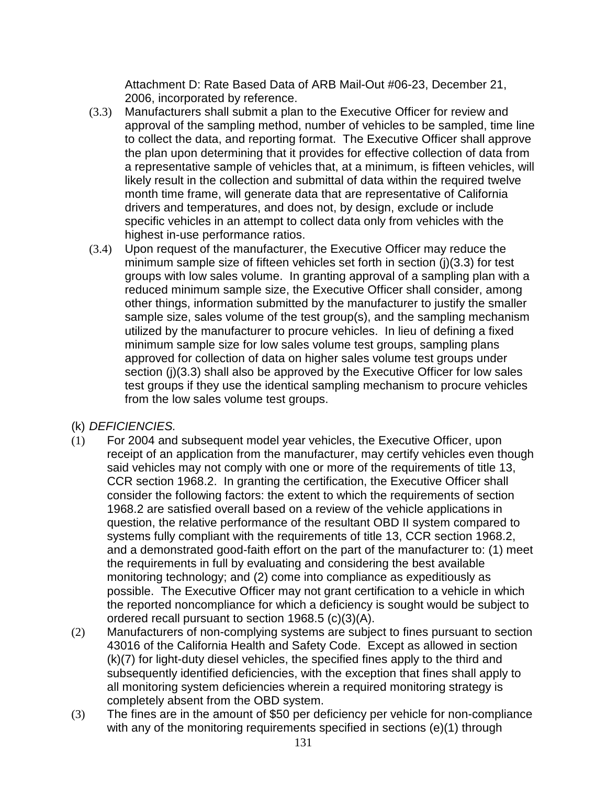Attachment D: Rate Based Data of ARB Mail-Out #06-23, December 21, 2006, incorporated by reference.

- (3.3) Manufacturers shall submit a plan to the Executive Officer for review and approval of the sampling method, number of vehicles to be sampled, time line to collect the data, and reporting format. The Executive Officer shall approve the plan upon determining that it provides for effective collection of data from a representative sample of vehicles that, at a minimum, is fifteen vehicles, will likely result in the collection and submittal of data within the required twelve month time frame, will generate data that are representative of California drivers and temperatures, and does not, by design, exclude or include specific vehicles in an attempt to collect data only from vehicles with the highest in-use performance ratios.
- (3.4) Upon request of the manufacturer, the Executive Officer may reduce the minimum sample size of fifteen vehicles set forth in section (j)(3.3) for test groups with low sales volume. In granting approval of a sampling plan with a reduced minimum sample size, the Executive Officer shall consider, among other things, information submitted by the manufacturer to justify the smaller sample size, sales volume of the test group(s), and the sampling mechanism utilized by the manufacturer to procure vehicles. In lieu of defining a fixed minimum sample size for low sales volume test groups, sampling plans approved for collection of data on higher sales volume test groups under section (i)(3.3) shall also be approved by the Executive Officer for low sales test groups if they use the identical sampling mechanism to procure vehicles from the low sales volume test groups.
- (k) DEFICIENCIES.
- (1) For 2004 and subsequent model year vehicles, the Executive Officer, upon receipt of an application from the manufacturer, may certify vehicles even though said vehicles may not comply with one or more of the requirements of title 13, CCR section 1968.2. In granting the certification, the Executive Officer shall consider the following factors: the extent to which the requirements of section 1968.2 are satisfied overall based on a review of the vehicle applications in question, the relative performance of the resultant OBD II system compared to systems fully compliant with the requirements of title 13, CCR section 1968.2, and a demonstrated good-faith effort on the part of the manufacturer to: (1) meet the requirements in full by evaluating and considering the best available monitoring technology; and (2) come into compliance as expeditiously as possible. The Executive Officer may not grant certification to a vehicle in which the reported noncompliance for which a deficiency is sought would be subject to ordered recall pursuant to section 1968.5 (c)(3)(A).
- (2) Manufacturers of non-complying systems are subject to fines pursuant to section 43016 of the California Health and Safety Code. Except as allowed in section (k)(7) for light-duty diesel vehicles, the specified fines apply to the third and subsequently identified deficiencies, with the exception that fines shall apply to all monitoring system deficiencies wherein a required monitoring strategy is completely absent from the OBD system.
- (3) The fines are in the amount of \$50 per deficiency per vehicle for non-compliance with any of the monitoring requirements specified in sections (e)(1) through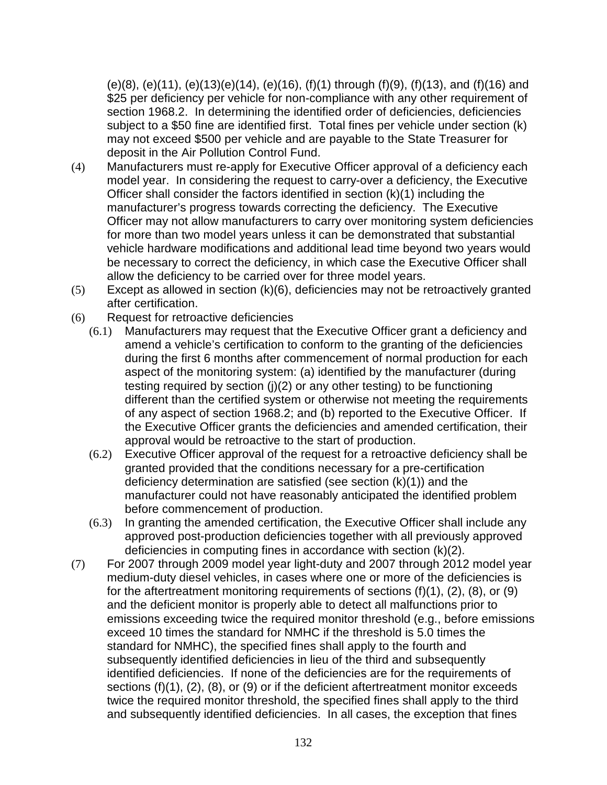(e)(8), (e)(11), (e)(13)(e)(14), (e)(16), (f)(1) through (f)(9), (f)(13), and (f)(16) and \$25 per deficiency per vehicle for non-compliance with any other requirement of section 1968.2. In determining the identified order of deficiencies, deficiencies subject to a \$50 fine are identified first. Total fines per vehicle under section (k) may not exceed \$500 per vehicle and are payable to the State Treasurer for deposit in the Air Pollution Control Fund.

- (4) Manufacturers must re-apply for Executive Officer approval of a deficiency each model year. In considering the request to carry-over a deficiency, the Executive Officer shall consider the factors identified in section (k)(1) including the manufacturer's progress towards correcting the deficiency. The Executive Officer may not allow manufacturers to carry over monitoring system deficiencies for more than two model years unless it can be demonstrated that substantial vehicle hardware modifications and additional lead time beyond two years would be necessary to correct the deficiency, in which case the Executive Officer shall allow the deficiency to be carried over for three model years.
- (5) Except as allowed in section (k)(6), deficiencies may not be retroactively granted after certification.
- (6) Request for retroactive deficiencies
	- (6.1) Manufacturers may request that the Executive Officer grant a deficiency and amend a vehicle's certification to conform to the granting of the deficiencies during the first 6 months after commencement of normal production for each aspect of the monitoring system: (a) identified by the manufacturer (during testing required by section (j)(2) or any other testing) to be functioning different than the certified system or otherwise not meeting the requirements of any aspect of section 1968.2; and (b) reported to the Executive Officer. If the Executive Officer grants the deficiencies and amended certification, their approval would be retroactive to the start of production.
	- (6.2) Executive Officer approval of the request for a retroactive deficiency shall be granted provided that the conditions necessary for a pre-certification deficiency determination are satisfied (see section (k)(1)) and the manufacturer could not have reasonably anticipated the identified problem before commencement of production.
	- (6.3) In granting the amended certification, the Executive Officer shall include any approved post-production deficiencies together with all previously approved deficiencies in computing fines in accordance with section (k)(2).
- (7) For 2007 through 2009 model year light-duty and 2007 through 2012 model year medium-duty diesel vehicles, in cases where one or more of the deficiencies is for the aftertreatment monitoring requirements of sections (f)(1), (2), (8), or (9) and the deficient monitor is properly able to detect all malfunctions prior to emissions exceeding twice the required monitor threshold (e.g., before emissions exceed 10 times the standard for NMHC if the threshold is 5.0 times the standard for NMHC), the specified fines shall apply to the fourth and subsequently identified deficiencies in lieu of the third and subsequently identified deficiencies. If none of the deficiencies are for the requirements of sections (f)(1), (2), (8), or (9) or if the deficient aftertreatment monitor exceeds twice the required monitor threshold, the specified fines shall apply to the third and subsequently identified deficiencies. In all cases, the exception that fines